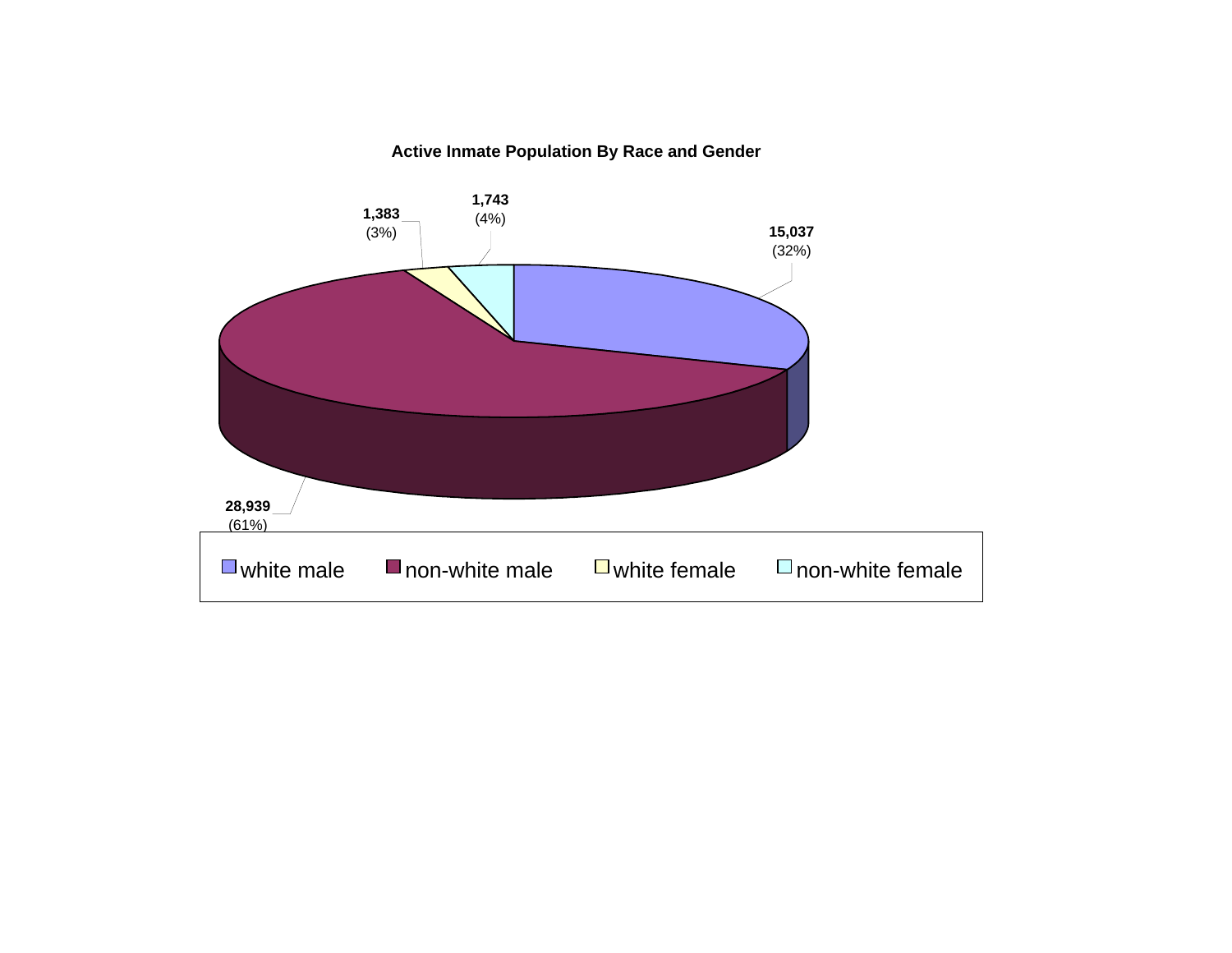#### **Active Inmate Population By Race and Gender**

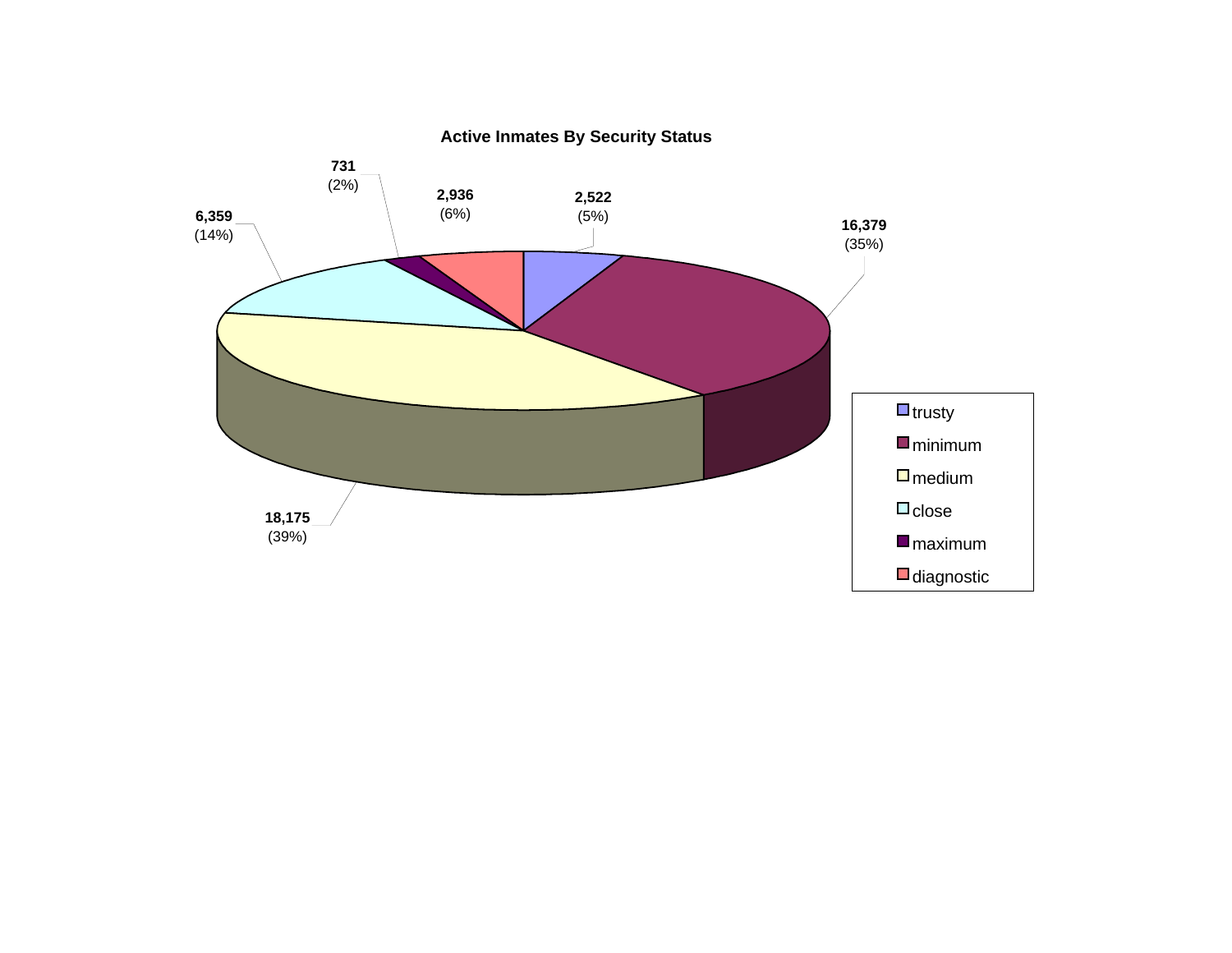

**Active Inmates By Security Status**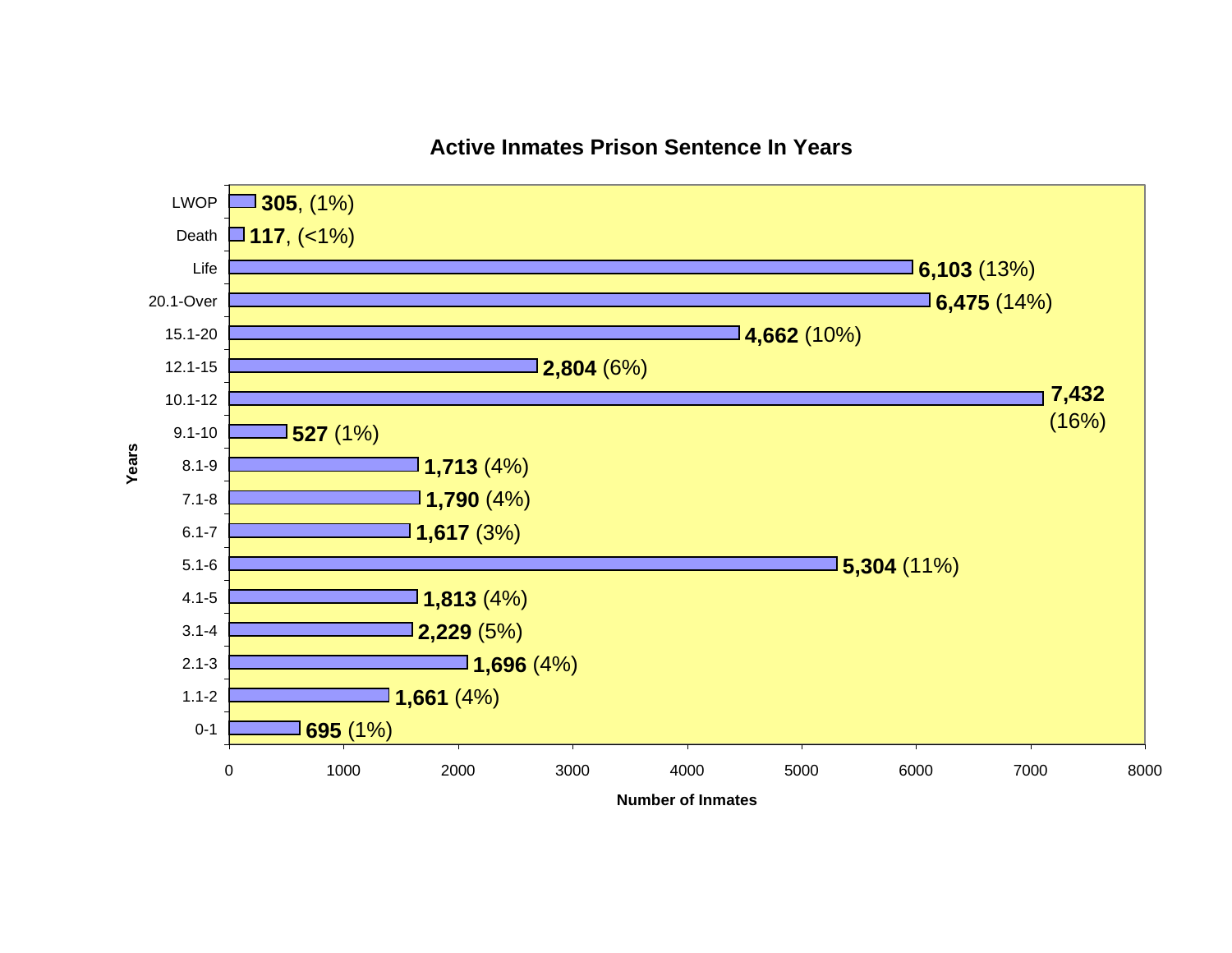

#### **Active Inmates Prison Sentence In Years**

**Number of Inmates**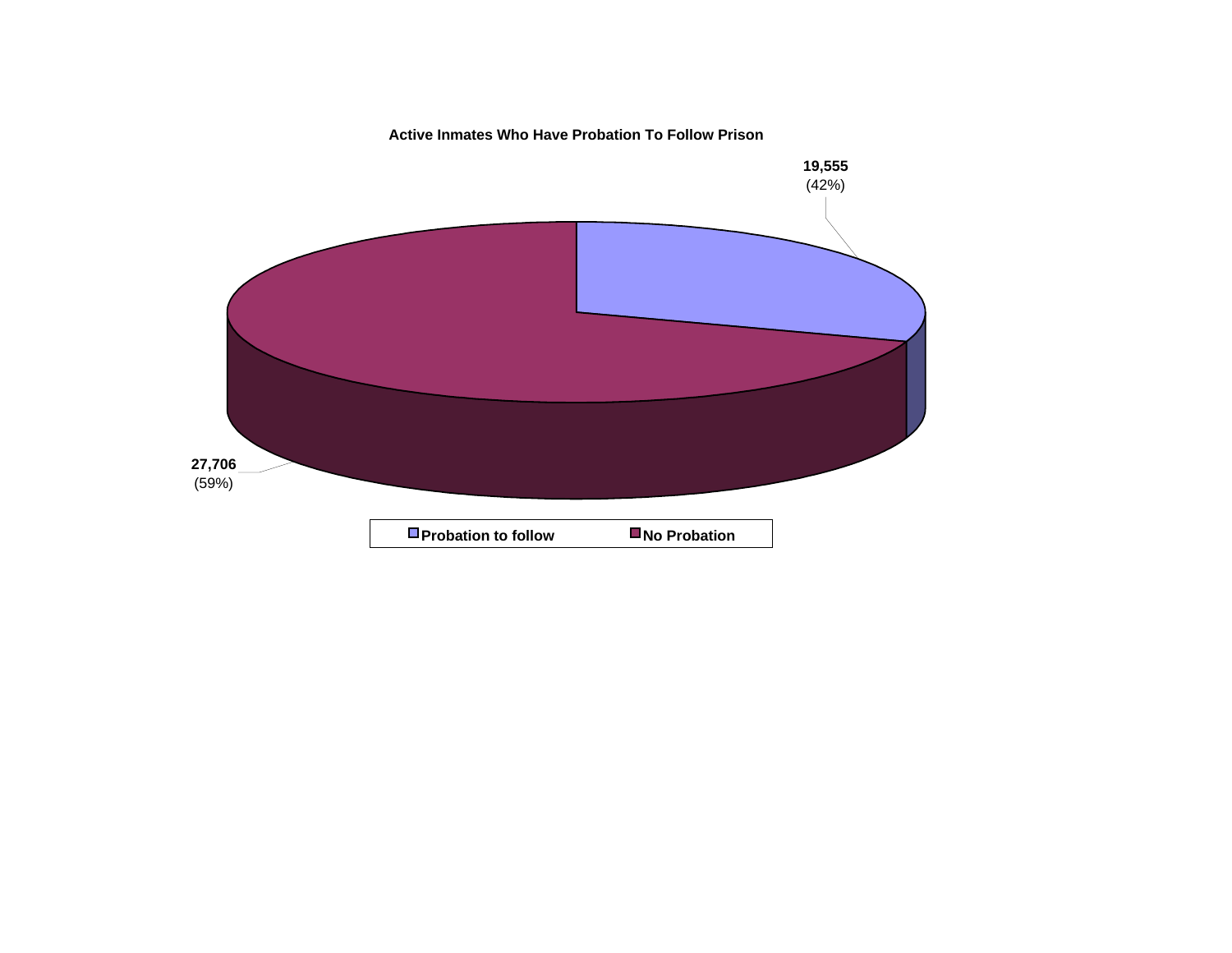**Active Inmates Who Have Probation To Follow Prison**

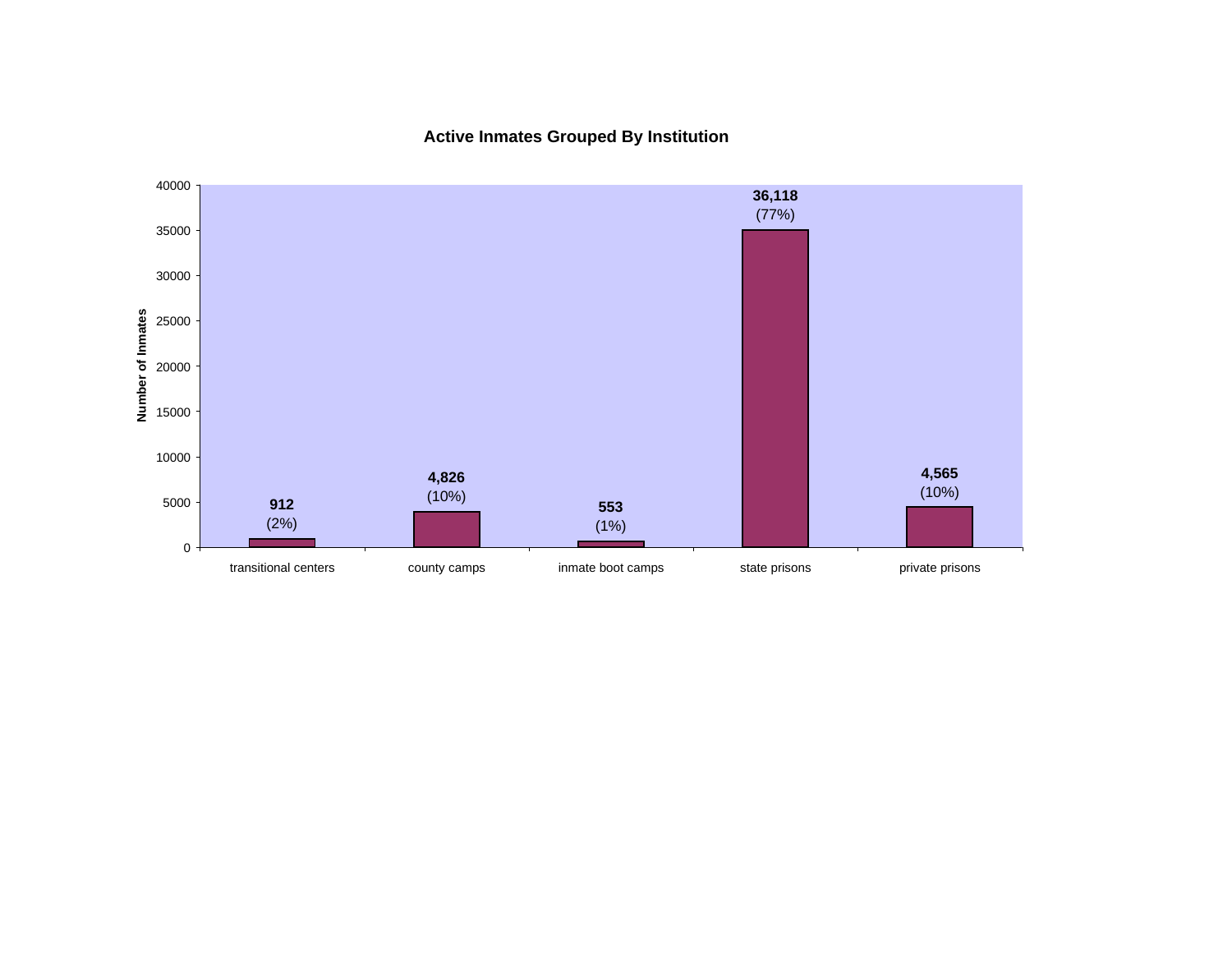**Active Inmates Grouped By Institution**

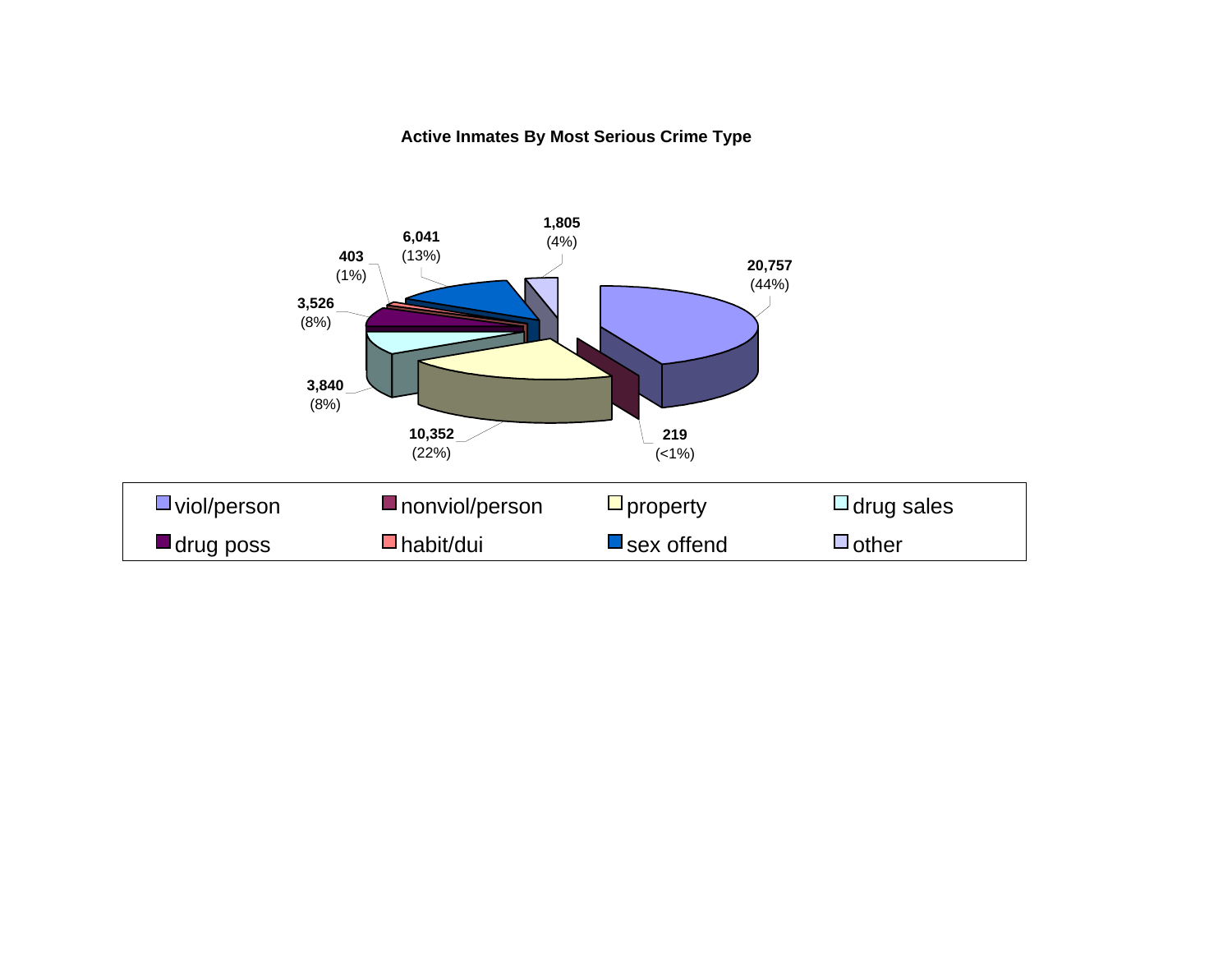#### **Active Inmates By Most Serious Crime Type**

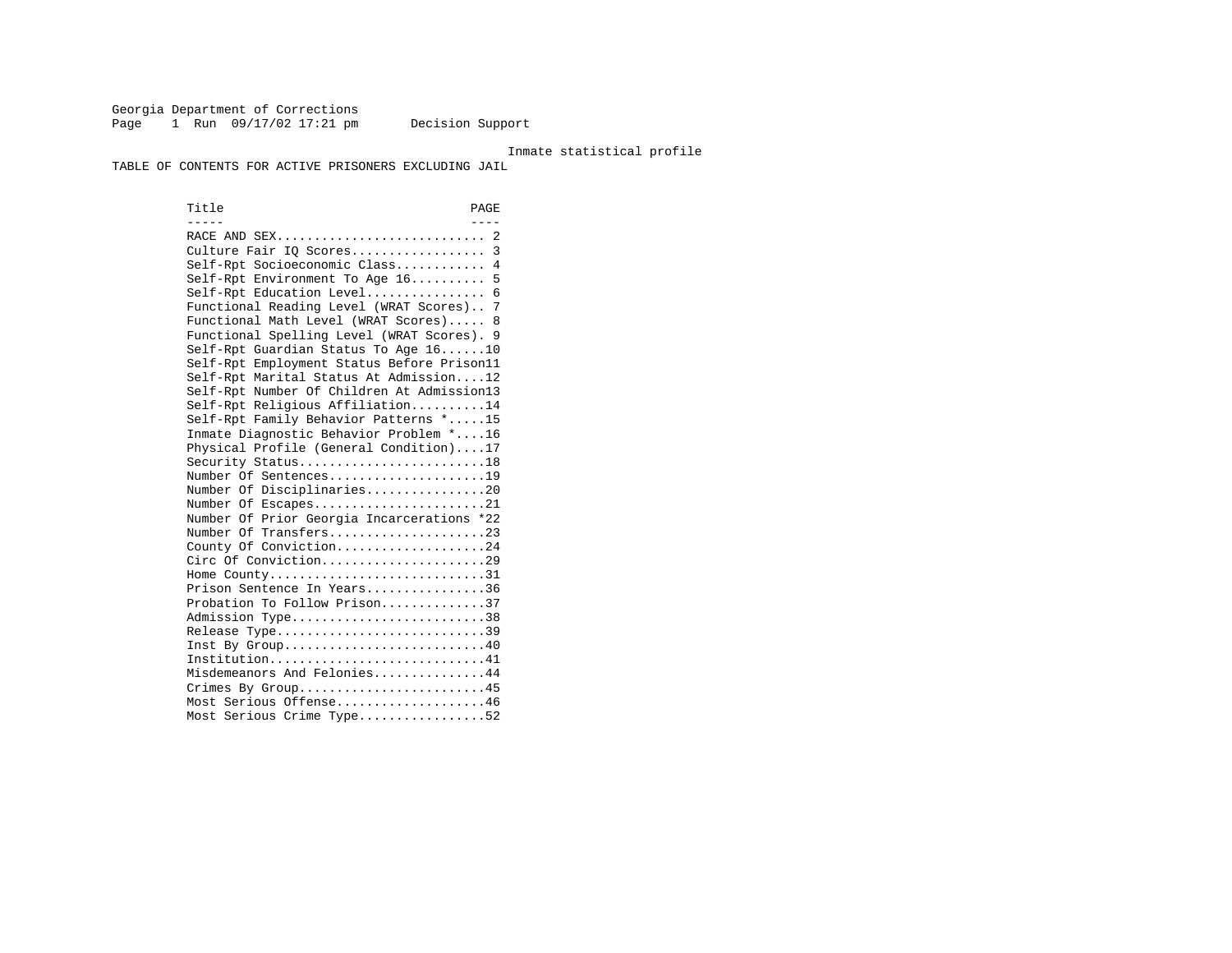Georgia Department of Corrections Page 1 Run 09/17/02 17:21 pm Decision Support

#### Inmate statistical profile

TABLE OF CONTENTS FOR ACTIVE PRISONERS EXCLUDING JAIL

Title PAGE ----- ---- RACE AND SEX............................ 2 Culture Fair IQ Scores.................. 3 Self-Rpt Socioeconomic Class............ 4 Self-Rpt Environment To Age 16.......... 5 Self-Rpt Education Level................ 6 Functional Reading Level (WRAT Scores).. 7 Functional Math Level (WRAT Scores)..... 8 Functional Spelling Level (WRAT Scores). 9 Self-Rpt Guardian Status To Age 16......10 Self-Rpt Employment Status Before Prison11 Self-Rpt Marital Status At Admission....12 Self-Rpt Number Of Children At Admission13 Self-Rpt Religious Affiliation..........14 Self-Rpt Family Behavior Patterns \*.....15 Inmate Diagnostic Behavior Problem \*....16 Physical Profile (General Condition)....17 Security Status............................18 Number Of Sentences.....................19 Number Of Disciplinaries................20 Number Of Escapes........................21 Number Of Prior Georgia Incarcerations \*22 Number Of Transfers.....................23 County Of Conviction....................24 Circ Of Conviction......................29 Home County................................31 Prison Sentence In Years................36 Probation To Follow Prison..............37Admission Type.............................38 Release Type...............................39 Inst By Group.............................40 Institution...............................41 Misdemeanors And Felonies...............44 Crimes By Group...........................45 Most Serious Offense....................46 Most Serious Crime Type.................52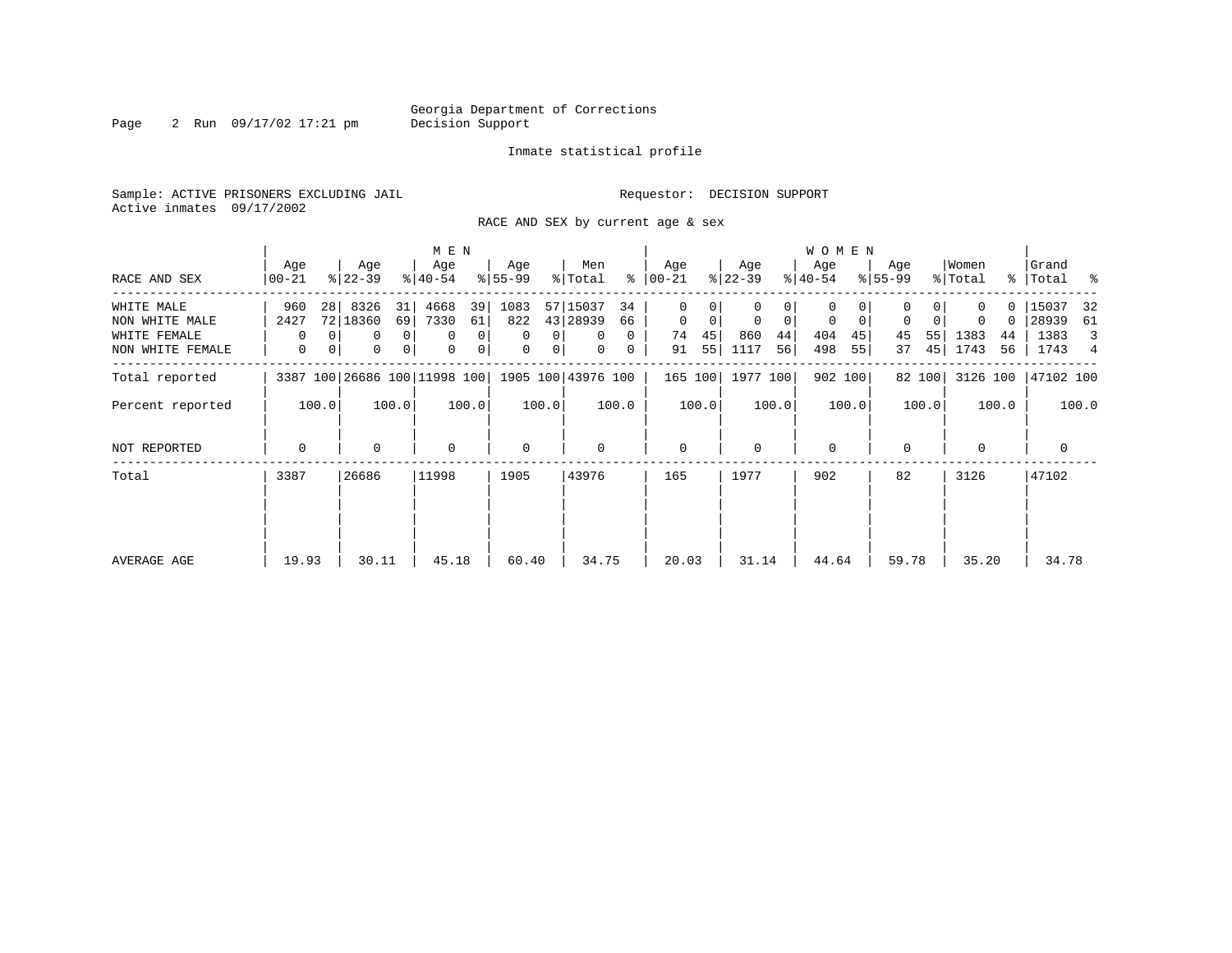Page 2 Run 09/17/02 17:21 pm

#### Inmate statistical profile

Sample: ACTIVE PRISONERS EXCLUDING JAIL **Requestor: DECISION SUPPORT** Active inmates 09/17/2002

RACE AND SEX by current age & sex

|                  |              |                                                                   |           |                | M E N       |                |                  |                |              |          |              |       |                  |       | W O M E N        |         |                  |        |             |               |             |       |
|------------------|--------------|-------------------------------------------------------------------|-----------|----------------|-------------|----------------|------------------|----------------|--------------|----------|--------------|-------|------------------|-------|------------------|---------|------------------|--------|-------------|---------------|-------------|-------|
|                  | Age          |                                                                   | Age       |                | Age         |                | Age<br>$ 55-99 $ |                | Men          | ွေ       | Age          |       | Age<br>$ 22-39 $ |       | Age<br>$ 40-54 $ |         | Age<br>$ 55-99 $ |        | Women       | $\frac{8}{3}$ | Grand       |       |
| RACE AND SEX     | $00 - 21$    |                                                                   | $ 22-39 $ |                | $ 40-54 $   |                |                  |                | % Total      |          | $00 - 21$    |       |                  |       |                  |         |                  |        | % Total     |               | Total %     |       |
| WHITE MALE       | 960          | 28                                                                | 8326      | 31             | 4668        | 39             | 1083             |                | 57 15037     | 34       | $\Omega$     |       |                  |       | 0                |         |                  |        |             |               | 15037       | 32    |
| NON WHITE MALE   | 2427         |                                                                   | 72 18360  | 69             | 7330        | 61             | 822              |                | 43 28939     | 66       | $\mathbf 0$  | 0     | $\overline{0}$   | 0     | 0                | 0       | $\mathbf 0$      |        | 0           | 0             | 28939       | 61    |
| WHITE FEMALE     | $\Omega$     |                                                                   | $\Omega$  | $\overline{0}$ | $\mathbf 0$ | 0              | $\Omega$         | $\Omega$       | $\Omega$     | $\Omega$ | 74           | 45    | 860              | 44    | 404              | 45      | 45               | 55     | 1383        | 44            | 1383        | 3     |
| NON WHITE FEMALE | $\mathbf{0}$ | $\mathbf{0}$                                                      | 0         | 0              | $\mathbf 0$ | $\overline{0}$ | 0                | 0 <sup>1</sup> | $\mathbf{0}$ | 0        | 91           | 55    | 1117             | 56    | 498              | 55      | 37               | 45     | 1743        | 56            | 1743 4      |       |
| Total reported   |              |                                                                   |           |                |             |                |                  |                |              |          | 165 100      |       | 1977 100         |       |                  | 902 100 |                  | 82 100 | 3126 100    |               | 47102 100   |       |
| Percent reported |              | 3387 100 26686 100 11998 100 1905 100 43976 100<br>100.0<br>100.0 |           |                |             | 100.0          |                  | 100.0          |              | 100.0    |              | 100.0 |                  | 100.0 |                  | 100.0   |                  | 100.0  |             | 100.0         |             | 100.0 |
| NOT REPORTED     | 0            | 0                                                                 |           |                | $\mathbf 0$ |                | $\mathbf 0$      |                | 0            |          | $\mathbf{0}$ |       | $\Omega$         |       | $\mathbf 0$      |         | $\mathbf 0$      |        | $\mathbf 0$ |               | $\mathbf 0$ |       |
| Total            | 3387         |                                                                   | 26686     |                | 11998       |                | 1905             |                | 43976        |          | 165          |       | 1977             |       | 902              |         | 82               |        | 3126        |               | 47102       |       |
|                  |              |                                                                   |           |                |             |                |                  |                |              |          |              |       |                  |       |                  |         |                  |        |             |               |             |       |
| AVERAGE AGE      | 19.93        |                                                                   | 30.11     |                | 45.18       |                | 60.40            |                | 34.75        |          | 20.03        |       | 31.14            |       | 44.64            |         | 59.78            |        | 35.20       |               | 34.78       |       |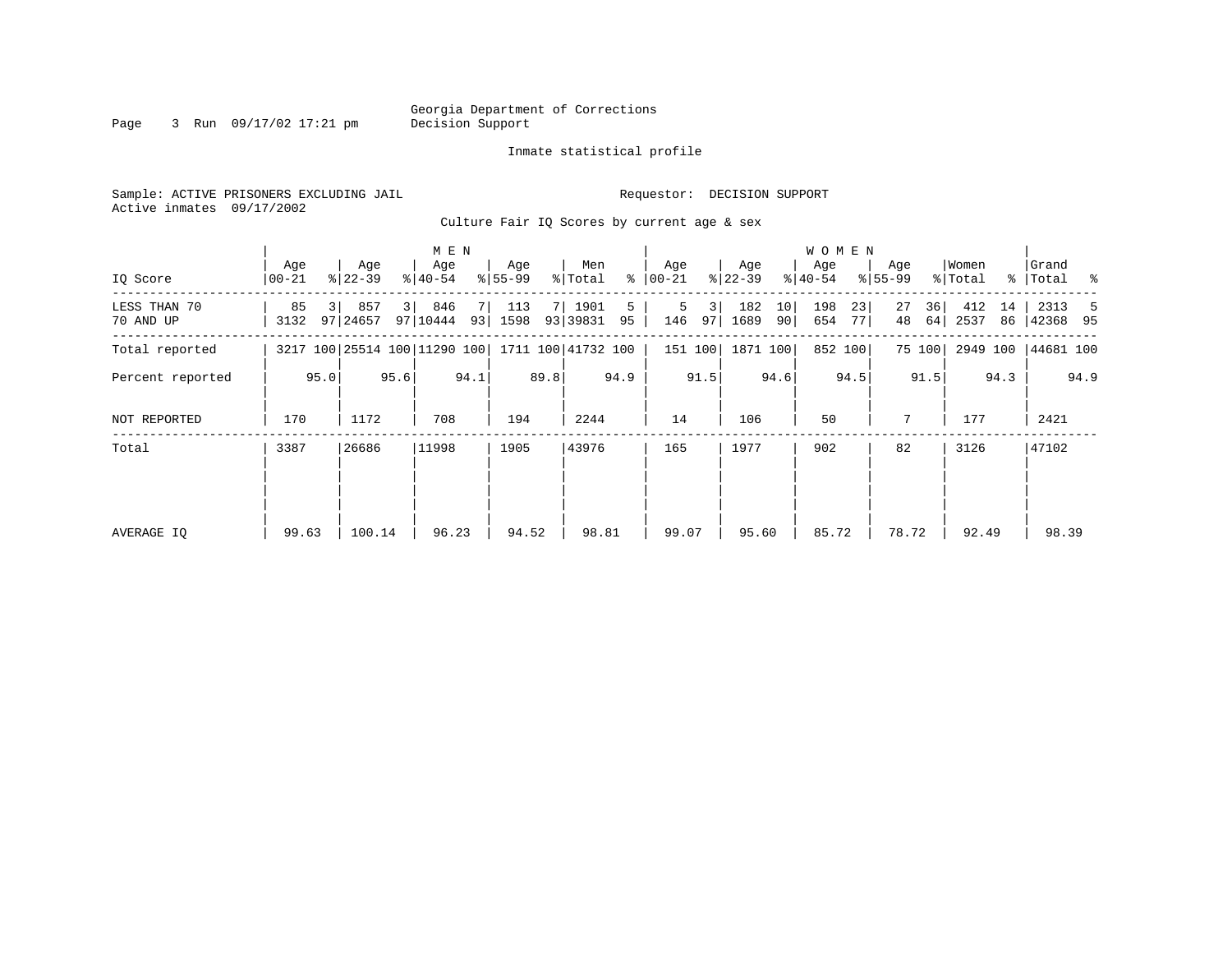Page 3 Run 09/17/02 17:21 pm

#### Inmate statistical profile

Sample: ACTIVE PRISONERS EXCLUDING JAIL **Requestor: DECISION SUPPORT** Active inmates 09/17/2002

Culture Fair IQ Scores by current age & sex

|                           |                  |                              | M E N                                        |                           |                          |                      |                         | <b>WOMEN</b>             |                      |                         |                        |
|---------------------------|------------------|------------------------------|----------------------------------------------|---------------------------|--------------------------|----------------------|-------------------------|--------------------------|----------------------|-------------------------|------------------------|
| IQ Score                  | Age<br>$00 - 21$ | Age<br>$ 22-39 $             | Age<br>$ 40-54 $                             | Age<br>$8155 - 99$        | Men<br>ႜ<br>% Total      | Age<br>$ 00-21 $     | Age<br>$ 22-39 $        | Age<br>$ 40-54 $         | Age<br>$8 55-99$     | Women<br>% Total        | Grand<br>%   Total %   |
| LESS THAN 70<br>70 AND UP | 85<br>3132       | 857<br>97   24657            | 3 <sup>1</sup><br>846<br>7<br>97 10444<br>93 | 113<br><b>7</b>  <br>1598 | 1901<br>5<br>93 39831 95 | 5<br>3 <br>146<br>97 | 182<br>10<br>1689<br>90 | 198<br>23<br>654<br>77 I | 27<br>36<br>64<br>48 | 412<br>14<br>2537<br>86 | 2313<br>-5<br>42368 95 |
| Total reported            |                  | 3217 100 25514 100 11290 100 |                                              |                           | 1711 100 41732 100       | 151 100              | 1871 100                | 852 100                  | 75 100               | 2949 100                | 44681 100              |
| Percent reported          | 95.0             | 95.6                         | 94.1                                         | 89.8                      | 94.9                     | 91.5                 | 94.6                    | 94.5                     | 91.5                 | 94.3                    | 94.9                   |
| <b>NOT REPORTED</b>       | 170              | 1172                         | 708                                          | 194                       | 2244                     | 14                   | 106                     | 50                       | 7                    | 177                     | 2421                   |
| Total                     | 3387             | 26686                        | 11998                                        | 1905                      | 43976                    | 165                  | 1977                    | 902                      | 82                   | 3126                    | 47102                  |
|                           |                  |                              |                                              |                           |                          |                      |                         |                          |                      |                         |                        |
|                           |                  |                              |                                              |                           |                          |                      |                         |                          |                      |                         |                        |
| AVERAGE IQ                | 99.63            | 100.14                       | 96.23                                        | 94.52                     | 98.81                    | 99.07                | 95.60                   | 85.72                    | 78.72                | 92.49                   | 98.39                  |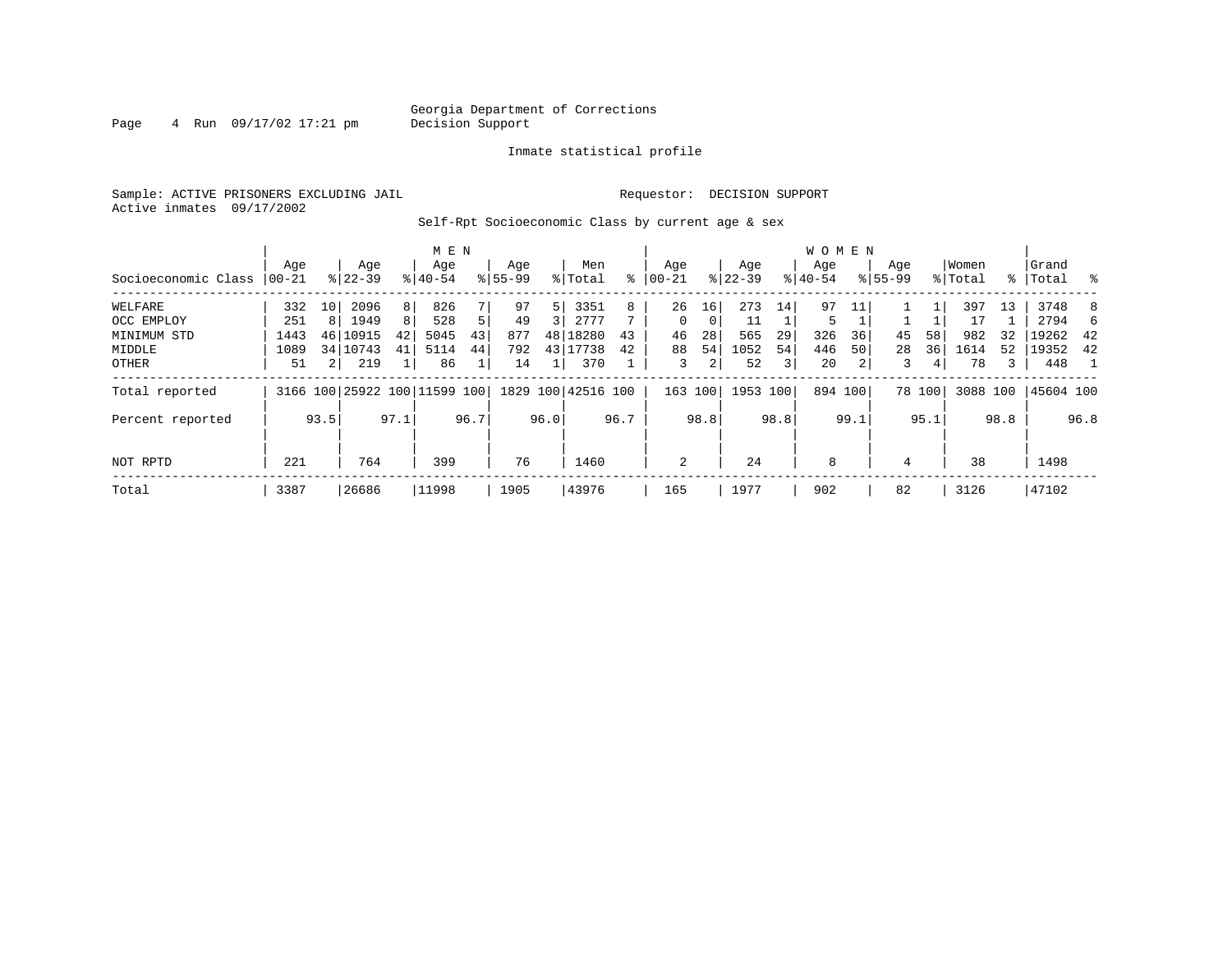Page  $4$  Run  $09/17/02$  17:21 pm

#### Inmate statistical profile

Sample: ACTIVE PRISONERS EXCLUDING JAIL **Requestor: DECISION SUPPORT** Active inmates 09/17/2002

Self-Rpt Socioeconomic Class by current age & sex

|                     |          | M E N          |                              |      |           |                |             |      |                    |      |            |      |           |      | <b>WOMEN</b> |      |             |        |          |             |           |      |
|---------------------|----------|----------------|------------------------------|------|-----------|----------------|-------------|------|--------------------|------|------------|------|-----------|------|--------------|------|-------------|--------|----------|-------------|-----------|------|
|                     | Age      |                | Age                          |      | Age       |                | Age         |      | Men                |      | Age        |      | Age       |      | Age          |      | Age         |        | Women    |             | Grand     |      |
| Socioeconomic Class | $ 00-21$ |                | $8 22-39$                    |      | $8 40-54$ |                | $8155 - 99$ |      | % Total            | ៖    | $ 00 - 21$ | ៖    | $22 - 39$ |      | $ 40-54 $    |      | $8155 - 99$ |        | % Total  | $\approx$ 1 | Total     | ႜ ⊱  |
| WELFARE             | 332      | 10             | 2096                         | 8    | 826       |                | 97          | 5    | 3351               | 8    | 26         | 16   | 273       | 14   | 97           |      |             |        | 397      | 13          | 3748      | 8    |
| OCC EMPLOY          | 251      | 8              | 1949                         | 8    | 528       | 5 <sup>1</sup> | 49          | 3    | 2777               |      | $\Omega$   | 0    | 11        |      | 5            |      |             |        | 17       |             | 2794      | 6.   |
| MINIMUM STD         | 1443     | 46             | 10915                        | 42   | 5045      | 43             | 877         | 48   | 18280              | 43   | 46         | 28   | 565       | 29   | 326          | 36   | 45          | 58     | 982      | 32          | 19262     | -42  |
| MIDDLE              | 1089     |                | 34 10743                     | 41   | 5114      | 44             | 792         | 43   | 17738              | 42   | 88         | 54   | 1052      | 54   | 446          | 50   | 28          | 36     | 1614     | 52          | 19352     | 42   |
| OTHER               | 51       | 2 <sub>1</sub> | 219                          |      | 86        |                | 14          |      | 370                |      | 3          | 2    | 52        | 3    | 20           |      | 3           | 4      | 78       | 3           | 448       |      |
| Total reported      |          |                | 3166 100 25922 100 11599 100 |      |           |                |             |      | 1829 100 42516 100 |      | 163 100    |      | 1953 100  |      | 894 100      |      |             | 78 100 | 3088 100 |             | 45604 100 |      |
| Percent reported    |          | 93.5           |                              | 97.1 |           | 96.7           |             | 96.0 |                    | 96.7 |            | 98.8 |           | 98.8 |              | 99.1 |             | 95.1   |          | 98.8        |           | 96.8 |
| NOT RPTD            | 221      |                | 764                          |      | 399       |                | 76          |      | 1460               |      | 2          |      | 24        |      | 8            |      | 4           |        | 38       |             | 1498      |      |
| Total               | 3387     |                | 26686                        |      | 11998     |                | 1905        |      | 43976              |      | 165        |      | 1977      |      | 902          |      | 82          |        | 3126     |             | 47102     |      |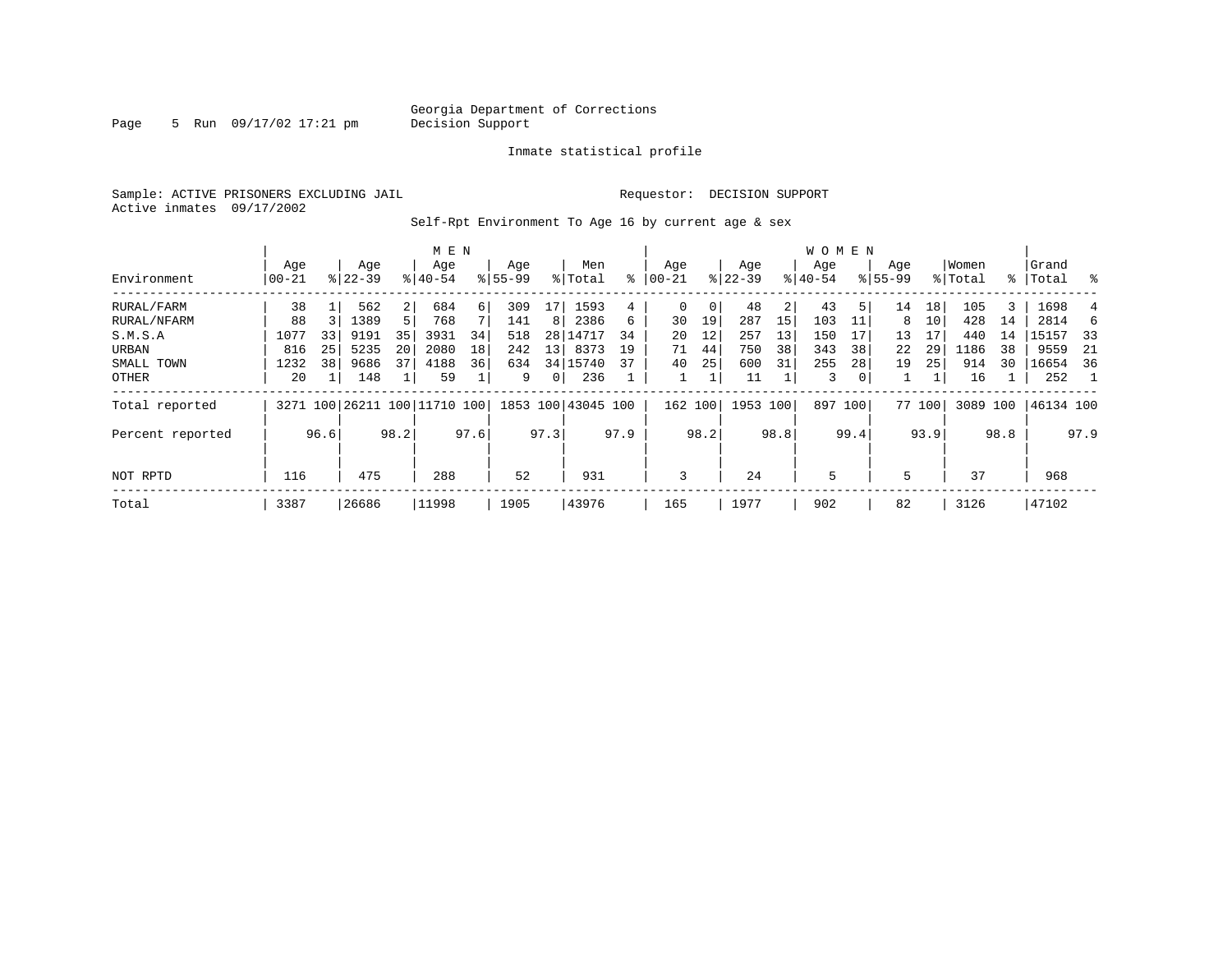Page 5 Run 09/17/02 17:21 pm

#### Inmate statistical profile

Sample: ACTIVE PRISONERS EXCLUDING JAIL **Requestor: DECISION SUPPORT** Active inmates 09/17/2002

Self-Rpt Environment To Age 16 by current age & sex

|                  |                  |      |                  |                | M E N                        |      |                    |                 |                    |      |                  |      |                  |      | <b>WOMEN</b>     |      |                    |        |                  |      |                 |      |
|------------------|------------------|------|------------------|----------------|------------------------------|------|--------------------|-----------------|--------------------|------|------------------|------|------------------|------|------------------|------|--------------------|--------|------------------|------|-----------------|------|
| Environment      | Age<br>$00 - 21$ |      | Age<br>$8 22-39$ |                | Age<br>$8140 - 54$           |      | Age<br>$8155 - 99$ |                 | Men<br>% Total     | ႜ    | Age<br>$00 - 21$ |      | Age<br>$ 22-39 $ |      | Age<br>$8 40-54$ |      | Age<br>$8155 - 99$ |        | Women<br>% Total | ႜၟ   | Grand<br> Total | ႜ    |
| RURAL/FARM       | 38               |      | 562              | $\overline{2}$ | 684                          | 6    | 309                | 17              | 1593               | 4    | 0                | 0    | 48               | 2    | 43               | 5    | 14                 | 18     | 105              | 3    | 1698            |      |
| RURAL/NFARM      | 88               |      | 1389             | 5              | 768                          |      | 141                | 8 <sup>1</sup>  | 2386               | 6    | 30               | 19   | 287              | 15   | 103              |      | 8                  | 10     | 428              | 14   | 2814            | 6    |
| S.M.S.A          | 1077             | 33   | 9191             | 35             | 3931                         | 34   | 518                |                 | 28 14717           | 34   | 20               | 12   | 257              | 13   | 150              | 17   | 13                 | 17     | 440              | 14   | 15157           | -33  |
| URBAN            | 816              | 25   | 5235             | 20             | 2080                         | 18   | 242                | 13 <sup>1</sup> | 8373               | 19   | 71               | 44   | 750              | 38   | 343              | 38   | 22                 | 29     | 1186             | 38   | 9559            | -21  |
| SMALL TOWN       | 1232             | 38   | 9686             | 37             | 4188                         | 36   | 634                |                 | 34   15740         | 37   | 40               | 25   | 600              | 31   | 255              | 28   | 19                 | 25     | 914              | 30   | 16654           | 36   |
| OTHER            | 20               |      | 148              |                | 59                           |      | 9                  | 0 <sup>1</sup>  | 236                |      |                  |      | 11               |      | 3                | 0    |                    |        | 16               |      | 252             |      |
| Total reported   |                  |      |                  |                | 3271 100 26211 100 11710 100 |      |                    |                 | 1853 100 43045 100 |      | 162 100          |      | 1953 100         |      | 897              | 100  |                    | 77 100 | 3089 100         |      | 46134 100       |      |
| Percent reported |                  | 96.6 |                  | 98.2           |                              | 97.6 |                    | 97.3            |                    | 97.9 |                  | 98.2 |                  | 98.8 |                  | 99.4 |                    | 93.9   |                  | 98.8 |                 | 97.9 |
| NOT RPTD         | 116              |      | 475              |                | 288                          |      | 52                 |                 | 931                |      | 3                |      | 24               |      | 5                |      | 5                  |        | 37               |      | 968             |      |
|                  |                  |      |                  |                |                              |      |                    |                 |                    |      |                  |      |                  |      |                  |      |                    |        |                  |      |                 |      |
| Total            | 3387             |      | 26686            |                | 11998                        |      | 1905               |                 | 43976              |      | 165              |      | 1977             |      | 902              |      | 82                 |        | 3126             |      | 47102           |      |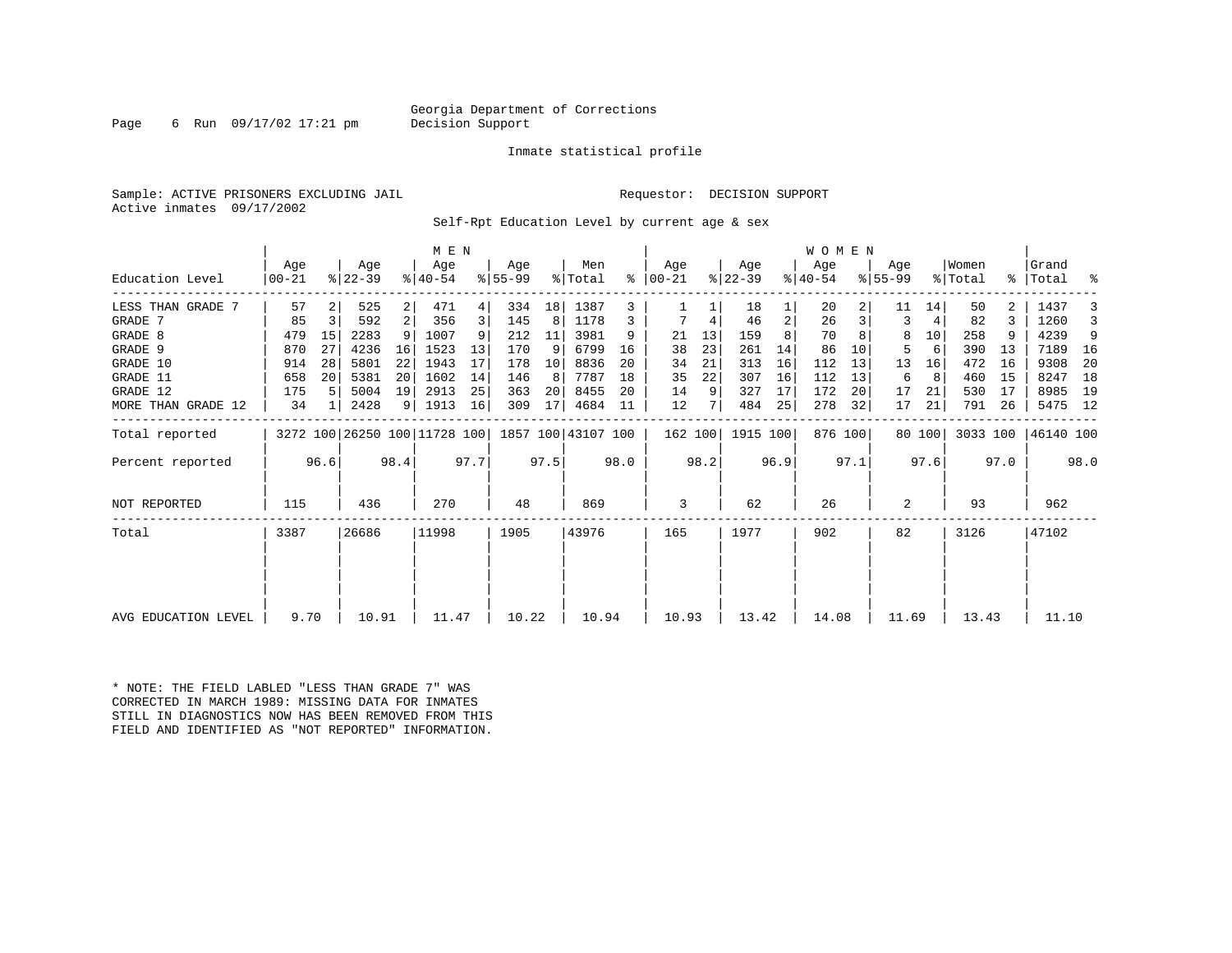#### Georgia Department of Corrections<br>Decision Support

Page 6 Run  $09/17/02$  17:21 pm

#### Inmate statistical profile

Sample: ACTIVE PRISONERS EXCLUDING JAIL **Requestor: DECISION SUPPORT** Active inmates 09/17/2002

Self-Rpt Education Level by current age & sex

|                     | M E N                                           |                               |       |      |       |      |                  |      |                |      |                  |      |                  |      | WOMEN            |         |                  |        |                  |      |                    |      |
|---------------------|-------------------------------------------------|-------------------------------|-------|------|-------|------|------------------|------|----------------|------|------------------|------|------------------|------|------------------|---------|------------------|--------|------------------|------|--------------------|------|
| Education Level     | Aqe<br>  00-21                                  | Age<br>$ 22-39 $<br>$8 40-54$ |       |      |       |      | Aqe<br>$8 55-99$ |      | Men<br>% Total | ႜ    | Aqe<br>$ 00-21 $ |      | Aqe<br>$ 22-39 $ |      | Aqe<br>$ 40-54 $ |         | Aqe<br>$ 55-99 $ |        | Women<br>% Total |      | Grand<br>%   Total | ႜ    |
| LESS THAN GRADE 7   | 57                                              |                               | 525   | 2    | 471   |      | 334              | 18   | 1387           | 3    |                  |      | 18               |      | 20               |         | 11               | 14     | 50               | 2.   | 1437               |      |
| GRADE 7             | 85                                              | 3                             | 592   | 2    | 356   |      | 145              | 8    | 1178           |      |                  | 4    | 46               | 2    | 26               |         | 3                | 4      | 82               | 3    | 1260               |      |
| GRADE 8             | 479                                             | 15                            | 2283  | 9    | 1007  |      | 212              | 11   | 3981           | 9    | 21               | 13   | 159              |      | 70               |         | 8                | 10     | 258              |      | 4239               | 9    |
| GRADE 9             | 870                                             | 27                            | 4236  | 16   | 1523  | 13   | 170              | 9    | 6799           | 16   | 38               | 23   | 261              | 14   | 86               | 10      | 5                | 6      | 390              | 13   | 7189               | - 16 |
| GRADE 10            | 914                                             | 28                            | 5801  | 22   | 1943  | 17   | 178              | 10   | 8836           | 20   | 34               | 21   | 313              | 16   | 112              | 13      | 13               | 16     | 472              | 16   | 9308               | 20   |
| GRADE 11            | 658                                             | 20<br>5381<br>20<br>5004<br>5 |       | 1602 | 14    | 146  | 8                | 7787 | 18             | 35   | 22               | 307  | 16               | 112  | 13               | 6       | 8                | 460    | 15               | 8247 | 18                 |      |
| GRADE 12            | 175                                             |                               |       | 19   | 2913  | 25   | 363              | 20   | 8455           | 20   | 14               | 9    | 327              | 17   | 172              | 20      | 17               | 21     | 530              | 17   | 8985               | 19   |
| MORE THAN GRADE 12  | 34                                              | 1                             | 2428  | 9    | 1913  | 16   | 309              | 17   | 4684           | 11   | 12               |      | 484              | 25   | 278              | 32      | 17               | 21     | 791              | 26   | 5475 12            |      |
| Total reported      | 3272 100 26250 100 11728 100 1857 100 43107 100 |                               |       |      |       |      |                  |      |                |      | 162 100          |      | 1915 100         |      |                  | 876 100 |                  | 80 100 | 3033 100         |      | 46140 100          |      |
| Percent reported    |                                                 | 96.6                          |       | 98.4 |       | 97.7 |                  | 97.5 |                | 98.0 |                  | 98.2 |                  | 96.9 |                  | 97.1    |                  | 97.6   |                  | 97.0 |                    | 98.0 |
| NOT REPORTED        | 115                                             |                               | 436   |      | 270   |      | 48               |      | 869            |      | 3                |      | 62               |      | 26               |         | 2                |        | 93               |      | 962                |      |
| Total               | 3387                                            |                               | 26686 |      | 11998 |      | 1905             |      | 43976          |      | 165              |      | 1977             |      | 902              |         | 82               |        | 3126             |      | 47102              |      |
|                     |                                                 |                               |       |      |       |      |                  |      |                |      |                  |      |                  |      |                  |         |                  |        |                  |      |                    |      |
| AVG EDUCATION LEVEL | 9.70<br>10.91                                   |                               |       |      | 11.47 |      | 10.22            |      | 10.94          |      | 10.93            |      | 13.42            |      | 14.08            |         | 11.69            |        | 13.43            |      | 11.10              |      |

\* NOTE: THE FIELD LABLED "LESS THAN GRADE 7" WAS CORRECTED IN MARCH 1989: MISSING DATA FOR INMATES STILL IN DIAGNOSTICS NOW HAS BEEN REMOVED FROM THIS FIELD AND IDENTIFIED AS "NOT REPORTED" INFORMATION.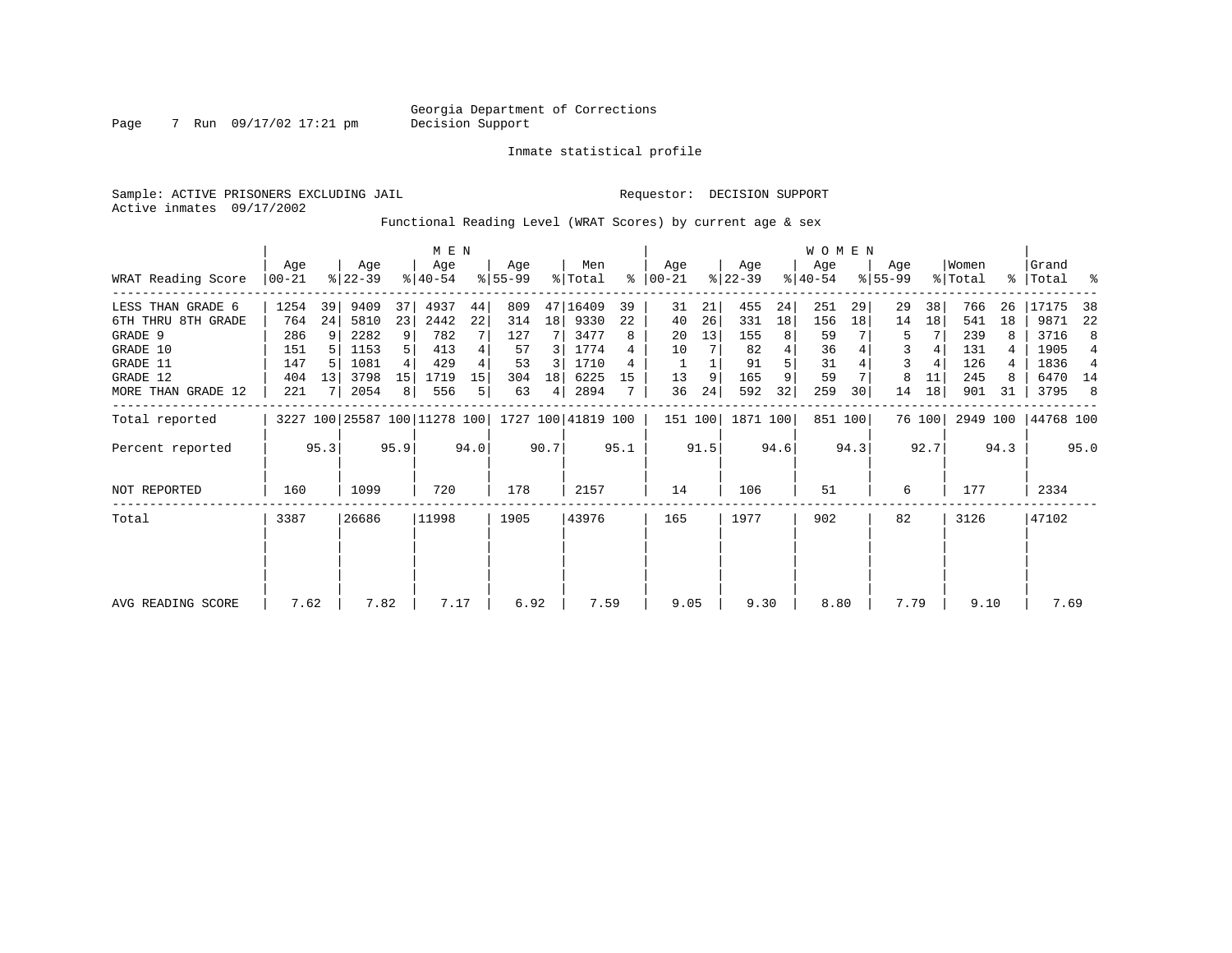Inmate statistical profile

Sample: ACTIVE PRISONERS EXCLUDING JAIL **Requestor: DECISION SUPPORT** Active inmates 09/17/2002

Functional Reading Level (WRAT Scores) by current age & sex

|                     |                                                                 | M E N           |                  |       |                  |      |                 |                 |                |      |                  |      |                  |      | <b>WOMEN</b>     |         |                    |        |                  |       |                    |                |
|---------------------|-----------------------------------------------------------------|-----------------|------------------|-------|------------------|------|-----------------|-----------------|----------------|------|------------------|------|------------------|------|------------------|---------|--------------------|--------|------------------|-------|--------------------|----------------|
| WRAT Reading Score  | Age<br>$ 00-21$                                                 |                 | Age<br>$ 22-39 $ |       | Age<br>$ 40-54 $ |      | Aqe<br>$ 55-99$ |                 | Men<br>% Total | ႜ    | Age<br>$00 - 21$ |      | Age<br>$ 22-39 $ |      | Age<br>$ 40-54 $ |         | Age<br>$8155 - 99$ |        | Women<br>% Total |       | Grand<br>%   Total | ႜ              |
| LESS THAN GRADE 6   | 1254                                                            | 39              | 9409             | 37    | 4937             | 44   | 809             |                 | 47 16409       | 39   | 31               | 21   | 455              | 24   | 251              | 29      | 29                 | 38     | 766              | 26    | 17175              | 38             |
| 6TH THRU 8TH GRADE  | 764                                                             | 24              | 5810             | 23    | 2442             | 22   | 314             | 18 <sup>1</sup> | 9330           | 22   | 40               | 26   | 331              | 18   | 156              | 18      | 14                 | 18     | 541              | 18    | 9871               | 22             |
| GRADE 9             | 286                                                             | 9               | 2282             | 9     | 782              |      | 127             |                 | 3477           | 8    | 20               | 13   | 155              | 8    | 59               |         | 5                  |        | 239              |       | 3716               | 8              |
| GRADE 10            | 151                                                             |                 | 1153             |       | 413              |      | 57              | 3               | 1774           |      | 10               |      | 82               | 4    | 36               |         | 3                  |        | 131              |       | 1905               | 4              |
| GRADE 11            | 147                                                             |                 | 1081             |       | 429              |      | 53              | 3               | 1710           |      |                  |      | 91               |      | 31               |         |                    |        | 126              |       | 1836               | $\overline{4}$ |
| GRADE 12            | 404                                                             |                 | 3798             | 15    | 1719             | 15   | 304             | 18              | 6225           | 15   | 13               | 9    | 165              | 9    | 59               |         | 8                  | 11     | 245              |       | 6470 14            |                |
| MORE THAN GRADE 12  | 221                                                             | 13<br>2054<br>8 |                  | 556   | 5                | 63   | 4               | 2894            |                | 36   | 24               | 592  | 32               | 259  | 30               | 14      | 18                 | 901    | 31               | 3795  | 8                  |                |
| Total reported      |                                                                 |                 |                  |       |                  |      |                 |                 |                |      | 151 100          |      | 1871 100         |      |                  | 851 100 |                    | 76 100 | 2949 100         |       | 44768 100          |                |
| Percent reported    | 3227 100 25587 100 11278 100 1727 100 41819 100<br>95.3<br>95.9 |                 |                  |       |                  | 94.0 |                 | 90.7            |                | 95.1 |                  | 91.5 |                  | 94.6 |                  | 94.3    |                    | 92.7   |                  | 94.3  |                    | 95.0           |
| <b>NOT REPORTED</b> | 160                                                             |                 | 1099             |       | 720              |      | 178             |                 | 2157           |      | 14               |      | 106              |      | 51               |         | 6                  |        | 177              |       | 2334               |                |
| Total               | 26686<br>3387                                                   |                 |                  | 11998 |                  | 1905 |                 | 43976           |                | 165  |                  | 1977 |                  | 902  |                  | 82      |                    | 3126   |                  | 47102 |                    |                |
|                     |                                                                 |                 |                  |       |                  |      |                 |                 |                |      |                  |      |                  |      |                  |         |                    |        |                  |       |                    |                |
|                     |                                                                 |                 |                  |       |                  |      |                 |                 |                |      |                  |      |                  |      |                  |         |                    |        |                  |       |                    |                |
| AVG READING SCORE   | 7.82<br>7.62                                                    |                 |                  |       | 7.17             |      | 6.92            |                 | 7.59           |      | 9.05             |      | 9.30             |      | 8.80             |         | 7.79               |        | 9.10             |       | 7.69               |                |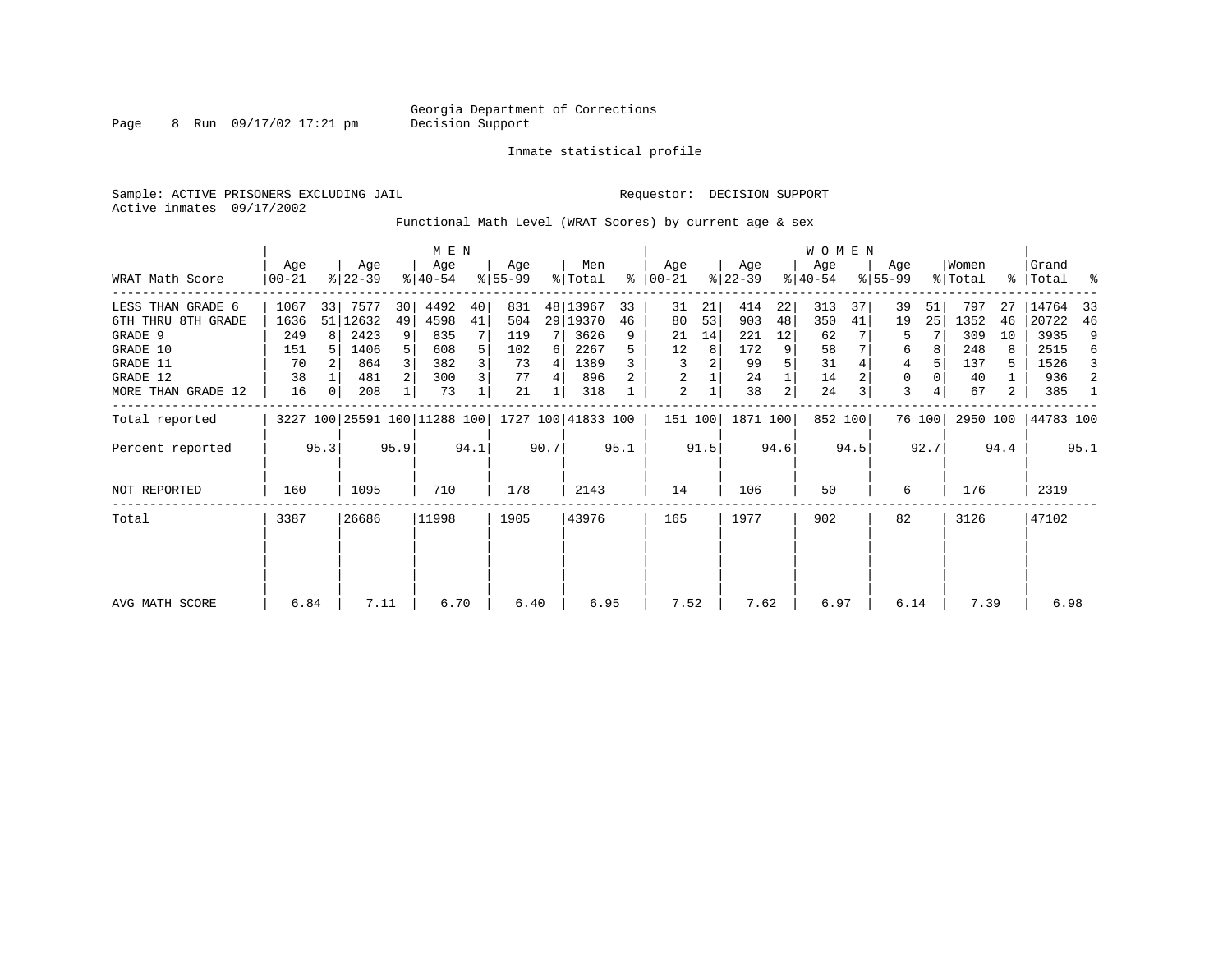Page 8 Run 09/17/02 17:21 pm

Inmate statistical profile

Sample: ACTIVE PRISONERS EXCLUDING JAIL **Requestor: DECISION SUPPORT** Active inmates 09/17/2002

Functional Math Level (WRAT Scores) by current age & sex

|                    |                                              | M E N                  |                  |                |                  |      |                  |       |                    |     |                      |      |                  |     | WOMEN            |         |                    |        |                  |       |                      |    |
|--------------------|----------------------------------------------|------------------------|------------------|----------------|------------------|------|------------------|-------|--------------------|-----|----------------------|------|------------------|-----|------------------|---------|--------------------|--------|------------------|-------|----------------------|----|
| WRAT Math Score    | Age<br>$00 - 21$                             |                        | Age<br>$ 22-39 $ |                | Age<br>$8 40-54$ |      | Aqe<br>$ 55-99 $ |       | Men<br>% Total     |     | Aqe<br>$8   00 - 21$ |      | Age<br>$ 22-39 $ |     | Age<br>$ 40-54 $ |         | Age<br>$8155 - 99$ |        | Women<br>% Total |       | Grand<br>%   Total % |    |
| LESS THAN GRADE 6  | 1067                                         | 33                     | 7577             | 30             | 4492             | 40   | 831              |       | 48 13967           | 33  | 31                   | 21   | 414              | 22  | 313              | 37      | 39                 | 51     | 797              | 27    | 14764                | 33 |
| 6TH THRU 8TH GRADE | 1636                                         |                        | 51 12632         | 49             | 4598             | 41   | 504              |       | 29 19370           | 46  | 80                   | 53   | 903              | 48  | 350              | 41      | 19                 | 25     | 1352             | 46    | 20722                | 46 |
| GRADE 9            | 249                                          | 8                      | 2423             | 9              | 835              |      | 119              |       | 3626               | 9   | 21                   | 14   | 221              | 12  | 62               |         | 5                  |        | 309              | 10    | 3935                 | 9  |
| GRADE 10           | 151                                          |                        | 1406             | 5 <sup>1</sup> | 608              |      | 102              | 6     | 2267               |     | 12                   | 8    | 172              |     | 58               |         | 6                  |        | 248              |       | 2515                 | 6  |
| GRADE 11           | 70                                           | 864<br>2 <br>38<br>481 |                  |                | 382              |      | 73               | 4     | 1389               |     | 3                    | 2    | 99               |     | 31               |         | 4                  |        | 137              | 5.    | 1526                 | 3  |
| GRADE 12           |                                              |                        |                  |                | 300              | 3    | 77               | 4     | 896                |     | 2                    |      | 24               |     | 14               |         | 0                  |        | 40               |       | 936                  | 2  |
| MORE THAN GRADE 12 | 16                                           | 0                      | 208              |                | 73               |      | 21               |       | 318                |     | 2                    |      | 38               | 2   | 24               | 3       | 3                  |        | 67               | 2     | 385                  | -1 |
| Total reported     |                                              |                        |                  |                |                  |      |                  |       | 1727 100 41833 100 |     | 151 100              |      | 1871 100         |     |                  | 852 100 |                    | 76 100 | 2950 100         |       | 44783 100            |    |
| Percent reported   | 3227 100 25591 100 11288 100<br>95.3<br>95.9 |                        |                  |                | 94.1             |      | 90.7             |       | 95.1               |     | 91.5                 |      | 94.6             |     | 94.5             |         | 92.7               |        | 94.4             |       | 95.1                 |    |
| NOT REPORTED       | 160                                          |                        | 1095             |                | 710              |      | 178              |       | 2143               |     | 14                   |      | 106              |     | 50               |         | 6                  |        | 176              |       | 2319                 |    |
| Total              | 3387<br>26686                                |                        |                  | 11998          |                  | 1905 |                  | 43976 |                    | 165 |                      | 1977 |                  | 902 |                  | 82      |                    | 3126   |                  | 47102 |                      |    |
|                    |                                              |                        |                  |                |                  |      |                  |       |                    |     |                      |      |                  |     |                  |         |                    |        |                  |       |                      |    |
| AVG MATH SCORE     | 6.84                                         |                        | 7.11             |                | 6.70             |      | 6.40             |       | 6.95               |     | 7.52                 |      | 7.62             |     | 6.97             |         | 6.14               |        | 7.39             |       | 6.98                 |    |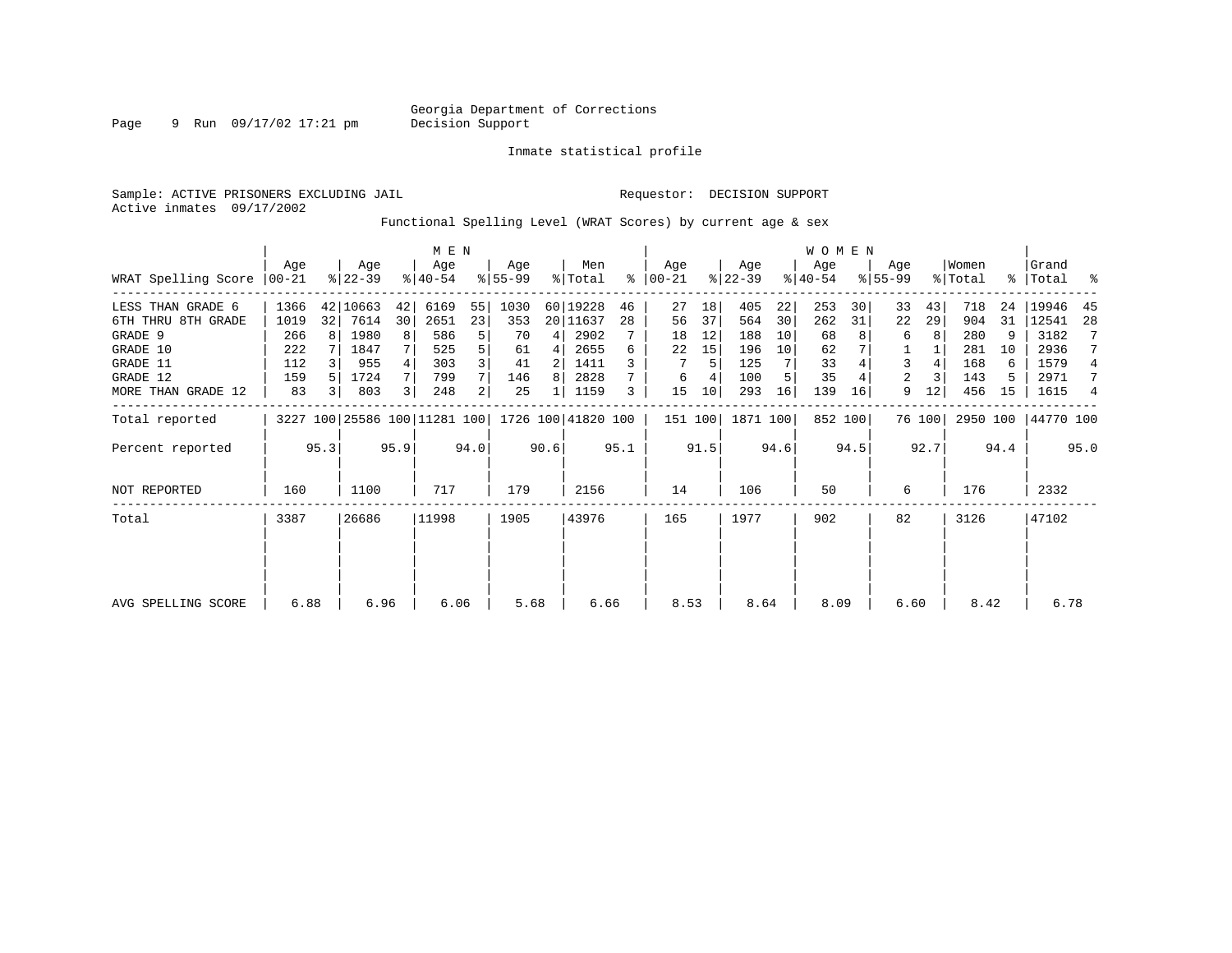Page 9 Run 09/17/02 17:21 pm

Inmate statistical profile

Sample: ACTIVE PRISONERS EXCLUDING JAIL **Requestor: DECISION SUPPORT** Active inmates 09/17/2002

Functional Spelling Level (WRAT Scores) by current age & sex

|                     |                                                                 | M E N |                  |       |                  |      |                 |       |                |      |                  |      |                  |      | <b>WOMEN</b>     |         |                  |        |                  |       |                    |                |
|---------------------|-----------------------------------------------------------------|-------|------------------|-------|------------------|------|-----------------|-------|----------------|------|------------------|------|------------------|------|------------------|---------|------------------|--------|------------------|-------|--------------------|----------------|
| WRAT Spelling Score | Age<br>$ 00-21$                                                 |       | Age<br>$ 22-39 $ |       | Age<br>$ 40-54 $ |      | Aqe<br>$ 55-99$ |       | Men<br>% Total | ⊱    | Age<br>$00 - 21$ |      | Age<br>$ 22-39 $ |      | Age<br>$ 40-54 $ |         | Age<br>$8 55-99$ |        | Women<br>% Total |       | Grand<br>%   Total | ႜ              |
| LESS THAN GRADE 6   | 1366                                                            |       | 42 10663         | 42    | 6169             | 55   | 1030            |       | 60 19228       | 46   | 27               | 18   | 405              | 22   | 253              | 30      | 33               | 43     | 718              | 24    | 19946              | 45             |
| 6TH THRU 8TH GRADE  | 1019                                                            | 32    | 7614             | 30    | 2651             | 23   | 353             |       | 20 11637       | 28   | 56               | 37   | 564              | 30   | 262              | 31      | 22               | 29     | 904              | 31    | 12541              | 28             |
| GRADE 9             | 266                                                             | R I   | 1980             | 8     | 586              | 5    | 70              | 4     | 2902           |      | 18               | 12   | 188              | 10   | 68               |         | 6                |        | 280              | 9     | 3182               |                |
| GRADE 10            | 222                                                             |       | 1847             |       | 525              |      | 61              | 4     | 2655           | 6    | 22               | 15   | 196              | 10   | 62               |         |                  |        | 281              | 10    | 2936               | 7              |
| GRADE 11            | 112                                                             |       | 955              |       | 303              |      | 41              | 2     | 1411           |      |                  | 5    | 125              |      | 33               |         | 3                |        | 168              | 6     | 1579               | 4              |
| GRADE 12            | 159                                                             |       | 1724             |       | 799              |      | 146             | 8     | 2828           |      | 6                |      | 100              |      | 35               |         | 2                |        | 143              | 5     | 2971               | 7              |
| MORE THAN GRADE 12  | 83                                                              |       | 803              | 3     | 248              | 2    | 25              |       | 1159           | 3    | 15               | 10   | 293              | 16   | 139              | 16      | 9                | 12     | 456              | 15    | 1615               | $\overline{4}$ |
| Total reported      |                                                                 |       |                  |       |                  |      |                 |       |                |      | 151 100          |      | 1871 100         |      |                  | 852 100 |                  | 76 100 | 2950 100         |       | 44770 100          |                |
| Percent reported    | 3227 100 25586 100 11281 100 1726 100 41820 100<br>95.3<br>95.9 |       |                  |       |                  | 94.0 |                 | 90.6  |                | 95.1 |                  | 91.5 |                  | 94.6 |                  | 94.5    |                  | 92.7   |                  | 94.4  |                    | 95.0           |
| <b>NOT REPORTED</b> | 160                                                             |       | 1100             |       | 717              |      | 179             |       | 2156           |      | 14               |      | 106              |      | 50               |         | 6                |        | 176              |       | 2332               |                |
| Total               | 3387<br>26686                                                   |       |                  | 11998 |                  | 1905 |                 | 43976 |                | 165  |                  | 1977 |                  | 902  |                  | 82      |                  | 3126   |                  | 47102 |                    |                |
|                     |                                                                 |       |                  |       |                  |      |                 |       |                |      |                  |      |                  |      |                  |         |                  |        |                  |       |                    |                |
| AVG SPELLING SCORE  | 6.88                                                            |       | 6.96             |       | 6.06             |      | 5.68            |       | 6.66           |      | 8.53             |      | 8.64             |      | 8.09             |         | 6.60             |        | 8.42             |       | 6.78               |                |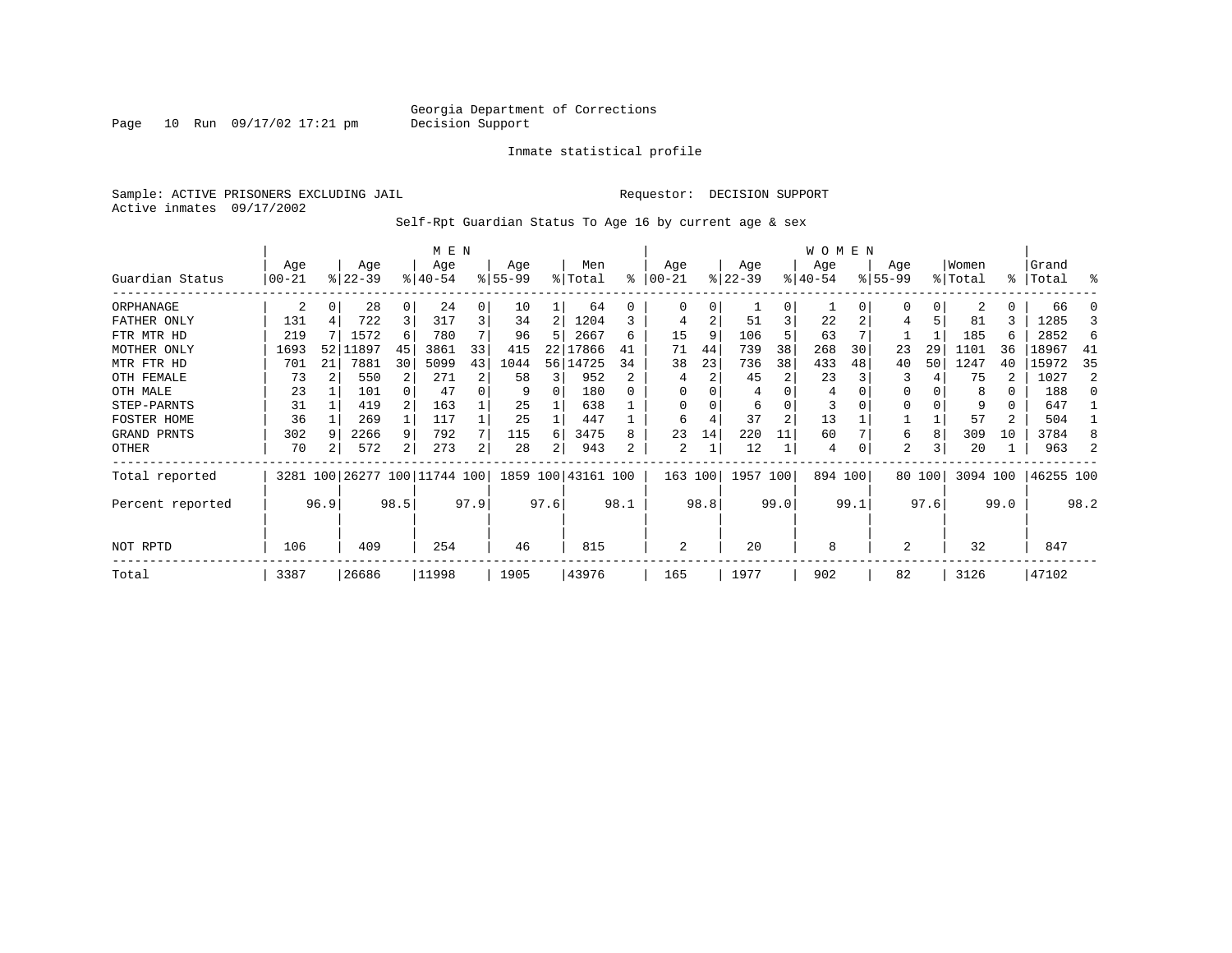Page 10 Run 09/17/02 17:21 pm

#### Inmate statistical profile

Sample: ACTIVE PRISONERS EXCLUDING JAIL **Requestor: DECISION SUPPORT** Active inmates 09/17/2002

Self-Rpt Guardian Status To Age 16 by current age & sex

|                  |                   |          |                              |      | M E N              |      |                 |      |                    |      |                 |      |                  |                | W O M E N       |      |                    |        |                  |          |                |      |
|------------------|-------------------|----------|------------------------------|------|--------------------|------|-----------------|------|--------------------|------|-----------------|------|------------------|----------------|-----------------|------|--------------------|--------|------------------|----------|----------------|------|
| Guardian Status  | Age<br>$ 00 - 21$ |          | Age<br>$ 22-39 $             |      | Age<br>$8140 - 54$ |      | Age<br>$ 55-99$ |      | Men<br>% Total     | ႜ    | Age<br>$ 00-21$ |      | Age<br>$ 22-39 $ |                | Age<br>$ 40-54$ |      | Age<br>$8155 - 99$ |        | Women<br>% Total | န္       | Grand<br>Total | ႜ    |
| ORPHANAGE        | 2                 | 0        | 28                           | 0    | 24                 | 0    | 10              |      | 64                 | U    | 0               | 0    |                  | $\Omega$       |                 |      |                    | 0      |                  | 0        | 66             |      |
| FATHER ONLY      | 131               |          | 722                          | 3    | 317                | 3    | 34              | 2    | 1204               |      | 4               | 2    | 51               |                | 22              |      |                    | 5      | 81               | 3.       | 1285           |      |
| FTR MTR HD       | 219               |          | 1572                         | 6    | 780                |      | 96              | 5    | 2667               | б    | 15              | 9    | 106              |                | 63              |      |                    |        | 185              | 6        | 2852           | 6    |
| MOTHER ONLY      | 1693              |          | 52 11897                     | 45   | 3861               | 33   | 415             | 22   | 17866              | 41   | 71              | 44   | 739              | 38             | 268             | 30   | 23                 | 29     | 1101             | 36       | 18967          | 41   |
| MTR FTR HD       | 701               | 21       | 7881                         | 30   | 5099               | 43   | 1044            |      | 56 14725           | 34   | 38              | 23   | 736              | 38             | 433             | 48   | 40                 | 50     | 1247             | 40       | 15972          | 35   |
| OTH FEMALE       | 73                |          | 550                          | 2    | 271                | 2    | 58              | 3    | 952                | 2    |                 | 2    | 45               | 2              | 23              |      | 3                  |        | 75               |          | 1027           |      |
| OTH MALE         | 23                |          | 101                          |      | 47                 | 0    | 9               | 0    | 180                |      | $\Omega$        |      |                  |                | 4               |      | $\Omega$           |        | 8                | $\Omega$ | 188            |      |
| STEP-PARNTS      | 31                |          | 419                          |      | 163                |      | 25              |      | 638                |      | $\Omega$        | 0    | 6                | O              | 3               |      | $\Omega$           |        | 9                | 0        | 647            |      |
| FOSTER HOME      | 36                |          | 269                          |      | 117                |      | 25              |      | 447                |      | 6               | 4    | 37               | $\overline{2}$ | 13              |      |                    |        | 57               | 2        | 504            |      |
| GRAND PRNTS      | 302               | <b>q</b> | 2266                         | 9    | 792                | 7    | 115             | 6    | 3475               | 8    | 23              | 14   | 220              | 11             | 60              |      | 6                  | 8      | 309              | 10       | 3784           |      |
| OTHER            | 70                | 2        | 572                          | 2    | 273                | 2    | 28              | 2    | 943                | 2    | 2               |      | 12               |                | 4               |      | 2                  | 3      | 20               |          | 963            |      |
| Total reported   |                   |          | 3281 100 26277 100 11744 100 |      |                    |      |                 |      | 1859 100 43161 100 |      | 163 100         |      | 1957 100         |                | 894 100         |      |                    | 80 100 | 3094 100         |          | 46255 100      |      |
| Percent reported | 96.9              |          |                              | 98.5 |                    | 97.9 |                 | 97.6 |                    | 98.1 |                 | 98.8 |                  | 99.0           |                 | 99.1 |                    | 97.6   |                  | 99.0     |                | 98.2 |
| NOT RPTD         | 106<br>409        |          |                              |      | 254                |      | 46              |      | 815                |      | 2               |      | 20               |                | 8               |      | $\overline{2}$     |        | 32               |          | 847            |      |
| Total            | 3387<br>26686     |          |                              |      | 11998              |      | 1905            |      | 43976              |      | 165             |      | 1977             |                | 902             |      | 82                 |        | 3126             |          | 47102          |      |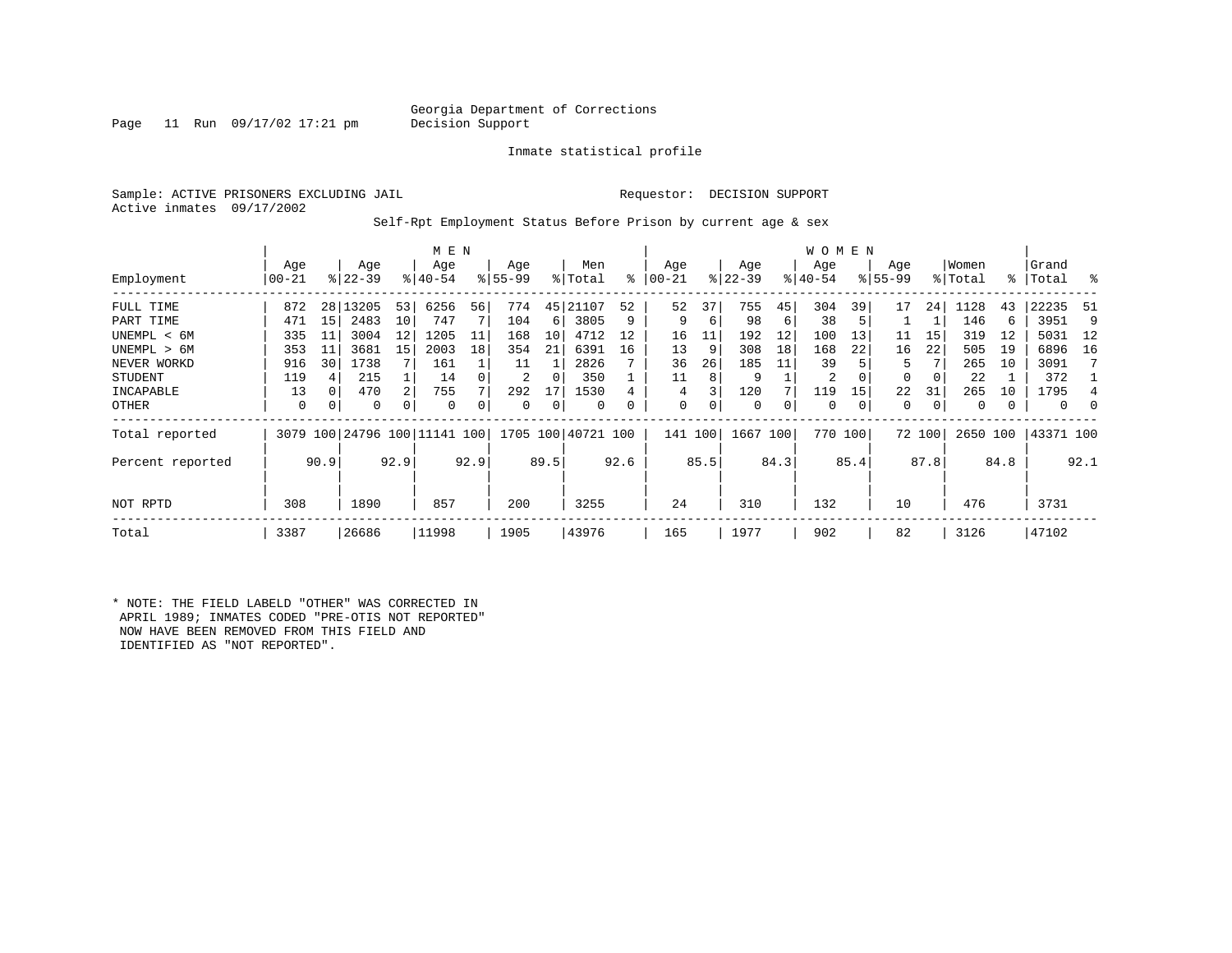#### Georgia Department of Corrections<br>Decision Support

Page 11 Run  $09/17/02$  17:21 pm

Inmate statistical profile

Sample: ACTIVE PRISONERS EXCLUDING JAIL **Requestor: DECISION SUPPORT** Active inmates 09/17/2002

Self-Rpt Employment Status Before Prison by current age & sex

|                  |                 |      |                  |      | M E N                        |      |                 |      |                    |      |                 |         |                  |      | W O M E N        |         |                    |        |                  |      |                    |      |
|------------------|-----------------|------|------------------|------|------------------------------|------|-----------------|------|--------------------|------|-----------------|---------|------------------|------|------------------|---------|--------------------|--------|------------------|------|--------------------|------|
| Employment       | Age<br>$ 00-21$ |      | Age<br>$ 22-39 $ |      | Age<br>$8 40-54$             |      | Age<br>$ 55-99$ |      | Men<br>% Total     | ៖    | Age<br>$ 00-21$ |         | Age<br>$ 22-39 $ |      | Age<br>$ 40-54 $ |         | Age<br>$8155 - 99$ |        | Women<br>% Total |      | Grand<br>%   Total | ိ    |
|                  |                 |      |                  |      |                              |      |                 |      |                    |      |                 |         |                  |      |                  |         |                    |        |                  |      |                    |      |
| FULL TIME        | 872             | 28   | 13205            | 53   | 6256                         | 56   | 774             | 45   | 21107              | 52   | 52              | 37      | 755              | 45   | 304              | 39      | 17                 | 24     | 1128             | 43   | 22235              | -51  |
| PART TIME        | 471             | 15   | 2483             | 10   | 747                          |      | 104             | 6    | 3805               | 9    | 9               | 6       | 98               | 6    | 38               | 5       |                    |        | 146              | 6    | 3951               | 9    |
| UNEMPL < 6M      | 335             | 11   | 3004             | 12   | 1205                         | 11   | 168             | 10   | 4712               | 12   | 16              | 11      | 192              | 12   | 100              | 13      | 11                 | 15     | 319              | 12   | 5031               | - 12 |
| UNEMPL > 6M      | 353             | 11   | 3681             | 15   | 2003                         | 18   | 354             | 21   | 6391               | 16   | 13              | 9       | 308              | 18   | 168              | 22      | 16                 | 22     | 505              | 19   | 6896               | 16   |
| NEVER WORKD      | 916             | 30   | 1738             |      | 161                          |      | 11              |      | 2826               |      | 36              | 26      | 185              | 11   | 39               |         | 5                  |        | 265              | 10   | 3091               |      |
| <b>STUDENT</b>   | 119             | 4    | 215              |      | 14                           |      | 2               | 0    | 350                |      | 11              | 8       | 9                |      | 2                | 0       | $\Omega$           | 0      | 22               |      | 372                |      |
| INCAPABLE        | 13              | 0    | 470              | 2    | 755                          |      | 292             | 17   | 1530               |      | 4               |         | 120              |      | 119              | 15      | 22                 | 31     | 265              | 10   | 1795               |      |
| OTHER            | 0               | 0    | $\Omega$         | 0    | $\Omega$                     |      | 0               | 0    | 0                  | 0    | 0               | 0       | 0                | 0    | 0                | 0       | 0                  | 0      | $\Omega$         |      | $\mathbf 0$        | 0    |
| Total reported   |                 |      |                  |      | 3079 100 24796 100 11141 100 |      |                 |      | 1705 100 40721 100 |      |                 | 141 100 | 1667 100         |      |                  | 770 100 |                    | 72 100 | 2650 100         |      | 43371 100          |      |
| Percent reported |                 | 90.9 |                  | 92.9 |                              | 92.9 |                 | 89.5 |                    | 92.6 |                 | 85.5    |                  | 84.3 |                  | 85.4    |                    | 87.8   |                  | 84.8 |                    | 92.1 |
| NOT RPTD         | 308             |      | 1890             |      | 857                          |      | 200             |      | 3255               |      | 24              |         | 310              |      | 132              |         | 10                 |        | 476              |      | 3731               |      |
| Total            | 3387            |      | 26686            |      | 11998                        |      | 1905            |      | 43976              |      | 165             |         | 1977             |      | 902              |         | 82                 |        | 3126             |      | 47102              |      |

\* NOTE: THE FIELD LABELD "OTHER" WAS CORRECTED IN APRIL 1989; INMATES CODED "PRE-OTIS NOT REPORTED" NOW HAVE BEEN REMOVED FROM THIS FIELD AND IDENTIFIED AS "NOT REPORTED".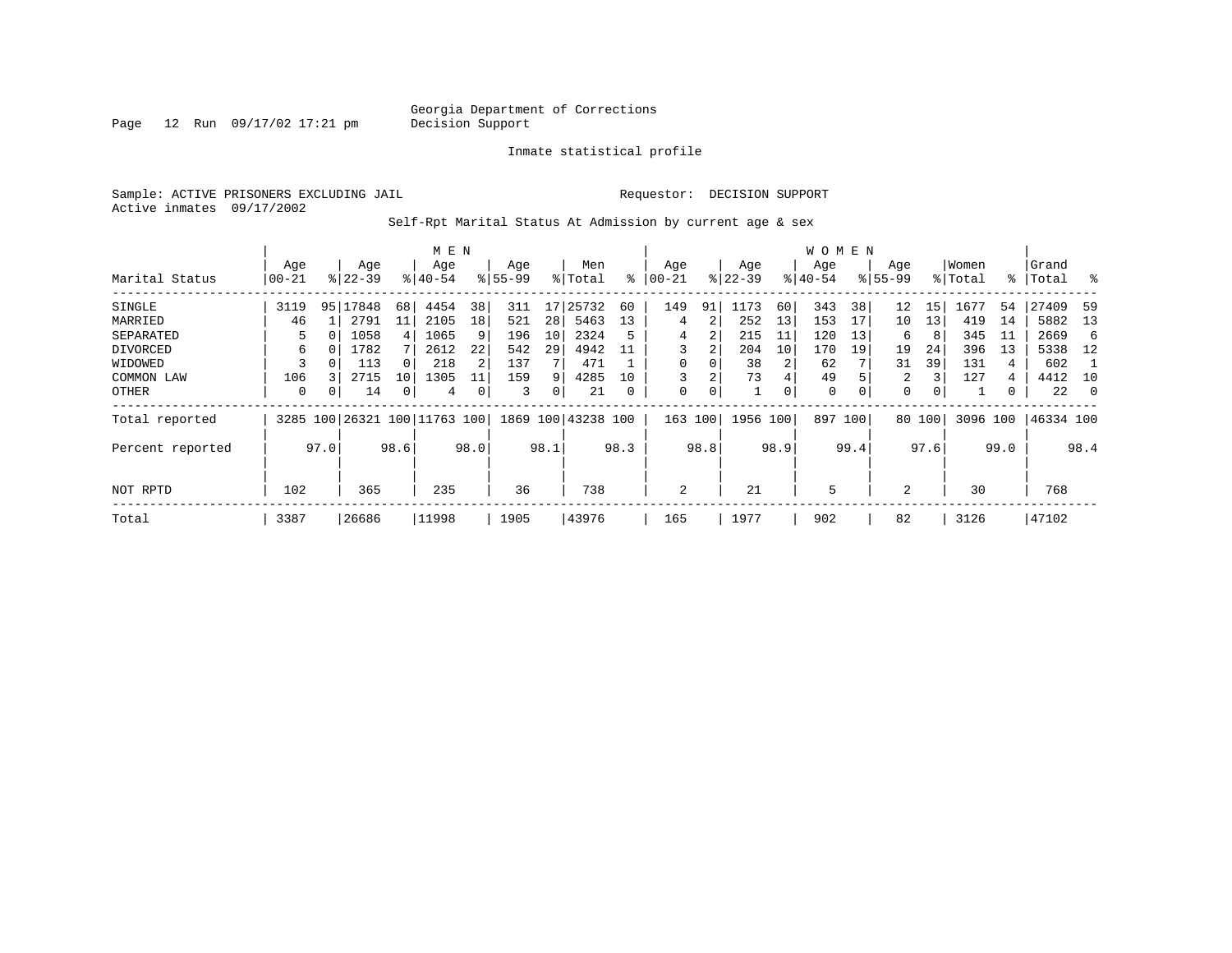Page 12 Run 09/17/02 17:21 pm

#### Inmate statistical profile

Sample: ACTIVE PRISONERS EXCLUDING JAIL **Requestor: DECISION SUPPORT** Active inmates 09/17/2002

Self-Rpt Marital Status At Admission by current age & sex

|                  |       |      |             |                | M E N                        |      |           |      |                    |      |          |      |             |      | W O M E N   |          |             |        |          |      |           |          |
|------------------|-------|------|-------------|----------------|------------------------------|------|-----------|------|--------------------|------|----------|------|-------------|------|-------------|----------|-------------|--------|----------|------|-----------|----------|
|                  | Age   |      | Age         |                | Age                          |      | Age       |      | Men                |      | Age      |      | Age         |      | Age         |          | Age         |        | Women    |      | Grand     |          |
| Marital Status   | 00-21 |      | $8122 - 39$ |                | $8140 - 54$                  |      | $8 55-99$ |      | % Total            | နွ   | $ 00-21$ |      | $ 22 - 39 $ |      | $ 40-54 $   |          | $8155 - 99$ |        | % Total  |      | %   Total | ႜ        |
| SINGLE           | 3119  | 95   | 17848       | 68             | 4454                         | 38   | 311       | 17   | 25732              | 60   | 149      | 91   | 1173        | 60   | 343         | 38       | 12          | 15     | 1677     | 54   | 27409     | -59      |
| MARRIED          | 46    |      | 2791        | 11             | 2105                         | 18   | 521       | 28   | 5463               | 13   | 4        | 2    | 252         | 13   | 153         | 17       | 10          | 13     | 419      | 14   | 5882      | -13      |
| SEPARATED        | 5.    | O    | 1058        | $\overline{4}$ | 1065                         | 9    | 196       | 10   | 2324               | 5    | 4        | 2    | 215         | 11   | 120         | 13       | 6           | 8      | 345      | 11   | 2669      | 6        |
| DIVORCED         | 6     | 0    | 1782        |                | 2612                         | 22   | 542       | 29   | 4942               | 11   | 3        | 2    | 204         | 10   | 170         | 19       | 19          | 24     | 396      | 13   | 5338      | -12      |
| WIDOWED          |       |      | 113         |                | 218                          |      | 137       |      | 471                |      | $\Omega$ |      | 38          |      | 62          |          | 31          | 39     | 131      | 4    | 602       |          |
| COMMON LAW       | 106   |      | 2715        | 10             | 1305                         | 11   | 159       | 9    | 4285               | 10   |          | 2    | 73          | 4    | 49          |          | 2           | 3      | 127      | 4    | 4412      | 10       |
| OTHER            | 0     | 0    | 14          | 0              | 4                            |      | 3         | 0    | 21                 | 0    | 0        | 0    |             | 0    | $\mathbf 0$ | $\Omega$ | $\mathbf 0$ | 0      |          | 0    | 22        | $\Omega$ |
| Total reported   |       |      |             |                | 3285 100 26321 100 11763 100 |      |           |      | 1869 100 43238 100 |      | 163      | 100  | 1956 100    |      | 897 100     |          |             | 80 100 | 3096 100 |      | 46334 100 |          |
| Percent reported |       | 97.0 |             | 98.6           |                              | 98.0 |           | 98.1 |                    | 98.3 |          | 98.8 |             | 98.9 |             | 99.4     |             | 97.6   |          | 99.0 |           | 98.4     |
|                  |       |      |             |                |                              |      |           |      |                    |      |          |      |             |      |             |          |             |        |          |      |           |          |
| NOT RPTD         | 102   |      | 365         |                | 235                          |      | 36        |      | 738                |      | 2        |      | 21          |      | 5           |          | 2           |        | 30       |      | 768       |          |
| Total            | 3387  |      | 26686       |                | 11998                        |      | 1905      |      | 43976              |      | 165      |      | 1977        |      | 902         |          | 82          |        | 3126     |      | 47102     |          |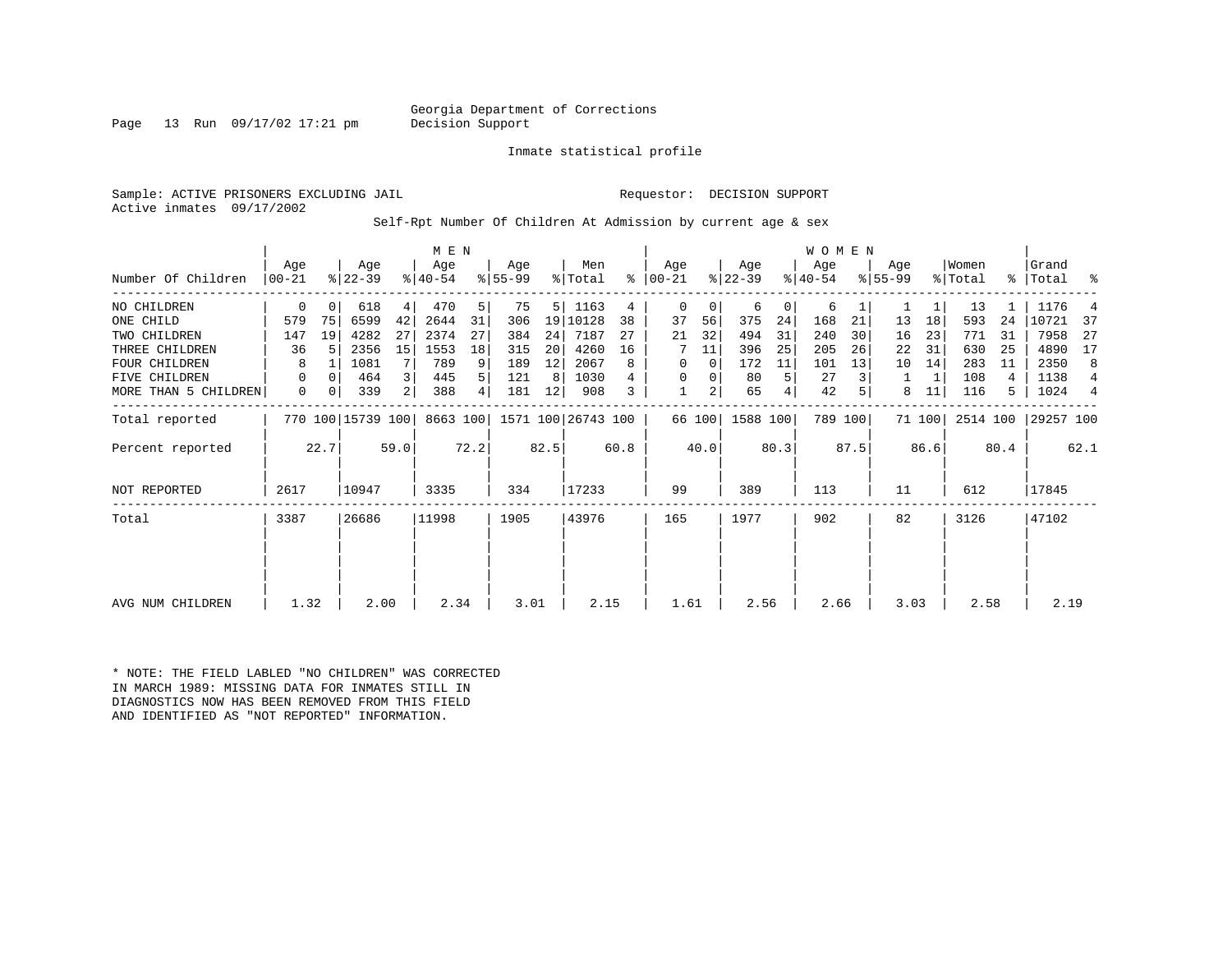Georgia Department of Corrections<br>Decision Support

Page 13 Run  $09/17/02$  17:21 pm

#### Inmate statistical profile

Sample: ACTIVE PRISONERS EXCLUDING JAIL **Requestor: DECISION SUPPORT** Active inmates 09/17/2002

Self-Rpt Number Of Children At Admission by current age & sex

|                      | Aqe                               |          | Age       |                | M E N<br>Age |      | Age       |       | Men                |     | Aqe           |        | Age       |     | W O M E N<br>Aqe |         | Age<br>$8155 - 99$ |        | Women    | န္    | Grand     | ႜ   |
|----------------------|-----------------------------------|----------|-----------|----------------|--------------|------|-----------|-------|--------------------|-----|---------------|--------|-----------|-----|------------------|---------|--------------------|--------|----------|-------|-----------|-----|
| Number Of Children   | $ 00 - 21 $                       |          | $ 22-39 $ |                | $ 40-54 $    |      | $8 55-99$ |       | % Total            |     | $8   00 - 21$ |        | $ 22-39 $ |     | $ 40-54 $        |         |                    |        | % Total  |       | Total     |     |
| NO CHILDREN          | $\mathbf 0$                       | 0        | 618       | $4\vert$       | 470          | 5    | 75        |       | 5   1163           | 4   | 0             | 0      | 6         | 0   | 6                |         |                    |        | 13       |       | 1176      |     |
| ONE CHILD            | 579                               | 75       | 6599      | 42             | 2644         | 31   | 306       |       | 19 10128           | 38  | 37            | 56     | 375       | 24  | 168              | 21      | 13                 | 18     | 593      | 24    | 10721     | -37 |
| TWO CHILDREN         | 147                               | 19       | 4282      | 27             | 2374         | 27   | 384       | 24    | 7187               | 27  | 21            | 32     | 494       | 31  | 240              | 30      | 16                 | 23     | 771      | 31    | 7958      | 27  |
| THREE CHILDREN       | 36                                | .5       | 2356      | 15             | 1553         | 18   | 315       | 20    | 4260               | 16  | 7             | 11     | 396       | 25  | 205              | 26      | 22                 | 31     | 630      | -25   | 4890      | 17  |
| <b>FOUR CHILDREN</b> | 8                                 |          | 1081      |                | 789          | 9    | 189       | 12    | 2067               | 8   | $\Omega$      | 0      | 172       | 11  | 101              | 13      | 10                 | 14     | 283      | 11    | 2350      | 8   |
| FIVE CHILDREN        | 0                                 | $\Omega$ | 464       | $\overline{3}$ | 445          | 5    | 121       | -8    | 1030               | 4   | 0             | 0      | 80        | 5   | 27               |         | 1                  | 1      | 108      | 4     | 1138      | 4   |
| MORE THAN 5 CHILDREN | $\mathbf 0$                       | 0        | 339       | 2              | 388          | 4    | 181       | 12    | 908                | 3   |               | 2      | 65        | 4   | 42               |         | 8                  | 11     | 116      | 5     | 1024      | 4   |
| Total reported       |                                   |          |           |                | 8663 100     |      |           |       | 1571 100 26743 100 |     |               | 66 100 | 1588 100  |     |                  | 789 100 |                    | 71 100 | 2514 100 |       | 29257 100 |     |
| Percent reported     | 770 100 15739 100<br>22.7<br>59.0 |          |           |                | 72.2         |      | 82.5      |       | 60.8               |     | 40.0          |        | 80.3      |     | 87.5             |         | 86.6               |        | 80.4     |       | 62.1      |     |
| <b>NOT REPORTED</b>  | 2617                              |          | 10947     |                | 3335         |      | 334       |       | 17233              |     | 99            |        | 389       |     | 113              |         | 11                 |        | 612      |       | 17845     |     |
| Total                | 26686<br>3387                     |          |           | 11998          |              | 1905 |           | 43976 |                    | 165 |               | 1977   |           | 902 |                  | 82      |                    | 3126   |          | 47102 |           |     |
|                      |                                   |          |           |                |              |      |           |       |                    |     |               |        |           |     |                  |         |                    |        |          |       |           |     |
|                      |                                   |          |           |                |              |      |           |       |                    |     |               |        |           |     |                  |         |                    |        |          |       |           |     |
| AVG NUM CHILDREN     | 1.32                              |          | 2.00      |                | 2.34         |      | 3.01      |       | 2.15               |     | 1.61          |        | 2.56      |     | 2.66             |         | 3.03               |        | 2.58     |       | 2.19      |     |

\* NOTE: THE FIELD LABLED "NO CHILDREN" WAS CORRECTED IN MARCH 1989: MISSING DATA FOR INMATES STILL IN DIAGNOSTICS NOW HAS BEEN REMOVED FROM THIS FIELD AND IDENTIFIED AS "NOT REPORTED" INFORMATION.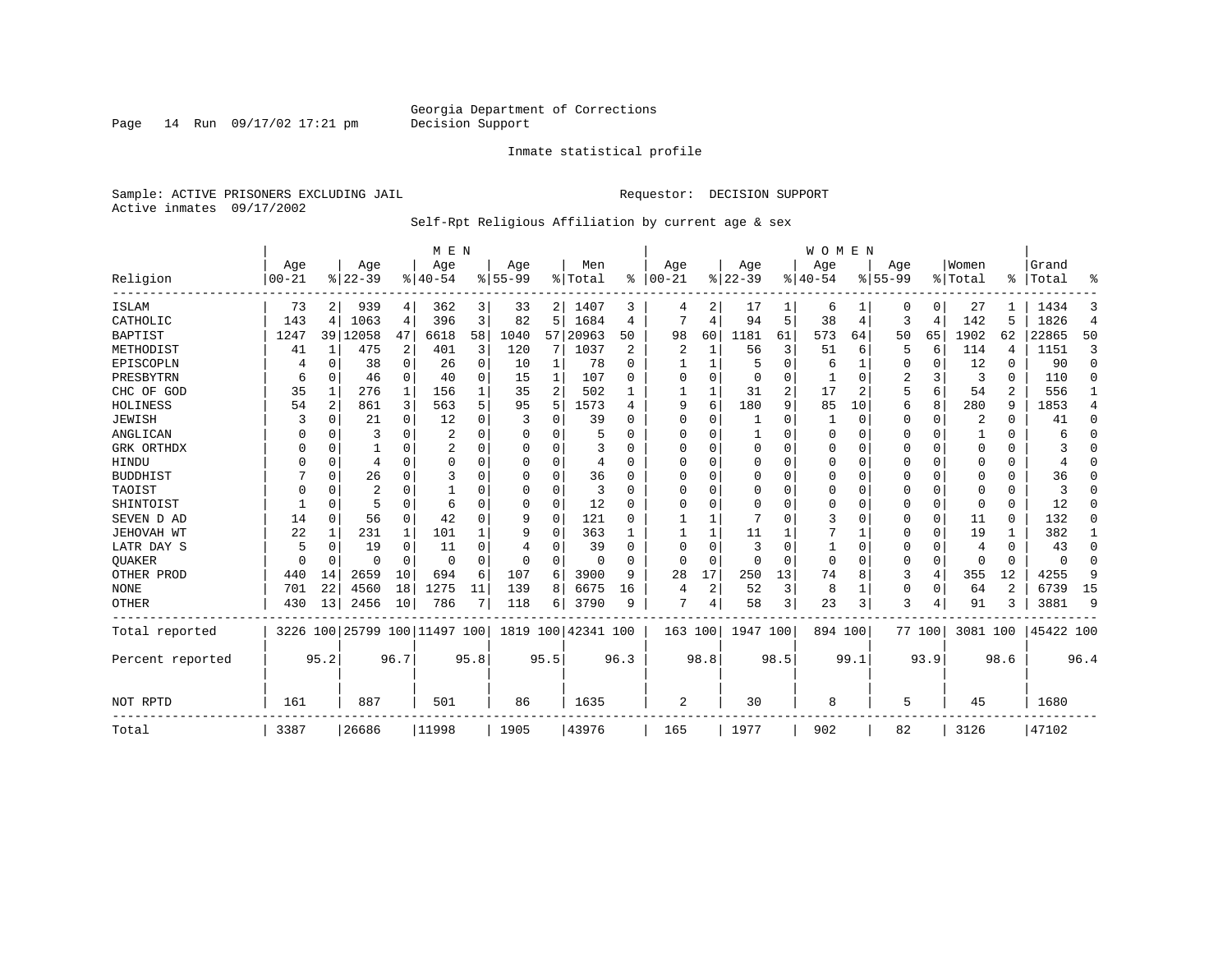Page 14 Run 09/17/02 17:21 pm

#### Inmate statistical profile

Sample: ACTIVE PRISONERS EXCLUDING JAIL **Requestor: DECISION SUPPORT** Active inmates 09/17/2002

#### Self-Rpt Religious Affiliation by current age & sex

|                  |                   |          |                  | M E N       |                     |      |                  |          |                  |           |                   |          |                 | <b>WOMEN</b> |                  |          |                  |             |                  |          |                |                |
|------------------|-------------------|----------|------------------|-------------|---------------------|------|------------------|----------|------------------|-----------|-------------------|----------|-----------------|--------------|------------------|----------|------------------|-------------|------------------|----------|----------------|----------------|
| Religion         | Age<br>$ 00 - 21$ |          | Age<br>$8 22-39$ |             | Age<br>$ 40-54$     |      | Age<br>$8 55-99$ |          | Men<br>%   Total | $\approx$ | Age<br>$ 00 - 21$ |          | Age<br>$ 22-39$ |              | Aqe<br>$8 40-54$ |          | Age<br>$8 55-99$ |             | Women<br>% Total | ፠        | Grand<br>Total | ዱ              |
| <b>ISLAM</b>     | 73                | 2        | 939              | 4           | 362                 | 3    | 33               | 2        | 1407             | 3         | 4                 | 2        | 17              |              | 6                |          | 0                | 0           | 27               |          | 1434           | 3              |
| CATHOLIC         | 143               | 4        | 1063             | 4           | 396                 | 3    | 82               | 5        | 1684             | 4         |                   | 4        | 94              | 5            | 38               | 4        | 3                | 4           | 142              | 5        | 1826           | $\overline{4}$ |
| <b>BAPTIST</b>   | 1247              |          | 39 12058         | 47          | 6618                | 58   | 1040             | 57       | 20963            | 50        | 98                | 60       | 1181            | 61           | 573              | 64       | 50               | 65          | 1902             | 62       | 22865          | 50             |
| METHODIST        | 41                | 1        | 475              | 2           | 401                 | 3    | 120              | 7        | 1037             | 2         | $\overline{2}$    | 1        | 56              | 3            | 51               | 6        | 5                | 6           | 114              | 4        | 1151           | 3              |
| EPISCOPLN        |                   | 0        | 38               | 0           | 26                  | 0    | 10               | 1        | 78               | $\Omega$  |                   | 1        | 5               | $\Omega$     | 6                | 1        | 0                | 0           | 12               | 0        | 90             | $\mathbf 0$    |
| PRESBYTRN        | 6                 | $\Omega$ | 46               | $\mathbf 0$ | 40                  | 0    | 15               | 1        | 107              | $\Omega$  | 0                 | $\Omega$ | 0               | 0            |                  | 0        | 2                | 3           | 3                | $\Omega$ | 110            | $\Omega$       |
| CHC OF GOD       | 35                | 1        | 276              | 1           | 156                 |      | 35               | 2        | 502              |           |                   | 1        | 31              | 2            | 17               | 2        | 5                | 6           | 54               | 2        | 556            | 1              |
| HOLINESS         | 54                | 2        | 861              | 3           | 563                 | 5    | 95               | 5        | 1573             | 4         | 9                 | 6        | 180             | 9            | 85               | 10       | б                | 8           | 280              | 9        | 1853           | 4              |
| <b>JEWISH</b>    |                   | $\Omega$ | 21               | 0           | 12                  | 0    |                  | 0        | 39               | $\Omega$  | $\Omega$          | O        |                 | U            |                  | 0        | 0                | $\mathbf 0$ | 2                | $\Omega$ | 41             | 0              |
| ANGLICAN         |                   | $\Omega$ | 3                | 0           | 2                   |      | O                | 0        |                  | $\Omega$  | 0                 | O        |                 | U            | 0                | $\Omega$ | 0                | $\Omega$    |                  | $\Omega$ | 6              | $\Omega$       |
| GRK ORTHDX       | U                 | $\Omega$ |                  | $\Omega$    | 2                   | O    | n                | 0        |                  | $\Omega$  | 0                 | U        | 0               | U            | $\Omega$         | $\Omega$ | 0                | $\Omega$    | $\Omega$         | $\Omega$ |                | $\Omega$       |
| HINDU            |                   | $\Omega$ | 4                | $\Omega$    | $\Omega$            | O    | n                | 0        | 4                | $\Omega$  | O                 | O        | $\mathbf 0$     | U            | 0                | $\Omega$ | 0                | $\Omega$    | $\Omega$         | $\Omega$ |                | $\Omega$       |
| <b>BUDDHIST</b>  |                   | $\Omega$ | 26               | $\Omega$    | 3                   |      | $\Omega$         | 0        | 36               | $\Omega$  | $\Omega$          | $\Omega$ | $\mathbf 0$     | $\Omega$     | $\Omega$         | $\Omega$ | O                | $\Omega$    | $\Omega$         | $\Omega$ | 36             | $\Omega$       |
| TAOIST           |                   | 0        | 2                | 0           |                     |      | 0                | 0        | 3                | $\Omega$  | 0                 | O        | $\mathbf 0$     | U            | 0                | $\Omega$ | 0                | $\Omega$    | $\Omega$         | $\Omega$ | 3              | $\Omega$       |
| SHINTOIST        |                   | $\Omega$ | 5                | $\Omega$    | 6                   | O    | O                | 0        | 12               | $\Omega$  | O                 | $\Omega$ | $\mathbf 0$     | U            | O                | $\Omega$ | 0                | 0           | $\Omega$         | $\Omega$ | 12             | $\Omega$       |
| SEVEN D AD       | 14                | $\Omega$ | 56               | $\mathbf 0$ | 42                  | U    | 9                | $\Omega$ | 121              | $\Omega$  |                   | 1        |                 | U            | 3                | $\Omega$ | 0                | $\mathbf 0$ | 11               | $\Omega$ | 132            | O              |
| JEHOVAH WT       | 22                | 1        | 231              | 1           | 101                 |      | 9                | O        | 363              |           |                   | 1        | 11              |              |                  |          | 0                | 0           | 19               |          | 382            | 1              |
| LATR DAY S       | 5                 | $\Omega$ | 19               | 0           | 11                  |      | 4                | 0        | 39               | $\Omega$  | 0                 | O        | 3               | 0            | 1                | $\Omega$ | 0                | 0           | 4                | $\Omega$ | 43             | 0              |
| <b>OUAKER</b>    | n                 | 0        | U                | $\mathbf 0$ | 0                   | O    | 0                | 0        | 0                | ∩         | 0                 | $\Omega$ | $\mathbf 0$     | O            | $\mathbf 0$      | $\Omega$ | 0                | 0           | $\Omega$         | $\Omega$ | $\Omega$       | 0              |
| OTHER PROD       | 440               | 14       | 2659             | 10          | 694                 | 6    | 107              | 6        | 3900             | 9         | 28                | 17       | 250             | 13           | 74               | 8        | 3                | 4           | 355              | 12       | 4255           | 9              |
| <b>NONE</b>      | 701               | 22       | 4560             | 18          | 1275                | 11   | 139              | 8        | 6675             | 16        | 4                 | 2        | 52              | 3            | 8                | 1        | 0                | $\mathbf 0$ | 64               | 2        | 6739           | 15             |
| <b>OTHER</b>     | 430               | 13       | 2456             | 10          | 786                 |      | 118              | 6        | 3790             | 9         | 7                 | 4        | 58              | 3            | 23               | 3        | 3                | 4           | 91               | 3        | 3881           | 9              |
| Total reported   | 3226              |          |                  |             | 100 25799 100 11497 | 100  | 1819             | 100      | 42341 100        |           | 163 100           |          | 1947 100        |              | 894 100          |          |                  | 77 100      | 3081 100         |          | 45422 100      |                |
| Percent reported |                   | 95.2     |                  | 96.7        |                     | 95.8 |                  | 95.5     |                  | 96.3      |                   | 98.8     |                 | 98.5         |                  | 99.1     |                  | 93.9        |                  | 98.6     |                | 96.4           |
| NOT RPTD         | 161               |          | 887              |             | 501                 |      | 86               |          | 1635             |           | $\overline{2}$    |          | 30              |              | 8                |          | 5                |             | 45               |          | 1680           |                |
| Total            | 3387              |          | 26686            |             | 11998               |      | 1905             |          | 43976            |           | 165               |          | 1977            |              | 902              |          | 82               |             | 3126             |          | 47102          |                |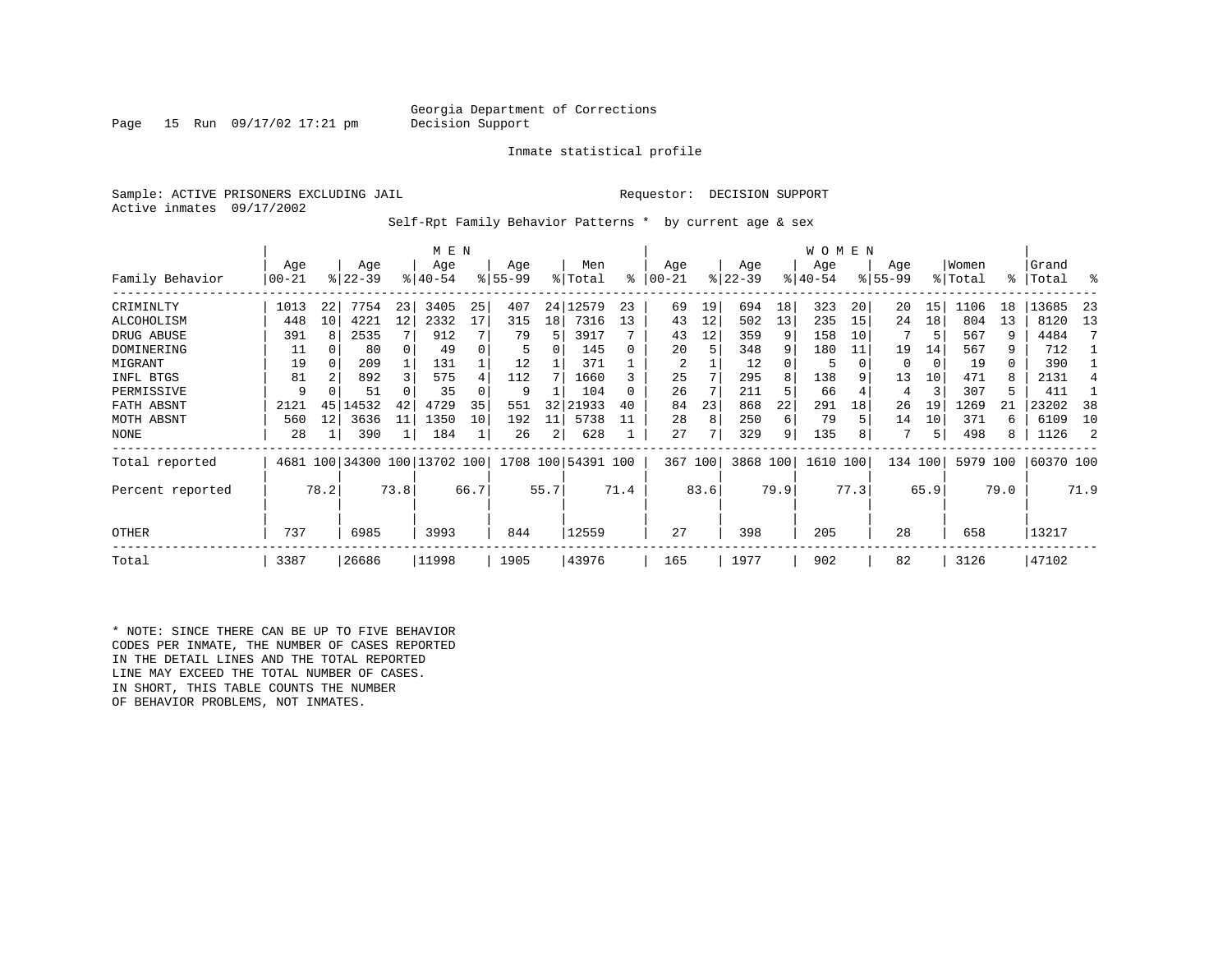#### Georgia Department of Corrections<br>Decision Support

Page 15 Run  $09/17/02$  17:21 pm

Inmate statistical profile

Sample: ACTIVE PRISONERS EXCLUDING JAIL **Requestor: DECISION SUPPORT** Active inmates 09/17/2002

Self-Rpt Family Behavior Patterns \* by current age & sex

|                  |           |                 |           |      | M E N                        |      |          |      |                    |      |         |               |           |      | <b>WOMEN</b> |      |             |      |          |      |           |      |
|------------------|-----------|-----------------|-----------|------|------------------------------|------|----------|------|--------------------|------|---------|---------------|-----------|------|--------------|------|-------------|------|----------|------|-----------|------|
|                  | Age       |                 | Age       |      | Age                          |      | Age      |      | Men                |      | Age     |               | Age       |      | Age          |      | Age         |      | Women    |      | Grand     |      |
| Family Behavior  | $00 - 21$ |                 | $ 22-39 $ |      | $8 40-54$                    |      | $ 55-99$ |      | % Total            | ి    | 00-21   | $\frac{8}{3}$ | $22 - 39$ |      | $ 40-54 $    |      | $8155 - 99$ |      | % Total  | °≈   | Total     | ႜ    |
| CRIMINLTY        | 1013      | 22              | 7754      | 23   | 3405                         | 25   | 407      | 24   | 12579              | 23   | 69      | 19            | 694       | 18   | 323          | 20   | 20          | 15   | 1106     | 18   | 13685     | -23  |
| ALCOHOLISM       | 448       | 10 <sub>1</sub> | 4221      | 12   | 2332                         | 17   | 315      | 18   | 7316               | 13   | 43      | 12            | 502       | 13   | 235          | 15   | 24          | 18   | 804      | 13   | 8120      | 13   |
| DRUG ABUSE       | 391       |                 | 2535      |      | 912                          |      | 79       | 5    | 3917               |      | 43      | 12            | 359       | 9    | 158          | 10   |             |      | 567      | 9    | 4484      |      |
| DOMINERING       | 11        |                 | 80        |      | 49                           |      |          |      | 145                |      | 20      | 5             | 348       | 9    | 180          | 11   | 19          | 14   | 567      | 9    | 712       |      |
| MIGRANT          | 19        | 0               | 209       |      | 131                          |      | 12       |      | 371                |      | 2       |               | 12        |      | 5            |      | 0           | 0    | 19       | 0    | 390       |      |
| INFL BTGS        | 81        |                 | 892       |      | 575                          |      | 112      |      | 1660               |      | 25      |               | 295       |      | 138          |      | 13          | 10   | 471      | 8    | 2131      |      |
| PERMISSIVE       | 9         |                 | 51        |      | 35                           |      | 9        |      | 104                |      | 26      |               | 211       |      | 66           |      | 4           | 3    | 307      | 5    | 411       |      |
| FATH ABSNT       | 2121      | 45              | 14532     | 42   | 4729                         | 35   | 551      | 32   | 21933              | 40   | 84      | 23            | 868       | 22   | 291          | 18   | 26          | 19   | 1269     |      | 23202     | 38   |
| MOTH ABSNT       | 560       | 12              | 3636      | 11   | 1350                         | 10   | 192      | 11   | 5738               |      | 28      | 8             | 250       | 6    | 79           |      | 14          | 10   | 371      | 6    | 6109      | 10   |
| NONE             | 28        |                 | 390       | 1    | 184                          |      | 26       | 2    | 628                |      | 27      |               | 329       | 9    | 135          |      |             | 5    | 498      | 8    | 1126      |      |
| Total reported   |           |                 |           |      | 4681 100 34300 100 13702 100 |      |          |      | 1708 100 54391 100 |      | 367 100 |               | 3868 100  |      | 1610 100     |      | 134         | 100  | 5979 100 |      | 60370 100 |      |
| Percent reported |           | 78.2            |           | 73.8 |                              | 66.7 |          | 55.7 |                    | 71.4 |         | 83.6          |           | 79.9 |              | 77.3 |             | 65.9 |          | 79.0 |           | 71.9 |
| OTHER            | 737       |                 | 6985      |      | 3993                         |      | 844      |      | 12559              |      | 27      |               | 398       |      | 205          |      | 28          |      | 658      |      | 13217     |      |
| Total            | 3387      |                 | 26686     |      | 11998                        |      | 1905     |      | 43976              |      | 165     |               | 1977      |      | 902          |      | 82          |      | 3126     |      | 47102     |      |

\* NOTE: SINCE THERE CAN BE UP TO FIVE BEHAVIOR CODES PER INMATE, THE NUMBER OF CASES REPORTED IN THE DETAIL LINES AND THE TOTAL REPORTED LINE MAY EXCEED THE TOTAL NUMBER OF CASES. IN SHORT, THIS TABLE COUNTS THE NUMBER OF BEHAVIOR PROBLEMS, NOT INMATES.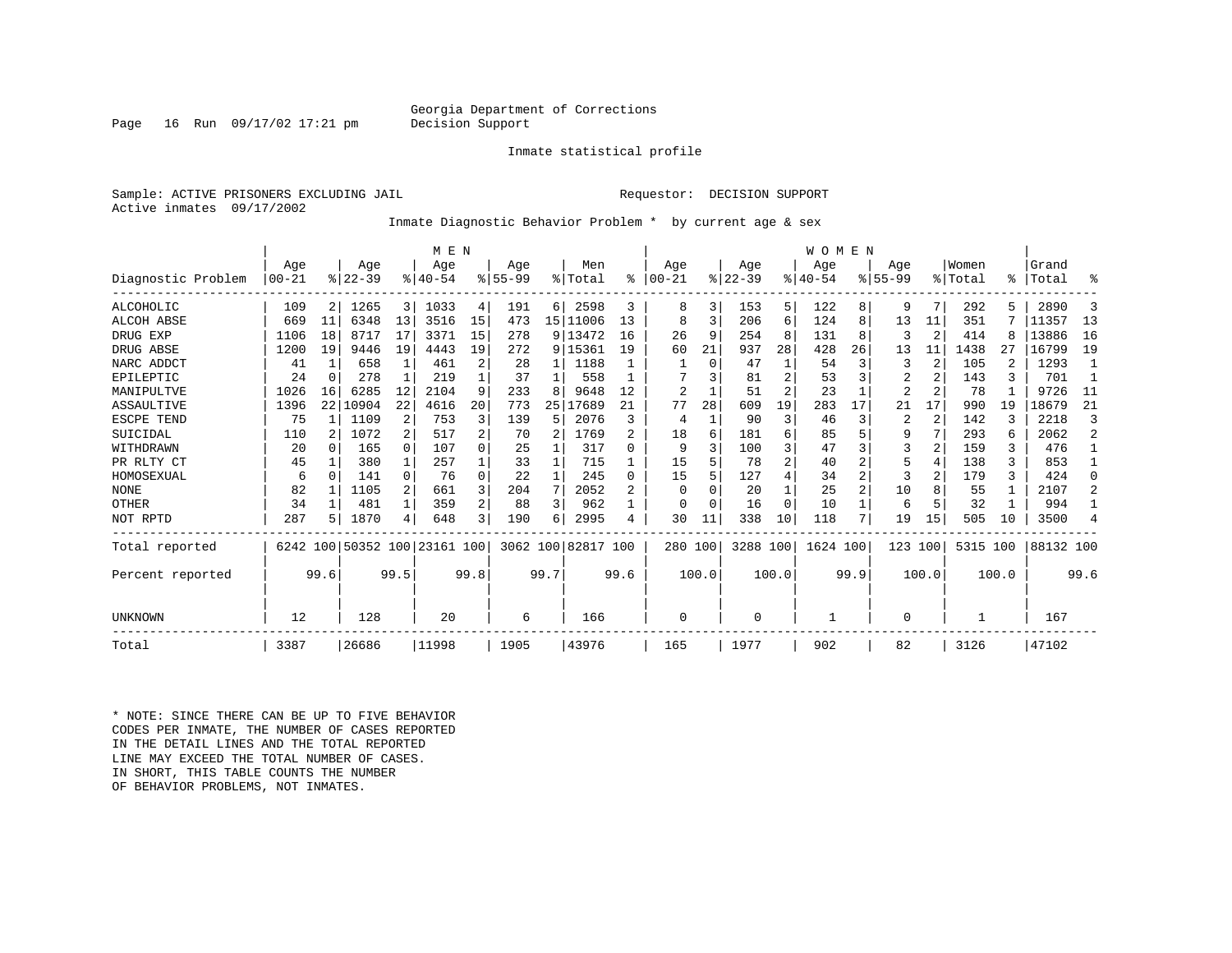#### Georgia Department of Corrections<br>Decision Support

Inmate statistical profile

Page 16 Run  $09/17/02$  17:21 pm

Sample: ACTIVE PRISONERS EXCLUDING JAIL **Requestor: DECISION SUPPORT** Active inmates 09/17/2002

Inmate Diagnostic Behavior Problem \* by current age & sex

|                    |              |                |           |              | M E N                        |                |             |    |                    |              |                |          |          |    | <b>WOMEN</b> |    |                |                |         |     |           |                |
|--------------------|--------------|----------------|-----------|--------------|------------------------------|----------------|-------------|----|--------------------|--------------|----------------|----------|----------|----|--------------|----|----------------|----------------|---------|-----|-----------|----------------|
|                    | Age          |                | Age       |              | Age                          |                | Age         |    | Men                |              | Aqe            |          | Age      |    | Aqe          |    | Aqe            |                | Women   |     | Grand     |                |
| Diagnostic Problem | $00 - 21$    |                | $ 22-39 $ |              | $8140 - 54$                  |                | $8155 - 99$ |    | % Total            | $\approx$    | $00 - 21$      |          | $ 22-39$ |    | $ 40-54$     |    | $8155 - 99$    |                | % Total | °≈  | Total     | ႜ              |
| ALCOHOLIC          | 109          | 2 <sub>1</sub> | 1265      | 3            | 1033                         | 4              | 191         | 6  | 2598               | 3            | 8              | 3        | 153      | 5  | 122          | 8  | 9              | 7              | 292     |     | 2890      | 3              |
| <b>ALCOH ABSE</b>  | 669          | 11             | 6348      | 13           | 3516                         | 15             | 473         |    | 15   11006         | 13           | 8              | 3        | 206      | 6  | 124          | 8  | 13             | 11             | 351     |     | 11357     | 13             |
| DRUG EXP           | 1106         | 18             | 8717      | 17           | 3371                         | 15             | 278         |    | 9 13472            | 16           | 26             | 9        | 254      | 8  | 131          | 8  | 3              | $\overline{2}$ | 414     |     | 13886     | 16             |
| DRUG ABSE          | 1200         | 19             | 9446      | 19           | 4443                         | 19             | 272         |    | 9 15361            | 19           | 60             | 21       | 937      | 28 | 428          | 26 | 13             | 11             | 1438    | 27  | 16799     | 19             |
| NARC ADDCT         | 41           | $\mathbf{1}$   | 658       | $\mathbf{1}$ | 461                          | 2              | 28          | 1  | 1188               |              |                | $\Omega$ | 47       |    | 54           | 3  | 3              | $\overline{2}$ | 105     |     | 1293      | $\mathbf{1}$   |
| EPILEPTIC          | 24           | $\Omega$       | 278       |              | 219                          |                | 37          |    | 558                |              |                |          | 81       | 2  | 53           |    | $\overline{2}$ |                | 143     |     | 701       |                |
| MANIPULTVE         | 1026         | 16             | 6285      | 12           | 2104                         | 9              | 233         | 8  | 9648               | 12           | $\overline{2}$ |          | 51       | 2  | 23           |    | $\overline{2}$ |                | 78      |     | 9726      | 11             |
| ASSAULTIVE         | 1396         | 22             | 10904     | 22           | 4616                         | 20             | 773         | 25 | 17689              | 21           | 77             | 28       | 609      | 19 | 283          | 17 | 21             | 17             | 990     | 19  | 18679     | 21             |
| ESCPE TEND         | 75           |                | 1109      | 2            | 753                          | 3              | 139         | 5  | 2076               | ζ            | 4              |          | 90       | 3  | 46           | 3  | 2              | $\overline{2}$ | 142     |     | 2218      | 3              |
| SUICIDAL           | 110          |                | 1072      | 2            | 517                          | 2              | 70          | 2  | 1769               |              | 18             | 6        | 181      | 6  | 85           |    | 9              |                | 293     |     | 2062      | $\overline{a}$ |
| WITHDRAWN          | 20           |                | 165       | $\Omega$     | 107                          | 0              | 25          |    | 317                | U            | 9              |          | 100      | 3  | 47           |    | 3              |                | 159     |     | 476       |                |
| PR RLTY CT         | 45           |                | 380       | $\mathbf{1}$ | 257                          |                | 33          |    | 715                |              | 15             |          | 78       | 2  | 40           |    | 5              | 4              | 138     | 3   | 853       |                |
| HOMOSEXUAL         | 6            | <sup>n</sup>   | 141       | 0            | 76                           | $\Omega$       | 22          |    | 245                | <sup>n</sup> | 15             |          | 127      | 4  | 34           |    | 3              |                | 179     |     | 424       | $\Omega$       |
| <b>NONE</b>        | 82           |                | 1105      | 2            | 661                          | 3              | 204         | 7  | 2052               |              | $\Omega$       |          | 20       |    | 25           |    | 10             | 8              | 55      |     | 2107      | $\overline{a}$ |
| OTHER              | 34           |                | 481       | 1            | 359                          | $\overline{a}$ | 88          | 3  | 962                |              | O              |          | 16       | 0  | 10           |    | 6              | 5              | 32      |     | 994       |                |
| NOT RPTD           | 287          |                | 1870      | 4            | 648                          | $\overline{3}$ | 190         | 6  | 2995               | 4            | 30             | 11       | 338      | 10 | 118          | 7  | 19             | 15             | 505     | 10  | 3500      | 4              |
| Total reported     |              |                |           |              | 6242 100 50352 100 23161 100 |                |             |    | 3062 100 82817 100 |              | 280 100        |          | 3288 100 |    | 1624 100     |    | 123            | 100            | 5315    | 100 | 88132 100 |                |
| Percent reported   | 99.6<br>99.5 |                |           |              | 99.8                         |                | 99.7        |    | 99.6               |              | 100.0          |          | 100.0    |    | 99.9         |    | 100.0          |                | 100.0   |     | 99.6      |                |
| UNKNOWN            | 12           |                | 128       |              | 20                           |                | 6           |    | 166                |              | $\Omega$       |          | $\Omega$ |    |              |    | 0              |                |         |     | 167       |                |
| Total              | 3387         |                | 26686     |              | 11998                        |                | 1905        |    | 43976              |              | 165            |          | 1977     |    | 902          |    | 82             |                | 3126    |     | 47102     |                |

\* NOTE: SINCE THERE CAN BE UP TO FIVE BEHAVIOR CODES PER INMATE, THE NUMBER OF CASES REPORTED IN THE DETAIL LINES AND THE TOTAL REPORTED LINE MAY EXCEED THE TOTAL NUMBER OF CASES.IN SHORT, THIS TABLE COUNTS THE NUMBER OF BEHAVIOR PROBLEMS, NOT INMATES.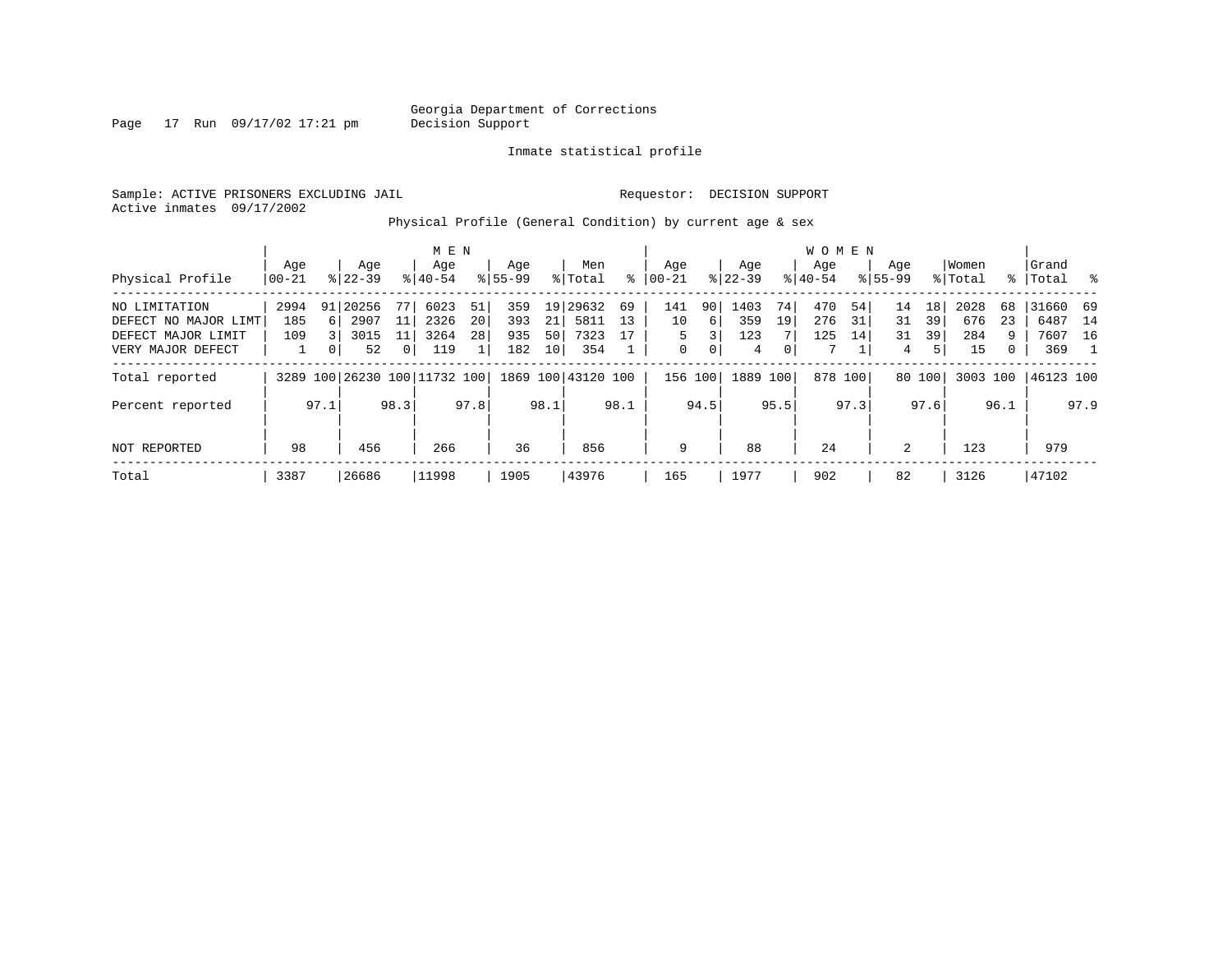Page 17 Run 09/17/02 17:21 pm

Inmate statistical profile

Sample: ACTIVE PRISONERS EXCLUDING JAIL **Requestor: DECISION SUPPORT** Active inmates 09/17/2002

Physical Profile (General Condition) by current age & sex

|                      |       |                |           |                | M E N                        |      |             |                 |                    |      |             |         |          |                | W O M E N |         |             |        |          |           |           |      |
|----------------------|-------|----------------|-----------|----------------|------------------------------|------|-------------|-----------------|--------------------|------|-------------|---------|----------|----------------|-----------|---------|-------------|--------|----------|-----------|-----------|------|
|                      | Aqe   |                | Age       |                | Age                          |      | Age         |                 | Men                |      | Age         |         | Age      |                | Aqe       |         | Aqe         |        | Women    |           | Grand     |      |
| Physical Profile     | 00-21 |                | $8 22-39$ |                | $8 40-54$                    |      | $8155 - 99$ |                 | % Total            | ႜ    | $ 00-21$    |         | $ 22-39$ |                | $8 40-54$ |         | $8155 - 99$ |        | % Total  | $\approx$ | Total     | း    |
| NO LIMITATION        | 2994  | 91             | 20256     | 77             | 6023                         | 51   | 359         |                 | 19 29632           | 69   | 141         | 90      | 1403     | 74             | 470       | 54      | 14          | 18     | 2028     | 68        | 31660 69  |      |
| DEFECT NO MAJOR LIMT | 185   | 6 <sup>1</sup> | 2907      | 11             | 2326                         | 20   | 393         | 21              | 5811               | 13   | 10          | 6       | 359      | 19             | 276       | 31      | 31          | 39     | 676      | 23        | 6487      | 14   |
| DEFECT MAJOR LIMIT   | 109   |                | 3015      | 11             | 3264                         | 28   | 935         | 50              | 7323               | 17   | 5.          | 3       | 123      |                | 125       | 14      | 31          | 39     | 284      | 9         | 7607 16   |      |
| VERY MAJOR DEFECT    |       | 0              | 52        | 0 <sup>1</sup> | 119                          |      | 182         | 10 <sup>1</sup> | 354                |      | $\mathbf 0$ | 0       | 4        | $\overline{0}$ | 7         |         | 4           | 5      | 15       | 0         | 369       |      |
| Total reported       |       |                |           |                | 3289 100 26230 100 11732 100 |      |             |                 | 1869 100 43120 100 |      |             | 156 100 | 1889 100 |                |           | 878 100 |             | 80 100 | 3003 100 |           | 46123 100 |      |
| Percent reported     |       | 97.1           |           | 98.3           |                              | 97.8 |             | 98.1            |                    | 98.1 |             | 94.5    |          | 95.5           |           | 97.3    |             | 97.6   |          | 96.1      |           | 97.9 |
| <b>NOT REPORTED</b>  | 98    |                | 456       |                | 266                          |      | 36          |                 | 856                |      | 9           |         | 88       |                | 24        |         | 2           |        | 123      |           | 979       |      |
| Total                | 3387  |                | 26686     |                | 11998                        |      | 1905        |                 | 43976              |      | 165         |         | 1977     |                | 902       |         | 82          |        | 3126     |           | 47102     |      |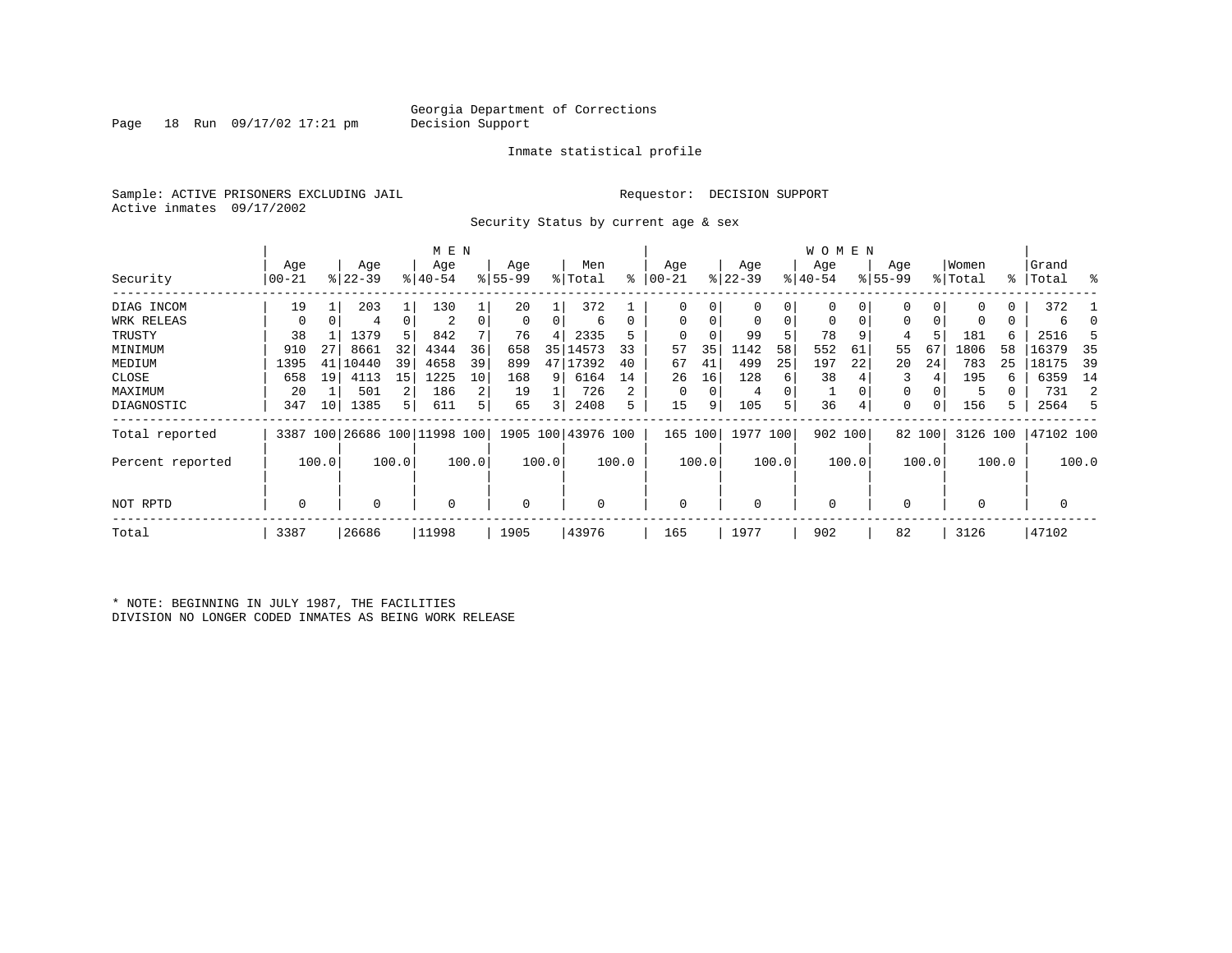Page 18 Run  $09/17/02$  17:21 pm

#### Inmate statistical profile

Sample: ACTIVE PRISONERS EXCLUDING JAIL **Requestor: DECISION SUPPORT** Active inmates 09/17/2002

Security Status by current age & sex

|                  |                |    |           |             |                              | M E N |          |    |                    |    |            |    |           |    | W O M E N   |          |             |        |             |    |           |    |
|------------------|----------------|----|-----------|-------------|------------------------------|-------|----------|----|--------------------|----|------------|----|-----------|----|-------------|----------|-------------|--------|-------------|----|-----------|----|
|                  | Age            |    | Age       |             | Age                          |       | Age      |    | Men                |    | Age        |    | Age       |    | Age         |          | Age         |        | Women       |    | Grand     |    |
| Security         | 00-21          |    | $ 22-39 $ |             | $ 40-54$                     |       | $ 55-99$ |    | % Total            | ៖  | $ 00 - 21$ |    | $ 22-39 $ |    | $ 40-54 $   |          | $8155 - 99$ |        | % Total     |    | %   Total | ႜ  |
| DIAG INCOM       | 19             |    | 203       |             | 130                          |       | 20       |    | 372                |    |            | 0  | 0         | 0  | 0           | 0        | 0           |        | $\Omega$    | 0  | 372       |    |
| WRK RELEAS       | 0              | 0  | 4         | $\mathbf 0$ | 2                            |       | 0        | 0  | 6                  | 0  |            | 0  | 0         | 0  | $\mathbf 0$ | $\Omega$ | $\Omega$    |        |             | 0  | 6         |    |
| TRUSTY           | 38             |    | 1379      | 5           | 842                          |       | 76       | 4  | 2335               |    |            |    | 99        | 5  | 78          | -9       | 4           |        | 181         | 6  | 2516      |    |
| MINIMUM          | 910            | 27 | 8661      | 32          | 4344                         | 36    | 658      | 35 | 14573              | 33 | 57         | 35 | 1142      | 58 | 552         | 61       | 55          | 67     | 1806        | 58 | 16379     | 35 |
| MEDIUM           | 1395           | 41 | 10440     | 39          | 4658                         | 39    | 899      | 47 | 17392              | 40 | 67         | 41 | 499       | 25 | 197         | 22       | 20          | 24     | 783         | 25 | 18175     | 39 |
| CLOSE            | 658            | 19 | 4113      | 15          | 1225                         | 10    | 168      | 9  | 6164               | 14 | 26         | 16 | 128       | 6  | 38          |          | 3           |        | 195         | 6  | 6359      | 14 |
| MAXIMUM          | 20             |    | 501       |             | 186                          | 2     | 19       |    | 726                | 2  |            | 0  | 4         | 0  |             |          | $\Omega$    |        | 5           | 0  | 731       | 2  |
| DIAGNOSTIC       | 347            | 10 | 1385      | 5.          | 611                          | 5     | 65       | 3  | 2408               | 5  | 15         | 9  | 105       | 5  | 36          | 4        | 0           |        | 156         | 5. | 2564      | 5  |
| Total reported   |                |    |           |             | 3387 100 26686 100 11998 100 |       |          |    | 1905 100 43976 100 |    | 165 100    |    | 1977 100  |    | 902 100     |          |             | 82 100 | 3126 100    |    | 47102 100 |    |
| Percent reported | 100.0<br>100.0 |    |           |             | 100.0                        |       | 100.0    |    | 100.0              |    | 100.0      |    | 100.0     |    | 100.0       |          | 100.0       |        | 100.0       |    | 100.0     |    |
| NOT RPTD         | $\mathbf 0$    |    | 0         |             | $\Omega$                     |       | 0        |    | 0                  |    | $\Omega$   |    | 0         |    | $\mathbf 0$ |          | $\Omega$    |        | $\mathbf 0$ |    | 0         |    |
| Total            | 3387           |    | 26686     |             | 11998                        |       | 1905     |    | 43976              |    | 165        |    | 1977      |    | 902         |          | 82          |        | 3126        |    | 47102     |    |

\* NOTE: BEGINNING IN JULY 1987, THE FACILITIES DIVISION NO LONGER CODED INMATES AS BEING WORK RELEASE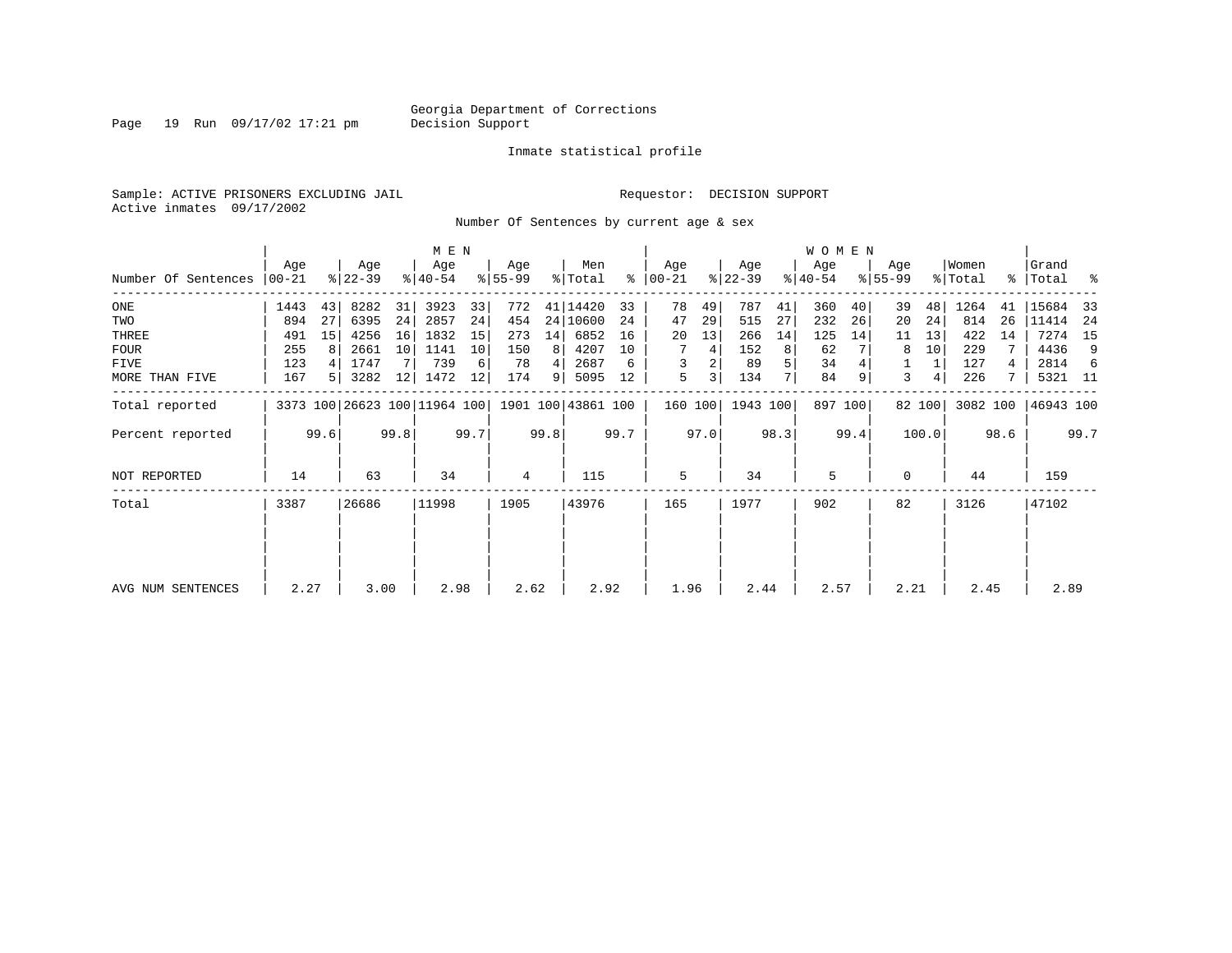Page 19 Run 09/17/02 17:21 pm

#### Inmate statistical profile

Sample: ACTIVE PRISONERS EXCLUDING JAIL **Requestor: DECISION SUPPORT** Active inmates 09/17/2002

Number Of Sentences by current age & sex

|                     |           |      |                  |      | M E N                        |      |           |      |                    |      |                      |      |                  |      | <b>WOMEN</b> |         |                    |        |          |      |           |      |
|---------------------|-----------|------|------------------|------|------------------------------|------|-----------|------|--------------------|------|----------------------|------|------------------|------|--------------|---------|--------------------|--------|----------|------|-----------|------|
|                     | Age       |      | Age<br>$ 22-39 $ |      | Age                          |      | Age       |      | Men                |      | Age<br>$8   00 - 21$ |      | Age<br>$ 22-39 $ |      | Age          |         | Age<br>$8155 - 99$ |        | Women    |      | Grand     | ႜ    |
| Number Of Sentences | $00 - 21$ |      |                  |      | $ 40-54 $                    |      | $8 55-99$ |      | % Total            |      |                      |      |                  |      | $ 40-54 $    |         |                    |        | % Total  |      | %   Total |      |
| $_{\rm ONE}$        | 1443      | 43   | 8282             | 31   | 3923                         | 33   | 772       |      | 41   14420         | 33   | 78                   | 49   | 787              | 41   | 360          | 40      | 39                 | 48     | 1264     | 41   | 15684     | 33   |
| TWO                 | 894       | 27   | 6395             | 24   | 2857                         | 24   | 454       |      | 24 10600           | 24   | 47                   | 29   | 515              | 27   | 232          | 26      | 20                 | 24     | 814      | 26   | 11414     | -24  |
| THREE               | 491       | 15   | 4256             | 16   | 1832                         | 15   | 273       | 14   | 6852               | 16   | 20                   | 13   | 266              | 14   | 125          | 14      | 11                 | 13     | 422      | 14   | 7274      | 15   |
| <b>FOUR</b>         | 255       | 8    | 2661             | 10   | 1141                         | 10   | 150       | 8    | 4207               | 10   |                      | 4    | 152              | 8    | 62           |         | 8                  | 10     | 229      |      | 4436      | 9    |
| FIVE                | 123       |      | 1747             |      | 739                          | 6    | 78        | 4    | 2687               | 6    | 3                    |      | 89               | 5    | 34           |         |                    |        | 127      |      | 2814      | -6   |
| MORE THAN FIVE      | 167       | 5    | 3282             | 12   | 1472                         | 12   | 174       | 9    | 5095               | 12   | 5                    | 3    | 134              |      | 84           | 9       | 3                  | 4      | 226      |      | 5321 11   |      |
| Total reported      |           |      |                  |      | 3373 100 26623 100 11964 100 |      |           |      | 1901 100 43861 100 |      | 160 100              |      | 1943 100         |      |              | 897 100 |                    | 82 100 | 3082 100 |      | 46943 100 |      |
| Percent reported    |           | 99.6 |                  | 99.8 |                              | 99.7 |           | 99.8 |                    | 99.7 |                      | 97.0 |                  | 98.3 |              | 99.4    |                    | 100.0  |          | 98.6 |           | 99.7 |
| NOT REPORTED        | 14        |      | 63               |      | 34                           |      | 4         |      | 115                |      | 5                    |      | 34               |      | 5            |         | $\Omega$           |        | 44       |      | 159       |      |
| Total               | 3387      |      | 26686            |      | 11998                        |      | 1905      |      | 43976              |      | 165                  |      | 1977             |      | 902          |         | 82                 |        | 3126     |      | 47102     |      |
|                     |           |      |                  |      |                              |      |           |      |                    |      |                      |      |                  |      |              |         |                    |        |          |      |           |      |
| AVG NUM SENTENCES   | 2.27      |      | 3.00             |      | 2.98                         |      | 2.62      |      | 2.92               |      | 1.96                 |      | 2.44             |      | 2.57         |         | 2.21               |        | 2.45     |      | 2.89      |      |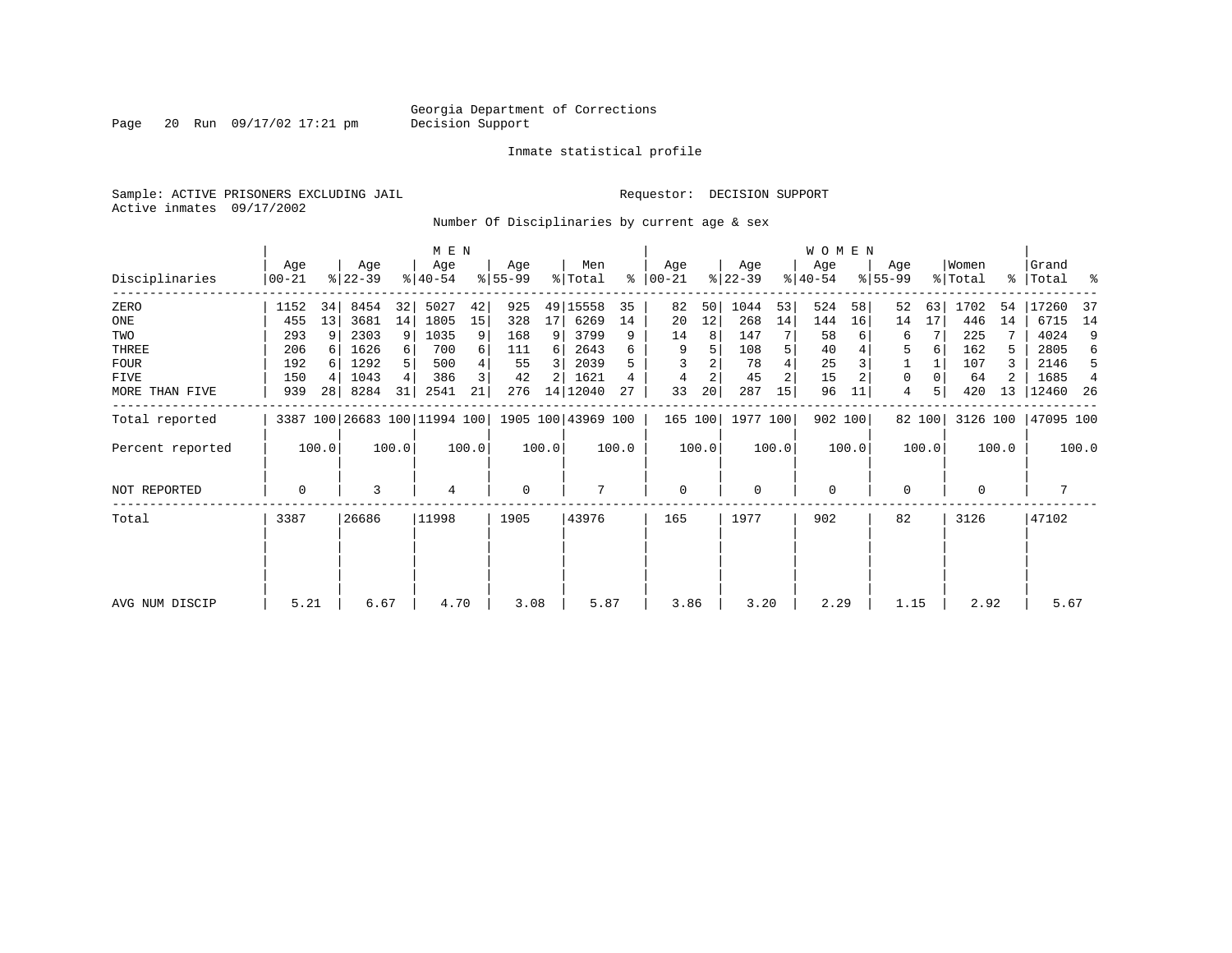Page 20 Run 09/17/02 17:21 pm

#### Inmate statistical profile

Sample: ACTIVE PRISONERS EXCLUDING JAIL **Requestor: DECISION SUPPORT** Active inmates 09/17/2002

Number Of Disciplinaries by current age & sex

|                  |                  |       |                              |                | M E N            |       |                 |       |                    |       |                 |       |                  |                | <b>WOMEN</b>     |         |                  |        |                  |       |                    |       |
|------------------|------------------|-------|------------------------------|----------------|------------------|-------|-----------------|-------|--------------------|-------|-----------------|-------|------------------|----------------|------------------|---------|------------------|--------|------------------|-------|--------------------|-------|
| Disciplinaries   | Age<br>$00 - 21$ |       | Age<br>$ 22-39 $             |                | Age<br>$ 40-54 $ |       | Age<br>$ 55-99$ |       | Men<br>% Total     | ⊱     | Age<br>$ 00-21$ |       | Age<br>$ 22-39 $ |                | Age<br>$ 40-54 $ |         | Age<br>$8 55-99$ |        | Women<br>% Total |       | Grand<br>%   Total | ႜ     |
| ZERO             | 1152             | 34    | 8454                         | 32             | 5027             | 42    | 925             |       | 49 15558           | 35    | 82              | 50    | 1044             | 53             | 524              | 58      | 52               | 63     | 1702             | 54    | 17260              | 37    |
| ONE              | 455              | 13    | 3681                         | 14             | 1805             | 15    | 328             | 17    | 6269               | 14    | 20              | 12    | 268              | 14             | 144              | 16      | 14               | 17     | 446              | 14    | 6715               | 14    |
| TWO              | 293              | 9     | 2303                         | 9              | 1035             | 9     | 168             | 9     | 3799               | 9     | 14              | 8     | 147              |                | 58               |         | 6                |        | 225              |       | 4024               | 9     |
| THREE            | 206              |       | 1626                         | 6              | 700              | 6     | 111             | 6     | 2643               | 6     | 9               | 5     | 108              | 5              | 40               |         | 5                | 6      | 162              | 5     | 2805               | 6     |
| <b>FOUR</b>      | 192              |       | 1292                         | 5              | 500              |       | 55              | 3     | 2039               | 5     |                 |       | 78               |                | 25               |         |                  |        | 107              |       | 2146               | -5    |
| FIVE             | 150              |       | 1043                         | $\overline{4}$ | 386              |       | 42              |       | 1621               |       |                 | 2     | 45               | $\overline{c}$ | 15               |         | 0                |        | 64               |       | 1685               |       |
| MORE THAN FIVE   | 939              | 28    | 8284                         | 31             | 2541             | 21    | 276             |       | 14 12040           | 27    | 33              | 20    | 287              | 15             | 96               | 11      | 4                |        | 420              | 13    | 12460              | 26    |
| Total reported   |                  |       | 3387 100 26683 100 11994 100 |                |                  |       |                 |       | 1905 100 43969 100 |       | 165 100         |       | 1977 100         |                |                  | 902 100 |                  | 82 100 | 3126 100         |       | 47095 100          |       |
| Percent reported |                  | 100.0 |                              | 100.0          |                  | 100.0 |                 | 100.0 |                    | 100.0 |                 | 100.0 |                  | 100.0          |                  | 100.0   |                  | 100.0  |                  | 100.0 |                    | 100.0 |
| NOT REPORTED     | 0                |       | 3                            |                | 4                |       | $\mathbf 0$     |       | 7                  |       | $\mathbf 0$     |       | $\Omega$         |                | $\mathbf 0$      |         | 0                |        | $\Omega$         |       | 7                  |       |
| Total            | 3387             |       | 26686                        |                | 11998            |       | 1905            |       | 43976              |       | 165             |       | 1977             |                | 902              |         | 82               |        | 3126             |       | 47102              |       |
|                  |                  |       |                              |                |                  |       |                 |       |                    |       |                 |       |                  |                |                  |         |                  |        |                  |       |                    |       |
| AVG NUM DISCIP   | 5.21             |       | 6.67                         |                | 4.70             |       | 3.08            |       | 5.87               |       | 3.86            |       | 3.20             |                | 2.29             |         | 1.15             |        | 2.92             |       | 5.67               |       |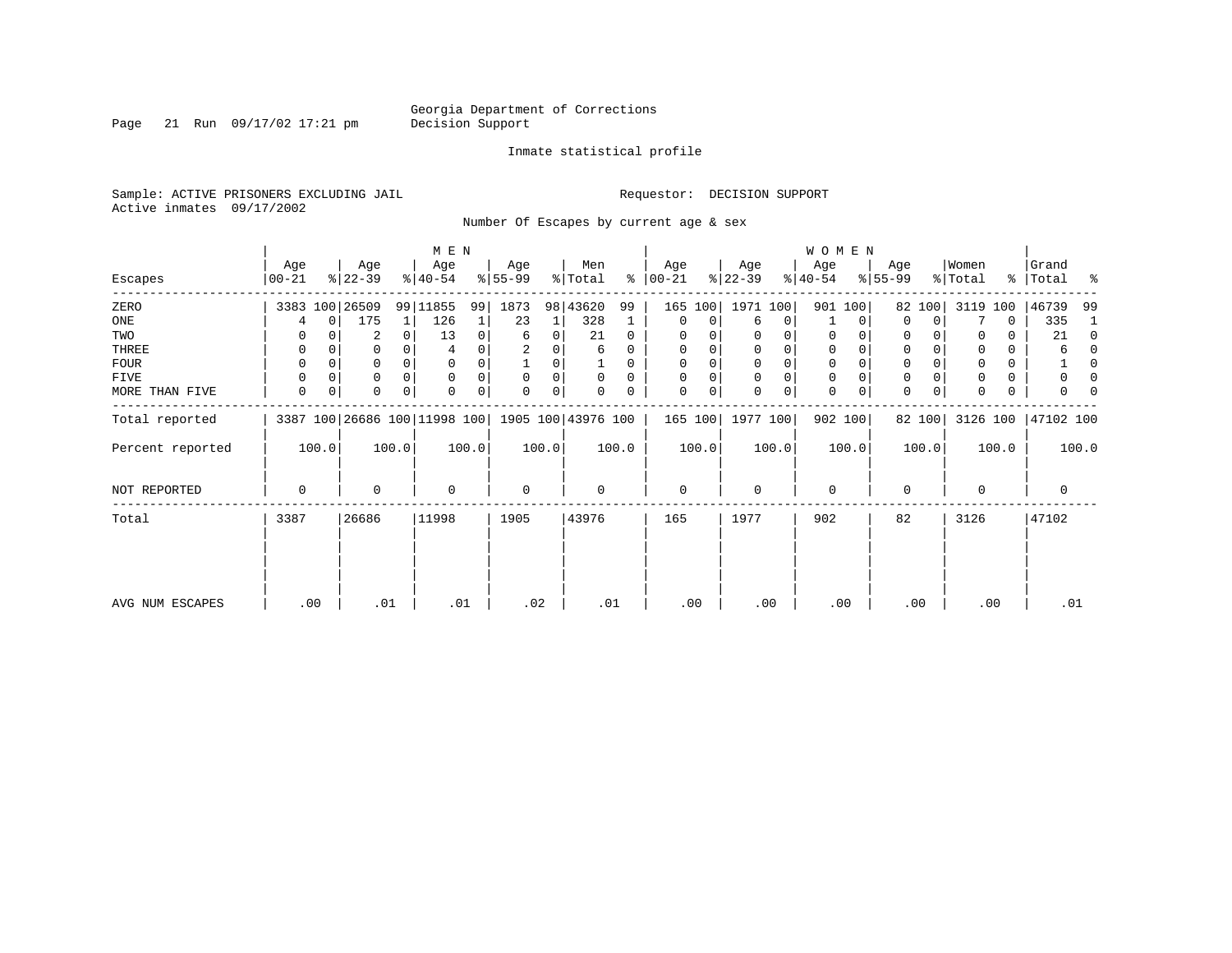Page 21 Run 09/17/02 17:21 pm

#### Inmate statistical profile

Sample: ACTIVE PRISONERS EXCLUDING JAIL **Requestor: DECISION SUPPORT** Active inmates 09/17/2002

Number Of Escapes by current age & sex

|                  |                  |             |                  |          | M E N                                           |          |                 |       |                |          |                  |          |                  |             | WOMEN            |          |                  |        |                  |       |                    |          |
|------------------|------------------|-------------|------------------|----------|-------------------------------------------------|----------|-----------------|-------|----------------|----------|------------------|----------|------------------|-------------|------------------|----------|------------------|--------|------------------|-------|--------------------|----------|
| Escapes          | Age<br>$ 00-21 $ |             | Age<br>$ 22-39 $ |          | Age<br>$8 40-54$                                |          | Age<br>$ 55-99$ |       | Men<br>% Total | ∻        | Age<br>$ 00-21 $ |          | Age<br>$ 22-39 $ |             | Age<br>$ 40-54 $ |          | Age<br>$8 55-99$ |        | Women<br>% Total |       | Grand<br>% Total % |          |
| ZERO             |                  |             | 3383 100 26509   |          | 99 11855                                        | 99       | 1873            |       | 98 43620       | 99       | 165              | 100      | 1971 100         |             |                  | 901 100  | 82               | 100    | 3119             | 100   | 46739              | -99      |
| ONE              | 4                | $\mathbf 0$ | 175              | 1        | 126                                             |          | 23              | 1     | 328            | 1        | 0                | 0        | 6                | 0           |                  | 0        | $\Omega$         | 0      |                  | 0     | 335                | 1        |
| TWO              | 0                |             | 2                | 0        | 13                                              | 0        | 6               | 0     | 21             | 0        | 0                |          | 0                | 0           | 0                | 0        | 0                |        |                  | 0     | 21                 | 0        |
| THREE            | 0                |             | 0                |          |                                                 |          |                 |       | 6              | 0        | 0                |          | 0                | 0           | 0                |          | 0                |        |                  | 0     | 6                  | $\Omega$ |
| <b>FOUR</b>      | 0                |             | 0                | $\Omega$ | $\Omega$                                        |          |                 | 0     |                | $\Omega$ | $\Omega$         | $\Omega$ | $\Omega$         | $\mathbf 0$ | $\mathbf 0$      | $\Omega$ | $\Omega$         |        |                  | 0     |                    | $\Omega$ |
| FIVE             | 0                | 0           | 0                | $\Omega$ | $\Omega$                                        |          | 0               | 0     | 0              | $\Omega$ | $\Omega$         |          | $\mathbf 0$      | 0           | 0                | $\Omega$ | 0                |        |                  | 0     | 0                  | 0        |
| MORE THAN FIVE   | 0                | 0           | 0                | $\Omega$ |                                                 | $\Omega$ | $\Omega$        | 0     |                | 0        | $\Omega$         | 0        | $\Omega$         | 0           | $\mathbf 0$      | 0        | 0                | 0      |                  | 0     |                    |          |
| Total reported   |                  |             |                  |          | 3387 100 26686 100 11998 100 1905 100 43976 100 |          |                 |       |                |          | 165 100          |          | 1977 100         |             |                  | 902 100  |                  | 82 100 | 3126 100         |       | 47102 100          |          |
| Percent reported |                  | 100.0       |                  | 100.0    |                                                 | 100.0    |                 | 100.0 |                | 100.0    |                  | 100.0    |                  | 100.0       |                  | 100.0    |                  | 100.0  |                  | 100.0 |                    | 100.0    |
| NOT REPORTED     | 0                |             | 0                |          | $\Omega$                                        |          | $\mathbf 0$     |       | $\mathbf 0$    |          | $\mathbf 0$      |          | $\mathbf 0$      |             | $\mathbf{0}$     |          | $\mathbf 0$      |        | $\Omega$         |       | $\mathbf 0$        |          |
| Total            | 3387             |             | 26686            |          | 11998                                           |          | 1905            |       | 43976          |          | 165              |          | 1977             |             | 902              |          | 82               |        | 3126             |       | 47102              |          |
|                  |                  |             |                  |          |                                                 |          |                 |       |                |          |                  |          |                  |             |                  |          |                  |        |                  |       |                    |          |
| AVG NUM ESCAPES  | .00              |             | .01              |          | .01                                             |          | .02             |       | .01            |          | .00              |          | .00              |             | .00              |          |                  | .00    | .00              |       | .01                |          |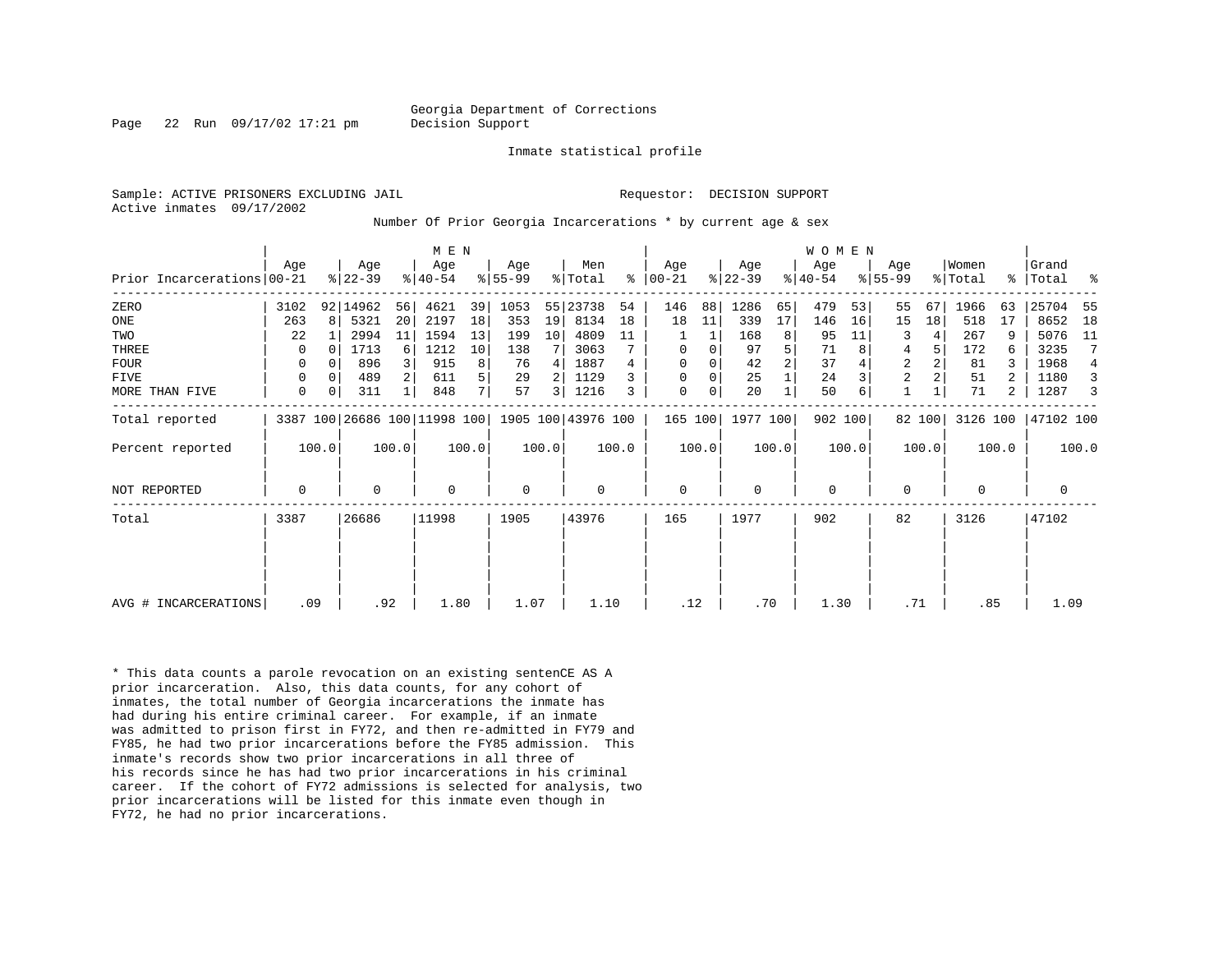Page 22 Run 09/17/02 17:21 pm Decision Support

Inmate statistical profile

Active inmates 09/17/2002

Sample: ACTIVE PRISONERS EXCLUDING JAIL **Requestor: DECISION SUPPORT** 

Number Of Prior Georgia Incarcerations \* by current age & sex

|                            | Aqe         |          | Age       |       | M E N<br>Age |       | Age         |                 | Men                                             |       | Age       |       | Age       |       | WOMEN<br>Age |       | Age            |        | Women    |       | Grand     |                 |
|----------------------------|-------------|----------|-----------|-------|--------------|-------|-------------|-----------------|-------------------------------------------------|-------|-----------|-------|-----------|-------|--------------|-------|----------------|--------|----------|-------|-----------|-----------------|
| Prior Incarcerations 00-21 |             |          | $ 22-39 $ |       | $ 40-54 $    |       | $8 55-99$   |                 | % Total                                         | ႜ     | $ 00-21 $ |       | $ 22-39 $ |       | $ 40-54 $    |       | $8155 - 99$    |        | % Total  | ႜၟ    | Total     | ႜ               |
| ZERO                       | 3102        |          | 92 14962  | 56    | 4621         | 39    | 1053        |                 | 55 23738                                        | 54    | 146       | 88    | 1286      | 65    | 479          | 53    | 55             | 67     | 1966     | 63    | 25704     | -55             |
| ONE                        | 263         | 8        | 5321      | 20    | 2197         | 18    | 353         | 19              | 8134                                            | 18    | 18        | 11    | 339       | 17    | 146          | 16    | 15             | 18     | 518      | 17    | 8652      | 18              |
| TWO                        | 22          |          | 2994      | 11    | 1594         | 13    | 199         | 10 <sup>1</sup> | 4809                                            | 11    |           |       | 168       | 8     | 95           | 11    | 3              | 4      | 267      | 9     | 5076      | 11              |
| THREE                      | 0           | $\Omega$ | 1713      | 6     | 1212         | 10    | 138         |                 | 3063                                            |       | 0         | 0     | 97        | 5     | 71           |       | 4              | 5      | 172      | 6     | 3235      | $7\phantom{.0}$ |
| FOUR                       | $\Omega$    | $\Omega$ | 896       | 3     | 915          | 8     | 76          | 4               | 1887                                            |       | $\Omega$  |       | 42        | 2     | 37           |       | $\overline{2}$ | 2      | 81       | 3     | 1968      | 4               |
| FIVE                       | 0           |          | 489       |       | 611          | 5     | 29          | $\overline{2}$  | 1129                                            |       | $\Omega$  | 0     | 25        |       | 24           |       | $\overline{2}$ |        | 51       |       | 1180      | 3               |
| MORE THAN FIVE             | 0           | 0        | 311       |       | 848          | 7     | 57          | $\overline{3}$  | 1216                                            | 3     | 0         | 0     | 20        |       | 50           |       |                |        | 71       | 2     | 1287      | 3               |
| Total reported             |             |          |           |       |              |       |             |                 | 3387 100 26686 100 11998 100 1905 100 43976 100 |       | 165 100   |       | 1977 100  |       | 902 100      |       |                | 82 100 | 3126 100 |       | 47102 100 |                 |
| Percent reported           |             | 100.0    |           | 100.0 |              | 100.0 |             | 100.0           |                                                 | 100.0 |           | 100.0 |           | 100.0 |              | 100.0 |                | 100.0  |          | 100.0 |           | 100.0           |
| <b>NOT REPORTED</b>        | $\mathbf 0$ |          | $\Omega$  |       | $\Omega$     |       | $\mathbf 0$ |                 | 0                                               |       | 0         |       | $\Omega$  |       | $\mathbf 0$  |       | $\mathbf 0$    |        | $\Omega$ |       | 0         |                 |
| Total                      | 3387        |          | 26686     |       | 11998        |       | 1905        |                 | 43976                                           |       | 165       |       | 1977      |       | 902          |       | 82             |        | 3126     |       | 47102     |                 |
|                            |             |          |           |       |              |       |             |                 |                                                 |       |           |       |           |       |              |       |                |        |          |       |           |                 |
|                            |             |          |           |       |              |       |             |                 |                                                 |       |           |       |           |       |              |       |                |        |          |       |           |                 |
| AVG # INCARCERATIONS       | .09         |          |           | .92   | 1.80         |       | 1.07        |                 | 1.10                                            |       | .12       |       | .70       |       | 1.30         |       | .71            |        | .85      |       | 1.09      |                 |

\* This data counts a parole revocation on an existing sentenCE AS A prior incarceration. Also, this data counts, for any cohort of inmates, the total number of Georgia incarcerations the inmate has had during his entire criminal career. For example, if an inmate was admitted to prison first in FY72, and then re-admitted in FY79 and FY85, he had two prior incarcerations before the FY85 admission. This inmate's records show two prior incarcerations in all three of his records since he has had two prior incarcerations in his criminal career. If the cohort of FY72 admissions is selected for analysis, two prior incarcerations will be listed for this inmate even though in FY72, he had no prior incarcerations.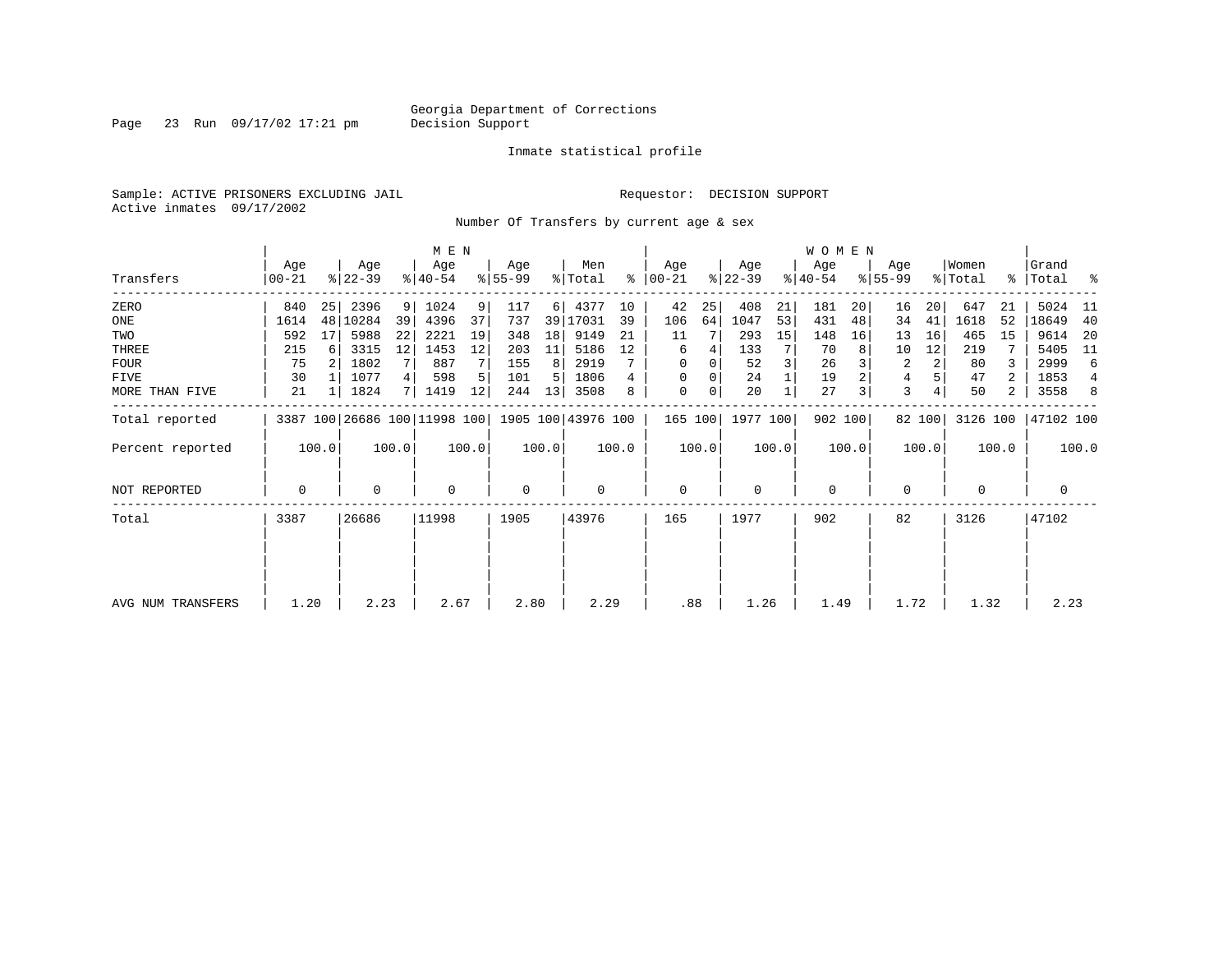Page 23 Run 09/17/02 17:21 pm

#### Inmate statistical profile

Sample: ACTIVE PRISONERS EXCLUDING JAIL **Requestor: DECISION SUPPORT** Active inmates 09/17/2002

Number Of Transfers by current age & sex

|                   |                |       |                  |       | M E N            |       |                  |       |                                                 |       |                  |       |                  |       | WOMEN            |         |                  |        |                  |       |                    |       |
|-------------------|----------------|-------|------------------|-------|------------------|-------|------------------|-------|-------------------------------------------------|-------|------------------|-------|------------------|-------|------------------|---------|------------------|--------|------------------|-------|--------------------|-------|
| Transfers         | Age<br>  00-21 |       | Age<br>$ 22-39 $ |       | Age<br>$8 40-54$ |       | Age<br>$ 55-99 $ |       | Men<br>% Total                                  | ∻     | Age<br>$ 00-21 $ |       | Age<br>$ 22-39 $ |       | Age<br>$ 40-54 $ |         | Age<br>$ 55-99 $ |        | Women<br>% Total |       | Grand<br>% Total % |       |
| ZERO              | 840            | 25    | 2396             | 9     | 1024             | 9     | 117              | 6     | 4377                                            | 10    | 42               | 25    | 408              | 21    | 181              | 20      | 16               | 20     | 647              | 21    | 5024               | - 11  |
| ONE               | 1614           |       | 48 10284         | 39    | 4396             | 37    | 737              | 39    | 17031                                           | 39    | 106              | 64    | 1047             | 53    | 431              | 48      | 34               | 41     | 1618             | 52    | 18649              | 40    |
| TWO               | 592            | 17    | 5988             | 22    | 2221             | 19    | 348              | 18    | 9149                                            | 21    | 11               |       | 293              | 15    | 148              | 16      | 13               | 16     | 465              | 15    | 9614               | -20   |
| THREE             | 215            | 6     | 3315             | 12    | 1453             | 12    | 203              | 11    | 5186                                            | 12    | 6                |       | 133              |       | 70               |         | 10               | 12     | 219              |       | 5405               | - 11  |
| FOUR              | 75             |       | 1802             | 7     | 887              |       | 155              | 8     | 2919                                            |       | 0                | 0     | 52               |       | 26               |         | 2                | 2      | 80               |       | 2999               | 6     |
| FIVE              | 30             |       | 1077             | 4     | 598              |       | 101              | 5     | 1806                                            | 4     | 0                |       | 24               |       | 19               |         | 4                |        | 47               | 2     | 1853               | 4     |
| MORE THAN FIVE    | 21             |       | 1824             | 7 I   | 1419             | 12    | 244              | 13    | 3508                                            | 8     | $\mathbf 0$      | 0     | 20               |       | 27               | 3       | 3                |        | 50               | 2     | 3558               | 8     |
| Total reported    |                |       |                  |       |                  |       |                  |       | 3387 100 26686 100 11998 100 1905 100 43976 100 |       | 165 100          |       | 1977 100         |       |                  | 902 100 |                  | 82 100 | 3126 100         |       | 47102 100          |       |
| Percent reported  |                | 100.0 |                  | 100.0 |                  | 100.0 |                  | 100.0 |                                                 | 100.0 |                  | 100.0 |                  | 100.0 |                  | 100.0   |                  | 100.0  |                  | 100.0 |                    | 100.0 |
| NOT REPORTED      | 0              |       | 0                |       | $\mathbf 0$      |       | 0                |       | 0                                               |       | $\mathbf 0$      |       | $\mathbf 0$      |       | $\mathbf 0$      |         | 0                |        | 0                |       | 0                  |       |
| Total             | 3387           |       | 26686            |       | 11998            |       | 1905             |       | 43976                                           |       | 165              |       | 1977             |       | 902              |         | 82               |        | 3126             |       | 47102              |       |
|                   |                |       |                  |       |                  |       |                  |       |                                                 |       |                  |       |                  |       |                  |         |                  |        |                  |       |                    |       |
|                   |                |       |                  |       |                  |       |                  |       |                                                 |       |                  |       |                  |       |                  |         |                  |        |                  |       |                    |       |
| AVG NUM TRANSFERS | 1.20           |       | 2.23             |       | 2.67             |       | 2.80             |       | 2.29                                            |       | .88              |       | 1.26             |       | 1.49             |         | 1.72             |        | 1.32             |       | 2.23               |       |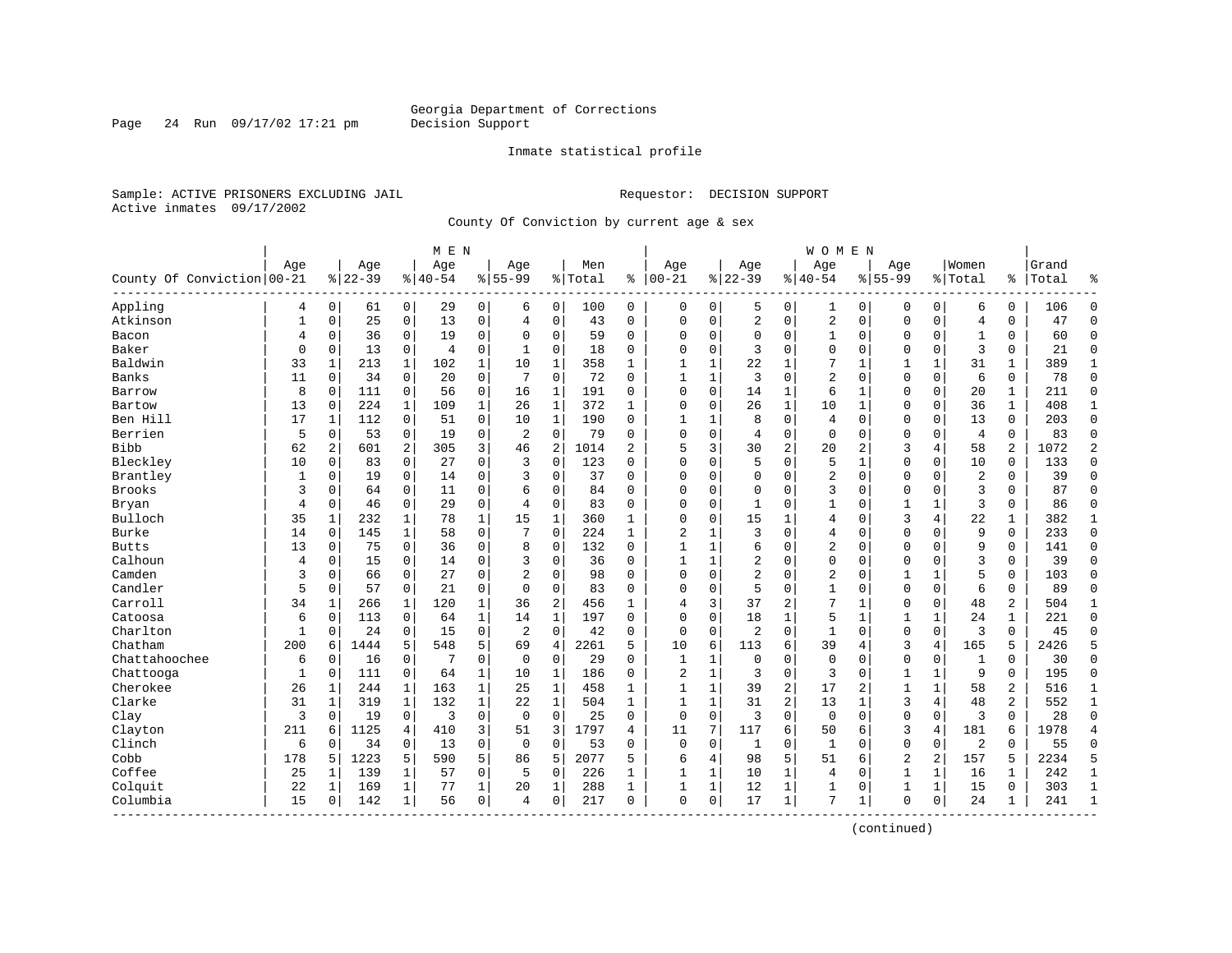Page 24 Run  $09/17/02$  17:21 pm

#### Inmate statistical profile

Sample: ACTIVE PRISONERS EXCLUDING JAIL **Requestor: DECISION SUPPORT** Active inmates 09/17/2002

County Of Conviction by current age & sex

| Age<br>Women<br>Age<br>Age<br>Men<br>Age<br>Grand<br>Aqe<br>Age<br>Aqe<br>Age<br>County Of Conviction 00-21<br>$ 22-39$<br>$ 40-54$<br>$8 55-99$<br>$ 00-21$<br>$8 22-39$<br>$8140 - 54$<br>$8155 - 99$<br>% Total<br>ႜ<br>% Total<br>Total<br>ి<br>٩,<br>Appling<br>$\mathbf 0$<br>$\mathbf 0$<br>29<br>$\mathbf 0$<br>$\mathbf 0$<br>100<br>$\mathbf 0$<br>$\mathbf 0$<br>$\mathbf 0$<br>6<br>0<br>$\Omega$<br>4<br>6<br>0<br>5<br>0<br>1<br>0<br>$\Omega$<br>106<br>61<br>$\overline{c}$<br>Atkinson<br>25<br>$\mathbf 0$<br>13<br>$\mathbf 0$<br>$\mathbf 0$<br>$\mathbf 0$<br>$\overline{c}$<br>$\mathbf 0$<br>$\mathbf 0$<br>$\overline{4}$<br>$\mathbf{1}$<br>$\mathbf 0$<br>43<br>$\Omega$<br>$\mathbf 0$<br>$\mathbf 0$<br>$\mathbf{0}$<br>$\Omega$<br>47<br>$\Omega$<br>$\overline{4}$<br>$\mathbf 0$<br>36<br>$\Omega$<br>19<br>$\mathbf 0$<br>$\mathbf 0$<br>59<br>$\mathbf 0$<br>$\mathbf 0$<br>$\mathbf 0$<br>60<br>$\Omega$<br>Bacon<br>$\Omega$<br>$\Omega$<br>$\mathbf 0$<br>0<br>1<br>$\mathbf 0$<br>$\mathbf 0$<br>1<br>0<br>4<br>3<br>Baker<br>$\Omega$<br>13<br>$\mathbf 0$<br>$\mathbf 0$<br>$\mathbf 0$<br>$\Omega$<br>3<br>$\mathbf 0$<br>$\mathbf 0$<br>$\mathbf 0$<br>$\Omega$<br>$\Omega$<br>21<br>$\mathbf{0}$<br>$\mathbf 0$<br>4<br>18<br>0<br>0<br>$\Omega$<br>1<br>7<br>Baldwin<br>33<br>$\mathbf{1}$<br>$\mathbf{1}$<br>$\mathbf{1}$<br>10<br>$\mathbf{1}$<br>358<br>22<br>$\mathbf{1}$<br>$\mathbf{1}$<br>31<br>$\mathbf{1}$<br>$\mathbf{1}$<br>213<br>102<br>1<br>1<br>1<br>1<br>$\mathbf{1}$<br>389<br>Banks<br>11<br>34<br>$\mathbf 0$<br>$\mathbf 0$<br>$\mathbf 0$<br>72<br>3<br>$\mathbf 0$<br>$\overline{2}$<br>$\mathbf 0$<br>6<br>78<br>$\mathbf{0}$<br>0<br>20<br>7<br>$\Omega$<br>1<br>1<br>$\mathbf 0$<br>$\mathbf 0$<br>0<br>8<br>$\mathbf 0$<br>56<br>$\mathbf 0$<br>$\mathbf{1}$<br>191<br>$\mathbf 0$<br>$\mathbf 0$<br>$\mathbf 1$<br>6<br>$\mathbf 0$<br>20<br>211<br>$\Omega$<br>$\mathbf 0$<br>111<br>16<br>$\Omega$<br>14<br>$\mathbf 1$<br>$\Omega$<br>$\mathbf{1}$<br>Barrow<br>$\mathbf{1}$<br>$\mathbf{1}$<br>13<br>224<br>$\mathbf{1}$<br>109<br>$\mathbf 1$<br>26<br>$\mathbf{1}$<br>372<br>$\mathbf{1}$<br>$\Omega$<br>26<br>10<br>$\mathbf 1$<br>$\mathbf{0}$<br>$\mathbf 0$<br>36<br>408<br>$\mathbf{1}$<br>Bartow<br>$\mathbf{0}$<br>$\Omega$<br>Ben Hill<br>17<br>112<br>$\Omega$<br>51<br>$\mathbf 0$<br>10<br>$\mathbf{1}$<br>190<br>8<br>$\mathbf 0$<br>$\overline{4}$<br>$\mathbf 0$<br>$\mathbf{0}$<br>$\Omega$<br>13<br>$\mathbf 0$<br>203<br>$\Omega$<br>1<br>$\Omega$<br>$\mathbf{1}$<br>1<br>$\mathbf 0$<br>Berrien<br>5<br>$\mathbf 0$<br>0<br>$\overline{2}$<br>$\mathbf 0$<br>79<br>$\mathbf 0$<br>$\mathbf 0$<br>$\mathbf 0$<br>$\mathbf{0}$<br>$\overline{4}$<br>0<br>83<br>$\Omega$<br>0<br>53<br>19<br>$\Omega$<br>4<br>0<br>0<br>3<br>$\overline{c}$<br>2<br>$\overline{2}$<br><b>Bibb</b><br>62<br>601<br>2<br>305<br>46<br>$\overline{2}$<br>1014<br>$\overline{a}$<br>5<br>3<br>30<br>20<br>2<br>3<br>58<br>1072<br>2<br>4<br>$\mathbf 0$<br>5<br>Bleckley<br>$\mathbf 0$<br>27<br>0<br>3<br>123<br>$\Omega$<br>$\mathbf 0$<br>5<br>$\mathbf{0}$<br>$\Omega$<br>10<br>133<br>10<br>0<br>83<br>0<br>$\Omega$<br>1<br>0<br>$\Omega$<br>$\overline{2}$<br>Brantley<br>$\mathbf 0$<br>0<br>$\mathbf 0$<br>37<br>$\mathbf 0$<br>$\mathbf 0$<br>$\mathbf 0$<br>$\overline{2}$<br>39<br>$\Omega$<br>0<br>19<br>14<br>3<br>0<br>0<br>0<br>0<br>0<br>0<br>1<br>Brooks<br>3<br>3<br>87<br>$\Omega$<br>3<br>64<br>$\Omega$<br>11<br>$\mathbf 0$<br>$\Omega$<br>84<br>$\Omega$<br>$\Omega$<br>$\Omega$<br>$\Omega$<br>$\Omega$<br>$\mathbf 0$<br>$\mathbf 0$<br>$\Omega$<br>$\Omega$<br>$\Omega$<br>6<br>3<br>Bryan<br>$\overline{4}$<br>46<br>$\mathbf 0$<br>29<br>$\mathbf 0$<br>$\mathbf 0$<br>83<br>$\Omega$<br>$\Omega$<br>86<br>$\Omega$<br>0<br>4<br>$\Omega$<br>$\Omega$<br>$\mathbf{1}$<br>1<br>$\mathbf 0$<br>1<br>1<br>0<br>3<br>22<br>Bulloch<br>78<br>15<br>$\Omega$<br>15<br>$\mathbf{1}$<br>4<br>382<br>35<br>232<br>1<br>1<br>360<br>$\Omega$<br>4<br>$\mathbf 0$<br>1<br>1<br>1<br>1<br>$\mathbf{1}$<br>Burke<br>58<br>$\mathbf 0$<br>7<br>$\Omega$<br>224<br>$\mathbf{1}$<br>$\overline{c}$<br>3<br>$\Omega$<br>$\Omega$<br>9<br>$\Omega$<br>233<br>$\Omega$<br>14<br>$\Omega$<br>145<br>$\mathbf{1}$<br>1<br>4<br>$\mathbf 0$<br>$\Omega$<br>$\mathbf 0$<br>$\overline{2}$<br>13<br>75<br>36<br>$\mathbf 0$<br>8<br>$\mathbf 0$<br>132<br>$\mathbf 0$<br>$\Omega$<br>9<br>0<br>141<br><b>Butts</b><br>0<br>0<br>1<br>1<br>6<br>$\mathbf 0$<br>$\mathbf 0$<br>$\Omega$<br>Calhoun<br>15<br>$\mathbf 0$<br>$\mathbf 0$<br>$\mathbf 0$<br>36<br>$\mathbf 0$<br>$\mathbf{1}$<br>$\mathbf{1}$<br>2<br>0<br>0<br>3<br>39<br>$\Omega$<br>0<br>14<br>3<br>$\mathbf 0$<br>$\mathbf 0$<br>0<br>0<br>4<br>$\overline{a}$<br>5<br>Camden<br>3<br>27<br>$\Omega$<br>$\overline{2}$<br>98<br>$\Omega$<br>2<br>$\mathbf{1}$<br>$\mathbf{1}$<br>$\Omega$<br>66<br>$\Omega$<br>$\Omega$<br>$\Omega$<br>$\Omega$<br>$\Omega$<br>$\mathbf 0$<br>$\Omega$<br>103<br>$\Omega$<br>Candler<br>5<br>5<br>57<br>$\Omega$<br>21<br>0<br>$\Omega$<br>$\Omega$<br>83<br>$\Omega$<br>$\Omega$<br>$\Omega$<br>$\mathbf{1}$<br>$\mathbf{0}$<br>$\Omega$<br>6<br>0<br>89<br>$\Omega$<br>0<br>$\Omega$<br>$\mathbf 0$<br>Carroll<br>$\overline{2}$<br>$\overline{c}$<br>7<br>$\overline{a}$<br>34<br>120<br>36<br>3<br>37<br>$\Omega$<br>$\mathbf 0$<br>48<br>504<br>266<br>1<br>1<br>456<br>4<br>1<br>1<br>1<br>$\mathbf{1}$<br>$\mathbf{1}$<br>5<br>Catoosa<br>113<br>$\Omega$<br>$\mathbf{1}$<br>197<br>18<br>$\mathbf{1}$<br>$\mathbf{1}$<br>$\mathbf{1}$<br>24<br>$\mathbf{1}$<br>221<br>$\Omega$<br>6<br>$\Omega$<br>64<br>14<br>$\Omega$<br>$\Omega$<br>$\Omega$<br>1<br>Charlton<br>$\mathbf 0$<br>$\mathbf 0$<br>$\overline{a}$<br>$\mathbf 0$<br>$\overline{3}$<br>24<br>$\mathbf 0$<br>15<br>$\overline{2}$<br>42<br>$\mathbf 0$<br>$\mathbf 0$<br>$\mathbf{1}$<br>$\mathbf 0$<br>$\mathbf{0}$<br>$\mathbf 0$<br>0<br>45<br>$\mathbf{1}$<br>$\mathbf{0}$<br>0<br>$\Omega$<br>5<br>165<br>Chatham<br>200<br>5<br>548<br>69<br>2261<br>5<br>6<br>6<br>39<br>3<br>4<br>5<br>2426<br>5<br>6<br>1444<br>4<br>10<br>113<br>4<br>Chattahoochee<br>$\mathbf 0$<br>7<br>$\mathbf 0$<br>$\mathbf 0$<br>29<br>$\mathbf 0$<br>$\mathbf 0$<br>$\mathbf{0}$<br>30<br>$\mathbf{0}$<br>6<br>$\mathbf 0$<br>16<br>$\mathbf 0$<br>$\Omega$<br>1<br>1<br>$\mathbf 0$<br>$\mathbf 0$<br>0<br>1<br>0<br>$\mathbf 0$<br>Chattooga<br>111<br>$\mathbf 0$<br>64<br>$\mathbf 1$<br>10<br>$\mathbf{1}$<br>186<br>$\overline{c}$<br>$\mathbf 1$<br>3<br>3<br>$\mathbf 0$<br>$\mathbf{1}$<br>$\mathbf 1$<br>9<br>0<br>195<br>$\Omega$<br>$\mathbf{1}$<br>0<br>$\Omega$<br>Cherokee<br>$\overline{c}$<br>$\overline{2}$<br>26<br>163<br>$\mathbf 1$<br>39<br>17<br>$\overline{2}$<br>$\mathbf{1}$<br>$\mathbf{1}$<br>58<br>516<br>244<br>1<br>1<br>25<br>1<br>458<br>$\mathbf{1}$<br>1<br>1<br>$\mathbf{1}$<br>Clarke<br>$\overline{c}$<br>3<br>$\overline{a}$<br>31<br>$\mathbf{1}$<br>132<br>$\mathbf{1}$<br>22<br>$\mathbf{1}$<br>504<br>$\mathbf{1}$<br>31<br>4<br>48<br>552<br>$\mathbf{1}$<br>1<br>319<br>$\mathbf{1}$<br>1<br>13<br>1<br>$\mathbf 0$<br>$\mathbf 0$<br>$\mathbf 0$<br>3<br>$\mathbf 0$<br>$\mathbf 0$<br>$\overline{3}$<br>3<br>3<br>25<br>$\Omega$<br>$\mathbf 0$<br>$\Omega$<br>$\mathbf 0$<br>$\mathbf 0$<br>$\mathbf 0$<br>0<br>28<br>$\Omega$<br>Clay<br>0<br>19<br>$\mathbf 0$<br>1125<br>3<br>3<br>1797<br>7<br>117<br>6<br>6<br>3<br>4<br>181<br>1978<br>Clayton<br>211<br>6<br>4<br>410<br>51<br>4<br>11<br>50<br>6<br>$\overline{4}$<br>$\overline{2}$<br>Clinch<br>34<br>$\mathbf 0$<br>$\mathbf 0$<br>$\mathbf 0$<br>53<br>$\mathbf 0$<br>$\mathbf{1}$<br>$\mathbf 0$<br>$\mathbf{1}$<br>$\mathbf{0}$<br>$\mathbf 0$<br>55<br>6<br>0<br>13<br>$\mathbf 0$<br>$\Omega$<br>$\mathbf 0$<br>$\mathbf 0$<br>$\Omega$<br>$\Omega$<br>Cobb<br>5<br>5<br>$\overline{2}$<br>$\overline{2}$<br>2234<br>178<br>1223<br>5<br>590<br>86<br>5<br>2077<br>5<br>6<br>4<br>98<br>51<br>157<br>5<br>5<br>5<br>6<br>Coffee<br>25<br>139<br>57<br>0<br>$\mathbf 0$<br>226<br>$\mathbf 1$<br>$\mathbf 1$<br>$\mathbf{1}$<br>$\mathbf 1$<br>242<br>$\mathbf 1$<br>1<br>5<br>$\mathbf{1}$<br>1<br>10<br>4<br>$\mathbf 0$<br>16<br>1<br>1<br>Colquit<br>22<br>77<br>$\mathbf 1$<br>$\mathbf{1}$<br>12<br>$\mathbf 1$<br>$\mathbf{1}$<br>$\mathbf{1}$<br>1<br>169<br>1<br>20<br>1<br>288<br>1<br>1<br>1<br>$\mathbf 0$<br>1<br>15<br>$\Omega$<br>303<br>Columbia<br>15<br>142<br>56<br>0<br>$\mathbf 0$<br>217<br>$\Omega$<br>0<br>17<br>$\mathbf 1$<br>7<br>$\Omega$<br>$\mathbf 0$<br>24<br>241<br>$\Omega$<br>1<br>4<br>0<br>1<br>1<br>$\mathbf{1}$ |  |  | M E N |  |  |  |  | <b>WOMEN</b> |  |  |  |  |
|------------------------------------------------------------------------------------------------------------------------------------------------------------------------------------------------------------------------------------------------------------------------------------------------------------------------------------------------------------------------------------------------------------------------------------------------------------------------------------------------------------------------------------------------------------------------------------------------------------------------------------------------------------------------------------------------------------------------------------------------------------------------------------------------------------------------------------------------------------------------------------------------------------------------------------------------------------------------------------------------------------------------------------------------------------------------------------------------------------------------------------------------------------------------------------------------------------------------------------------------------------------------------------------------------------------------------------------------------------------------------------------------------------------------------------------------------------------------------------------------------------------------------------------------------------------------------------------------------------------------------------------------------------------------------------------------------------------------------------------------------------------------------------------------------------------------------------------------------------------------------------------------------------------------------------------------------------------------------------------------------------------------------------------------------------------------------------------------------------------------------------------------------------------------------------------------------------------------------------------------------------------------------------------------------------------------------------------------------------------------------------------------------------------------------------------------------------------------------------------------------------------------------------------------------------------------------------------------------------------------------------------------------------------------------------------------------------------------------------------------------------------------------------------------------------------------------------------------------------------------------------------------------------------------------------------------------------------------------------------------------------------------------------------------------------------------------------------------------------------------------------------------------------------------------------------------------------------------------------------------------------------------------------------------------------------------------------------------------------------------------------------------------------------------------------------------------------------------------------------------------------------------------------------------------------------------------------------------------------------------------------------------------------------------------------------------------------------------------------------------------------------------------------------------------------------------------------------------------------------------------------------------------------------------------------------------------------------------------------------------------------------------------------------------------------------------------------------------------------------------------------------------------------------------------------------------------------------------------------------------------------------------------------------------------------------------------------------------------------------------------------------------------------------------------------------------------------------------------------------------------------------------------------------------------------------------------------------------------------------------------------------------------------------------------------------------------------------------------------------------------------------------------------------------------------------------------------------------------------------------------------------------------------------------------------------------------------------------------------------------------------------------------------------------------------------------------------------------------------------------------------------------------------------------------------------------------------------------------------------------------------------------------------------------------------------------------------------------------------------------------------------------------------------------------------------------------------------------------------------------------------------------------------------------------------------------------------------------------------------------------------------------------------------------------------------------------------------------------------------------------------------------------------------------------------------------------------------------------------------------------------------------------------------------------------------------------------------------------------------------------------------------------------------------------------------------------------------------------------------------------------------------------------------------------------------------------------------------------------------------------------------------------------------------------------------------------------------------------------------------------------------------------------------------------------------------------------------------------------------------------------------------------------------------------------------------------------------------------------------------------------------------------------------------------------------------------------------------------------------------------------------------------------------------------------------------------------------------------------------------------------------------------------------------------------------------------------------------------------------------------------------------------------------------------------------------------------------------------------------------------------------------------------------------------------------------------------------------------------------------------------------------------------------------------------------------------------------------------------------------------------------------------------------------------------------------------------------------------------------------------------------------------------------------------------------------------------------------------------------------------------------------------------------------------------------------------------------------------------------------------------------------------------------------------------------------------------------------------------------------------------------------------------------------------------------------------------------------------------------------------------------------------------------------------------------------------------------------------------------------------------------------------------------------------------------------------------------------------------------------------------------------------------------------------------------------------------------------------------------------------------------------------------------------------------------------------------------------------------------------------------------------------------------------------------------------------------------------------------------------------------------------------------------------------------------------------------|--|--|-------|--|--|--|--|--------------|--|--|--|--|
|                                                                                                                                                                                                                                                                                                                                                                                                                                                                                                                                                                                                                                                                                                                                                                                                                                                                                                                                                                                                                                                                                                                                                                                                                                                                                                                                                                                                                                                                                                                                                                                                                                                                                                                                                                                                                                                                                                                                                                                                                                                                                                                                                                                                                                                                                                                                                                                                                                                                                                                                                                                                                                                                                                                                                                                                                                                                                                                                                                                                                                                                                                                                                                                                                                                                                                                                                                                                                                                                                                                                                                                                                                                                                                                                                                                                                                                                                                                                                                                                                                                                                                                                                                                                                                                                                                                                                                                                                                                                                                                                                                                                                                                                                                                                                                                                                                                                                                                                                                                                                                                                                                                                                                                                                                                                                                                                                                                                                                                                                                                                                                                                                                                                                                                                                                                                                                                                                                                                                                                                                                                                                                                                                                                                                                                                                                                                                                                                                                                                                                                                                                                                                                                                                                                                                                                                                                                                                                                                                                                                                                                                                                                                                                                                                                                                                                                                                                                                                                                                                                                                                                                                                                                                                                                                                                                                                                                                                                                                                                                                                                                                                                                                                                                                                                                                                                                                                                                                                                                                                                                                                                                                                                                                                                            |  |  |       |  |  |  |  |              |  |  |  |  |
|                                                                                                                                                                                                                                                                                                                                                                                                                                                                                                                                                                                                                                                                                                                                                                                                                                                                                                                                                                                                                                                                                                                                                                                                                                                                                                                                                                                                                                                                                                                                                                                                                                                                                                                                                                                                                                                                                                                                                                                                                                                                                                                                                                                                                                                                                                                                                                                                                                                                                                                                                                                                                                                                                                                                                                                                                                                                                                                                                                                                                                                                                                                                                                                                                                                                                                                                                                                                                                                                                                                                                                                                                                                                                                                                                                                                                                                                                                                                                                                                                                                                                                                                                                                                                                                                                                                                                                                                                                                                                                                                                                                                                                                                                                                                                                                                                                                                                                                                                                                                                                                                                                                                                                                                                                                                                                                                                                                                                                                                                                                                                                                                                                                                                                                                                                                                                                                                                                                                                                                                                                                                                                                                                                                                                                                                                                                                                                                                                                                                                                                                                                                                                                                                                                                                                                                                                                                                                                                                                                                                                                                                                                                                                                                                                                                                                                                                                                                                                                                                                                                                                                                                                                                                                                                                                                                                                                                                                                                                                                                                                                                                                                                                                                                                                                                                                                                                                                                                                                                                                                                                                                                                                                                                                                            |  |  |       |  |  |  |  |              |  |  |  |  |
|                                                                                                                                                                                                                                                                                                                                                                                                                                                                                                                                                                                                                                                                                                                                                                                                                                                                                                                                                                                                                                                                                                                                                                                                                                                                                                                                                                                                                                                                                                                                                                                                                                                                                                                                                                                                                                                                                                                                                                                                                                                                                                                                                                                                                                                                                                                                                                                                                                                                                                                                                                                                                                                                                                                                                                                                                                                                                                                                                                                                                                                                                                                                                                                                                                                                                                                                                                                                                                                                                                                                                                                                                                                                                                                                                                                                                                                                                                                                                                                                                                                                                                                                                                                                                                                                                                                                                                                                                                                                                                                                                                                                                                                                                                                                                                                                                                                                                                                                                                                                                                                                                                                                                                                                                                                                                                                                                                                                                                                                                                                                                                                                                                                                                                                                                                                                                                                                                                                                                                                                                                                                                                                                                                                                                                                                                                                                                                                                                                                                                                                                                                                                                                                                                                                                                                                                                                                                                                                                                                                                                                                                                                                                                                                                                                                                                                                                                                                                                                                                                                                                                                                                                                                                                                                                                                                                                                                                                                                                                                                                                                                                                                                                                                                                                                                                                                                                                                                                                                                                                                                                                                                                                                                                                                            |  |  |       |  |  |  |  |              |  |  |  |  |
|                                                                                                                                                                                                                                                                                                                                                                                                                                                                                                                                                                                                                                                                                                                                                                                                                                                                                                                                                                                                                                                                                                                                                                                                                                                                                                                                                                                                                                                                                                                                                                                                                                                                                                                                                                                                                                                                                                                                                                                                                                                                                                                                                                                                                                                                                                                                                                                                                                                                                                                                                                                                                                                                                                                                                                                                                                                                                                                                                                                                                                                                                                                                                                                                                                                                                                                                                                                                                                                                                                                                                                                                                                                                                                                                                                                                                                                                                                                                                                                                                                                                                                                                                                                                                                                                                                                                                                                                                                                                                                                                                                                                                                                                                                                                                                                                                                                                                                                                                                                                                                                                                                                                                                                                                                                                                                                                                                                                                                                                                                                                                                                                                                                                                                                                                                                                                                                                                                                                                                                                                                                                                                                                                                                                                                                                                                                                                                                                                                                                                                                                                                                                                                                                                                                                                                                                                                                                                                                                                                                                                                                                                                                                                                                                                                                                                                                                                                                                                                                                                                                                                                                                                                                                                                                                                                                                                                                                                                                                                                                                                                                                                                                                                                                                                                                                                                                                                                                                                                                                                                                                                                                                                                                                                                            |  |  |       |  |  |  |  |              |  |  |  |  |
|                                                                                                                                                                                                                                                                                                                                                                                                                                                                                                                                                                                                                                                                                                                                                                                                                                                                                                                                                                                                                                                                                                                                                                                                                                                                                                                                                                                                                                                                                                                                                                                                                                                                                                                                                                                                                                                                                                                                                                                                                                                                                                                                                                                                                                                                                                                                                                                                                                                                                                                                                                                                                                                                                                                                                                                                                                                                                                                                                                                                                                                                                                                                                                                                                                                                                                                                                                                                                                                                                                                                                                                                                                                                                                                                                                                                                                                                                                                                                                                                                                                                                                                                                                                                                                                                                                                                                                                                                                                                                                                                                                                                                                                                                                                                                                                                                                                                                                                                                                                                                                                                                                                                                                                                                                                                                                                                                                                                                                                                                                                                                                                                                                                                                                                                                                                                                                                                                                                                                                                                                                                                                                                                                                                                                                                                                                                                                                                                                                                                                                                                                                                                                                                                                                                                                                                                                                                                                                                                                                                                                                                                                                                                                                                                                                                                                                                                                                                                                                                                                                                                                                                                                                                                                                                                                                                                                                                                                                                                                                                                                                                                                                                                                                                                                                                                                                                                                                                                                                                                                                                                                                                                                                                                                                            |  |  |       |  |  |  |  |              |  |  |  |  |
|                                                                                                                                                                                                                                                                                                                                                                                                                                                                                                                                                                                                                                                                                                                                                                                                                                                                                                                                                                                                                                                                                                                                                                                                                                                                                                                                                                                                                                                                                                                                                                                                                                                                                                                                                                                                                                                                                                                                                                                                                                                                                                                                                                                                                                                                                                                                                                                                                                                                                                                                                                                                                                                                                                                                                                                                                                                                                                                                                                                                                                                                                                                                                                                                                                                                                                                                                                                                                                                                                                                                                                                                                                                                                                                                                                                                                                                                                                                                                                                                                                                                                                                                                                                                                                                                                                                                                                                                                                                                                                                                                                                                                                                                                                                                                                                                                                                                                                                                                                                                                                                                                                                                                                                                                                                                                                                                                                                                                                                                                                                                                                                                                                                                                                                                                                                                                                                                                                                                                                                                                                                                                                                                                                                                                                                                                                                                                                                                                                                                                                                                                                                                                                                                                                                                                                                                                                                                                                                                                                                                                                                                                                                                                                                                                                                                                                                                                                                                                                                                                                                                                                                                                                                                                                                                                                                                                                                                                                                                                                                                                                                                                                                                                                                                                                                                                                                                                                                                                                                                                                                                                                                                                                                                                                            |  |  |       |  |  |  |  |              |  |  |  |  |
|                                                                                                                                                                                                                                                                                                                                                                                                                                                                                                                                                                                                                                                                                                                                                                                                                                                                                                                                                                                                                                                                                                                                                                                                                                                                                                                                                                                                                                                                                                                                                                                                                                                                                                                                                                                                                                                                                                                                                                                                                                                                                                                                                                                                                                                                                                                                                                                                                                                                                                                                                                                                                                                                                                                                                                                                                                                                                                                                                                                                                                                                                                                                                                                                                                                                                                                                                                                                                                                                                                                                                                                                                                                                                                                                                                                                                                                                                                                                                                                                                                                                                                                                                                                                                                                                                                                                                                                                                                                                                                                                                                                                                                                                                                                                                                                                                                                                                                                                                                                                                                                                                                                                                                                                                                                                                                                                                                                                                                                                                                                                                                                                                                                                                                                                                                                                                                                                                                                                                                                                                                                                                                                                                                                                                                                                                                                                                                                                                                                                                                                                                                                                                                                                                                                                                                                                                                                                                                                                                                                                                                                                                                                                                                                                                                                                                                                                                                                                                                                                                                                                                                                                                                                                                                                                                                                                                                                                                                                                                                                                                                                                                                                                                                                                                                                                                                                                                                                                                                                                                                                                                                                                                                                                                                            |  |  |       |  |  |  |  |              |  |  |  |  |
|                                                                                                                                                                                                                                                                                                                                                                                                                                                                                                                                                                                                                                                                                                                                                                                                                                                                                                                                                                                                                                                                                                                                                                                                                                                                                                                                                                                                                                                                                                                                                                                                                                                                                                                                                                                                                                                                                                                                                                                                                                                                                                                                                                                                                                                                                                                                                                                                                                                                                                                                                                                                                                                                                                                                                                                                                                                                                                                                                                                                                                                                                                                                                                                                                                                                                                                                                                                                                                                                                                                                                                                                                                                                                                                                                                                                                                                                                                                                                                                                                                                                                                                                                                                                                                                                                                                                                                                                                                                                                                                                                                                                                                                                                                                                                                                                                                                                                                                                                                                                                                                                                                                                                                                                                                                                                                                                                                                                                                                                                                                                                                                                                                                                                                                                                                                                                                                                                                                                                                                                                                                                                                                                                                                                                                                                                                                                                                                                                                                                                                                                                                                                                                                                                                                                                                                                                                                                                                                                                                                                                                                                                                                                                                                                                                                                                                                                                                                                                                                                                                                                                                                                                                                                                                                                                                                                                                                                                                                                                                                                                                                                                                                                                                                                                                                                                                                                                                                                                                                                                                                                                                                                                                                                                                            |  |  |       |  |  |  |  |              |  |  |  |  |
|                                                                                                                                                                                                                                                                                                                                                                                                                                                                                                                                                                                                                                                                                                                                                                                                                                                                                                                                                                                                                                                                                                                                                                                                                                                                                                                                                                                                                                                                                                                                                                                                                                                                                                                                                                                                                                                                                                                                                                                                                                                                                                                                                                                                                                                                                                                                                                                                                                                                                                                                                                                                                                                                                                                                                                                                                                                                                                                                                                                                                                                                                                                                                                                                                                                                                                                                                                                                                                                                                                                                                                                                                                                                                                                                                                                                                                                                                                                                                                                                                                                                                                                                                                                                                                                                                                                                                                                                                                                                                                                                                                                                                                                                                                                                                                                                                                                                                                                                                                                                                                                                                                                                                                                                                                                                                                                                                                                                                                                                                                                                                                                                                                                                                                                                                                                                                                                                                                                                                                                                                                                                                                                                                                                                                                                                                                                                                                                                                                                                                                                                                                                                                                                                                                                                                                                                                                                                                                                                                                                                                                                                                                                                                                                                                                                                                                                                                                                                                                                                                                                                                                                                                                                                                                                                                                                                                                                                                                                                                                                                                                                                                                                                                                                                                                                                                                                                                                                                                                                                                                                                                                                                                                                                                                            |  |  |       |  |  |  |  |              |  |  |  |  |
|                                                                                                                                                                                                                                                                                                                                                                                                                                                                                                                                                                                                                                                                                                                                                                                                                                                                                                                                                                                                                                                                                                                                                                                                                                                                                                                                                                                                                                                                                                                                                                                                                                                                                                                                                                                                                                                                                                                                                                                                                                                                                                                                                                                                                                                                                                                                                                                                                                                                                                                                                                                                                                                                                                                                                                                                                                                                                                                                                                                                                                                                                                                                                                                                                                                                                                                                                                                                                                                                                                                                                                                                                                                                                                                                                                                                                                                                                                                                                                                                                                                                                                                                                                                                                                                                                                                                                                                                                                                                                                                                                                                                                                                                                                                                                                                                                                                                                                                                                                                                                                                                                                                                                                                                                                                                                                                                                                                                                                                                                                                                                                                                                                                                                                                                                                                                                                                                                                                                                                                                                                                                                                                                                                                                                                                                                                                                                                                                                                                                                                                                                                                                                                                                                                                                                                                                                                                                                                                                                                                                                                                                                                                                                                                                                                                                                                                                                                                                                                                                                                                                                                                                                                                                                                                                                                                                                                                                                                                                                                                                                                                                                                                                                                                                                                                                                                                                                                                                                                                                                                                                                                                                                                                                                                            |  |  |       |  |  |  |  |              |  |  |  |  |
|                                                                                                                                                                                                                                                                                                                                                                                                                                                                                                                                                                                                                                                                                                                                                                                                                                                                                                                                                                                                                                                                                                                                                                                                                                                                                                                                                                                                                                                                                                                                                                                                                                                                                                                                                                                                                                                                                                                                                                                                                                                                                                                                                                                                                                                                                                                                                                                                                                                                                                                                                                                                                                                                                                                                                                                                                                                                                                                                                                                                                                                                                                                                                                                                                                                                                                                                                                                                                                                                                                                                                                                                                                                                                                                                                                                                                                                                                                                                                                                                                                                                                                                                                                                                                                                                                                                                                                                                                                                                                                                                                                                                                                                                                                                                                                                                                                                                                                                                                                                                                                                                                                                                                                                                                                                                                                                                                                                                                                                                                                                                                                                                                                                                                                                                                                                                                                                                                                                                                                                                                                                                                                                                                                                                                                                                                                                                                                                                                                                                                                                                                                                                                                                                                                                                                                                                                                                                                                                                                                                                                                                                                                                                                                                                                                                                                                                                                                                                                                                                                                                                                                                                                                                                                                                                                                                                                                                                                                                                                                                                                                                                                                                                                                                                                                                                                                                                                                                                                                                                                                                                                                                                                                                                                                            |  |  |       |  |  |  |  |              |  |  |  |  |
|                                                                                                                                                                                                                                                                                                                                                                                                                                                                                                                                                                                                                                                                                                                                                                                                                                                                                                                                                                                                                                                                                                                                                                                                                                                                                                                                                                                                                                                                                                                                                                                                                                                                                                                                                                                                                                                                                                                                                                                                                                                                                                                                                                                                                                                                                                                                                                                                                                                                                                                                                                                                                                                                                                                                                                                                                                                                                                                                                                                                                                                                                                                                                                                                                                                                                                                                                                                                                                                                                                                                                                                                                                                                                                                                                                                                                                                                                                                                                                                                                                                                                                                                                                                                                                                                                                                                                                                                                                                                                                                                                                                                                                                                                                                                                                                                                                                                                                                                                                                                                                                                                                                                                                                                                                                                                                                                                                                                                                                                                                                                                                                                                                                                                                                                                                                                                                                                                                                                                                                                                                                                                                                                                                                                                                                                                                                                                                                                                                                                                                                                                                                                                                                                                                                                                                                                                                                                                                                                                                                                                                                                                                                                                                                                                                                                                                                                                                                                                                                                                                                                                                                                                                                                                                                                                                                                                                                                                                                                                                                                                                                                                                                                                                                                                                                                                                                                                                                                                                                                                                                                                                                                                                                                                                            |  |  |       |  |  |  |  |              |  |  |  |  |
|                                                                                                                                                                                                                                                                                                                                                                                                                                                                                                                                                                                                                                                                                                                                                                                                                                                                                                                                                                                                                                                                                                                                                                                                                                                                                                                                                                                                                                                                                                                                                                                                                                                                                                                                                                                                                                                                                                                                                                                                                                                                                                                                                                                                                                                                                                                                                                                                                                                                                                                                                                                                                                                                                                                                                                                                                                                                                                                                                                                                                                                                                                                                                                                                                                                                                                                                                                                                                                                                                                                                                                                                                                                                                                                                                                                                                                                                                                                                                                                                                                                                                                                                                                                                                                                                                                                                                                                                                                                                                                                                                                                                                                                                                                                                                                                                                                                                                                                                                                                                                                                                                                                                                                                                                                                                                                                                                                                                                                                                                                                                                                                                                                                                                                                                                                                                                                                                                                                                                                                                                                                                                                                                                                                                                                                                                                                                                                                                                                                                                                                                                                                                                                                                                                                                                                                                                                                                                                                                                                                                                                                                                                                                                                                                                                                                                                                                                                                                                                                                                                                                                                                                                                                                                                                                                                                                                                                                                                                                                                                                                                                                                                                                                                                                                                                                                                                                                                                                                                                                                                                                                                                                                                                                                                            |  |  |       |  |  |  |  |              |  |  |  |  |
|                                                                                                                                                                                                                                                                                                                                                                                                                                                                                                                                                                                                                                                                                                                                                                                                                                                                                                                                                                                                                                                                                                                                                                                                                                                                                                                                                                                                                                                                                                                                                                                                                                                                                                                                                                                                                                                                                                                                                                                                                                                                                                                                                                                                                                                                                                                                                                                                                                                                                                                                                                                                                                                                                                                                                                                                                                                                                                                                                                                                                                                                                                                                                                                                                                                                                                                                                                                                                                                                                                                                                                                                                                                                                                                                                                                                                                                                                                                                                                                                                                                                                                                                                                                                                                                                                                                                                                                                                                                                                                                                                                                                                                                                                                                                                                                                                                                                                                                                                                                                                                                                                                                                                                                                                                                                                                                                                                                                                                                                                                                                                                                                                                                                                                                                                                                                                                                                                                                                                                                                                                                                                                                                                                                                                                                                                                                                                                                                                                                                                                                                                                                                                                                                                                                                                                                                                                                                                                                                                                                                                                                                                                                                                                                                                                                                                                                                                                                                                                                                                                                                                                                                                                                                                                                                                                                                                                                                                                                                                                                                                                                                                                                                                                                                                                                                                                                                                                                                                                                                                                                                                                                                                                                                                                            |  |  |       |  |  |  |  |              |  |  |  |  |
|                                                                                                                                                                                                                                                                                                                                                                                                                                                                                                                                                                                                                                                                                                                                                                                                                                                                                                                                                                                                                                                                                                                                                                                                                                                                                                                                                                                                                                                                                                                                                                                                                                                                                                                                                                                                                                                                                                                                                                                                                                                                                                                                                                                                                                                                                                                                                                                                                                                                                                                                                                                                                                                                                                                                                                                                                                                                                                                                                                                                                                                                                                                                                                                                                                                                                                                                                                                                                                                                                                                                                                                                                                                                                                                                                                                                                                                                                                                                                                                                                                                                                                                                                                                                                                                                                                                                                                                                                                                                                                                                                                                                                                                                                                                                                                                                                                                                                                                                                                                                                                                                                                                                                                                                                                                                                                                                                                                                                                                                                                                                                                                                                                                                                                                                                                                                                                                                                                                                                                                                                                                                                                                                                                                                                                                                                                                                                                                                                                                                                                                                                                                                                                                                                                                                                                                                                                                                                                                                                                                                                                                                                                                                                                                                                                                                                                                                                                                                                                                                                                                                                                                                                                                                                                                                                                                                                                                                                                                                                                                                                                                                                                                                                                                                                                                                                                                                                                                                                                                                                                                                                                                                                                                                                                            |  |  |       |  |  |  |  |              |  |  |  |  |
|                                                                                                                                                                                                                                                                                                                                                                                                                                                                                                                                                                                                                                                                                                                                                                                                                                                                                                                                                                                                                                                                                                                                                                                                                                                                                                                                                                                                                                                                                                                                                                                                                                                                                                                                                                                                                                                                                                                                                                                                                                                                                                                                                                                                                                                                                                                                                                                                                                                                                                                                                                                                                                                                                                                                                                                                                                                                                                                                                                                                                                                                                                                                                                                                                                                                                                                                                                                                                                                                                                                                                                                                                                                                                                                                                                                                                                                                                                                                                                                                                                                                                                                                                                                                                                                                                                                                                                                                                                                                                                                                                                                                                                                                                                                                                                                                                                                                                                                                                                                                                                                                                                                                                                                                                                                                                                                                                                                                                                                                                                                                                                                                                                                                                                                                                                                                                                                                                                                                                                                                                                                                                                                                                                                                                                                                                                                                                                                                                                                                                                                                                                                                                                                                                                                                                                                                                                                                                                                                                                                                                                                                                                                                                                                                                                                                                                                                                                                                                                                                                                                                                                                                                                                                                                                                                                                                                                                                                                                                                                                                                                                                                                                                                                                                                                                                                                                                                                                                                                                                                                                                                                                                                                                                                                            |  |  |       |  |  |  |  |              |  |  |  |  |
|                                                                                                                                                                                                                                                                                                                                                                                                                                                                                                                                                                                                                                                                                                                                                                                                                                                                                                                                                                                                                                                                                                                                                                                                                                                                                                                                                                                                                                                                                                                                                                                                                                                                                                                                                                                                                                                                                                                                                                                                                                                                                                                                                                                                                                                                                                                                                                                                                                                                                                                                                                                                                                                                                                                                                                                                                                                                                                                                                                                                                                                                                                                                                                                                                                                                                                                                                                                                                                                                                                                                                                                                                                                                                                                                                                                                                                                                                                                                                                                                                                                                                                                                                                                                                                                                                                                                                                                                                                                                                                                                                                                                                                                                                                                                                                                                                                                                                                                                                                                                                                                                                                                                                                                                                                                                                                                                                                                                                                                                                                                                                                                                                                                                                                                                                                                                                                                                                                                                                                                                                                                                                                                                                                                                                                                                                                                                                                                                                                                                                                                                                                                                                                                                                                                                                                                                                                                                                                                                                                                                                                                                                                                                                                                                                                                                                                                                                                                                                                                                                                                                                                                                                                                                                                                                                                                                                                                                                                                                                                                                                                                                                                                                                                                                                                                                                                                                                                                                                                                                                                                                                                                                                                                                                                            |  |  |       |  |  |  |  |              |  |  |  |  |
|                                                                                                                                                                                                                                                                                                                                                                                                                                                                                                                                                                                                                                                                                                                                                                                                                                                                                                                                                                                                                                                                                                                                                                                                                                                                                                                                                                                                                                                                                                                                                                                                                                                                                                                                                                                                                                                                                                                                                                                                                                                                                                                                                                                                                                                                                                                                                                                                                                                                                                                                                                                                                                                                                                                                                                                                                                                                                                                                                                                                                                                                                                                                                                                                                                                                                                                                                                                                                                                                                                                                                                                                                                                                                                                                                                                                                                                                                                                                                                                                                                                                                                                                                                                                                                                                                                                                                                                                                                                                                                                                                                                                                                                                                                                                                                                                                                                                                                                                                                                                                                                                                                                                                                                                                                                                                                                                                                                                                                                                                                                                                                                                                                                                                                                                                                                                                                                                                                                                                                                                                                                                                                                                                                                                                                                                                                                                                                                                                                                                                                                                                                                                                                                                                                                                                                                                                                                                                                                                                                                                                                                                                                                                                                                                                                                                                                                                                                                                                                                                                                                                                                                                                                                                                                                                                                                                                                                                                                                                                                                                                                                                                                                                                                                                                                                                                                                                                                                                                                                                                                                                                                                                                                                                                                            |  |  |       |  |  |  |  |              |  |  |  |  |
|                                                                                                                                                                                                                                                                                                                                                                                                                                                                                                                                                                                                                                                                                                                                                                                                                                                                                                                                                                                                                                                                                                                                                                                                                                                                                                                                                                                                                                                                                                                                                                                                                                                                                                                                                                                                                                                                                                                                                                                                                                                                                                                                                                                                                                                                                                                                                                                                                                                                                                                                                                                                                                                                                                                                                                                                                                                                                                                                                                                                                                                                                                                                                                                                                                                                                                                                                                                                                                                                                                                                                                                                                                                                                                                                                                                                                                                                                                                                                                                                                                                                                                                                                                                                                                                                                                                                                                                                                                                                                                                                                                                                                                                                                                                                                                                                                                                                                                                                                                                                                                                                                                                                                                                                                                                                                                                                                                                                                                                                                                                                                                                                                                                                                                                                                                                                                                                                                                                                                                                                                                                                                                                                                                                                                                                                                                                                                                                                                                                                                                                                                                                                                                                                                                                                                                                                                                                                                                                                                                                                                                                                                                                                                                                                                                                                                                                                                                                                                                                                                                                                                                                                                                                                                                                                                                                                                                                                                                                                                                                                                                                                                                                                                                                                                                                                                                                                                                                                                                                                                                                                                                                                                                                                                                            |  |  |       |  |  |  |  |              |  |  |  |  |
|                                                                                                                                                                                                                                                                                                                                                                                                                                                                                                                                                                                                                                                                                                                                                                                                                                                                                                                                                                                                                                                                                                                                                                                                                                                                                                                                                                                                                                                                                                                                                                                                                                                                                                                                                                                                                                                                                                                                                                                                                                                                                                                                                                                                                                                                                                                                                                                                                                                                                                                                                                                                                                                                                                                                                                                                                                                                                                                                                                                                                                                                                                                                                                                                                                                                                                                                                                                                                                                                                                                                                                                                                                                                                                                                                                                                                                                                                                                                                                                                                                                                                                                                                                                                                                                                                                                                                                                                                                                                                                                                                                                                                                                                                                                                                                                                                                                                                                                                                                                                                                                                                                                                                                                                                                                                                                                                                                                                                                                                                                                                                                                                                                                                                                                                                                                                                                                                                                                                                                                                                                                                                                                                                                                                                                                                                                                                                                                                                                                                                                                                                                                                                                                                                                                                                                                                                                                                                                                                                                                                                                                                                                                                                                                                                                                                                                                                                                                                                                                                                                                                                                                                                                                                                                                                                                                                                                                                                                                                                                                                                                                                                                                                                                                                                                                                                                                                                                                                                                                                                                                                                                                                                                                                                                            |  |  |       |  |  |  |  |              |  |  |  |  |
|                                                                                                                                                                                                                                                                                                                                                                                                                                                                                                                                                                                                                                                                                                                                                                                                                                                                                                                                                                                                                                                                                                                                                                                                                                                                                                                                                                                                                                                                                                                                                                                                                                                                                                                                                                                                                                                                                                                                                                                                                                                                                                                                                                                                                                                                                                                                                                                                                                                                                                                                                                                                                                                                                                                                                                                                                                                                                                                                                                                                                                                                                                                                                                                                                                                                                                                                                                                                                                                                                                                                                                                                                                                                                                                                                                                                                                                                                                                                                                                                                                                                                                                                                                                                                                                                                                                                                                                                                                                                                                                                                                                                                                                                                                                                                                                                                                                                                                                                                                                                                                                                                                                                                                                                                                                                                                                                                                                                                                                                                                                                                                                                                                                                                                                                                                                                                                                                                                                                                                                                                                                                                                                                                                                                                                                                                                                                                                                                                                                                                                                                                                                                                                                                                                                                                                                                                                                                                                                                                                                                                                                                                                                                                                                                                                                                                                                                                                                                                                                                                                                                                                                                                                                                                                                                                                                                                                                                                                                                                                                                                                                                                                                                                                                                                                                                                                                                                                                                                                                                                                                                                                                                                                                                                                            |  |  |       |  |  |  |  |              |  |  |  |  |
|                                                                                                                                                                                                                                                                                                                                                                                                                                                                                                                                                                                                                                                                                                                                                                                                                                                                                                                                                                                                                                                                                                                                                                                                                                                                                                                                                                                                                                                                                                                                                                                                                                                                                                                                                                                                                                                                                                                                                                                                                                                                                                                                                                                                                                                                                                                                                                                                                                                                                                                                                                                                                                                                                                                                                                                                                                                                                                                                                                                                                                                                                                                                                                                                                                                                                                                                                                                                                                                                                                                                                                                                                                                                                                                                                                                                                                                                                                                                                                                                                                                                                                                                                                                                                                                                                                                                                                                                                                                                                                                                                                                                                                                                                                                                                                                                                                                                                                                                                                                                                                                                                                                                                                                                                                                                                                                                                                                                                                                                                                                                                                                                                                                                                                                                                                                                                                                                                                                                                                                                                                                                                                                                                                                                                                                                                                                                                                                                                                                                                                                                                                                                                                                                                                                                                                                                                                                                                                                                                                                                                                                                                                                                                                                                                                                                                                                                                                                                                                                                                                                                                                                                                                                                                                                                                                                                                                                                                                                                                                                                                                                                                                                                                                                                                                                                                                                                                                                                                                                                                                                                                                                                                                                                                                            |  |  |       |  |  |  |  |              |  |  |  |  |
|                                                                                                                                                                                                                                                                                                                                                                                                                                                                                                                                                                                                                                                                                                                                                                                                                                                                                                                                                                                                                                                                                                                                                                                                                                                                                                                                                                                                                                                                                                                                                                                                                                                                                                                                                                                                                                                                                                                                                                                                                                                                                                                                                                                                                                                                                                                                                                                                                                                                                                                                                                                                                                                                                                                                                                                                                                                                                                                                                                                                                                                                                                                                                                                                                                                                                                                                                                                                                                                                                                                                                                                                                                                                                                                                                                                                                                                                                                                                                                                                                                                                                                                                                                                                                                                                                                                                                                                                                                                                                                                                                                                                                                                                                                                                                                                                                                                                                                                                                                                                                                                                                                                                                                                                                                                                                                                                                                                                                                                                                                                                                                                                                                                                                                                                                                                                                                                                                                                                                                                                                                                                                                                                                                                                                                                                                                                                                                                                                                                                                                                                                                                                                                                                                                                                                                                                                                                                                                                                                                                                                                                                                                                                                                                                                                                                                                                                                                                                                                                                                                                                                                                                                                                                                                                                                                                                                                                                                                                                                                                                                                                                                                                                                                                                                                                                                                                                                                                                                                                                                                                                                                                                                                                                                                            |  |  |       |  |  |  |  |              |  |  |  |  |
|                                                                                                                                                                                                                                                                                                                                                                                                                                                                                                                                                                                                                                                                                                                                                                                                                                                                                                                                                                                                                                                                                                                                                                                                                                                                                                                                                                                                                                                                                                                                                                                                                                                                                                                                                                                                                                                                                                                                                                                                                                                                                                                                                                                                                                                                                                                                                                                                                                                                                                                                                                                                                                                                                                                                                                                                                                                                                                                                                                                                                                                                                                                                                                                                                                                                                                                                                                                                                                                                                                                                                                                                                                                                                                                                                                                                                                                                                                                                                                                                                                                                                                                                                                                                                                                                                                                                                                                                                                                                                                                                                                                                                                                                                                                                                                                                                                                                                                                                                                                                                                                                                                                                                                                                                                                                                                                                                                                                                                                                                                                                                                                                                                                                                                                                                                                                                                                                                                                                                                                                                                                                                                                                                                                                                                                                                                                                                                                                                                                                                                                                                                                                                                                                                                                                                                                                                                                                                                                                                                                                                                                                                                                                                                                                                                                                                                                                                                                                                                                                                                                                                                                                                                                                                                                                                                                                                                                                                                                                                                                                                                                                                                                                                                                                                                                                                                                                                                                                                                                                                                                                                                                                                                                                                                            |  |  |       |  |  |  |  |              |  |  |  |  |
|                                                                                                                                                                                                                                                                                                                                                                                                                                                                                                                                                                                                                                                                                                                                                                                                                                                                                                                                                                                                                                                                                                                                                                                                                                                                                                                                                                                                                                                                                                                                                                                                                                                                                                                                                                                                                                                                                                                                                                                                                                                                                                                                                                                                                                                                                                                                                                                                                                                                                                                                                                                                                                                                                                                                                                                                                                                                                                                                                                                                                                                                                                                                                                                                                                                                                                                                                                                                                                                                                                                                                                                                                                                                                                                                                                                                                                                                                                                                                                                                                                                                                                                                                                                                                                                                                                                                                                                                                                                                                                                                                                                                                                                                                                                                                                                                                                                                                                                                                                                                                                                                                                                                                                                                                                                                                                                                                                                                                                                                                                                                                                                                                                                                                                                                                                                                                                                                                                                                                                                                                                                                                                                                                                                                                                                                                                                                                                                                                                                                                                                                                                                                                                                                                                                                                                                                                                                                                                                                                                                                                                                                                                                                                                                                                                                                                                                                                                                                                                                                                                                                                                                                                                                                                                                                                                                                                                                                                                                                                                                                                                                                                                                                                                                                                                                                                                                                                                                                                                                                                                                                                                                                                                                                                                            |  |  |       |  |  |  |  |              |  |  |  |  |
|                                                                                                                                                                                                                                                                                                                                                                                                                                                                                                                                                                                                                                                                                                                                                                                                                                                                                                                                                                                                                                                                                                                                                                                                                                                                                                                                                                                                                                                                                                                                                                                                                                                                                                                                                                                                                                                                                                                                                                                                                                                                                                                                                                                                                                                                                                                                                                                                                                                                                                                                                                                                                                                                                                                                                                                                                                                                                                                                                                                                                                                                                                                                                                                                                                                                                                                                                                                                                                                                                                                                                                                                                                                                                                                                                                                                                                                                                                                                                                                                                                                                                                                                                                                                                                                                                                                                                                                                                                                                                                                                                                                                                                                                                                                                                                                                                                                                                                                                                                                                                                                                                                                                                                                                                                                                                                                                                                                                                                                                                                                                                                                                                                                                                                                                                                                                                                                                                                                                                                                                                                                                                                                                                                                                                                                                                                                                                                                                                                                                                                                                                                                                                                                                                                                                                                                                                                                                                                                                                                                                                                                                                                                                                                                                                                                                                                                                                                                                                                                                                                                                                                                                                                                                                                                                                                                                                                                                                                                                                                                                                                                                                                                                                                                                                                                                                                                                                                                                                                                                                                                                                                                                                                                                                                            |  |  |       |  |  |  |  |              |  |  |  |  |
|                                                                                                                                                                                                                                                                                                                                                                                                                                                                                                                                                                                                                                                                                                                                                                                                                                                                                                                                                                                                                                                                                                                                                                                                                                                                                                                                                                                                                                                                                                                                                                                                                                                                                                                                                                                                                                                                                                                                                                                                                                                                                                                                                                                                                                                                                                                                                                                                                                                                                                                                                                                                                                                                                                                                                                                                                                                                                                                                                                                                                                                                                                                                                                                                                                                                                                                                                                                                                                                                                                                                                                                                                                                                                                                                                                                                                                                                                                                                                                                                                                                                                                                                                                                                                                                                                                                                                                                                                                                                                                                                                                                                                                                                                                                                                                                                                                                                                                                                                                                                                                                                                                                                                                                                                                                                                                                                                                                                                                                                                                                                                                                                                                                                                                                                                                                                                                                                                                                                                                                                                                                                                                                                                                                                                                                                                                                                                                                                                                                                                                                                                                                                                                                                                                                                                                                                                                                                                                                                                                                                                                                                                                                                                                                                                                                                                                                                                                                                                                                                                                                                                                                                                                                                                                                                                                                                                                                                                                                                                                                                                                                                                                                                                                                                                                                                                                                                                                                                                                                                                                                                                                                                                                                                                                            |  |  |       |  |  |  |  |              |  |  |  |  |
|                                                                                                                                                                                                                                                                                                                                                                                                                                                                                                                                                                                                                                                                                                                                                                                                                                                                                                                                                                                                                                                                                                                                                                                                                                                                                                                                                                                                                                                                                                                                                                                                                                                                                                                                                                                                                                                                                                                                                                                                                                                                                                                                                                                                                                                                                                                                                                                                                                                                                                                                                                                                                                                                                                                                                                                                                                                                                                                                                                                                                                                                                                                                                                                                                                                                                                                                                                                                                                                                                                                                                                                                                                                                                                                                                                                                                                                                                                                                                                                                                                                                                                                                                                                                                                                                                                                                                                                                                                                                                                                                                                                                                                                                                                                                                                                                                                                                                                                                                                                                                                                                                                                                                                                                                                                                                                                                                                                                                                                                                                                                                                                                                                                                                                                                                                                                                                                                                                                                                                                                                                                                                                                                                                                                                                                                                                                                                                                                                                                                                                                                                                                                                                                                                                                                                                                                                                                                                                                                                                                                                                                                                                                                                                                                                                                                                                                                                                                                                                                                                                                                                                                                                                                                                                                                                                                                                                                                                                                                                                                                                                                                                                                                                                                                                                                                                                                                                                                                                                                                                                                                                                                                                                                                                                            |  |  |       |  |  |  |  |              |  |  |  |  |
|                                                                                                                                                                                                                                                                                                                                                                                                                                                                                                                                                                                                                                                                                                                                                                                                                                                                                                                                                                                                                                                                                                                                                                                                                                                                                                                                                                                                                                                                                                                                                                                                                                                                                                                                                                                                                                                                                                                                                                                                                                                                                                                                                                                                                                                                                                                                                                                                                                                                                                                                                                                                                                                                                                                                                                                                                                                                                                                                                                                                                                                                                                                                                                                                                                                                                                                                                                                                                                                                                                                                                                                                                                                                                                                                                                                                                                                                                                                                                                                                                                                                                                                                                                                                                                                                                                                                                                                                                                                                                                                                                                                                                                                                                                                                                                                                                                                                                                                                                                                                                                                                                                                                                                                                                                                                                                                                                                                                                                                                                                                                                                                                                                                                                                                                                                                                                                                                                                                                                                                                                                                                                                                                                                                                                                                                                                                                                                                                                                                                                                                                                                                                                                                                                                                                                                                                                                                                                                                                                                                                                                                                                                                                                                                                                                                                                                                                                                                                                                                                                                                                                                                                                                                                                                                                                                                                                                                                                                                                                                                                                                                                                                                                                                                                                                                                                                                                                                                                                                                                                                                                                                                                                                                                                                            |  |  |       |  |  |  |  |              |  |  |  |  |
|                                                                                                                                                                                                                                                                                                                                                                                                                                                                                                                                                                                                                                                                                                                                                                                                                                                                                                                                                                                                                                                                                                                                                                                                                                                                                                                                                                                                                                                                                                                                                                                                                                                                                                                                                                                                                                                                                                                                                                                                                                                                                                                                                                                                                                                                                                                                                                                                                                                                                                                                                                                                                                                                                                                                                                                                                                                                                                                                                                                                                                                                                                                                                                                                                                                                                                                                                                                                                                                                                                                                                                                                                                                                                                                                                                                                                                                                                                                                                                                                                                                                                                                                                                                                                                                                                                                                                                                                                                                                                                                                                                                                                                                                                                                                                                                                                                                                                                                                                                                                                                                                                                                                                                                                                                                                                                                                                                                                                                                                                                                                                                                                                                                                                                                                                                                                                                                                                                                                                                                                                                                                                                                                                                                                                                                                                                                                                                                                                                                                                                                                                                                                                                                                                                                                                                                                                                                                                                                                                                                                                                                                                                                                                                                                                                                                                                                                                                                                                                                                                                                                                                                                                                                                                                                                                                                                                                                                                                                                                                                                                                                                                                                                                                                                                                                                                                                                                                                                                                                                                                                                                                                                                                                                                                            |  |  |       |  |  |  |  |              |  |  |  |  |
|                                                                                                                                                                                                                                                                                                                                                                                                                                                                                                                                                                                                                                                                                                                                                                                                                                                                                                                                                                                                                                                                                                                                                                                                                                                                                                                                                                                                                                                                                                                                                                                                                                                                                                                                                                                                                                                                                                                                                                                                                                                                                                                                                                                                                                                                                                                                                                                                                                                                                                                                                                                                                                                                                                                                                                                                                                                                                                                                                                                                                                                                                                                                                                                                                                                                                                                                                                                                                                                                                                                                                                                                                                                                                                                                                                                                                                                                                                                                                                                                                                                                                                                                                                                                                                                                                                                                                                                                                                                                                                                                                                                                                                                                                                                                                                                                                                                                                                                                                                                                                                                                                                                                                                                                                                                                                                                                                                                                                                                                                                                                                                                                                                                                                                                                                                                                                                                                                                                                                                                                                                                                                                                                                                                                                                                                                                                                                                                                                                                                                                                                                                                                                                                                                                                                                                                                                                                                                                                                                                                                                                                                                                                                                                                                                                                                                                                                                                                                                                                                                                                                                                                                                                                                                                                                                                                                                                                                                                                                                                                                                                                                                                                                                                                                                                                                                                                                                                                                                                                                                                                                                                                                                                                                                                            |  |  |       |  |  |  |  |              |  |  |  |  |
|                                                                                                                                                                                                                                                                                                                                                                                                                                                                                                                                                                                                                                                                                                                                                                                                                                                                                                                                                                                                                                                                                                                                                                                                                                                                                                                                                                                                                                                                                                                                                                                                                                                                                                                                                                                                                                                                                                                                                                                                                                                                                                                                                                                                                                                                                                                                                                                                                                                                                                                                                                                                                                                                                                                                                                                                                                                                                                                                                                                                                                                                                                                                                                                                                                                                                                                                                                                                                                                                                                                                                                                                                                                                                                                                                                                                                                                                                                                                                                                                                                                                                                                                                                                                                                                                                                                                                                                                                                                                                                                                                                                                                                                                                                                                                                                                                                                                                                                                                                                                                                                                                                                                                                                                                                                                                                                                                                                                                                                                                                                                                                                                                                                                                                                                                                                                                                                                                                                                                                                                                                                                                                                                                                                                                                                                                                                                                                                                                                                                                                                                                                                                                                                                                                                                                                                                                                                                                                                                                                                                                                                                                                                                                                                                                                                                                                                                                                                                                                                                                                                                                                                                                                                                                                                                                                                                                                                                                                                                                                                                                                                                                                                                                                                                                                                                                                                                                                                                                                                                                                                                                                                                                                                                                                            |  |  |       |  |  |  |  |              |  |  |  |  |
|                                                                                                                                                                                                                                                                                                                                                                                                                                                                                                                                                                                                                                                                                                                                                                                                                                                                                                                                                                                                                                                                                                                                                                                                                                                                                                                                                                                                                                                                                                                                                                                                                                                                                                                                                                                                                                                                                                                                                                                                                                                                                                                                                                                                                                                                                                                                                                                                                                                                                                                                                                                                                                                                                                                                                                                                                                                                                                                                                                                                                                                                                                                                                                                                                                                                                                                                                                                                                                                                                                                                                                                                                                                                                                                                                                                                                                                                                                                                                                                                                                                                                                                                                                                                                                                                                                                                                                                                                                                                                                                                                                                                                                                                                                                                                                                                                                                                                                                                                                                                                                                                                                                                                                                                                                                                                                                                                                                                                                                                                                                                                                                                                                                                                                                                                                                                                                                                                                                                                                                                                                                                                                                                                                                                                                                                                                                                                                                                                                                                                                                                                                                                                                                                                                                                                                                                                                                                                                                                                                                                                                                                                                                                                                                                                                                                                                                                                                                                                                                                                                                                                                                                                                                                                                                                                                                                                                                                                                                                                                                                                                                                                                                                                                                                                                                                                                                                                                                                                                                                                                                                                                                                                                                                                                            |  |  |       |  |  |  |  |              |  |  |  |  |
|                                                                                                                                                                                                                                                                                                                                                                                                                                                                                                                                                                                                                                                                                                                                                                                                                                                                                                                                                                                                                                                                                                                                                                                                                                                                                                                                                                                                                                                                                                                                                                                                                                                                                                                                                                                                                                                                                                                                                                                                                                                                                                                                                                                                                                                                                                                                                                                                                                                                                                                                                                                                                                                                                                                                                                                                                                                                                                                                                                                                                                                                                                                                                                                                                                                                                                                                                                                                                                                                                                                                                                                                                                                                                                                                                                                                                                                                                                                                                                                                                                                                                                                                                                                                                                                                                                                                                                                                                                                                                                                                                                                                                                                                                                                                                                                                                                                                                                                                                                                                                                                                                                                                                                                                                                                                                                                                                                                                                                                                                                                                                                                                                                                                                                                                                                                                                                                                                                                                                                                                                                                                                                                                                                                                                                                                                                                                                                                                                                                                                                                                                                                                                                                                                                                                                                                                                                                                                                                                                                                                                                                                                                                                                                                                                                                                                                                                                                                                                                                                                                                                                                                                                                                                                                                                                                                                                                                                                                                                                                                                                                                                                                                                                                                                                                                                                                                                                                                                                                                                                                                                                                                                                                                                                                            |  |  |       |  |  |  |  |              |  |  |  |  |
|                                                                                                                                                                                                                                                                                                                                                                                                                                                                                                                                                                                                                                                                                                                                                                                                                                                                                                                                                                                                                                                                                                                                                                                                                                                                                                                                                                                                                                                                                                                                                                                                                                                                                                                                                                                                                                                                                                                                                                                                                                                                                                                                                                                                                                                                                                                                                                                                                                                                                                                                                                                                                                                                                                                                                                                                                                                                                                                                                                                                                                                                                                                                                                                                                                                                                                                                                                                                                                                                                                                                                                                                                                                                                                                                                                                                                                                                                                                                                                                                                                                                                                                                                                                                                                                                                                                                                                                                                                                                                                                                                                                                                                                                                                                                                                                                                                                                                                                                                                                                                                                                                                                                                                                                                                                                                                                                                                                                                                                                                                                                                                                                                                                                                                                                                                                                                                                                                                                                                                                                                                                                                                                                                                                                                                                                                                                                                                                                                                                                                                                                                                                                                                                                                                                                                                                                                                                                                                                                                                                                                                                                                                                                                                                                                                                                                                                                                                                                                                                                                                                                                                                                                                                                                                                                                                                                                                                                                                                                                                                                                                                                                                                                                                                                                                                                                                                                                                                                                                                                                                                                                                                                                                                                                                            |  |  |       |  |  |  |  |              |  |  |  |  |
|                                                                                                                                                                                                                                                                                                                                                                                                                                                                                                                                                                                                                                                                                                                                                                                                                                                                                                                                                                                                                                                                                                                                                                                                                                                                                                                                                                                                                                                                                                                                                                                                                                                                                                                                                                                                                                                                                                                                                                                                                                                                                                                                                                                                                                                                                                                                                                                                                                                                                                                                                                                                                                                                                                                                                                                                                                                                                                                                                                                                                                                                                                                                                                                                                                                                                                                                                                                                                                                                                                                                                                                                                                                                                                                                                                                                                                                                                                                                                                                                                                                                                                                                                                                                                                                                                                                                                                                                                                                                                                                                                                                                                                                                                                                                                                                                                                                                                                                                                                                                                                                                                                                                                                                                                                                                                                                                                                                                                                                                                                                                                                                                                                                                                                                                                                                                                                                                                                                                                                                                                                                                                                                                                                                                                                                                                                                                                                                                                                                                                                                                                                                                                                                                                                                                                                                                                                                                                                                                                                                                                                                                                                                                                                                                                                                                                                                                                                                                                                                                                                                                                                                                                                                                                                                                                                                                                                                                                                                                                                                                                                                                                                                                                                                                                                                                                                                                                                                                                                                                                                                                                                                                                                                                                                            |  |  |       |  |  |  |  |              |  |  |  |  |
|                                                                                                                                                                                                                                                                                                                                                                                                                                                                                                                                                                                                                                                                                                                                                                                                                                                                                                                                                                                                                                                                                                                                                                                                                                                                                                                                                                                                                                                                                                                                                                                                                                                                                                                                                                                                                                                                                                                                                                                                                                                                                                                                                                                                                                                                                                                                                                                                                                                                                                                                                                                                                                                                                                                                                                                                                                                                                                                                                                                                                                                                                                                                                                                                                                                                                                                                                                                                                                                                                                                                                                                                                                                                                                                                                                                                                                                                                                                                                                                                                                                                                                                                                                                                                                                                                                                                                                                                                                                                                                                                                                                                                                                                                                                                                                                                                                                                                                                                                                                                                                                                                                                                                                                                                                                                                                                                                                                                                                                                                                                                                                                                                                                                                                                                                                                                                                                                                                                                                                                                                                                                                                                                                                                                                                                                                                                                                                                                                                                                                                                                                                                                                                                                                                                                                                                                                                                                                                                                                                                                                                                                                                                                                                                                                                                                                                                                                                                                                                                                                                                                                                                                                                                                                                                                                                                                                                                                                                                                                                                                                                                                                                                                                                                                                                                                                                                                                                                                                                                                                                                                                                                                                                                                                                            |  |  |       |  |  |  |  |              |  |  |  |  |
|                                                                                                                                                                                                                                                                                                                                                                                                                                                                                                                                                                                                                                                                                                                                                                                                                                                                                                                                                                                                                                                                                                                                                                                                                                                                                                                                                                                                                                                                                                                                                                                                                                                                                                                                                                                                                                                                                                                                                                                                                                                                                                                                                                                                                                                                                                                                                                                                                                                                                                                                                                                                                                                                                                                                                                                                                                                                                                                                                                                                                                                                                                                                                                                                                                                                                                                                                                                                                                                                                                                                                                                                                                                                                                                                                                                                                                                                                                                                                                                                                                                                                                                                                                                                                                                                                                                                                                                                                                                                                                                                                                                                                                                                                                                                                                                                                                                                                                                                                                                                                                                                                                                                                                                                                                                                                                                                                                                                                                                                                                                                                                                                                                                                                                                                                                                                                                                                                                                                                                                                                                                                                                                                                                                                                                                                                                                                                                                                                                                                                                                                                                                                                                                                                                                                                                                                                                                                                                                                                                                                                                                                                                                                                                                                                                                                                                                                                                                                                                                                                                                                                                                                                                                                                                                                                                                                                                                                                                                                                                                                                                                                                                                                                                                                                                                                                                                                                                                                                                                                                                                                                                                                                                                                                                            |  |  |       |  |  |  |  |              |  |  |  |  |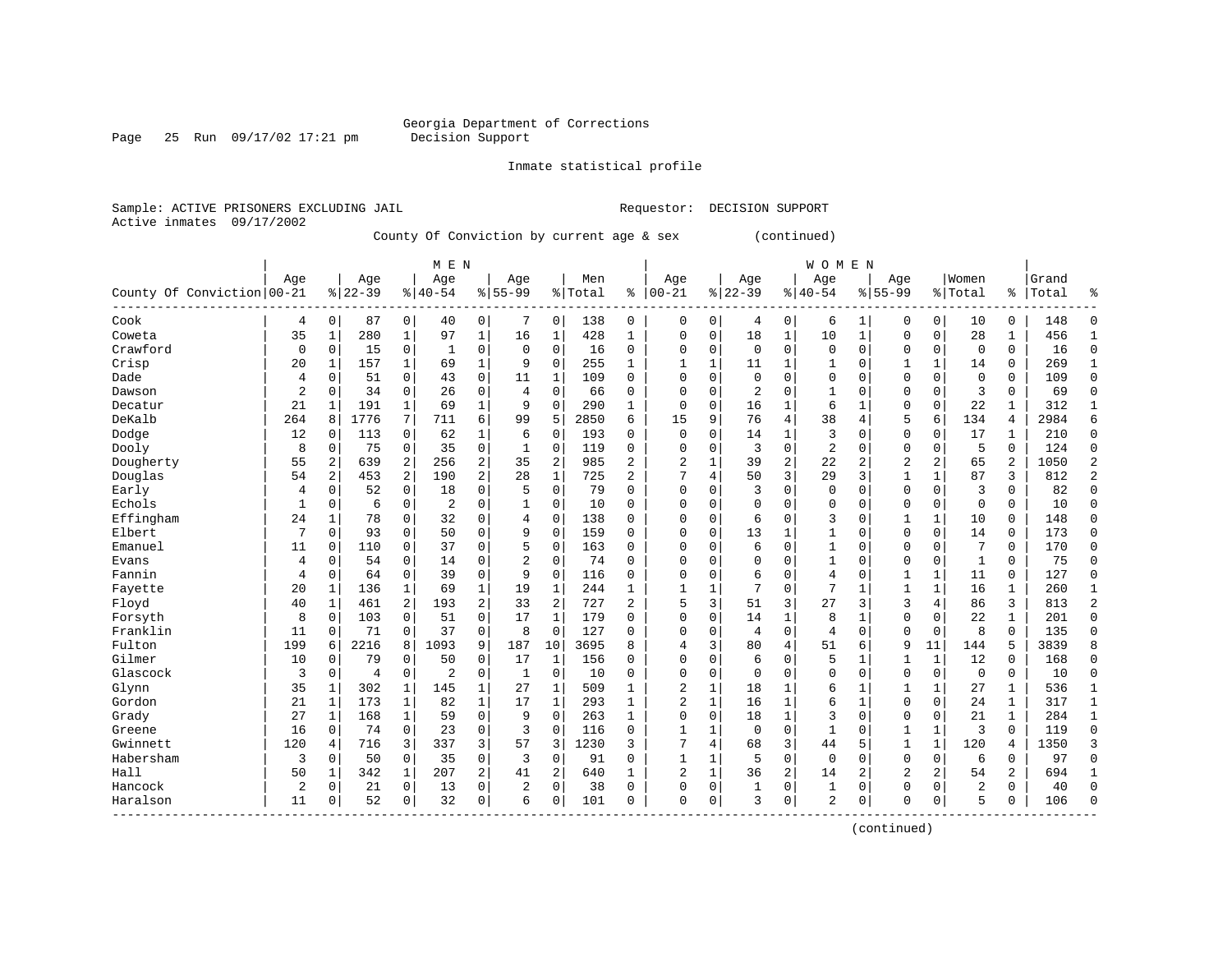# Georgia Department of Corrections<br>Decision Support

Page 25 Run 09/17/02 17:21 pm

Inmate statistical profile

Sample: ACTIVE PRISONERS EXCLUDING JAIL Requestor: DECISION SUPPORT Active inmates 09/17/2002

County Of Conviction by current age & sex (continued)

|                            |                |                |           |              | M E N          |                |                |                |           |                |                |                |             |                | WOMEN          |                |                |                |                |                |       |                |
|----------------------------|----------------|----------------|-----------|--------------|----------------|----------------|----------------|----------------|-----------|----------------|----------------|----------------|-------------|----------------|----------------|----------------|----------------|----------------|----------------|----------------|-------|----------------|
|                            | Age            |                | Age       |              | Age            |                | Age            |                | Men       |                | Age            |                | Age         |                | Age            |                | Age            |                | Women          |                | Grand |                |
| County Of Conviction 00-21 |                |                | $8 22-39$ |              | $8140 - 54$    |                | $8155 - 99$    |                | %   Total | ႜ              | $ 00 - 21$     |                | $8 22-39$   |                | $8 40-54$      |                | $8155 - 99$    |                | % Total        | ៖              | Total | ిక             |
| ${\tt Cook}$               | 4              | 0              | 87        | 0            | 40             | 0              | 7              | 0              | 138       | 0              | $\Omega$       | 0              | 4           | 0              | 6              | 1              | 0              | $\mathbf 0$    | 10             | $\Omega$       | 148   | 0              |
| Coweta                     | 35             | 1              | 280       | $\mathbf{1}$ | 97             | 1              | 16             | 1              | 428       | 1              | $\Omega$       | $\mathbf 0$    | 18          | 1              | 10             | 1              | $\Omega$       | $\mathbf 0$    | 28             | 1              | 456   | 1              |
| Crawford                   | $\mathbf 0$    | 0              | 15        | 0            | 1              | 0              | 0              | $\mathsf 0$    | 16        | $\mathbf 0$    | $\Omega$       | $\Omega$       | $\mathbf 0$ | 0              | $\Omega$       | $\mathbf 0$    | 0              | $\mathbf 0$    | $\mathbf 0$    | 0              | 16    | $\mathsf 0$    |
| Crisp                      | 20             | 1              | 157       | $\mathbf{1}$ | 69             | $\mathbf 1$    | 9              | 0              | 255       | 1              |                | $\mathbf{1}$   | 11          | 1              |                | $\mathbf 0$    |                | $\mathbf{1}$   | 14             | $\Omega$       | 269   | $\mathbf{1}$   |
| Dade                       | 4              | 0              | 51        | 0            | 43             | 0              | 11             | 1              | 109       | $\Omega$       | $\Omega$       | $\Omega$       | 0           | $\Omega$       | $\Omega$       | $\Omega$       | $\Omega$       | $\Omega$       | $\mathbf 0$    | $\Omega$       | 109   | $\mathbf 0$    |
| Dawson                     | $\overline{c}$ | 0              | 34        | $\Omega$     | 26             | $\mathbf 0$    | 4              | $\mathbf 0$    | 66        | $\Omega$       | $\Omega$       | $\Omega$       | 2           | $\Omega$       | $\mathbf{1}$   | $\Omega$       | $\Omega$       | $\Omega$       | 3              | $\Omega$       | 69    | $\mathbf 0$    |
| Decatur                    | 21             | 1              | 191       | $\mathbf{1}$ | 69             | 1              | 9              | $\mathbf 0$    | 290       | 1              | $\Omega$       | $\Omega$       | 16          | 1              | 6              | 1              | 0              | 0              | 22             |                | 312   | $\mathbf{1}$   |
| DeKalb                     | 264            | 8              | 1776      | 7            | 711            | 6              | 99             | 5              | 2850      | 6              | 15             | 9              | 76          | 4              | 38             | $\overline{4}$ | 5              | 6              | 134            | 4              | 2984  | 6              |
| Dodge                      | 12             | 0              | 113       | 0            | 62             | 1              | 6              | $\mathbf 0$    | 193       | $\Omega$       | $\Omega$       | $\Omega$       | 14          | 1              | 3              | $\Omega$       | $\Omega$       | $\Omega$       | 17             |                | 210   | $\mathbf 0$    |
| Dooly                      | 8              | $\mathbf 0$    | 75        | $\mathbf 0$  | 35             | $\mathbf 0$    | 1              | $\mathbf 0$    | 119       | $\mathbf 0$    | $\Omega$       | $\Omega$       | 3           | $\Omega$       | $\overline{2}$ | $\Omega$       | $\Omega$       | $\mathbf 0$    | 5              | $\Omega$       | 124   | $\mathbf 0$    |
| Dougherty                  | 55             | $\overline{2}$ | 639       | 2            | 256            | $\overline{2}$ | 35             | $\overline{2}$ | 985       | $\overline{2}$ | 2              | 1              | 39          | $\overline{c}$ | 22             | $\overline{2}$ | 2              | 2              | 65             | $\overline{c}$ | 1050  | $\overline{2}$ |
| Douglas                    | 54             | $\overline{2}$ | 453       | 2            | 190            | $\overline{a}$ | 28             | $\mathbf 1$    | 725       | 2              | 7              | 4              | 50          | 3              | 29             | 3              | 1              | $\mathbf{1}$   | 87             | 3              | 812   | $\overline{2}$ |
| Early                      | 4              | $\mathbf 0$    | 52        | 0            | 18             | 0              | 5              | $\mathbf 0$    | 79        | $\Omega$       | $\Omega$       | $\Omega$       | 3           | 0              | $\Omega$       | $\Omega$       | $\Omega$       | $\Omega$       | 3              | $\Omega$       | 82    | $\Omega$       |
| Echols                     | 1              | 0              | 6         | 0            | $\overline{2}$ | 0              | 1              | $\mathbf 0$    | 10        | $\mathbf 0$    | $\Omega$       | 0              | $\mathbf 0$ | 0              | $\Omega$       | 0              | $\Omega$       | $\mathbf 0$    | $\mathbf 0$    | $\Omega$       | 10    | $\mathbf 0$    |
| Effingham                  | 24             | 1              | 78        | $\mathbf 0$  | 32             | 0              | 4              | $\mathbf 0$    | 138       | $\mathbf 0$    | $\Omega$       | 0              | 6           | 0              | 3              | 0              |                | 1              | 10             | 0              | 148   | $\mathbf 0$    |
| Elbert                     | 7              | $\mathbf 0$    | 93        | $\mathbf 0$  | 50             | $\mathbf 0$    | 9              | $\mathbf 0$    | 159       | 0              | $\Omega$       | $\Omega$       | 13          | 1              |                | $\Omega$       | $\Omega$       | $\mathbf 0$    | 14             | $\Omega$       | 173   | $\mathbf 0$    |
| Emanuel                    | 11             | $\mathbf 0$    | 110       | $\mathbf 0$  | 37             | $\mathbf 0$    | 5              | $\mathbf 0$    | 163       | $\Omega$       | $\Omega$       | $\Omega$       | 6           | 0              |                | $\Omega$       | $\Omega$       | $\Omega$       | 7              | 0              | 170   | $\mathbf 0$    |
| Evans                      | $\overline{4}$ | $\mathbf 0$    | 54        | $\Omega$     | 14             | $\mathbf 0$    | $\overline{c}$ | $\mathbf 0$    | 74        | $\Omega$       | $\Omega$       | $\Omega$       | $\Omega$    | $\Omega$       | 1              | $\Omega$       | $\Omega$       | $\Omega$       | $\mathbf{1}$   | $\Omega$       | 75    | $\mathbf 0$    |
| Fannin                     | $\overline{4}$ | 0              | 64        | $\mathbf 0$  | 39             | $\mathbf 0$    | 9              | $\mathbf 0$    | 116       | $\mathbf 0$    | $\Omega$       | $\Omega$       | 6           | 0              | 4              | $\mathbf 0$    |                | $\mathbf{1}$   | 11             | $\Omega$       | 127   | $\mathbf 0$    |
| Fayette                    | 20             | 1              | 136       | $\mathbf{1}$ | 69             | $\mathbf 1$    | 19             | $\mathbf{1}$   | 244       | 1              |                |                | 7           | $\Omega$       | 7              | $\mathbf{1}$   | 1              | $\mathbf{1}$   | 16             | 1              | 260   | $\mathbf{1}$   |
| Floyd                      | 40             | 1              | 461       | 2            | 193            | $\overline{a}$ | 33             | $\overline{2}$ | 727       | 2              | 5              | 3              | 51          | 3              | 27             | 3              | 3              | 4              | 86             | 3              | 813   | $\overline{2}$ |
| Forsyth                    | 8              | 0              | 103       | $\mathbf 0$  | 51             | $\mathbf 0$    | 17             | $\mathbf{1}$   | 179       | $\mathbf 0$    | $\Omega$       | $\mathbf 0$    | 14          | 1              | 8              | 1              | 0              | 0              | 22             | 1              | 201   | $\mathbf 0$    |
| Franklin                   | 11             | 0              | 71        | $\mathbf 0$  | 37             | 0              | 8              | $\mathsf 0$    | 127       | 0              | $\Omega$       | $\Omega$       | 4           | 0              | 4              | $\mathsf 0$    | 0              | $\mathbf 0$    | 8              | $\Omega$       | 135   | $\mathsf 0$    |
| Fulton                     | 199            | 6              | 2216      | 8            | 1093           | 9              | 187            | 10             | 3695      | 8              | 4              | 3              | 80          | 4              | 51             | 6              | 9              | 11             | 144            | 5              | 3839  | 8              |
| Gilmer                     | 10             | $\mathbf 0$    | 79        | $\Omega$     | 50             | 0              | 17             | 1              | 156       | $\Omega$       | $\Omega$       | $\Omega$       | 6           | $\Omega$       | 5              | $\mathbf{1}$   |                | 1              | 12             | $\Omega$       | 168   | 0              |
| Glascock                   | 3              | 0              | 4         | 0            | $\overline{2}$ | 0              | 1              | 0              | 10        | $\Omega$       | $\Omega$       | $\Omega$       | $\Omega$    | $\Omega$       | $\Omega$       | $\Omega$       | $\Omega$       | $\Omega$       | $\Omega$       | $\Omega$       | 10    | $\mathbf 0$    |
| Glynn                      | 35             | 1              | 302       | $\mathbf{1}$ | 145            | 1              | 27             | 1              | 509       | $\mathbf{1}$   | 2              | $\mathbf{1}$   | 18          | 1              | 6              | 1              |                | 1              | 27             | $\mathbf{1}$   | 536   | $\mathbf{1}$   |
| Gordon                     | 21             | 1              | 173       | $\mathbf{1}$ | 82             | $\mathbf 1$    | 17             | $\mathbf 1$    | 293       | $\mathbf{1}$   | $\overline{2}$ | $\mathbf{1}$   | 16          | 1              | 6              | $\mathbf{1}$   | $\Omega$       | $\Omega$       | 24             | 1              | 317   | $\mathbf{1}$   |
| Grady                      | 27             | $\mathbf{1}$   | 168       | $\mathbf{1}$ | 59             | $\mathbf 0$    | 9              | $\mathbf 0$    | 263       | $\mathbf{1}$   | $\Omega$       | $\mathbf 0$    | 18          | $\mathbf{1}$   | 3              | $\mathbf 0$    | 0              | $\mathbf 0$    | 21             | $\mathbf{1}$   | 284   | $\mathbf{1}$   |
| Greene                     | 16             | 0              | 74        | $\mathbf 0$  | 23             | $\mathbf 0$    | 3              | $\mathbf 0$    | 116       | $\mathbf 0$    | 1              | 1              | $\mathbf 0$ | 0              | 1              | $\mathbf 0$    | 1              | $\mathbf{1}$   | 3              | $\Omega$       | 119   | $\mathsf 0$    |
| Gwinnett                   | 120            | 4              | 716       | 3            | 337            | 3              | 57             | 3              | 1230      | 3              | 7              | $\overline{4}$ | 68          | 3              | 44             | 5              |                | $\mathbf{1}$   | 120            | 4              | 1350  | 3              |
| Habersham                  | 3              | 0              | 50        | $\mathbf 0$  | 35             | $\mathbf 0$    | 3              | $\mathsf 0$    | 91        | 0              |                |                | 5           | 0              | $\Omega$       | 0              | 0              | $\mathbf 0$    | 6              | $\Omega$       | 97    | 0              |
| Hall                       | 50             | 1              | 342       | $\mathbf{1}$ | 207            | $\overline{a}$ | 41             | $\overline{2}$ | 640       | $\mathbf{1}$   | $\overline{2}$ | 1              | 36          | 2              | 14             | 2              | $\overline{2}$ | $\overline{a}$ | 54             | $\overline{c}$ | 694   | 1              |
| Hancock                    | $\overline{2}$ | $\Omega$       | 21        | $\Omega$     | 13             | $\Omega$       | 2              | $\mathbf 0$    | 38        | $\Omega$       | $\Omega$       | $\Omega$       | 1           | 0              | 1              | $\Omega$       | $\Omega$       | $\Omega$       | $\overline{2}$ | $\Omega$       | 40    | $\Omega$       |
| Haralson<br>------------   | 11             | $\mathbf 0$    | 52        | 0            | 32             | $\mathbf 0$    | 6              | $\mathbf 0$    | 101       | 0              | 0              | $\mathbf 0$    | 3           | 0              | $\overline{2}$ | 0              | $\Omega$       | 0              | 5              | 0              | 106   | $\Omega$       |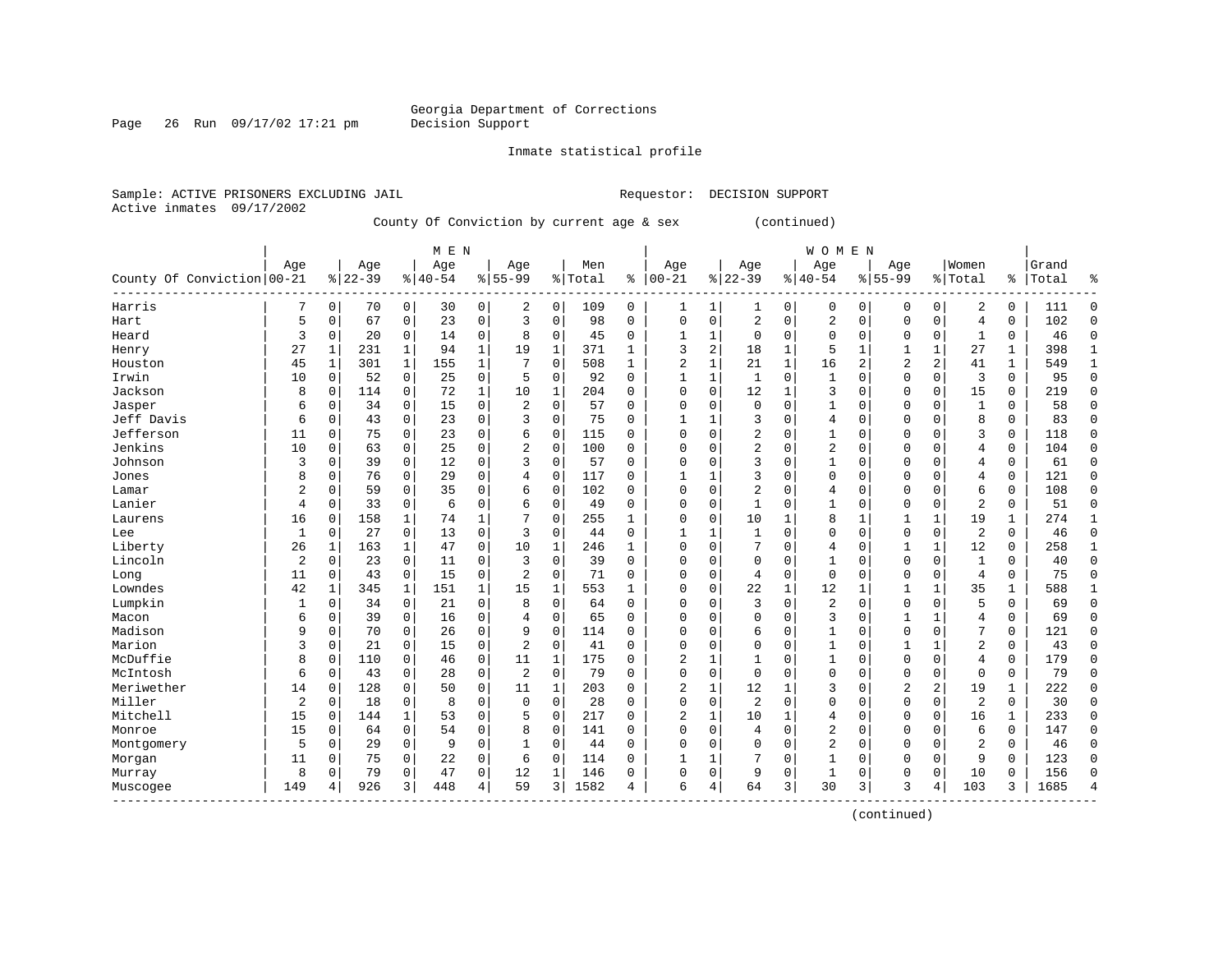Page 26 Run  $09/17/02$  17:21 pm

Inmate statistical profile

Active inmates 09/17/2002

Sample: ACTIVE PRISONERS EXCLUDING JAIL **Requestor: DECISION SUPPORT** 

County Of Conviction by current age & sex (continued)

|                            |                |          |           |              | M E N     |              |                |              |         |              |                |          |                |          | WOMEN          |                |                |                |                |               |       |                |
|----------------------------|----------------|----------|-----------|--------------|-----------|--------------|----------------|--------------|---------|--------------|----------------|----------|----------------|----------|----------------|----------------|----------------|----------------|----------------|---------------|-------|----------------|
|                            | Age            |          | Age       |              | Age       |              | Age            |              | Men     |              | Age            |          | Age            |          | Age            |                | Age            |                | Women          |               | Grand |                |
| County Of Conviction 00-21 |                |          | $8 22-39$ |              | $8 40-54$ |              | $8155 - 99$    |              | % Total | ႜ            | $ 00-21$       |          | $ 22-39$       |          | $8 40-54$      |                | $8155 - 99$    |                | % Total        | $\frac{1}{6}$ | Total | န္             |
| Harris                     | 7              | 0        | 70        | 0            | 30        | 0            | 2              | 0            | 109     | 0            | 1              | 1        |                | 0        | 0              | 0              | $\Omega$       | $\mathbf 0$    | 2              | 0             | 111   | $\Omega$       |
| Hart                       | 5              | 0        | 67        | $\mathbf 0$  | 23        | 0            | 3              | $\mathbf 0$  | 98      | $\Omega$     | $\Omega$       | 0        | $\overline{2}$ | 0        | 2              | $\mathbf 0$    | $\Omega$       | $\mathbf 0$    | $\overline{4}$ | 0             | 102   | $\Omega$       |
| Heard                      | 3              | 0        | 20        | $\mathbf 0$  | 14        | 0            | 8              | $\mathbf 0$  | 45      | 0            | 1              | 1        | $\mathbf 0$    | $\Omega$ | $\Omega$       | $\Omega$       | $\Omega$       | $\mathbf 0$    | 1              | 0             | 46    | $\Omega$       |
| Henry                      | 27             | 1        | 231       | $\mathbf{1}$ | 94        | $\mathbf 1$  | 19             | $\mathbf 1$  | 371     | 1            | 3              | 2        | 18             | 1        | 5              | 1              | 1              | 1              | 27             | 1             | 398   | $\mathbf{1}$   |
| Houston                    | 45             | 1        | 301       | $\mathbf{1}$ | 155       | $\mathbf{1}$ |                | $\mathbf 0$  | 508     | 1            | $\overline{2}$ | 1        | 21             | 1        | 16             | $\overline{a}$ | $\overline{2}$ | $\overline{a}$ | 41             | 1             | 549   | $\mathbf{1}$   |
| Irwin                      | 10             | 0        | 52        | $\mathbf 0$  | 25        | 0            | 5              | 0            | 92      | $\Omega$     | $\mathbf{1}$   | 1        | $\mathbf{1}$   | 0        | $\mathbf{1}$   | $\Omega$       | $\Omega$       | 0              | $\overline{3}$ | $\Omega$      | 95    | $\Omega$       |
| Jackson                    | 8              | 0        | 114       | $\mathbf 0$  | 72        | $\mathbf{1}$ | 10             | 1            | 204     | $\Omega$     | $\Omega$       | 0        | 12             | 1        | 3              | $\Omega$       | $\mathbf 0$    | 0              | 15             | 0             | 219   | $\Omega$       |
| Jasper                     | 6              | 0        | 34        | 0            | 15        | 0            | 2              | $\Omega$     | 57      | 0            | $\Omega$       | 0        | $\mathbf 0$    | $\Omega$ | 1              | $\Omega$       | $\Omega$       | $\Omega$       | $\mathbf{1}$   | 0             | 58    | $\Omega$       |
| Jeff Davis                 | 6              | 0        | 43        | 0            | 23        | 0            | 3              | $\Omega$     | 75      | 0            |                | 1        | 3              | $\Omega$ | 4              | $\Omega$       | $\Omega$       | 0              | 8              | 0             | 83    | $\Omega$       |
| Jefferson                  | 11             | $\Omega$ | 75        | $\Omega$     | 23        | 0            | 6              | $\Omega$     | 115     | 0            | $\Omega$       | O        |                | U        | 1              | $\Omega$       | $\Omega$       | O              | 3              | $\Omega$      | 118   | ∩              |
| Jenkins                    | 10             | 0        | 63        | $\Omega$     | 25        | $\Omega$     | $\overline{c}$ | $\Omega$     | 100     | 0            | $\Omega$       | O        | $\overline{c}$ | O        | $\overline{2}$ | $\Omega$       | $\Omega$       | $\Omega$       | 4              | $\Omega$      | 104   |                |
| Johnson                    | 3              | 0        | 39        | $\Omega$     | 12        | $\Omega$     | 3              | $\Omega$     | 57      | $\Omega$     | 0              | O        | 3              | $\Omega$ | 1              | $\Omega$       | $\Omega$       | $\Omega$       | 4              | 0             | 61    |                |
| Jones                      | 8              | 0        | 76        | $\Omega$     | 29        | $\Omega$     | 4              | $\mathbf 0$  | 117     | $\Omega$     |                | 1        | 3              | $\Omega$ | $\Omega$       | $\Omega$       | $\Omega$       | $\Omega$       | 4              | 0             | 121   | O              |
| Lamar                      | 2              | 0        | 59        | $\Omega$     | 35        | 0            | 6              | $\mathbf 0$  | 102     | $\Omega$     | $\Omega$       | 0        | $\overline{2}$ | 0        | 4              | $\Omega$       | $\Omega$       | $\Omega$       | 6              | 0             | 108   | $\Omega$       |
| Lanier                     | 4              | 0        | 33        | 0            | 6         | 0            | 6              | $\Omega$     | 49      | $\Omega$     | $\Omega$       | 0        | $\mathbf 1$    | $\Omega$ | 1              | $\Omega$       | $\Omega$       | 0              | $\overline{2}$ | $\Omega$      | 51    | $\Omega$       |
| Laurens                    | 16             | 0        | 158       | 1            | 74        | 1            | 7              | $\Omega$     | 255     | 1            | $\Omega$       | 0        | 10             | 1        | 8              | 1              | 1              | $\mathbf{1}$   | 19             | 1             | 274   | $\mathbf{1}$   |
| Lee                        | 1              | 0        | 27        | $\mathbf 0$  | 13        | 0            | 3              | $\Omega$     | 44      | $\Omega$     | $\mathbf{1}$   | 1        | $\mathbf{1}$   | $\Omega$ | 0              | $\mathbf 0$    | $\Omega$       | $\mathbf 0$    | 2              | 0             | 46    | $\Omega$       |
| Liberty                    | 26             | 1        | 163       | 1            | 47        | 0            | 10             | 1            | 246     | $\mathbf{1}$ | $\Omega$       | O        |                | $\Omega$ | 4              | $\Omega$       | 1              | $\mathbf{1}$   | 12             | 0             | 258   | $\mathbf{1}$   |
| Lincoln                    | $\overline{2}$ | $\Omega$ | 23        | $\Omega$     | 11        | 0            | 3              | $\Omega$     | 39      | $\Omega$     | $\Omega$       | O        | $\Omega$       | $\Omega$ |                | $\Omega$       | $\Omega$       | $\Omega$       | $\mathbf{1}$   | O             | 40    | $\Omega$       |
| Long                       | 11             | $\Omega$ | 43        | $\Omega$     | 15        | 0            | $\overline{c}$ | $\Omega$     | 71      | $\Omega$     | $\Omega$       | O        | 4              | $\Omega$ | $\mathbf 0$    | $\Omega$       | $\Omega$       | $\Omega$       | $\overline{4}$ | $\Omega$      | 75    | $\Omega$       |
| Lowndes                    | 42             | 1        | 345       | 1            | 151       | 1            | 15             | 1            | 553     | $\mathbf{1}$ | $\Omega$       | 0        | 22             | 1        | 12             | 1              | 1              | 1              | 35             | 1             | 588   |                |
| Lumpkin                    | 1              | 0        | 34        | $\mathbf 0$  | 21        | 0            | 8              | $\Omega$     | 64      | $\Omega$     | 0              | $\Omega$ | 3              | 0        | 2              | $\mathbf 0$    | 0              | $\mathbf 0$    | 5              | 0             | 69    | ∩              |
| Macon                      | б              | 0        | 39        | $\mathbf 0$  | 16        | 0            | 4              | $\mathbf 0$  | 65      | 0            | $\Omega$       | 0        | $\Omega$       | $\Omega$ | 3              | 0              | 1              | $\mathbf 1$    | 4              | 0             | 69    | $\Omega$       |
| Madison                    | 9              | 0        | 70        | $\mathbf 0$  | 26        | 0            | 9              | $\mathbf 0$  | 114     | $\Omega$     | $\Omega$       | O        | 6              | $\Omega$ | $\mathbf{1}$   | $\Omega$       | $\Omega$       | $\Omega$       | 7              | 0             | 121   | $\Omega$       |
| Marion                     | 3              | 0        | 21        | $\mathbf 0$  | 15        | 0            | $\overline{2}$ | 0            | 41      | $\Omega$     | $\Omega$       | 0        | $\mathbf 0$    | $\Omega$ | 1              | $\Omega$       | 1              | 1              | 2              | 0             | 43    | $\Omega$       |
| McDuffie                   | 8              | 0        | 110       | 0            | 46        | 0            | 11             | $\mathbf{1}$ | 175     | 0            | 2              |          |                | $\Omega$ | 1              | $\Omega$       | 0              | 0              | 4              | 0             | 179   | $\Omega$       |
| McIntosh                   | 6              | 0        | 43        | 0            | 28        | 0            | $\overline{2}$ | $\mathbf 0$  | 79      | $\Omega$     | $\Omega$       | 0        | $\mathbf 0$    | $\Omega$ | 0              | $\Omega$       | $\Omega$       | 0              | $\mathbf 0$    | 0             | 79    | $\Omega$       |
| Meriwether                 | 14             | 0        | 128       | 0            | 50        | 0            | 11             | $\mathbf{1}$ | 203     | $\Omega$     | 2              | 1        | 12             | 1        | 3              | $\Omega$       | $\overline{2}$ | $\overline{a}$ | 19             | 1             | 222   | ∩              |
| Miller                     | $\overline{2}$ | 0        | 18        | 0            | 8         | 0            | $\Omega$       | $\Omega$     | 28      | $\Omega$     | $\Omega$       | 0        | $\overline{2}$ | $\Omega$ | $\Omega$       | $\Omega$       | $\Omega$       | 0              | $\overline{2}$ | $\Omega$      | 30    |                |
| Mitchell                   | 15             | 0        | 144       | 1            | 53        | 0            | 5              | $\mathbf 0$  | 217     | $\Omega$     | 2              | 1        | 10             | 1        | 4              | $\Omega$       | $\Omega$       | $\mathbf 0$    | 16             | 1             | 233   | $\Omega$       |
| Monroe                     | 15             | 0        | 64        | $\mathbf 0$  | 54        | 0            | 8              | $\mathbf 0$  | 141     | 0            | 0              | 0        | 4              | 0        | $\overline{2}$ | $\mathbf 0$    | 0              | 0              | 6              | 0             | 147   | $\Omega$       |
| Montgomery                 | 5              | 0        | 29        | $\mathbf 0$  | 9         | 0            |                | $\mathbf 0$  | 44      | 0            | $\Omega$       | 0        | $\mathbf 0$    | $\Omega$ | $\overline{2}$ | 0              | $\Omega$       | 0              | $\overline{2}$ | 0             | 46    | $\Omega$       |
| Morgan                     | 11             | 0        | 75        | $\Omega$     | 22        | 0            | 6              | $\Omega$     | 114     | $\Omega$     | $\mathbf{1}$   | 1        | 7              | 0        | 1              | $\Omega$       | $\Omega$       | $\Omega$       | 9              | $\Omega$      | 123   | ∩              |
| Murray                     | 8              | 0        | 79        | $\Omega$     | 47        | 0            | 12             | 1            | 146     | 0            | $\Omega$       | 0        | 9              | $\Omega$ | 1              | $\Omega$       | $\Omega$       | $\Omega$       | 10             | 0             | 156   | ∩              |
| Muscogee                   | 149            | 4        | 926       | 3            | 448       | 4            | 59             | 3            | 1582    | 4            | 6              | 4        | 64             | 3        | 30             | 3              | 3              | 4              | 103            | 3             | 1685  | $\overline{4}$ |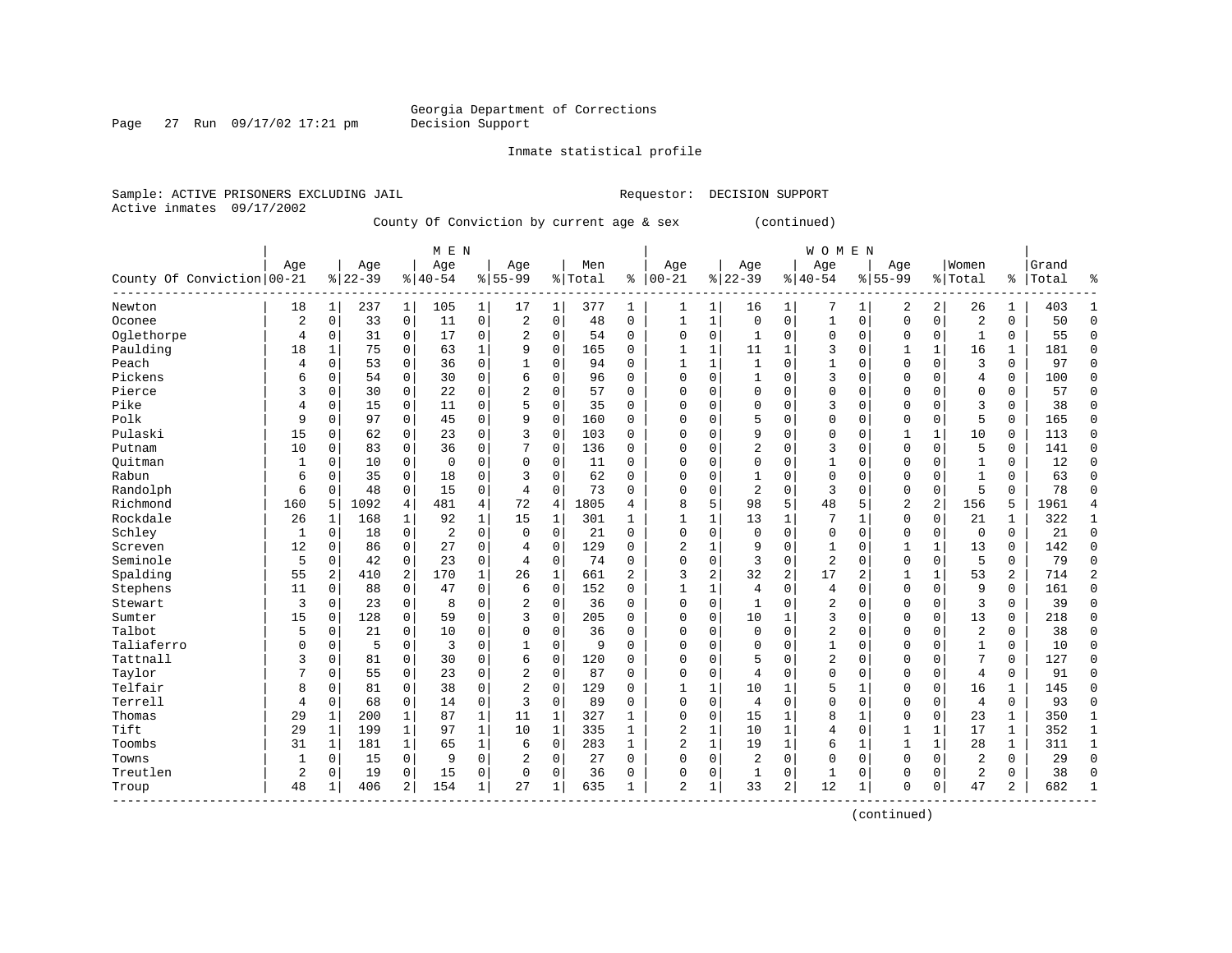Page 27 Run  $09/17/02$  17:21 pm

Inmate statistical profile

Active inmates 09/17/2002

Sample: ACTIVE PRISONERS EXCLUDING JAIL **Requestor: DECISION SUPPORT** 

County Of Conviction by current age & sex (continued)

|                            |                |              |           |             | M E N          |                |                |              |         |                |                |   |                |              | <b>WOMEN</b>   |              |                |              |                |               |       |                |
|----------------------------|----------------|--------------|-----------|-------------|----------------|----------------|----------------|--------------|---------|----------------|----------------|---|----------------|--------------|----------------|--------------|----------------|--------------|----------------|---------------|-------|----------------|
|                            | Age            |              | Age       |             | Age            |                | Age            |              | Men     |                | Age            |   | Age            |              | Age            |              | Age            |              | Women          |               | Grand |                |
| County Of Conviction 00-21 |                |              | $8 22-39$ |             | $8 40-54$      |                | $8155 - 99$    |              | % Total | ి              | $ 00 - 21$     | % | $22 - 39$      |              | $8 40-54$      |              | $8155 - 99$    |              | % Total        | $\frac{1}{6}$ | Total | ႜ              |
| Newton                     | 18             | $\mathbf{1}$ | 237       | $\mathbf 1$ | 105            | 1              | 17             | 1            | 377     | 1              | 1              | 1 | 16             | 1            | 7              | 1            | 2              | 2            | 26             | 1             | 403   | -1             |
| Oconee                     | $\overline{c}$ | $\Omega$     | 33        | $\mathbf 0$ | 11             | $\mathbf 0$    | 2              | $\mathbf 0$  | 48      | $\Omega$       | $\mathbf{1}$   | 1 | $\Omega$       | $\Omega$     | $\mathbf{1}$   | $\Omega$     | $\Omega$       | $\mathbf 0$  | $\overline{2}$ | $\Omega$      | 50    | $\Omega$       |
| Oglethorpe                 | 4              | 0            | 31        | 0           | 17             | $\mathbf 0$    | $\overline{2}$ | 0            | 54      | 0              | $\Omega$       | 0 | $\mathbf{1}$   | $\Omega$     | 0              | $\mathbf 0$  | $\Omega$       | 0            | 1              | 0             | 55    | $\Omega$       |
| Paulding                   | 18             | 1            | 75        | 0           | 63             | $\mathbf 1$    | 9              | $\mathbf 0$  | 165     | 0              |                | 1 | 11             | 1            | 3              | $\mathbf 0$  |                | 1            | 16             | 1             | 181   | $\Omega$       |
| Peach                      | 4              | $\mathbf 0$  | 53        | 0           | 36             | 0              | $\mathbf{1}$   | $\mathbf 0$  | 94      | 0              | $\mathbf{1}$   | 1 | $\mathbf{1}$   | $\Omega$     |                | $\Omega$     | $\Omega$       | 0            | 3              | 0             | 97    | $\Omega$       |
| Pickens                    | 6              | $\mathbf 0$  | 54        | $\mathbf 0$ | 30             | 0              | 6              | $\mathbf 0$  | 96      | $\Omega$       | $\Omega$       | 0 | 1              | $\Omega$     | 3              | $\Omega$     | $\Omega$       | $\Omega$     | $\overline{4}$ | 0             | 100   | $\Omega$       |
| Pierce                     | 3              | 0            | 30        | $\mathbf 0$ | 22             | $\mathbf 0$    | $\overline{2}$ | $\mathbf 0$  | 57      | 0              | $\Omega$       | 0 | $\Omega$       | $\Omega$     | $\Omega$       | $\mathbf 0$  | $\Omega$       | 0            | $\Omega$       | 0             | 57    | $\Omega$       |
| Pike                       | 4              | 0            | 15        | $\mathbf 0$ | 11             | 0              | 5              | 0            | 35      | $\Omega$       | 0              | 0 | $\Omega$       | 0            | 3              | $\Omega$     | $\Omega$       | $\Omega$     | 3              | 0             | 38    | $\Omega$       |
| Polk                       | 9              | $\Omega$     | 97        | $\mathbf 0$ | 45             | 0              | 9              | $\mathbf 0$  | 160     | 0              | 0              | 0 | 5              | 0            | 0              | 0            | $\Omega$       | $\Omega$     | 5              | 0             | 165   | $\Omega$       |
| Pulaski                    | 15             | $\Omega$     | 62        | 0           | 23             | $\mathbf 0$    | 3              | $\mathbf 0$  | 103     | 0              | Ω              | O | 9              | $\Omega$     | 0              | $\Omega$     | $\mathbf{1}$   | 1            | 10             | 0             | 113   | $\Omega$       |
| Putnam                     | 10             | $\Omega$     | 83        | $\Omega$    | 36             | $\mathbf 0$    | 7              | $\mathbf 0$  | 136     | $\Omega$       | O              | O | $\overline{2}$ | $\Omega$     | 3              | $\Omega$     | $\Omega$       | $\Omega$     | 5              | $\Omega$      | 141   | $\Omega$       |
| Ouitman                    | 1              | $\Omega$     | 10        | $\mathbf 0$ | $\mathbf 0$    | $\mathbf 0$    | $\Omega$       | $\mathbf 0$  | 11      | $\Omega$       | O              | 0 | $\Omega$       | $\Omega$     | $\mathbf{1}$   | $\Omega$     | $\Omega$       | $\Omega$     | $\mathbf{1}$   | 0             | 12    | $\Omega$       |
| Rabun                      | 6              | 0            | 35        | $\mathbf 0$ | 18             | 0              | 3              | $\mathbf 0$  | 62      | 0              | 0              | 0 |                | 0            | 0              | $\Omega$     | $\Omega$       | $\Omega$     | $\mathbf{1}$   | 0             | 63    | $\Omega$       |
| Randolph                   | 6              | $\mathbf 0$  | 48        | $\mathbf 0$ | 15             | 0              | $\overline{4}$ | $\mathbf 0$  | 73      | 0              | 0              | 0 | $\overline{2}$ | 0            | 3              | 0            | $\Omega$       | 0            | 5              | 0             | 78    | $\Omega$       |
| Richmond                   | 160            | 5            | 1092      | 4           | 481            | $\overline{4}$ | 72             | 4            | 1805    | 4              | 8              | 5 | 98             | 5            | 48             | 5            | $\overline{2}$ | 2            | 156            | 5             | 1961  | $\overline{4}$ |
| Rockdale                   | 26             | 1            | 168       | 1           | 92             | $\mathbf{1}$   | 15             | 1            | 301     | $\mathbf{1}$   | $\mathbf{1}$   | 1 | 13             | 1            | 7              | 1            | $\Omega$       | $\Omega$     | 21             | 1             | 322   | $\mathbf{1}$   |
| Schley                     | 1              | 0            | 18        | 0           | $\overline{2}$ | $\mathbf 0$    | $\mathbf 0$    | 0            | 21      | $\Omega$       | $\Omega$       | 0 | $\Omega$       | $\Omega$     | $\Omega$       | $\Omega$     | $\Omega$       | $\Omega$     | $\mathbf 0$    | 0             | 21    | $\Omega$       |
| Screven                    | 12             | 0            | 86        | $\mathbf 0$ | 27             | 0              | 4              | 0            | 129     | 0              | 2              |   | 9              | $\Omega$     | 1              | $\Omega$     | 1              | 1            | 13             | 0             | 142   | $\Omega$       |
| Seminole                   | 5              | 0            | 42        | 0           | 23             | 0              | 4              | $\mathbf 0$  | 74      | $\Omega$       | $\Omega$       | O | 3              | 0            | 2              | $\Omega$     | $\Omega$       | 0            | 5              | 0             | 79    | $\Omega$       |
| Spalding                   | 55             | 2            | 410       | 2           | 170            | $\mathbf 1$    | 26             | 1            | 661     | $\overline{a}$ | 3              | 2 | 32             | 2            | 17             | 2            | 1              | 1            | 53             | 2             | 714   | $\mathcal{D}$  |
| Stephens                   | 11             | $\Omega$     | 88        | $\mathbf 0$ | 47             | $\mathbf 0$    | 6              | $\mathbf 0$  | 152     | $\Omega$       | -1             | 1 | 4              | $\Omega$     | $\overline{4}$ | $\Omega$     | $\Omega$       | 0            | 9              | 0             | 161   | $\Omega$       |
| Stewart                    | 3              | $\mathbf 0$  | 23        | $\mathbf 0$ | 8              | $\mathbf 0$    | $\overline{2}$ | $\mathbf 0$  | 36      | 0              | $\Omega$       | 0 | 1              | $\Omega$     | 2              | $\mathbf 0$  | $\Omega$       | 0            | 3              | 0             | 39    | $\Omega$       |
| Sumter                     | 15             | 0            | 128       | $\mathbf 0$ | 59             | $\mathbf 0$    | 3              | $\mathbf 0$  | 205     | $\Omega$       | 0              | 0 | 10             |              | 3              | $\mathbf 0$  | $\Omega$       | $\Omega$     | 13             | 0             | 218   |                |
| Talbot                     | 5              | 0            | 21        | 0           | 10             | $\mathsf 0$    | $\Omega$       | $\mathbf 0$  | 36      | $\Omega$       | 0              | 0 | $\Omega$       | $\Omega$     | 2              | $\Omega$     | $\Omega$       | $\Omega$     | $\overline{a}$ | 0             | 38    | $\Omega$       |
| Taliaferro                 | $\Omega$       | 0            | 5         | $\mathbf 0$ | 3              | $\mathbf 0$    | 1              | $\mathbf 0$  | 9       | $\Omega$       | $\Omega$       | 0 | $\Omega$       | O            | 1              | $\Omega$     | $\Omega$       | $\Omega$     | $\mathbf{1}$   | 0             | 10    | $\Omega$       |
| Tattnall                   | 3              | 0            | 81        | $\mathbf 0$ | 30             | 0              | б              | 0            | 120     | $\Omega$       | $\Omega$       | 0 | 5              | $\Omega$     | 2              | $\Omega$     | $\Omega$       | $\Omega$     | 7              | 0             | 127   | $\Omega$       |
| Taylor                     | 7              | 0            | 55        | 0           | 23             | $\mathsf 0$    | $\overline{2}$ | 0            | 87      | 0              | 0              | 0 | 4              | $\Omega$     | 0              | $\Omega$     | $\Omega$       | $\Omega$     | $\overline{4}$ | 0             | 91    | $\Omega$       |
| Telfair                    | 8              | 0            | 81        | 0           | 38             | $\mathbf 0$    | $\overline{2}$ | $\mathbf 0$  | 129     | O              | 1              | 1 | 10             |              | 5              | 1            | $\Omega$       | 0            | 16             | 1             | 145   | $\Omega$       |
| Terrell                    | 4              | 0            | 68        | 0           | 14             | $\mathbf 0$    | 3              | $\mathbf 0$  | 89      | 0              | $\Omega$       | 0 | 4              | $\Omega$     | $\Omega$       | $\Omega$     | $\Omega$       | 0            | $\overline{4}$ | 0             | 93    | $\Omega$       |
| Thomas                     | 29             | 1            | 200       | 1           | 87             | $\mathbf{1}$   | 11             | 1            | 327     | $\mathbf{1}$   | $\Omega$       | 0 | 15             | 1            | 8              | 1            | $\Omega$       | 0            | 23             | $\mathbf{1}$  | 350   | 1              |
| Tift                       | 29             | 1            | 199       | 1           | 97             | $\mathbf{1}$   | 10             | $\mathbf{1}$ | 335     | $\mathbf{1}$   | 2              | 1 | 10             | $\mathbf{1}$ | 4              | $\Omega$     | 1              | $\mathbf{1}$ | 17             | 1             | 352   | 1              |
| Toombs                     | 31             | 1            | 181       | 1           | 65             | $\mathbf 1$    | 6              | $\mathbf 0$  | 283     | $\mathbf{1}$   | 2              | 1 | 19             | 1            | 6              | $\mathbf{1}$ | 1              | $\mathbf 1$  | 28             | 1             | 311   | $\mathbf{1}$   |
| Towns                      | 1              | 0            | 15        | 0           | 9              | 0              | 2              | 0            | 27      | $\Omega$       | 0              | 0 | 2              | 0            | 0              | $\mathbf 0$  | $\Omega$       | 0            | 2              | 0             | 29    | $\Omega$       |
| Treutlen                   | $\overline{a}$ | 0            | 19        | $\mathbf 0$ | 15             | $\mathsf 0$    | $\Omega$       | $\mathbf 0$  | 36      | 0              | 0              | 0 | $\mathbf{1}$   | 0            | $\mathbf{1}$   | 0            | $\Omega$       | 0            | $\overline{2}$ | 0             | 38    | $\Omega$       |
| Troup                      | 48             | $\mathbf 1$  | 406       | 2           | 154            | $\mathbf 1$    | 27             | 1            | 635     | 1              | $\overline{a}$ | 1 | 33             | 2            | 12             | 1            | $\Omega$       | 0            | 47             | 2             | 682   | $\mathbf{1}$   |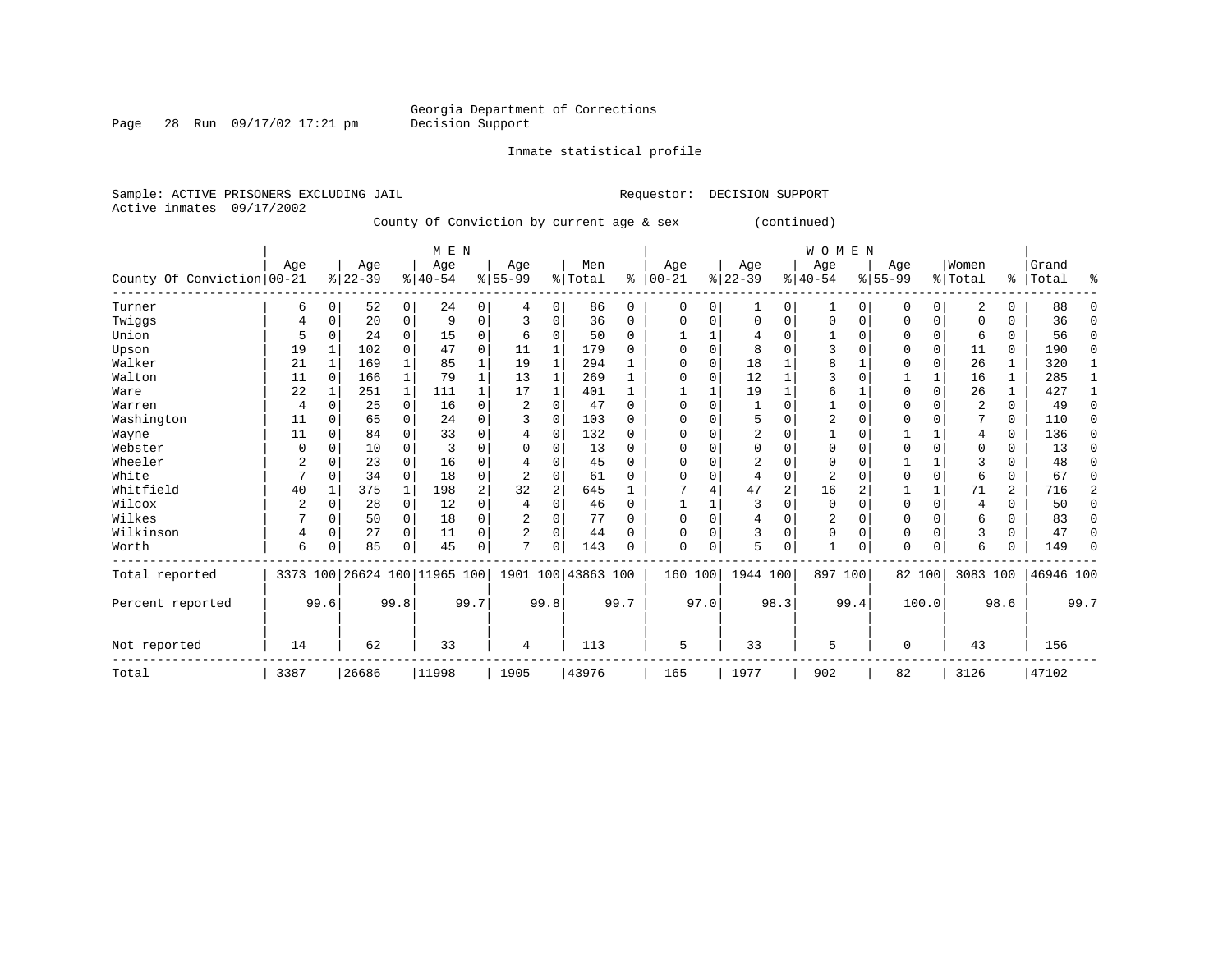Inmate statistical profile

Sample: ACTIVE PRISONERS EXCLUDING JAIL **Requestor: DECISION SUPPORT** Active inmates 09/17/2002

County Of Conviction by current age & sex (continued)

|                            |      |              | M E N                        |          |           |      |                |                |                    |          |              |          | <b>WOMEN</b>   |                |                |          |             |              |                         |          |           |                |
|----------------------------|------|--------------|------------------------------|----------|-----------|------|----------------|----------------|--------------------|----------|--------------|----------|----------------|----------------|----------------|----------|-------------|--------------|-------------------------|----------|-----------|----------------|
|                            | Age  |              | Age                          |          | Age       |      | Age            |                | Men                |          | Age          |          | Age            |                | Age            |          | Age         |              | Women                   |          | Grand     |                |
| County Of Conviction 00-21 |      |              | $ 22-39$                     |          | $8 40-54$ |      | $8 55-99$      |                | % Total            | ి        | $ 00 - 21$   |          | $ 22-39 $      |                | $ 40-54$       |          | $8155 - 99$ |              | % Total                 | ွေ       | Total     | ిక             |
| Turner                     | 6    | $\Omega$     | 52                           | 0        | 24        | 0    | 4              | 0              | 86                 | 0        | $\Omega$     | 0        | 1              | 0              | 1              | $\Omega$ | 0           | $\Omega$     | 2                       | 0        | 88        | $\Omega$       |
| Twiggs                     | 4    | O            | 20                           | 0        | 9         | 0    | 3              | 0              | 36                 | $\Omega$ | <sup>0</sup> | O        | $\Omega$       | 0              | $\mathbf 0$    | $\Omega$ | 0           | $\Omega$     | <sup>0</sup>            | 0        | 36        | $\Omega$       |
| Union                      | 5    | $\Omega$     | 24                           | $\Omega$ | 15        | 0    | 6              | $\Omega$       | 50                 | 0        |              |          | 4              | U              |                | n        | U           | $\Omega$     | 6                       | 0        | 56        | $\Omega$       |
| Upson                      | 19   |              | 102                          | $\Omega$ | 47        | 0    | 11             |                | 179                | U        |              | $\Omega$ | 8              | U              | 3              |          | U           | $\Omega$     | 11                      | $\Omega$ | 190       | $\Omega$       |
| Walker                     | 21   |              | 169                          |          | 85        |      | 19             |                | 294                |          | ∩            | $\Omega$ | 18             |                |                |          | 0           | $\Omega$     | 26                      |          | 320       |                |
| Walton                     | 11   | $\Omega$     | 166                          |          | 79        |      | 13             |                | 269                |          |              |          | 12             |                |                |          |             | $\mathbf{1}$ | 16                      |          | 285       |                |
| Ware                       | 22   |              | 251                          |          | 111       |      | 17             |                | 401                |          |              |          | 19             |                | 6              |          | U           | $\Omega$     | 26                      |          | 427       |                |
| Warren                     | 4    |              | 25                           | $\Omega$ | 16        | 0    | 2              | $\Omega$       | 47                 | $\Omega$ | $\cap$       |          | 1              |                |                |          | U           | $\Omega$     | $\overline{\mathbf{c}}$ | $\Omega$ | 49        | $\Omega$       |
| Washington                 | 11   | <sup>0</sup> | 65                           | $\Omega$ | 24        | 0    | 3              | $\Omega$       | 103                | 0        |              | U        | 5              | O              | $\overline{2}$ |          | U           |              |                         | $\Omega$ | 110       | $\Omega$       |
| Wayne                      | 11   |              | 84                           | $\Omega$ | 33        | 0    | 4              | $\Omega$       | 132                | 0        | ∩            | $\cap$   | 2              | O              |                |          |             |              | 4                       | $\Omega$ | 136       | $\Omega$       |
| Webster                    | U    |              | 10                           | $\Omega$ | 3         | O    | $\Omega$       | $\Omega$       | 13                 | 0        |              |          | $\Omega$       | O              | O              |          |             | $\Omega$     | <sup>0</sup>            | O        | 13        | $\Omega$       |
| Wheeler                    | 2    |              | 23                           | $\Omega$ | 16        | 0    |                | $\Omega$       | 45                 | 0        | <sup>0</sup> | U        | $\overline{2}$ | O              | $\Omega$       |          |             |              | 3                       | $\Omega$ | 48        | $\Omega$       |
| White                      | 7    | $\Omega$     | 34                           | $\Omega$ | 18        | 0    |                | $\Omega$       | 61                 | U        | ∩            |          | 4              | 0              | 2              |          | U           | $\Omega$     | 6                       | 0        | 67        | $\Omega$       |
| Whitfield                  | 40   |              | 375                          |          | 198       | 2    | 32             | $\overline{2}$ | 645                |          |              |          | 47             | $\overline{a}$ | 16             | 2        |             | $\mathbf{1}$ | 71                      | 2        | 716       | $\overline{a}$ |
| Wilcox                     |      | O            | 28                           | 0        | 12        | 0    | $\overline{4}$ | $\Omega$       | 46                 | $\Omega$ |              |          |                | O              | $\Omega$       | $\cap$   | $\Omega$    | $\Omega$     | $\overline{4}$          | $\Omega$ | 50        | 0              |
| Wilkes                     |      | $\Omega$     | 50                           | 0        | 18        | 0    | 2              | $\Omega$       | 77                 | 0        | $\Omega$     | $\Omega$ | 4              | 0              | 2              |          | 0           | $\Omega$     | 6                       | O        | 83        | 0              |
| Wilkinson                  | 4    | 0            | 27                           | $\Omega$ | 11        | 0    | $\overline{a}$ | $\Omega$       | 44                 | 0        | $\Omega$     | $\Omega$ | 3              | 0              | $\Omega$       | $\Omega$ | 0           | $\Omega$     | 3                       | $\Omega$ | 47        | $\Omega$       |
| Worth                      | 6    |              | 85                           | $\Omega$ | 45        | 0    | 7              | $\Omega$       | 143                | 0        | $\Omega$     | 0        | 5              | 0              |                | $\Omega$ | U           | $\Omega$     | 6                       |          | 149       | $\Omega$       |
| Total reported             |      |              | 3373 100 26624 100 11965 100 |          |           |      |                |                | 1901 100 43863 100 |          | 160 100      |          | 1944 100       |                | 897 100        |          |             | 82 100       | 3083 100                |          | 46946 100 |                |
| Percent reported           |      | 99.6         |                              | 99.8     |           | 99.7 |                | 99.8           |                    | 99.7     |              | 97.0     |                | 98.3           |                | 99.4     |             | 100.0        |                         | 98.6     |           | 99.7           |
| Not reported               | 14   |              | 62                           |          | 33        |      | 4              |                | 113                |          | 5            |          | 33             |                | 5              |          | $\Omega$    |              | 43                      |          | 156       |                |
| Total                      | 3387 |              | 26686                        |          | 11998     |      | 1905           |                | 43976              |          | 165          |          | 1977           |                | 902            |          | 82          |              | 3126                    |          | 47102     |                |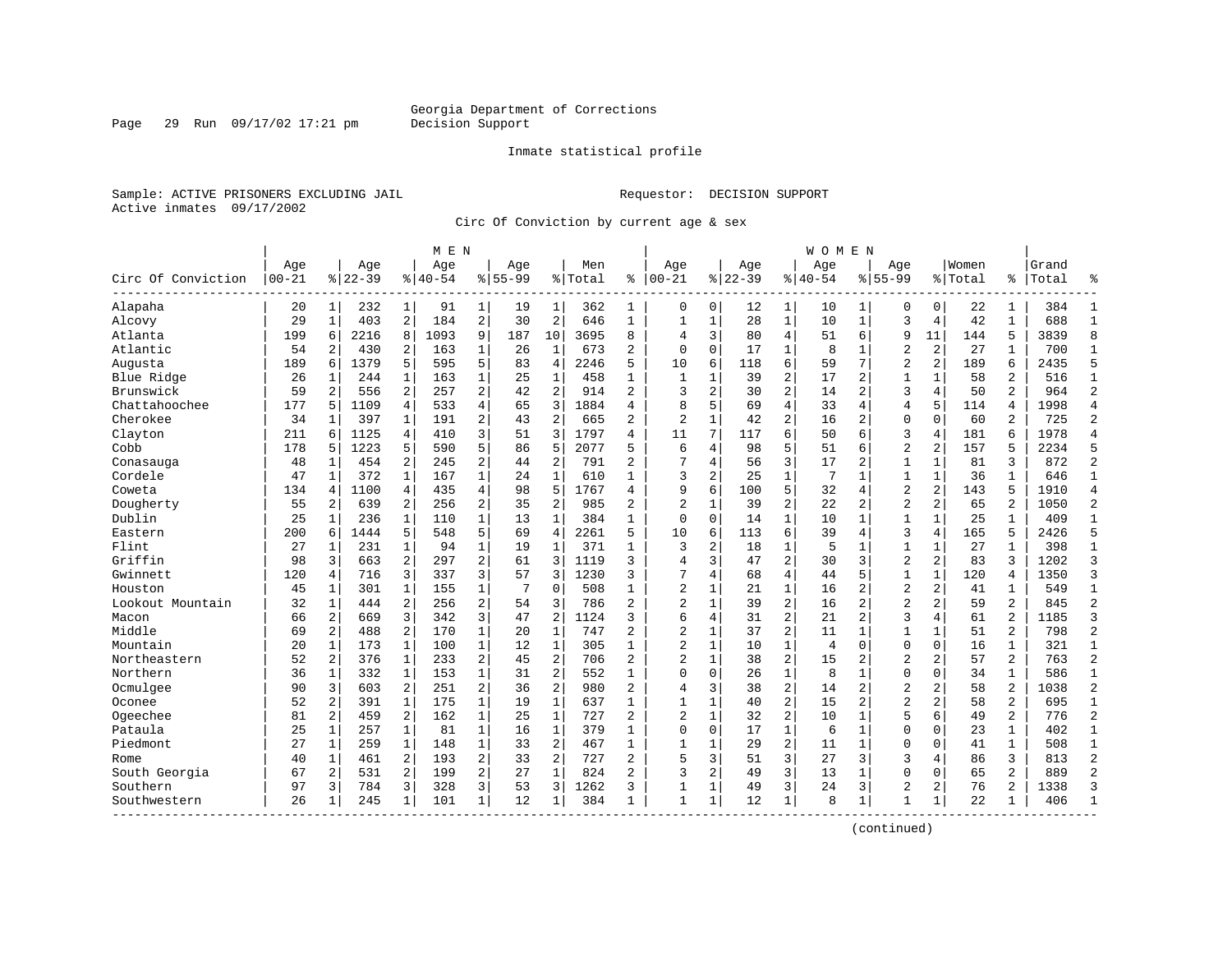Page 29 Run 09/17/02 17:21 pm

#### Inmate statistical profile

Sample: ACTIVE PRISONERS EXCLUDING JAIL **Requestor: DECISION SUPPORT** Active inmates 09/17/2002

Circ Of Conviction by current age & sex

|                    |                  |                |                  |                | M E N            |                |                    |                |                |                |                   |              |                  |                | W O M E N          |                |                    |                         |                  |                |                |                |
|--------------------|------------------|----------------|------------------|----------------|------------------|----------------|--------------------|----------------|----------------|----------------|-------------------|--------------|------------------|----------------|--------------------|----------------|--------------------|-------------------------|------------------|----------------|----------------|----------------|
| Circ Of Conviction | Age<br>$00 - 21$ |                | Age<br>$8 22-39$ |                | Age<br>$8 40-54$ |                | Aqe<br>$8155 - 99$ |                | Men<br>% Total | ి              | Aqe<br>$ 00 - 21$ |              | Aqe<br>$8 22-39$ |                | Aqe<br>$8140 - 54$ |                | Aqe<br>$8155 - 99$ |                         | Women<br>% Total | ‱              | Grand<br>Total | °              |
| Alapaha            | 20               | $\mathbf 1$    | 232              | $\mathbf{1}$   | 91               | 1              | 19                 | 1              | 362            | 1              | 0                 | $\mathbf 0$  | 12               | 1              | 10                 | 1              | $\Omega$           | $\mathbf 0$             | 22               | 1              | 384            | $\mathbf{1}$   |
| Alcovy             | 29               | $\mathbf{1}$   | 403              | 2              | 184              | $\overline{2}$ | 30                 | $\overline{2}$ | 646            | $\mathbf{1}$   | $\mathbf{1}$      | $\mathbf{1}$ | 28               | $\mathbf 1$    | 10                 | $\mathbf{1}$   | 3                  | 4                       | 42               | $\mathbf{1}$   | 688            | $\mathbf{1}$   |
| Atlanta            | 199              | 6              | 2216             | 8              | 1093             | 9              | 187                | 10             | 3695           | 8              | 4                 | 3            | 80               | $\overline{4}$ | 51                 | 6              | 9                  | 11                      | 144              | 5              | 3839           | 8              |
| Atlantic           | 54               | 2              | 430              | 2              | 163              | 1              | 26                 | 1              | 673            | 2              | $\mathbf 0$       | $\mathbf 0$  | 17               | $\mathbf{1}$   | 8                  | 1              | $\overline{2}$     | 2                       | 27               | 1              | 700            | $\mathbf{1}$   |
| Augusta            | 189              | 6              | 1379             | 5              | 595              | 5              | 83                 | $\overline{4}$ | 2246           | 5              | 10                | 6            | 118              | 6              | 59                 | 7              | $\overline{2}$     | 2                       | 189              | 6              | 2435           | 5              |
| Blue Ridge         | 26               | 1              | 244              | 1              | 163              | $\mathbf{1}$   | 25                 | $\mathbf{1}$   | 458            | 1              | 1                 | 1            | 39               | $\overline{2}$ | 17                 | 2              | $\mathbf{1}$       | 1                       | 58               | $\overline{2}$ | 516            | $\mathbf{1}$   |
| Brunswick          | 59               | 2              | 556              | 2              | 257              | 2              | 42                 | $\overline{2}$ | 914            | $\overline{a}$ | 3                 | 2            | 30               | $\overline{c}$ | 14                 | 2              | 3                  | 4                       | 50               | $\overline{a}$ | 964            | $\overline{2}$ |
| Chattahoochee      | 177              | 5              | 1109             | 4              | 533              | 4              | 65                 | 3              | 1884           | 4              | 8                 | 5            | 69               | $\overline{4}$ | 33                 | 4              | 4                  | 5                       | 114              | 4              | 1998           | $\overline{4}$ |
| Cherokee           | 34               | 1              | 397              | 1              | 191              | 2              | 43                 | $\overline{2}$ | 665            | 2              | 2                 | 1            | 42               | $\overline{c}$ | 16                 | 2              | $\mathbf{0}$       | $\Omega$                | 60               | 2              | 725            | $\overline{2}$ |
| Clayton            | 211              | 6              | 1125             | 4              | 410              | 3              | 51                 | 3              | 1797           | 4              | 11                | 7            | 117              | 6              | 50                 | 6              | 3                  | 4                       | 181              | 6              | 1978           | $\overline{4}$ |
| Cobb               | 178              | 5              | 1223             | 5              | 590              | 5              | 86                 | 5              | 2077           | 5              | 6                 | 4            | 98               | 5              | 51                 | 6              | $\overline{2}$     | $\overline{a}$          | 157              | 5              | 2234           | 5              |
| Conasauga          | 48               | $\mathbf{1}$   | 454              | 2              | 245              | $\overline{2}$ | 44                 | $\overline{2}$ | 791            | 2              | 7                 | 4            | 56               | 3              | 17                 | $\overline{2}$ | $\mathbf{1}$       | $\mathbf 1$             | 81               | 3              | 872            | $\overline{2}$ |
| Cordele            | 47               | $\mathbf{1}$   | 372              | $\mathbf{1}$   | 167              | $\mathbf{1}$   | 24                 | $\mathbf{1}$   | 610            | $\mathbf{1}$   | 3                 | 2            | 25               | $\mathbf{1}$   | $\overline{7}$     | $\mathbf{1}$   | $\mathbf{1}$       | $\mathbf{1}$            | 36               | $\mathbf{1}$   | 646            | $\overline{1}$ |
| Coweta             | 134              | 4              | 1100             | $\overline{4}$ | 435              | 4              | 98                 | 5              | 1767           | 4              | 9                 | 6            | 100              | 5              | 32                 | 4              | $\overline{2}$     | $\overline{2}$          | 143              | 5              | 1910           | $\overline{4}$ |
| Dougherty          | 55               | 2              | 639              | $\overline{2}$ | 256              | 2              | 35                 | $\sqrt{2}$     | 985            | 2              | $\overline{c}$    | 1            | 39               | $\overline{c}$ | 22                 | $\overline{a}$ | $\overline{2}$     | $\overline{\mathbf{c}}$ | 65               | 2              | 1050           | $\overline{c}$ |
| Dublin             | 25               | 1              | 236              | 1              | 110              | $\mathbf{1}$   | 13                 | $\mathbf{1}$   | 384            | $\mathbf{1}$   | $\mathbf 0$       | $\mathbf 0$  | 14               | $\mathbf{1}$   | 10                 | 1              | $\mathbf{1}$       | $\mathbf 1$             | 25               | 1              | 409            | 1              |
| Eastern            | 200              | 6              | 1444             | 5              | 548              | 5              | 69                 | $\overline{4}$ | 2261           | 5              | 10                | 6            | 113              | 6              | 39                 | 4              | 3                  | 4                       | 165              | 5              | 2426           | 5              |
| Flint              | 27               | $\mathbf{1}$   | 231              | $\mathbf{1}$   | 94               | $\mathbf{1}$   | 19                 | $\mathbf{1}$   | 371            | $\mathbf{1}$   | 3                 | 2            | 18               | $\mathbf{1}$   | 5                  | $\mathbf 1$    | $\mathbf{1}$       | $\mathbf{1}$            | 27               | $\mathbf{1}$   | 398            | $\mathbf{1}$   |
| Griffin            | 98               | 3              | 663              | 2              | 297              | 2              | 61                 | 3              | 1119           | 3              | $\overline{4}$    | 3            | 47               | $\overline{c}$ | 30                 | $\overline{3}$ | $\overline{2}$     | 2                       | 83               | ζ              | 1202           | $\overline{3}$ |
| Gwinnett           | 120              | 4              | 716              | 3              | 337              | 3              | 57                 | 3              | 1230           | 3              | 7                 | 4            | 68               | $\overline{4}$ | 44                 | 5              | $\mathbf{1}$       | $\mathbf{1}$            | 120              | 4              | 1350           | $\overline{3}$ |
| Houston            | 45               | 1              | 301              | 1              | 155              | $\mathbf 1$    | 7                  | $\mathbf 0$    | 508            | $\mathbf{1}$   | $\overline{a}$    | 1            | 21               | 1              | 16                 | 2              | $\overline{2}$     | $\overline{c}$          | 41               | 1              | 549            | $\mathbf{1}$   |
| Lookout Mountain   | 32               | $\mathbf{1}$   | 444              | 2              | 256              | $\overline{a}$ | 54                 | 3              | 786            | 2              | 2                 | $\mathbf 1$  | 39               | $\overline{2}$ | 16                 | 2              | $\overline{a}$     | $\overline{a}$          | 59               | $\overline{2}$ | 845            | $\overline{2}$ |
| Macon              | 66               | $\overline{a}$ | 669              | 3              | 342              | 3              | 47                 | $\overline{2}$ | 1124           | 3              | 6                 | 4            | 31               | $\overline{2}$ | 21                 | $\overline{a}$ | 3                  | 4                       | 61               | $\overline{a}$ | 1185           | 3              |
| Middle             | 69               | $\overline{a}$ | 488              | $\overline{a}$ | 170              | $\mathbf{1}$   | 20                 | $\mathbf{1}$   | 747            | $\overline{2}$ | $\overline{2}$    | $\mathbf{1}$ | 37               | $\overline{a}$ | 11                 | $\mathbf{1}$   | $\mathbf{1}$       | $\mathbf{1}$            | 51               | $\overline{a}$ | 798            | $\overline{2}$ |
| Mountain           | 20               | $\mathbf{1}$   | 173              | $\mathbf{1}$   | 100              | $\mathbf{1}$   | 12                 | $\mathbf{1}$   | 305            | $\mathbf{1}$   | $\overline{c}$    | $\mathbf 1$  | 10               | $\mathbf 1$    | $\overline{4}$     | $\mathbf 0$    | $\mathbf 0$        | $\mathbf 0$             | 16               | $\mathbf{1}$   | 321            | $\mathbf{1}$   |
| Northeastern       | 52               | 2              | 376              | $\mathbf{1}$   | 233              | 2              | 45                 | $\overline{2}$ | 706            | $\overline{2}$ | $\overline{2}$    | $\mathbf 1$  | 38               | $\overline{a}$ | 15                 | 2              | $\overline{2}$     | 2                       | 57               | $\overline{a}$ | 763            | $\overline{2}$ |
| Northern           | 36               | 1              | 332              | 1              | 153              | $\mathbf 1$    | 31                 | $\overline{2}$ | 552            | 1              | $\Omega$          | 0            | 26               | $\mathbf 1$    | 8                  | 1              | 0                  | 0                       | 34               | 1              | 586            | $\mathbf{1}$   |
| Ocmulgee           | 90               | 3              | 603              | 2              | 251              | 2              | 36                 | $\overline{2}$ | 980            | 2              | 4                 | 3            | 38               | $\overline{2}$ | 14                 | 2              | $\overline{2}$     | $\overline{a}$          | 58               | $\overline{2}$ | 1038           | $\overline{2}$ |
| Oconee             | 52               | $\overline{a}$ | 391              | $\mathbf{1}$   | 175              | $\mathbf{1}$   | 19                 | 1              | 637            | $\mathbf{1}$   | $\mathbf{1}$      | $\mathbf{1}$ | 40               | $\overline{2}$ | 15                 | $\overline{a}$ | $\overline{a}$     | $\overline{a}$          | 58               | $\overline{2}$ | 695            | $\mathbf{1}$   |
| Ogeechee           | 81               | 2              | 459              | $\overline{a}$ | 162              | $\mathbf{1}$   | 25                 | $\mathbf{1}$   | 727            | $\overline{2}$ | $\overline{2}$    | $\mathbf{1}$ | 32               | $\overline{a}$ | 10                 | $\mathbf{1}$   | 5                  | 6                       | 49               | $\overline{a}$ | 776            | $\overline{2}$ |
| Pataula            | 25               | $\mathbf{1}$   | 257              | $\mathbf 1$    | 81               | $\mathbf{1}$   | 16                 | $\mathbf 1$    | 379            | $\mathbf{1}$   | $\mathbf 0$       | $\mathbf 0$  | 17               | $\mathbf 1$    | 6                  | $\mathbf{1}$   | $\mathbf{0}$       | 0                       | 23               | $\mathbf{1}$   | 402            | $\mathbf{1}$   |
| Piedmont           | 27               | 1              | 259              | $\mathbf{1}$   | 148              | $\mathbf 1$    | 33                 | $\overline{2}$ | 467            | $\mathbf{1}$   | $\mathbf{1}$      | $\mathbf 1$  | 29               | $\overline{a}$ | 11                 | $\mathbf{1}$   | $\mathbf{0}$       | 0                       | 41               | $\mathbf{1}$   | 508            | $\mathbf{1}$   |
| Rome               | 40               | 1              | 461              | 2              | 193              | 2              | 33                 | $\overline{2}$ | 727            | $\overline{a}$ | 5                 | 3            | 51               | 3              | 27                 | 3              | 3                  | 4                       | 86               | 3              | 813            | $\overline{2}$ |
| South Georgia      | 67               | 2              | 531              | $\overline{a}$ | 199              | 2              | 27                 | $\mathbf{1}$   | 824            | 2              | 3                 | 2            | 49               | 3              | 13                 | 1              | $\Omega$           | $\Omega$                | 65               | $\overline{a}$ | 889            | $\overline{2}$ |
| Southern           | 97               | 3              | 784              | 3              | 328              | 3              | 53                 | 3              | 1262           | 3              | 1                 | 1            | 49               | 3              | 24                 | 3              | $\overline{2}$     | $\overline{a}$          | 76               | $\overline{2}$ | 1338           | 3              |
| Southwestern       | 26               | -1             | 245              | 1              | 101              | $\mathbf{1}$   | 12                 | 1              | 384            | 1              | $\mathbf{1}$      | $\mathbf 1$  | 12               | $\mathbf{1}$   | 8                  | 1              | 1                  | 1                       | 22               | 1              | 406            | $\mathbf{1}$   |
|                    |                  |                |                  |                |                  |                |                    |                |                |                |                   |              |                  |                |                    |                |                    |                         |                  |                |                |                |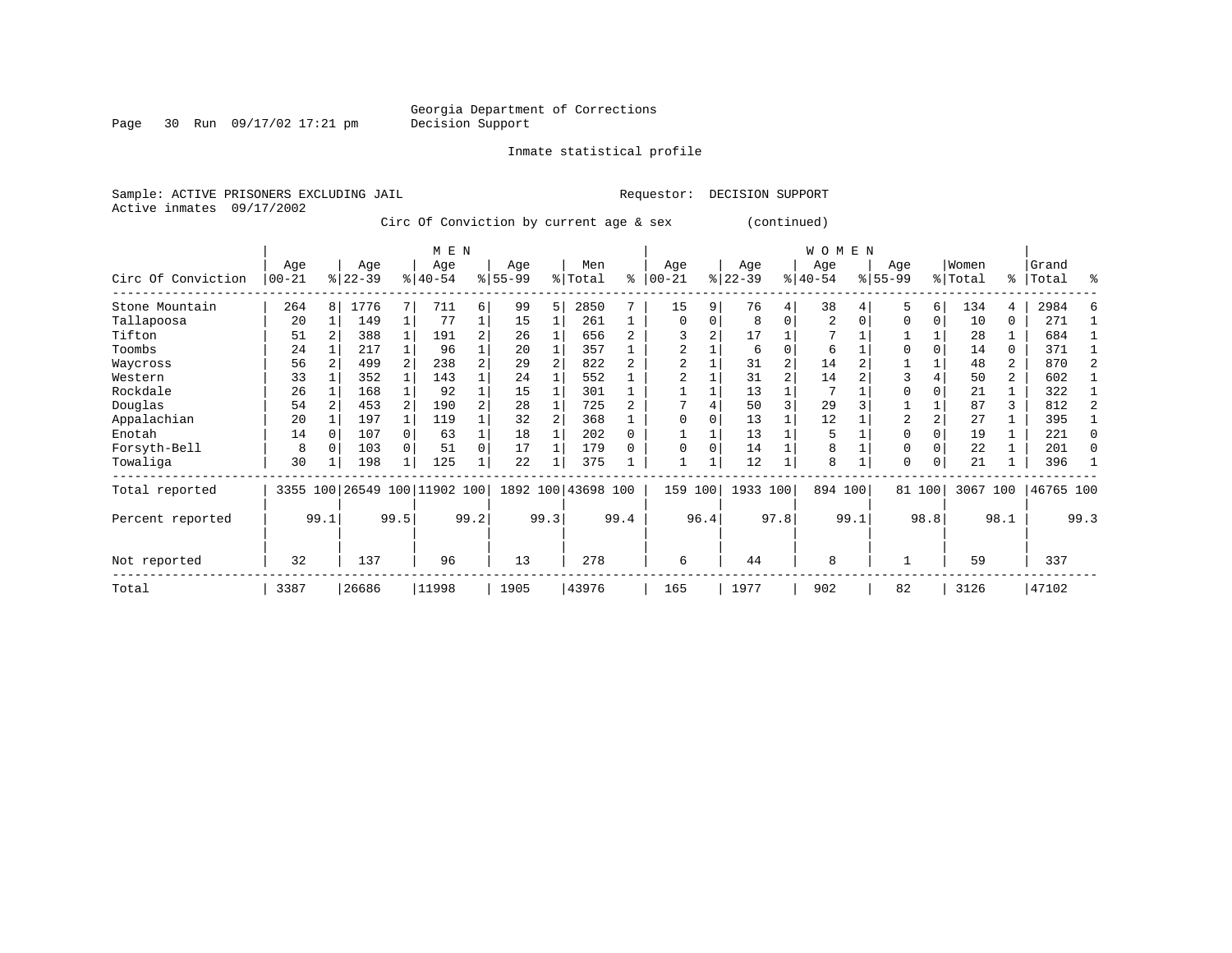Page 30 Run 09/17/02 17:21 pm

Inmate statistical profile

Active inmates 09/17/2002

Sample: ACTIVE PRISONERS EXCLUDING JAIL **Requestor: DECISION SUPPORT** 

Circ Of Conviction by current age & sex (continued)

|                    | M E N            |                |                  |              |                         |                |                  |      |                    |        |                  |      |                  |                | WOMEN            |      |                    |          |                  |                |                |      |
|--------------------|------------------|----------------|------------------|--------------|-------------------------|----------------|------------------|------|--------------------|--------|------------------|------|------------------|----------------|------------------|------|--------------------|----------|------------------|----------------|----------------|------|
| Circ Of Conviction | Age<br>$00 - 21$ |                | Age<br>$ 22-39 $ |              | Age<br>$8 40-54$        |                | Age<br>$8 55-99$ |      | Men<br>% Total     | ႜ      | Age<br>$00 - 21$ | %    | Age<br>$22 - 39$ |                | Age<br>$ 40-54 $ |      | Age<br>$8155 - 99$ |          | Women<br>% Total | ႜ              | Grand<br>Total | °    |
| Stone Mountain     | 264              | 8 <sup>1</sup> | 1776             |              | 711                     | б.             | 99               | 5    | 2850               |        | 15               | 9    | 76               | 4              | 38               |      | 5                  | 6        | 134              | 4              | 2984           |      |
| Tallapoosa         | 20               |                | 149              |              | 77                      |                | 15               |      | 261                |        | $\Omega$         | 0    | 8                | $\Omega$       | 2                |      | $\Omega$           | 0        | 10               | $\Omega$       | 271            |      |
| Tifton             | 51               |                | 388              |              | 191                     | 2              | 26               |      | 656                |        |                  |      | 17               |                |                  |      |                    |          | 28               |                | 684            |      |
| Toombs             | 24               |                | 217              |              | 96                      |                | 20               |      | 357                |        |                  |      | 6                | $\Omega$       | 6                |      |                    | $\Omega$ | 14               | 0              | 371            |      |
| Waycross           | 56               |                | 499              |              | 238                     | 2              | 29               |      | 822                |        |                  |      | 31               | 2              | 14               |      |                    |          | 48               | 2              | 870            |      |
| Western            | 33               |                | 352              |              | 143                     |                | 24               |      | 552                |        |                  |      | 31               | $\overline{a}$ | 14               |      |                    |          | 50               | $\overline{a}$ | 602            |      |
| Rockdale           | 26               |                | 168              |              | 92                      |                | 15               |      | 301                |        |                  |      | 13               |                |                  |      |                    |          | 21               |                | 322            |      |
| Douglas            | 54               |                | 453              |              | 190                     | $\overline{a}$ | 28               |      | 725                |        |                  |      | 50               |                | 29               |      |                    |          | 87               | 3              | 812            |      |
| Appalachian        | 20               |                | 197              |              | 119                     |                | 32               |      | 368                |        | $\Omega$         |      | 13               |                | 12               |      | $\overline{2}$     |          | 27               |                | 395            |      |
| Enotah             | 14               |                | 107              | $\cap$       | 63                      |                | 18               |      | 202                | $\cap$ |                  |      | 13               |                | 5                |      | $\Omega$           | $\Omega$ | 19               |                | 221            |      |
| Forsyth-Bell       | 8                |                | 103              |              | 51                      | $\Omega$       | 17               |      | 179                |        | $\Omega$         | O    | 14               |                | 8                |      | 0                  |          | 22               |                | 201            |      |
| Towaliga           | 30               |                | 198              | $\mathbf{1}$ | 125                     | 1              | 22               |      | 375                |        |                  |      | 12               |                | 8                |      | $\Omega$           | 0        | 21               |                | 396            |      |
| Total reported     | 3355             |                |                  |              | 100 26549 100 11902 100 |                |                  |      | 1892 100 43698 100 |        | 159              | 100  | 1933 100         |                | 894 100          |      |                    | 81 100   | 3067 100         |                | 46765 100      |      |
| Percent reported   |                  | 99.1           |                  | 99.5         |                         | 99.2           |                  | 99.3 |                    | 99.4   |                  | 96.4 |                  | 97.8           |                  | 99.1 |                    | 98.8     |                  | 98.1           |                | 99.3 |
| Not reported       | 32               |                | 137              |              | 96                      |                | 13               |      | 278                |        | 6                |      | 44               |                | 8                |      |                    |          | 59               |                | 337            |      |
| Total              | 3387             |                | 26686            |              | 11998                   |                | 1905             |      | 43976              |        | 165              |      | 1977             |                | 902              |      | 82                 |          | 3126             |                | 47102          |      |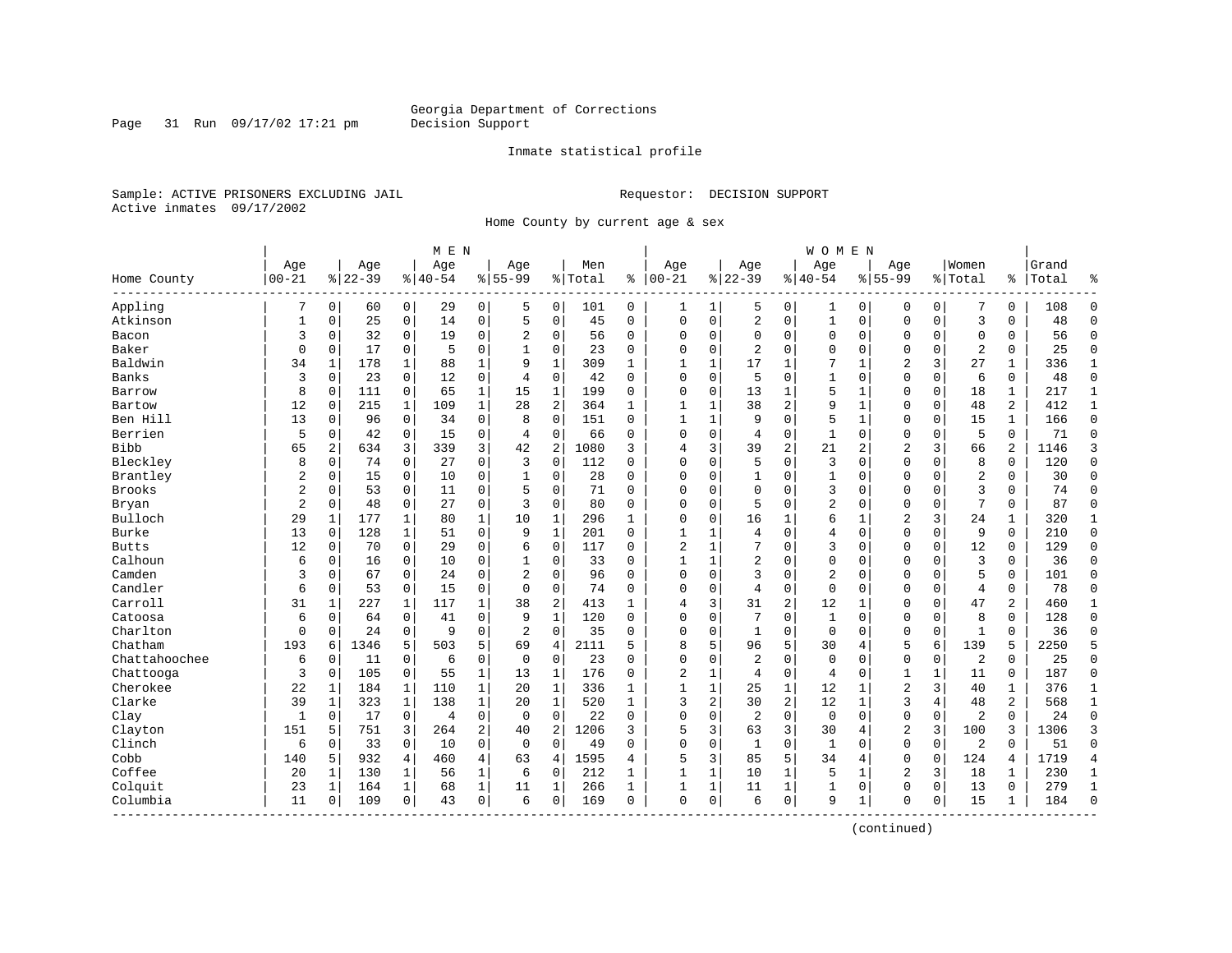Page 31 Run 09/17/02 17:21 pm

#### Inmate statistical profile

Sample: ACTIVE PRISONERS EXCLUDING JAIL **Requestor: DECISION SUPPORT** Active inmates 09/17/2002

Home County by current age & sex

|                       |                |                |           |                | M E N    |                |                |                |         |              |                |              |                |                | <b>WOMEN</b>   |                |                |             |                |                |       |                |
|-----------------------|----------------|----------------|-----------|----------------|----------|----------------|----------------|----------------|---------|--------------|----------------|--------------|----------------|----------------|----------------|----------------|----------------|-------------|----------------|----------------|-------|----------------|
|                       | Age            |                | Age       |                | Age      |                | Age            |                | Men     |              | Age            |              | Age            |                | Age            |                | Age            |             | Women          |                | Grand |                |
| Home County           | $00 - 21$      |                | $8 22-39$ |                | $ 40-54$ |                | $8155 - 99$    |                | % Total | နွ           | $ 00-21$       |              | $8 22-39$      |                | $ 40-54$       |                | $8155 - 99$    |             | % Total        | ి              | Total | န္             |
| Appling               | 7              | $\overline{0}$ | 60        | $\overline{0}$ | 29       | $\overline{0}$ | 5              | 0              | 101     | 0            | 1              | $\mathbf 1$  | 5              | 0              | 1              | 0              | 0              | 0           | 7              | 0              | 108   | $\Omega$       |
| Atkinson              | 1              | 0              | 25        | 0              | 14       | 0              | 5              | 0              | 45      | $\Omega$     | $\mathbf 0$    | 0            | 2              | $\mathbf 0$    | $\mathbf 1$    | $\mathbf 0$    | $\mathbf{0}$   | $\mathbf 0$ | $\overline{3}$ | 0              | 48    | $\Omega$       |
| Bacon                 | 3              | 0              | 32        | 0              | 19       | 0              | 2              | 0              | 56      | 0            | $\Omega$       | 0            | $\mathbf 0$    | 0              | 0              | $\mathbf 0$    | $\Omega$       | $\mathbf 0$ | $\mathbf 0$    | 0              | 56    | $\Omega$       |
| Baker                 | $\Omega$       | $\Omega$       | 17        | $\mathbf 0$    | 5        | 0              |                | $\Omega$       | 23      | $\Omega$     | $\Omega$       | $\Omega$     | $\overline{2}$ | $\Omega$       | $\Omega$       | $\Omega$       | $\Omega$       | $\Omega$    | $\overline{2}$ | $\Omega$       | 25    | $\Omega$       |
| Baldwin               | 34             | 1              | 178       | 1              | 88       | $\mathbf{1}$   | 9              | $\mathbf{1}$   | 309     | $\mathbf{1}$ | $\mathbf{1}$   | 1            | 17             | 1              | 7              | $\mathbf{1}$   | $\overline{2}$ | 3           | 27             | $\mathbf 1$    | 336   | $\mathbf{1}$   |
| Banks                 | 3              | $\Omega$       | 23        | $\mathbf 0$    | 12       | 0              | $\overline{4}$ | $\Omega$       | 42      | $\Omega$     | $\Omega$       | 0            | 5              | $\Omega$       | $\mathbf{1}$   | $\mathbf 0$    | $\Omega$       | $\mathbf 0$ | 6              | 0              | 48    | $\Omega$       |
| Barrow                | 8              | 0              | 111       | 0              | 65       | 1              | 15             | $\mathbf 1$    | 199     | 0            | 0              | 0            | 13             | $\mathbf{1}$   | 5              | 1              | $\Omega$       | $\mathbf 0$ | 18             | 1              | 217   | 1              |
| Bartow                | 12             | 0              | 215       | $\mathbf{1}$   | 109      | $\mathbf{1}$   | 28             | 2              | 364     | $\mathbf{1}$ | $\mathbf{1}$   | $\mathbf{1}$ | 38             | $\overline{2}$ | 9              | $\mathbf 1$    | $\Omega$       | 0           | 48             | $\overline{a}$ | 412   | $\mathbf{1}$   |
| Ben Hill              | 13             | $\Omega$       | 96        | $\mathbf 0$    | 34       | 0              | 8              | $\Omega$       | 151     | $\Omega$     | $\mathbf{1}$   | $\mathbf{1}$ | 9              | $\Omega$       | 5              | $\mathbf{1}$   | $\mathbf{0}$   | $\Omega$    | 15             | $\mathbf{1}$   | 166   | $\Omega$       |
| Berrien               | 5              | 0              | 42        | $\mathbf 0$    | 15       | 0              | $\overline{4}$ | $\mathbf 0$    | 66      | $\Omega$     | $\Omega$       | 0            | 4              | 0              | $\mathbf{1}$   | 0              | $\Omega$       | 0           | 5              | 0              | 71    | $\Omega$       |
| <b>Bibb</b>           | 65             | 2              | 634       | 3              | 339      | 3              | 42             | 2              | 1080    | 3            | 4              | 3            | 39             | 2              | 21             | $\overline{2}$ | $\overline{2}$ | 3           | 66             | 2              | 1146  | 3              |
| Bleckley              | 8              | 0              | 74        | 0              | 27       | 0              | 3              | $\mathbf 0$    | 112     | 0            | $\Omega$       | 0            | 5              | 0              | 3              | $\mathbf 0$    | $\Omega$       | $\Omega$    | 8              | 0              | 120   | $\Omega$       |
| Brantley              | 2              | 0              | 15        | 0              | 10       | 0              | 1              | 0              | 28      | 0            | 0              | 0            | 1              | 0              | 1              | 0              | 0              | 0           | $\overline{2}$ | 0              | 30    | $\Omega$       |
| <b>Brooks</b>         | $\overline{2}$ | $\Omega$       | 53        | $\mathbf 0$    | 11       | 0              | 5              | $\Omega$       | 71      | $\Omega$     | $\Omega$       | 0            | $\Omega$       | $\Omega$       | 3              | $\Omega$       | $\Omega$       | $\Omega$    | 3              | $\Omega$       | 74    | $\Omega$       |
| Bryan                 | 2              | 0              | 48        | $\mathbf 0$    | 27       | 0              | ζ              | $\Omega$       | 80      | $\Omega$     | $\Omega$       | 0            | 5              | $\Omega$       | 2              | $\Omega$       | $\mathbf{0}$   | $\Omega$    | 7              | 0              | 87    | $\Omega$       |
| Bulloch               | 29             | 1              | 177       | 1              | 80       | $\mathbf 1$    | 10             | 1              | 296     | 1            | $\Omega$       | 0            | 16             | 1              | 6              | 1              | 2              | 3           | 24             | 1              | 320   | 1              |
| Burke                 | 13             | 0              | 128       | 1              | 51       | 0              | 9              | 1              | 201     | 0            | 1              |              | 4              | $\Omega$       | 4              | $\mathbf 0$    | $\Omega$       | 0           | 9              | 0              | 210   | $\Omega$       |
| <b>Butts</b>          | 12             | $\Omega$       | 70        | $\Omega$       | 29       | $\Omega$       | 6              | $\Omega$       | 117     | $\Omega$     | $\overline{2}$ | $\mathbf{1}$ | 7              | $\Omega$       | 3              | $\Omega$       | $\Omega$       | $\Omega$    | 12             | $\Omega$       | 129   | $\Omega$       |
| Calhoun               | 6              | $\Omega$       | 16        | $\Omega$       | 10       | 0              |                | $\Omega$       | 33      | $\Omega$     | 1              | $\mathbf{1}$ | 2              | $\Omega$       | 0              | $\Omega$       | $\Omega$       | $\Omega$    | $\overline{3}$ | 0              | 36    | $\Omega$       |
| Camden                | 3              | 0              | 67        | $\mathbf 0$    | 24       | 0              | $\overline{2}$ | $\Omega$       | 96      | $\Omega$     | $\Omega$       | $\Omega$     | 3              | $\Omega$       | $\overline{2}$ | $\mathbf 0$    | $\Omega$       | $\Omega$    | 5              | $\Omega$       | 101   | $\Omega$       |
| Candler               | 6              | 0              | 53        | 0              | 15       | 0              | $\Omega$       | 0              | 74      | $\Omega$     | $\Omega$       | 0            | 4              | 0              | $\mathbf 0$    | $\mathbf 0$    | $\Omega$       | 0           | $\overline{4}$ | 0              | 78    | $\Omega$       |
| Carroll               | 31             | 1              | 227       | 1              | 117      | 1              | 38             | 2              | 413     | 1            | 4              | 3            | 31             | 2              | 12             | 1              | $\Omega$       | $\Omega$    | 47             | 2              | 460   | $\mathbf{1}$   |
| Catoosa               | 6              | $\Omega$       | 64        | $\mathbf 0$    | 41       | 0              | 9              | $\mathbf{1}$   | 120     | $\Omega$     | $\Omega$       | 0            | 7              | $\Omega$       | $\mathbf{1}$   | $\Omega$       | $\Omega$       | $\Omega$    | 8              | $\Omega$       | 128   | $\Omega$       |
| Charlton              | 0              | $\Omega$       | 24        | $\mathbf 0$    | 9        | 0              | 2              | $\Omega$       | 35      | $\Omega$     | $\Omega$       | $\Omega$     | $\mathbf{1}$   | $\Omega$       | $\mathbf 0$    | $\Omega$       | $\Omega$       | $\Omega$    | $\mathbf{1}$   | $\Omega$       | 36    | $\Omega$       |
| Chatham               | 193            | 6              | 1346      | 5              | 503      | 5              | 69             | $\overline{4}$ | 2111    | 5            | 8              | 5            | 96             | 5              | 30             | 4              | 5              | 6           | 139            | 5              | 2250  | 5              |
| Chattahoochee         | 6              | 0              | 11        | 0              | 6        | 0              | $\mathbf 0$    | $\mathbf 0$    | 23      | $\Omega$     | $\Omega$       | 0            | $\overline{2}$ | 0              | $\Omega$       | $\Omega$       | $\mathbf 0$    | 0           | $\overline{2}$ | $\mathbf 0$    | 25    | $\Omega$       |
| Chattooga             | 3              | 0              | 105       | $\mathbf 0$    | 55       | $\mathbf{1}$   | 13             | 1              | 176     | $\Omega$     | $\overline{2}$ | 1            | 4              | $\mathbf 0$    | 4              | $\mathbf 0$    | 1              | 1           | 11             | 0              | 187   | $\Omega$       |
| Cherokee              | 22             | 1              | 184       | 1              | 110      | $\mathbf 1$    | 20             | 1              | 336     | 1            | $\mathbf{1}$   | 1            | 25             | 1              | 12             | 1              | $\overline{2}$ | 3           | 40             | 1              | 376   | $\mathbf{1}$   |
| Clarke                | 39             | 1              | 323       | $\mathbf 1$    | 138      | $\mathbf 1$    | 20             | $\mathbf 1$    | 520     | $\mathbf{1}$ | 3              | 2            | 30             | $\overline{c}$ | 12             | 1              | 3              | 4           | 48             | 2              | 568   | 1              |
| Clay                  | 1              | 0              | 17        | 0              | 4        | 0              | $\Omega$       | $\Omega$       | 22      | $\Omega$     | $\Omega$       | 0            | $\overline{2}$ | 0              | $\mathbf 0$    | $\mathbf 0$    | $\mathbf{0}$   | $\mathbf 0$ | 2              | $\Omega$       | 24    | $\Omega$       |
| Clayton               | 151            | 5              | 751       | 3              | 264      | $\overline{a}$ | 40             | $\overline{2}$ | 1206    | 3            | 5              | 3            | 63             | 3              | 30             | $\overline{4}$ | $\overline{2}$ | 3           | 100            | 3              | 1306  | 3              |
| Clinch                | 6              | $\Omega$       | 33        | $\mathbf 0$    | 10       | $\Omega$       | $\Omega$       | $\Omega$       | 49      | $\Omega$     | $\Omega$       | 0            | $\mathbf{1}$   | $\Omega$       | $\mathbf{1}$   | $\Omega$       | $\Omega$       | $\mathbf 0$ | $\overline{2}$ | $\Omega$       | 51    | $\Omega$       |
| Cobb                  | 140            | 5              | 932       | 4              | 460      | 4              | 63             | 4              | 1595    | 4            | 5              | 3            | 85             | 5              | 34             | 4              | $\mathbf{0}$   | $\mathbf 0$ | 124            | 4              | 1719  | $\overline{4}$ |
| Coffee                | 20             | 1              | 130       | 1              | 56       | $\mathbf 1$    | 6              | 0              | 212     | 1            | $\mathbf{1}$   | 1            | 10             | $\mathbf{1}$   | 5              | 1              | 2              | 3           | 18             | 1              | 230   | 1              |
| Colquit               | 23             | 1              | 164       | 1              | 68       | $\mathbf{1}$   | 11             | 1              | 266     | 1            | $\mathbf{1}$   | 1            | 11             | 1              | $\mathbf{1}$   | 0              | 0              | 0           | 13             | 0              | 279   | $\mathbf{1}$   |
| Columbia<br>--------- | 11             | 0              | 109       | 0              | 43       | 0              | 6              | 0              | 169     | 0            | $\mathbf{0}$   | 0            | 6              | $\mathbf 0$    | 9              | 1              | $\Omega$       | 0           | 15             | $\mathbf{1}$   | 184   | $\Omega$       |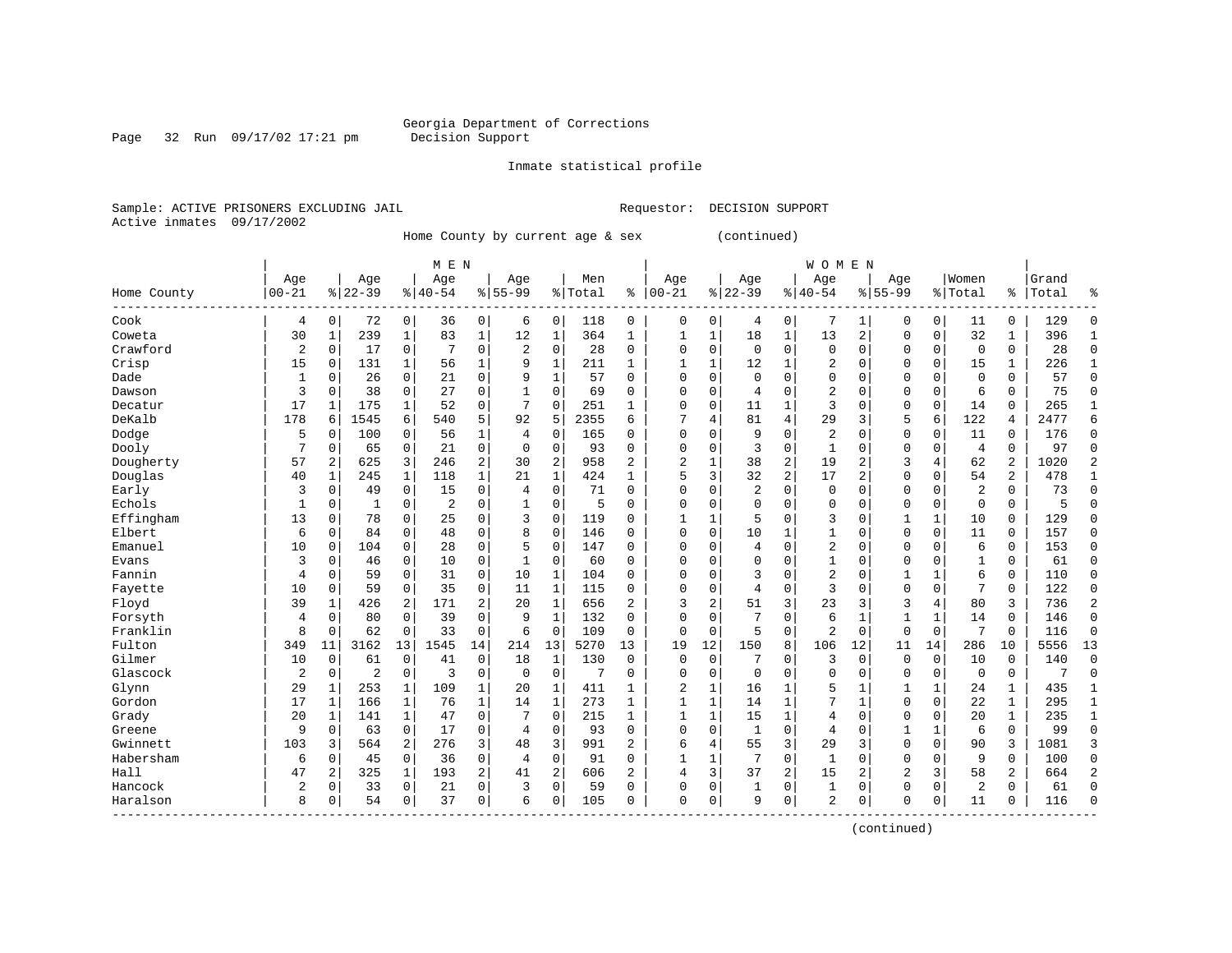# Georgia Department of Corrections<br>Decision Support

Page 32 Run 09/17/02 17:21 pm

Inmate statistical profile

Sample: ACTIVE PRISONERS EXCLUDING JAIL Requestor: DECISION SUPPORT Active inmates 09/17/2002

Home County by current age & sex (continued)

|             | M E N     |              |             |              |           |              |                |                |         |              |                |              |                |                | <b>WOMEN</b>   |              |                |              |                |                |       |                |
|-------------|-----------|--------------|-------------|--------------|-----------|--------------|----------------|----------------|---------|--------------|----------------|--------------|----------------|----------------|----------------|--------------|----------------|--------------|----------------|----------------|-------|----------------|
|             | Age       |              | Age         |              | Age       |              | Age            |                | Men     |              | Age            |              | Age            |                | Age            |              | Age            |              | Women          |                | Grand |                |
| Home County | $00 - 21$ |              | $8$   22-39 |              | $8 40-54$ |              | $8155 - 99$    |                | % Total | ి            | $00 - 21$      |              | $ 22-39$       | $\frac{8}{6}$  | $40 - 54$      |              | $8155 - 99$    |              | % Total        | ိ              | Total | ៖              |
| Cook        | 4         | 0            | 72          | 0            | 36        | 0            | 6              | 0              | 118     | 0            | $\mathbf 0$    | 0            | 4              | 0              | 7              | 1            | $\Omega$       | 0            | 11             | 0              | 129   | $\Omega$       |
| Coweta      | 30        | 1            | 239         | 1            | 83        | $\mathbf 1$  | 12             | 1              | 364     | 1            | 1              | 1            | 18             | $\mathbf 1$    | 13             | 2            | $\Omega$       | $\mathbf 0$  | 32             | 1              | 396   | 1              |
| Crawford    | 2         | 0            | 17          | 0            | 7         | 0            | $\overline{2}$ | $\mathbf 0$    | 28      | 0            | 0              | $\mathbf 0$  | $\mathbf 0$    | $\mathbf 0$    | $\mathbf 0$    | $\mathbf 0$  | $\Omega$       | $\mathbf 0$  | $\mathbf 0$    | 0              | 28    | $\Omega$       |
| Crisp       | 15        | 0            | 131         | 1            | 56        | $\mathbf 1$  | 9              | $\mathbf{1}$   | 211     | 1            | 1              | $\mathbf 1$  | 12             | $\mathbf 1$    | 2              | $\mathbf 0$  | $\Omega$       | $\mathbf 0$  | 15             | 1              | 226   | $\mathbf{1}$   |
| Dade        | 1         | $\Omega$     | 26          | $\Omega$     | 21        | 0            | 9              | 1              | 57      | $\Omega$     | $\mathbf 0$    | $\Omega$     | $\mathbf 0$    | $\Omega$       | $\Omega$       | $\mathbf 0$  | $\Omega$       | 0            | $\mathbf 0$    | $\Omega$       | 57    | $\Omega$       |
| Dawson      | 3         | $\Omega$     | 38          | $\Omega$     | 27        | 0            | 1              | $\Omega$       | 69      | $\Omega$     | $\Omega$       | 0            | 4              | $\Omega$       | $\overline{2}$ | $\mathbf 0$  | 0              | $\Omega$     | 6              | $\Omega$       | 75    | $\mathbf{0}$   |
| Decatur     | 17        | 1            | 175         | 1            | 52        | 0            |                | $\Omega$       | 251     | 1            | $\Omega$       | 0            | 11             | 1              | 3              | 0            | 0              | $\mathbf 0$  | 14             | 0              | 265   | 1              |
| DeKalb      | 178       | 6            | 1545        | 6            | 540       | 5            | 92             | 5              | 2355    | 6            |                | 4            | 81             | 4              | 29             | 3            | 5              | 6            | 122            | 4              | 2477  | 6              |
| Dodge       | 5         | O            | 100         | 0            | 56        | 1            | 4              | 0              | 165     | U            | $\mathbf 0$    | $\Omega$     | 9              | $\Omega$       | $\overline{2}$ | $\mathbf 0$  | $\mathbf 0$    | 0            | 11             | 0              | 176   | $\Omega$       |
| Dooly       | 7         | $\Omega$     | 65          | $\mathbf 0$  | 21        | 0            | $\Omega$       | $\Omega$       | 93      | 0            | $\mathbf 0$    | $\mathbf 0$  | 3              | $\mathbf 0$    | 1              | $\mathbf 0$  | $\mathbf 0$    | $\mathbf 0$  | $\overline{4}$ | $\Omega$       | 97    | $\Omega$       |
| Dougherty   | 57        | 2            | 625         | 3            | 246       | 2            | 30             | $\overline{2}$ | 958     | 2            | $\overline{2}$ | $\mathbf{1}$ | 38             | 2              | 19             | 2            | 3              | 4            | 62             | 2              | 1020  | 2              |
| Douglas     | 40        | 1            | 245         | $\mathbf{1}$ | 118       | $\mathbf{1}$ | 21             | $\mathbf{1}$   | 424     | $\mathbf{1}$ | 5              | 3            | 32             | $\overline{2}$ | 17             | 2            | $\mathbf 0$    | $\mathbf 0$  | 54             | 2              | 478   | 1              |
| Early       | 3         | $\Omega$     | 49          | $\Omega$     | 15        | 0            | 4              | $\Omega$       | 71      | $\Omega$     | $\mathbf 0$    | $\Omega$     | $\overline{2}$ | $\mathbf 0$    | $\mathbf 0$    | $\mathbf 0$  | 0              | 0            | $\overline{2}$ | $\Omega$       | 73    | $\Omega$       |
| Echols      | 1         | 0            | 1           | 0            | 2         | 0            | 1              | 0              | 5       | 0            | $\mathbf 0$    | 0            | 0              | 0              | $\mathbf 0$    | 0            | 0              | 0            | $\mathbf 0$    | $\mathbf 0$    | 5     | $\mathbf{0}$   |
| Effingham   | 13        | 0            | 78          | 0            | 25        | 0            | 3              | 0              | 119     | 0            | 1              | 1            | 5              | $\mathbf 0$    | 3              | $\mathbf 0$  | $\mathbf{1}$   | $\mathbf{1}$ | 10             | $\mathbf 0$    | 129   | $\Omega$       |
| Elbert      | 6         | 0            | 84          | 0            | 48        | 0            | 8              | $\mathbf 0$    | 146     | 0            | $\mathbf 0$    | $\mathbf 0$  | 10             | $\mathbf{1}$   | 1              | $\mathbf 0$  | $\Omega$       | $\mathbf 0$  | 11             | 0              | 157   | $\mathbf 0$    |
| Emanuel     | 10        | $\Omega$     | 104         | 0            | 28        | 0            | 5              | $\mathbf 0$    | 147     | 0            | $\mathbf 0$    | $\Omega$     | 4              | $\mathbf 0$    | 2              | $\mathbf 0$  | $\Omega$       | $\Omega$     | 6              | $\mathbf 0$    | 153   | $\Omega$       |
| Evans       | 3         | $\Omega$     | 46          | $\Omega$     | 10        | 0            | 1              | $\Omega$       | 60      | 0            | $\mathbf 0$    | $\Omega$     | $\Omega$       | $\Omega$       | 1              | $\mathbf 0$  | $\Omega$       | $\Omega$     | $\mathbf{1}$   | $\Omega$       | 61    | $\Omega$       |
| Fannin      | 4         | $\Omega$     | 59          | $\Omega$     | 31        | 0            | 10             | $\mathbf{1}$   | 104     | $\Omega$     | $\Omega$       | $\Omega$     | 3              | $\mathbf 0$    | 2              | 0            | $\mathbf{1}$   | 1            | 6              | 0              | 110   | $\Omega$       |
| Fayette     | 10        | 0            | 59          | $\mathbf 0$  | 35        | 0            | 11             | $\mathbf{1}$   | 115     | 0            | $\Omega$       | $\mathbf 0$  | 4              | $\mathbf 0$    | 3              | $\mathbf 0$  | $\mathbf 0$    | $\mathbf 0$  | 7              | 0              | 122   | $\Omega$       |
| Floyd       | 39        | 1            | 426         | 2            | 171       | 2            | 20             | $\mathbf{1}$   | 656     | 2            | 3              | 2            | 51             | 3              | 23             | 3            | 3              | 4            | 80             | 3              | 736   | $\overline{a}$ |
| Forsyth     | 4         | 0            | 80          | 0            | 39        | 0            | 9              | $\mathbf{1}$   | 132     | $\Omega$     | $\Omega$       | 0            | 7              | $\mathbf 0$    | 6              | 1            | $\mathbf{1}$   | $\mathbf{1}$ | 14             | $\mathbf 0$    | 146   | $\mathbf{0}$   |
| Franklin    | 8         | 0            | 62          | 0            | 33        | 0            | 6              | $\mathbf 0$    | 109     | 0            | $\mathbf 0$    | $\mathbf 0$  | 5              | $\mathbf 0$    | $\overline{2}$ | $\mathbf 0$  | $\mathbf 0$    | $\mathbf 0$  | 7              | 0              | 116   | $\mathbf 0$    |
| Fulton      | 349       | 11           | 3162        | 13           | 1545      | 14           | 214            | 13             | 5270    | 13           | 19             | 12           | 150            | 8              | 106            | 12           | 11             | 14           | 286            | 10             | 5556  | 13             |
| Gilmer      | 10        | 0            | 61          | $\Omega$     | 41        | 0            | 18             | 1              | 130     | $\Omega$     | $\mathbf 0$    | 0            | 7              | O              | 3              | $\mathbf 0$  | 0              | 0            | 10             | 0              | 140   | $\Omega$       |
| Glascock    | 2         | $\Omega$     | 2           | 0            | 3         | 0            | $\Omega$       | $\Omega$       | 7       | $\Omega$     | $\mathbf 0$    | $\Omega$     | $\Omega$       | $\Omega$       | $\Omega$       | $\mathbf 0$  | $\Omega$       | 0            | $\Omega$       | $\mathbf 0$    | 7     | $\Omega$       |
| Glynn       | 29        | $\mathbf{1}$ | 253         | $\mathbf{1}$ | 109       | 1            | 20             | 1              | 411     | 1            | 2              | 1            | 16             | 1              | 5              | 1            | $\mathbf{1}$   | 1            | 24             | 1              | 435   | 1              |
| Gordon      | 17        | 1            | 166         | 1            | 76        | $\mathbf 1$  | 14             | $\mathbf{1}$   | 273     | 1            | 1              | $\mathbf 1$  | 14             | $\mathbf 1$    |                | $\mathbf{1}$ | $\Omega$       | $\mathbf 0$  | 22             | $\mathbf{1}$   | 295   | $\mathbf{1}$   |
| Grady       | 20        | 1            | 141         | $\mathbf{1}$ | 47        | 0            |                | $\mathbf 0$    | 215     | $\mathbf{1}$ | $\mathbf{1}$   | $\mathbf{1}$ | 15             | $\mathbf{1}$   | 4              | $\mathbf 0$  | 0              | $\mathbf 0$  | 20             | $\mathbf{1}$   | 235   | $\mathbf{1}$   |
| Greene      | 9         | 0            | 63          | $\mathbf 0$  | 17        | 0            | 4              | $\mathbf 0$    | 93      | $\Omega$     | $\mathbf 0$    | $\mathbf 0$  | $\mathbf{1}$   | $\mathbf 0$    | 4              | $\mathbf 0$  | 1              | $\mathbf{1}$ | 6              | $\mathbf 0$    | 99    | $\mathbf 0$    |
| Gwinnett    | 103       | 3            | 564         | 2            | 276       | 3            | 48             | 3              | 991     | 2            | 6              | 4            | 55             | 3              | 29             | 3            | $\mathbf 0$    | $\mathbf 0$  | 90             | 3              | 1081  | 3              |
| Habersham   | 6         | 0            | 45          | $\mathbf 0$  | 36        | 0            | 4              | $\mathbf 0$    | 91      | 0            | 1              | 1            | 7              | $\mathbf 0$    | $\mathbf{1}$   | 0            | 0              | $\mathbf 0$  | 9              | 0              | 100   | $\mathbf 0$    |
| Hall        | 47        | 2            | 325         | 1            | 193       | 2            | 41             | $\overline{2}$ | 606     | 2            | $\overline{4}$ | 3            | 37             | 2              | 15             | 2            | $\overline{2}$ | 3            | 58             | $\overline{2}$ | 664   | $\overline{2}$ |
| Hancock     | 2         | $\Omega$     | 33          | $\Omega$     | 21        | 0            | 3              | $\Omega$       | 59      | 0            | $\Omega$       | 0            | 1              | 0              | 1              | $\mathbf 0$  | $\Omega$       | $\Omega$     | $\overline{2}$ | $\Omega$       | 61    | $\Omega$       |
| Haralson    | 8         | 0            | 54          | 0            | 37        | 0            | 6              | 0              | 105     | 0            | $\mathbf 0$    | $\mathbf 0$  | 9              | $\mathbf 0$    | $\overline{2}$ | 0            | $\Omega$       | 0            | 11             | 0              | 116   | $\Omega$       |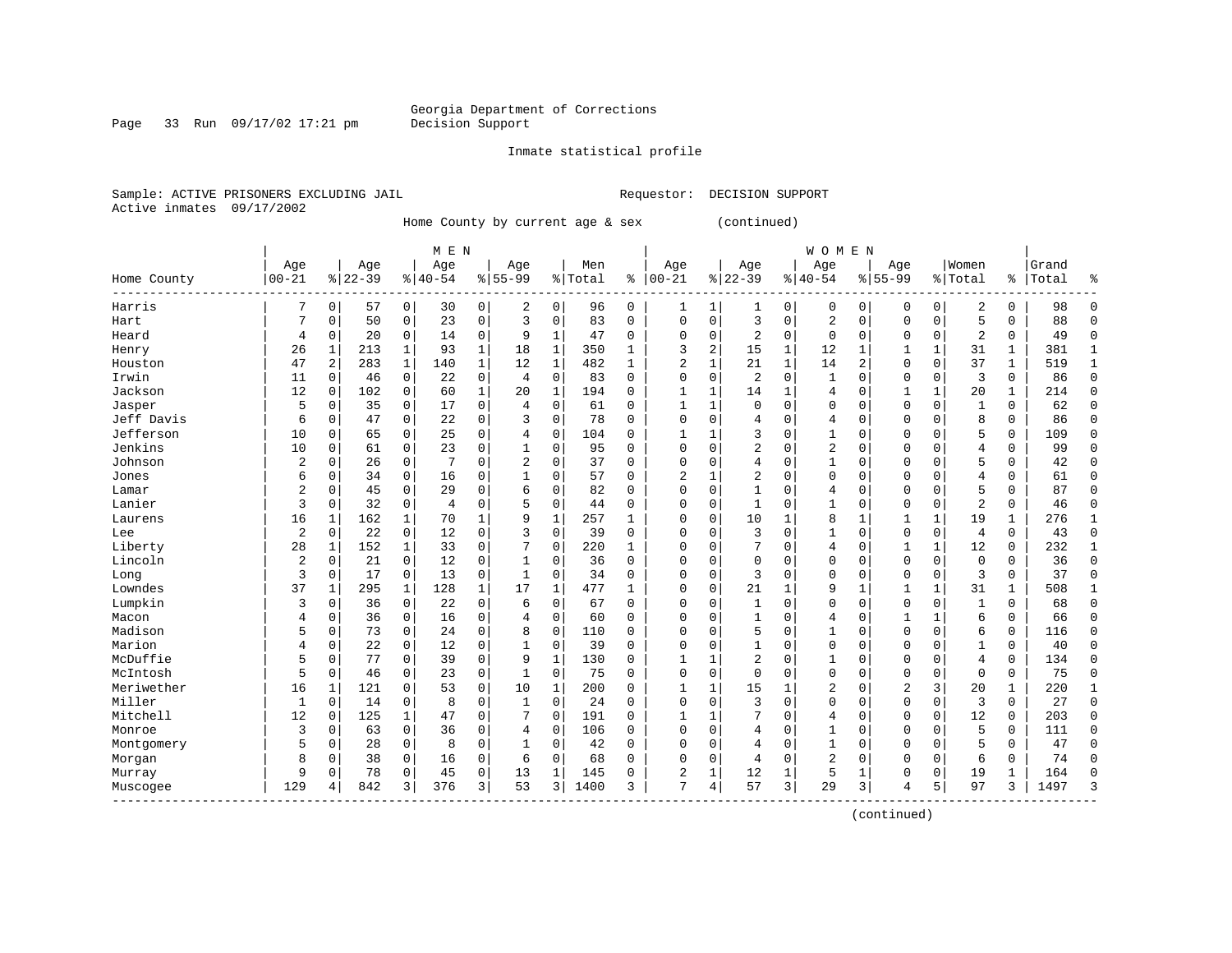Page 33 Run 09/17/02 17:21 pm

#### Inmate statistical profile

Sample: ACTIVE PRISONERS EXCLUDING JAIL **Requestor: DECISION SUPPORT** Active inmates 09/17/2002

Home County by current age & sex (continued)

|                         | M E N          |             |           |              |           |              |              |              |         |          |              |   |                |             | <b>WOMEN</b>   |                |                |              |                |              |       |              |
|-------------------------|----------------|-------------|-----------|--------------|-----------|--------------|--------------|--------------|---------|----------|--------------|---|----------------|-------------|----------------|----------------|----------------|--------------|----------------|--------------|-------|--------------|
|                         | Age            |             | Age       |              | Age       |              | Age          |              | Men     |          | Age          |   | Age            |             | Age            |                | Age            |              | Women          |              | Grand |              |
| Home County<br>-------- | $00 - 21$      |             | $8 22-39$ |              | $8 40-54$ |              | $8155 - 99$  |              | % Total | ి        | $00 - 21$    |   | $8 22-39$      |             | $8 40-54$      |                | $8155 - 99$    |              | % Total        | ွေ           | Total | ٩,           |
| Harris                  |                | $\mathbf 0$ | 57        | 0            | 30        | 0            | 2            | 0            | 96      | 0        | 1            | 1 |                | 0           | 0              | 0              | 0              | 0            | $\overline{2}$ | 0            | 98    | <sup>0</sup> |
| Hart                    |                | $\Omega$    | 50        | 0            | 23        | 0            | 3            | $\Omega$     | 83      | $\Omega$ | $\Omega$     | 0 | 3              | $\Omega$    | $\overline{2}$ | $\mathsf{C}$   | $\Omega$       | $\Omega$     | 5              | $\Omega$     | 88    | $\cap$       |
| Heard                   | 4              | 0           | 20        | 0            | 14        | 0            | 9            | 1            | 47      | $\Omega$ | $\Omega$     | 0 | 2              | 0           | 0              | $\Omega$       | $\Omega$       | $\Omega$     | 2              | $\Omega$     | 49    | $\cap$       |
| Henry                   | 26             | 1           | 213       | 1            | 93        | 1            | 18           | 1            | 350     | 1        | 3            | 2 | 15             | 1           | 12             |                |                | 1            | 31             | 1            | 381   |              |
| Houston                 | 47             | 2           | 283       | 1            | 140       | 1            | 12           | $\mathbf 1$  | 482     | 1        | 2            | 1 | 21             | 1           | 14             | $\overline{2}$ | $\Omega$       | $\mathbf 0$  | 37             | 1            | 519   | $\mathbf{1}$ |
| Irwin                   | 11             | $\mathbf 0$ | 46        | 0            | 22        | 0            | 4            | $\mathbf 0$  | 83      | $\Omega$ | $\Omega$     | 0 | $\overline{2}$ | $\mathbf 0$ | $\mathbf{1}$   | $\Omega$       | $\Omega$       | $\mathbf 0$  | 3              | 0            | 86    | $\Omega$     |
| Jackson                 | 12             | 0           | 102       | 0            | 60        | $\mathbf{1}$ | 20           | $\mathbf{1}$ | 194     | $\Omega$ | $\mathbf{1}$ | 1 | 14             | 1           | 4              | $\Omega$       | $\mathbf{1}$   | 1            | 20             | 1            | 214   | $\Omega$     |
| Jasper                  | 5              | $\mathbf 0$ | 35        | $\mathbf 0$  | 17        | 0            | 4            | $\mathbf 0$  | 61      | 0        | $\mathbf{1}$ | 1 | $\mathbf 0$    | $\Omega$    | 0              | $\mathsf{C}$   | $\Omega$       | $\mathbf 0$  | $\mathbf{1}$   | 0            | 62    | $\Omega$     |
| Jeff Davis              | 6              | $\mathbf 0$ | 47        | 0            | 22        | 0            | 3            | 0            | 78      | 0        | $\Omega$     | 0 | 4              | $\Omega$    | 4              | $\Omega$       | 0              | $\Omega$     | 8              | 0            | 86    | $\Omega$     |
| Jefferson               | 10             | $\mathbf 0$ | 65        | 0            | 25        | 0            | 4            | $\Omega$     | 104     | 0        | 1            |   | 3              | $\Omega$    | 1              | C              | $\Omega$       | $\Omega$     | 5              | 0            | 109   | <sup>0</sup> |
| Jenkins                 | 10             | $\Omega$    | 61        | $\Omega$     | 23        | 0            |              | $\Omega$     | 95      | 0        | $\Omega$     | O | 2              | $\Omega$    | $\overline{2}$ | C              | $\Omega$       | $\Omega$     | 4              | 0            | 99    | $\Omega$     |
| Johnson                 | 2              | $\mathbf 0$ | 26        | 0            | 7         | 0            | 2            | $\Omega$     | 37      | $\Omega$ | $\Omega$     | 0 | 4              | $\Omega$    | 1              | C              | $\Omega$       | $\Omega$     | 5              | 0            | 42    | <sup>0</sup> |
| Jones                   | 6              | 0           | 34        | $\mathbf 0$  | 16        | 0            |              | 0            | 57      | $\Omega$ | 2            | 1 | 2              | $\Omega$    | 0              | $\Omega$       | $\Omega$       | $\Omega$     | 4              | 0            | 61    | $\Omega$     |
| Lamar                   | 2              | 0           | 45        | 0            | 29        | 0            | 6            | $\mathbf 0$  | 82      | $\Omega$ | $\Omega$     | 0 | 1              | $\Omega$    | 4              | $\Omega$       | $\Omega$       | $\Omega$     | 5              | 0            | 87    | $\Omega$     |
| Lanier                  | 3              | 0           | 32        | 0            | 4         | 0            | 5            | 0            | 44      | $\Omega$ | $\Omega$     | 0 | $\mathbf{1}$   | $\Omega$    | 1              | $\Omega$       | $\Omega$       | $\Omega$     | $\overline{2}$ | 0            | 46    | $\Omega$     |
| Laurens                 | 16             | 1           | 162       | $\mathbf 1$  | 70        | 1            | 9            | $\mathbf{1}$ | 257     | 1        | $\Omega$     | 0 | 10             | 1           | 8              | $\mathbf{1}$   | $\mathbf{1}$   | $\mathbf{1}$ | 19             | $\mathbf{1}$ | 276   | $\mathbf{1}$ |
| Lee                     | $\overline{2}$ | $\mathbf 0$ | 22        | $\mathbf 0$  | 12        | 0            | 3            | $\mathbf 0$  | 39      | 0        | $\Omega$     | 0 | 3              | $\Omega$    | 1              | $\Omega$       | $\Omega$       | $\mathbf 0$  | 4              | 0            | 43    | $\Omega$     |
| Liberty                 | 28             | 1           | 152       | 1            | 33        | 0            |              | $\mathbf 0$  | 220     | 1        | $\Omega$     | 0 |                | $\Omega$    | 4              | $\Omega$       |                |              | 12             | 0            | 232   | $\mathbf{1}$ |
| Lincoln                 | 2              | 0           | 21        | 0            | 12        | 0            |              | $\mathbf 0$  | 36      | 0        | $\Omega$     | 0 | $\mathbf 0$    | $\Omega$    | 0              | C              | $\Omega$       | $\mathbf 0$  | $\mathbf 0$    | 0            | 36    | $\Omega$     |
| Long                    | 3              | $\mathbf 0$ | 17        | 0            | 13        | 0            | $\mathbf{1}$ | 0            | 34      | $\Omega$ | $\Omega$     | 0 | 3              | $\Omega$    | $\Omega$       | C              | $\Omega$       | $\Omega$     | 3              | 0            | 37    | $\Omega$     |
| Lowndes                 | 37             | 1           | 295       | 1            | 128       | 1            | 17           | 1            | 477     | 1        | $\Omega$     | 0 | 21             | 1           | 9              | -1             |                | 1            | 31             | 1            | 508   |              |
| Lumpkin                 | 3              | 0           | 36        | $\mathbf 0$  | 22        | 0            | 6            | $\Omega$     | 67      | $\Omega$ | $\Omega$     | O | $\mathbf{1}$   | $\Omega$    | $\Omega$       | $\Omega$       | $\Omega$       | $\Omega$     | $\mathbf{1}$   | 0            | 68    | $\Omega$     |
| Macon                   | 4              | 0           | 36        | $\mathbf 0$  | 16        | 0            | 4            | $\mathbf 0$  | 60      | $\Omega$ | $\Omega$     | O |                | $\Omega$    | 4              | $\Omega$       |                | 1            | 6              | 0            | 66    | O            |
| Madison                 | 5              | $\mathbf 0$ | 73        | 0            | 24        | 0            | 8            | $\mathbf 0$  | 110     | 0        | $\Omega$     | O | 5              | $\Omega$    |                | $\mathsf{C}$   | $\Omega$       | $\mathbf 0$  | 6              | 0            | 116   | ſ            |
| Marion                  | 4              | $\mathbf 0$ | 22        | 0            | 12        | 0            |              | $\mathbf 0$  | 39      | $\Omega$ | $\Omega$     | O | $\mathbf{1}$   | $\Omega$    | $\Omega$       | C              | $\Omega$       | $\Omega$     | $\mathbf{1}$   | 0            | 40    | $\Omega$     |
| McDuffie                | 5              | $\mathbf 0$ | 77        | $\mathbf 0$  | 39        | 0            | 9            | $\mathbf{1}$ | 130     | 0        | $\mathbf{1}$ | 1 | $\overline{2}$ | $\Omega$    | 1              | $\mathsf{C}$   | $\Omega$       | 0            | 4              | 0            | 134   | $\Omega$     |
| McIntosh                | 5              | $\mathbf 0$ | 46        | 0            | 23        | 0            |              | $\mathsf 0$  | 75      | $\Omega$ | $\Omega$     | 0 | $\Omega$       | $\Omega$    | 0              | $\Omega$       | $\Omega$       | 0            | $\Omega$       | 0            | 75    | $\Omega$     |
| Meriwether              | 16             | 1           | 121       | $\Omega$     | 53        | 0            | 10           | 1            | 200     | 0        | 1            | 1 | 15             |             | 2              | C              | $\overline{c}$ | 3            | 20             | 1            | 220   |              |
| Miller                  | 1              | $\mathbf 0$ | 14        | 0            | 8         | 0            | 1            | $\Omega$     | 24      | $\Omega$ | $\Omega$     | 0 | 3              | $\Omega$    | $\Omega$       | C              | $\Omega$       | $\Omega$     | 3              | 0            | 27    | $\Omega$     |
| Mitchell                | 12             | $\Omega$    | 125       | $\mathbf{1}$ | 47        | 0            | 7            | $\Omega$     | 191     | $\Omega$ | 1            | 1 | 7              | $\Omega$    | 4              | C              | $\Omega$       | $\Omega$     | 12             | $\Omega$     | 203   | <sup>0</sup> |
| Monroe                  | 3              | $\mathbf 0$ | 63        | $\Omega$     | 36        | 0            | 4            | $\mathbf 0$  | 106     | $\Omega$ | $\Omega$     | 0 | 4              | $\Omega$    | 1              | C              | $\Omega$       | $\Omega$     | 5              | 0            | 111   | <sup>0</sup> |
| Montgomery              | 5              | 0           | 28        | $\mathbf 0$  | 8         | 0            |              | $\mathbf 0$  | 42      | $\Omega$ | 0            | 0 | 4              | $\Omega$    | 1              | $\Omega$       | $\Omega$       | $\Omega$     | 5              | 0            | 47    | $\Omega$     |
| Morgan                  | 8              | 0           | 38        | $\mathbf 0$  | 16        | 0            | 6            | $\mathbf 0$  | 68      | 0        | $\Omega$     | 0 | 4              | $\mathbf 0$ | 2              | $\Omega$       | $\Omega$       | $\mathbf 0$  | 6              | 0            | 74    | ſ            |
| Murray                  | 9              | 0           | 78        | 0            | 45        | 0            | 13           | $\mathbf{1}$ | 145     | 0        | 2            | 1 | 12             | 1           | 5              | $\mathbf{1}$   | $\Omega$       | $\mathbf 0$  | 19             | 1            | 164   | ſ            |
| Muscogee                | 129            | 4           | 842       | 3            | 376       | 3            | 53           | 3            | 1400    | 3        | 7            | 4 | 57             | 3           | 29             | 3              | 4              | 5            | 97             | 3            | 1497  | p            |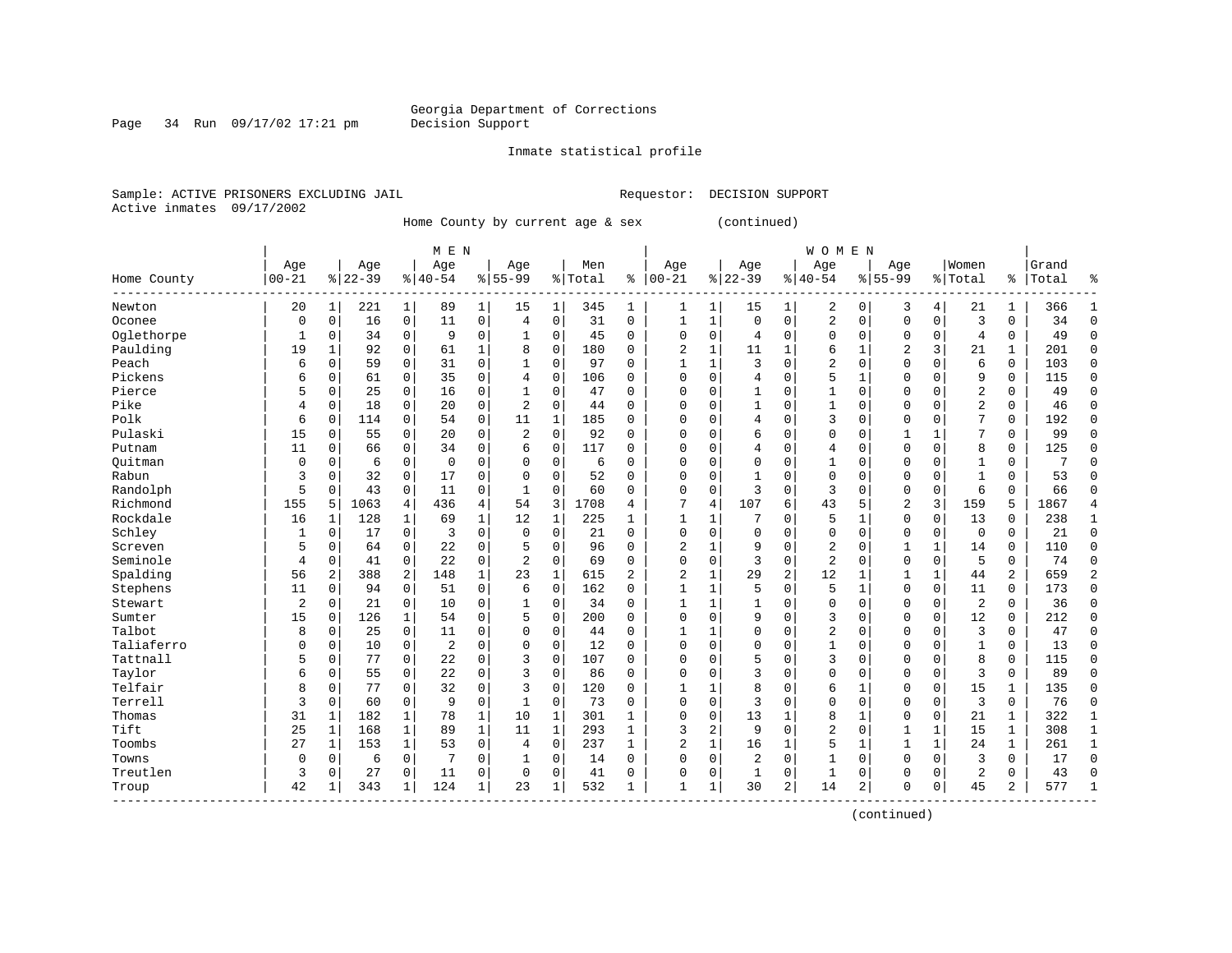Page 34 Run 09/17/02 17:21 pm

#### Inmate statistical profile

Sample: ACTIVE PRISONERS EXCLUDING JAIL **Requestor: DECISION SUPPORT** Active inmates 09/17/2002

Home County by current age & sex (continued)

|                        | M E N       |                |           |              |             |              |                |              |         |                |                |          |              |                | <b>WOMEN</b>   |              |                |              |             |                |       |              |
|------------------------|-------------|----------------|-----------|--------------|-------------|--------------|----------------|--------------|---------|----------------|----------------|----------|--------------|----------------|----------------|--------------|----------------|--------------|-------------|----------------|-------|--------------|
|                        | Age         |                | Age       |              | Age         |              | Age            |              | Men     |                | Age            |          | Age          |                | Age            |              | Age            |              | Women       |                | Grand |              |
| Home County<br>------- | $00 - 21$   |                | $8 22-39$ |              | $8 40-54$   |              | $8155 - 99$    |              | % Total | ి              | $00 - 21$      |          | $8 22-39$    |                | $8 40-54$      |              | $8155 - 99$    |              | % Total     | ွေ             | Total | ٩,           |
| Newton                 | 20          | 1              | 221       | 1            | 89          | $\mathbf 1$  | 15             | 1            | 345     | 1              | 1              | 1        | 15           | 1              | 2              | 0            | 3              | 4            | 21          | 1              | 366   | -1           |
| Oconee                 | $\mathbf 0$ | $\mathbf 0$    | 16        | $\mathbf 0$  | 11          | 0            | 4              | $\mathbf 0$  | 31      | $\mathbf 0$    | 1              | 1        | $\mathbf 0$  | $\mathbf 0$    | $\overline{2}$ | $\Omega$     | $\mathbf 0$    | $\mathbf 0$  | 3           | 0              | 34    | $\Omega$     |
| Oglethorpe             | 1           | 0              | 34        | $\mathbf 0$  | 9           | 0            |                | $\Omega$     | 45      | $\Omega$       | $\Omega$       | 0        | 4            | $\Omega$       | $\Omega$       | $\Omega$     | $\Omega$       | $\Omega$     | 4           | $\Omega$       | 49    | ∩            |
| Paulding               | 19          | 1              | 92        | $\mathbf 0$  | 61          | 1            | 8              | $\mathbf 0$  | 180     | 0              | 2              | 1        | 11           | 1              | 6              |              | 2              | 3            | 21          | 1              | 201   | <sup>0</sup> |
| Peach                  | 6           | 0              | 59        | $\mathbf 0$  | 31          | 0            |                | $\mathbf 0$  | 97      | $\Omega$       |                | 1        | 3            | $\Omega$       | 2              | $\Omega$     | $\Omega$       | $\Omega$     | 6           | 0              | 103   | $\Omega$     |
| Pickens                | б           | $\mathbf 0$    | 61        | 0            | 35          | 0            | $\overline{4}$ | 0            | 106     | $\Omega$       | $\Omega$       | 0        | 4            | $\Omega$       | 5              | $\mathbf{1}$ | $\Omega$       | $\Omega$     | 9           | 0              | 115   | $\Omega$     |
| Pierce                 | 5           | $\mathbf 0$    | 25        | 0            | 16          | 0            | 1              | 0            | 47      | $\Omega$       | $\Omega$       | 0        | $\mathbf{1}$ | $\Omega$       | 1              | $\Omega$     | $\Omega$       | $\Omega$     | 2           | 0              | 49    | $\Omega$     |
| Pike                   | 4           | $\mathbf 0$    | 18        | $\mathbf 0$  | 20          | 0            | $\overline{2}$ | $\mathbf 0$  | 44      | $\Omega$       | $\Omega$       | 0        | 1            | $\Omega$       | $\mathbf{1}$   | $\sqrt{ }$   | $\Omega$       | $\Omega$     | 2           | 0              | 46    | $\Omega$     |
| Polk                   | 6           | 0              | 114       | 0            | 54          | 0            | 11             | 1            | 185     | 0              | $\Omega$       | O        | 4            | $\Omega$       | 3              | C            | $\Omega$       | $\Omega$     | 7           | 0              | 192   | $\Omega$     |
| Pulaski                | 15          | 0              | 55        | 0            | 20          | 0            | $\overline{2}$ | $\mathbf 0$  | 92      | $\Omega$       | $\Omega$       | O        | 6            | $\Omega$       | $\Omega$       | C            |                |              | 7           | 0              | 99    | ∩            |
| Putnam                 | 11          | $\Omega$       | 66        | $\Omega$     | 34          | 0            | 6              | $\Omega$     | 117     | $\Omega$       | $\Omega$       | O        | 4            | $\Omega$       | 4              | C            | $\Omega$       | $\Omega$     | 8           | 0              | 125   | ∩            |
| Ouitman                | $\Omega$    | 0              | 6         | $\mathbf 0$  | $\mathbf 0$ | 0            | $\Omega$       | $\mathbf 0$  | 6       | $\Omega$       | $\Omega$       | $\Omega$ | $\Omega$     | $\Omega$       | $\mathbf{1}$   | C            | $\Omega$       | $\Omega$     |             | 0              | 7     |              |
| Rabun                  | 3           | $\mathbf 0$    | 32        | $\mathbf 0$  | 17          | 0            | $\Omega$       | $\mathbf 0$  | 52      | $\Omega$       | 0              | 0        |              | 0              | 0              | $\Omega$     | $\Omega$       | $\Omega$     | 1           | 0              | 53    | ∩            |
| Randolph               | 5           | $\mathbf 0$    | 43        | $\mathbf 0$  | 11          | 0            |                | $\mathbf 0$  | 60      | 0              | 0              | 0        | 3            | $\mathbf 0$    | 3              | $\Omega$     | $\mathbf 0$    | $\mathbf 0$  | 6           | 0              | 66    |              |
| Richmond               | 155         | 5              | 1063      | 4            | 436         | 4            | 54             | 3            | 1708    | 4              | 7              | 4        | 107          | 6              | 43             | 5            | $\overline{2}$ | 3            | 159         | 5              | 1867  |              |
| Rockdale               | 16          | 1              | 128       | 1            | 69          | $\mathbf{1}$ | 12             | 1            | 225     | 1              | 1              | 1        | 7            | $\Omega$       | 5              | 1            | $\Omega$       | $\Omega$     | 13          | $\Omega$       | 238   | -1           |
| Schley                 | 1           | 0              | 17        | $\mathbf 0$  | 3           | 0            | $\Omega$       | $\Omega$     | 21      | $\Omega$       | $\Omega$       | 0        | $\Omega$     | $\Omega$       | $\Omega$       | $\Omega$     | $\Omega$       | $\Omega$     | $\mathbf 0$ | 0              | 21    | $\Omega$     |
| Screven                | 5           | $\mathbf 0$    | 64        | $\Omega$     | 22          | 0            |                | $\Omega$     | 96      | 0              | $\overline{c}$ |          | 9            | $\Omega$       | $\overline{2}$ | C            |                | 1            | 14          | 0              | 110   | 0            |
| Seminole               | 4           | $\mathbf 0$    | 41        | 0            | 22          | 0            | $\overline{2}$ | $\Omega$     | 69      | $\Omega$       | $\Omega$       | 0        | 3            | $\Omega$       | $\overline{2}$ | C            | $\Omega$       | $\Omega$     | 5           | 0              | 74    | ∩            |
| Spalding               | 56          | $\overline{c}$ | 388       | 2            | 148         | $\mathbf{1}$ | 23             | $\mathbf{1}$ | 615     | $\overline{a}$ | 2              | 1        | 29           | $\overline{2}$ | 12             |              | 1              | $\mathbf{1}$ | 44          | $\overline{c}$ | 659   |              |
| Stephens               | 11          | 0              | 94        | 0            | 51          | 0            | 6              | $\Omega$     | 162     | $\Omega$       | $\mathbf{1}$   | 1        | 5            | $\Omega$       | 5              | $\mathbf{1}$ | $\Omega$       | $\Omega$     | 11          | 0              | 173   | $\Omega$     |
| Stewart                | 2           | $\mathbf 0$    | 21        | $\mathbf 0$  | 10          | 0            | 1              | $\mathbf 0$  | 34      | 0              | $\mathbf{1}$   | 1        |              | $\Omega$       | 0              | $\Omega$     | $\Omega$       | $\Omega$     | 2           | 0              | 36    | Λ            |
| Sumter                 | 15          | $\mathbf 0$    | 126       | $\mathbf 1$  | 54          | 0            | 5              | $\mathbf 0$  | 200     | $\Omega$       | $\Omega$       | 0        | 9            | $\mathbf 0$    | 3              | $\Omega$     | $\Omega$       | $\mathbf 0$  | 12          | 0              | 212   | $\cap$       |
| Talbot                 | 8           | $\mathbf 0$    | 25        | $\mathbf 0$  | 11          | 0            | $\Omega$       | $\mathbf 0$  | 44      | $\Omega$       | $\mathbf{1}$   | 1        | $\Omega$     | $\Omega$       | $\overline{2}$ | $\Omega$     | $\Omega$       | $\Omega$     | 3           | 0              | 47    | $\Omega$     |
| Taliaferro             | $\Omega$    | $\mathbf 0$    | 10        | $\mathbf 0$  | 2           | 0            | $\Omega$       | $\mathbf 0$  | 12      | $\Omega$       | $\Omega$       | 0        | $\Omega$     | $\Omega$       | 1              | C            | $\Omega$       | $\Omega$     | 1           | 0              | 13    | $\Omega$     |
| Tattnall               | 5           | 0              | 77        | $\mathbf 0$  | 22          | 0            | 3              | $\mathbf 0$  | 107     | 0              | $\Omega$       | 0        | 5            | $\Omega$       | 3              | $\Omega$     | $\Omega$       | $\Omega$     | 8           | 0              | 115   | $\Omega$     |
| Taylor                 | б           | 0              | 55        | 0            | 22          | 0            | 3              | $\mathbf 0$  | 86      | 0              | $\Omega$       | 0        | 3            | $\Omega$       | $\Omega$       | $\mathsf{C}$ | $\Omega$       | $\mathbf 0$  | 3           | 0              | 89    | $\Omega$     |
| Telfair                | 8           | $\mathbf 0$    | 77        | $\Omega$     | 32          | 0            | 3              | $\Omega$     | 120     | 0              | 1              | 1        | 8            | $\Omega$       | 6              | -1           | $\Omega$       | $\Omega$     | 15          | 1              | 135   | <sup>0</sup> |
| Terrell                | 3           | $\Omega$       | 60        | 0            | 9           | $\Omega$     | $\mathbf{1}$   | $\Omega$     | 73      | 0              | $\Omega$       | O        | 3            | $\Omega$       | $\Omega$       | C            | $\Omega$       | $\Omega$     | 3           | 0              | 76    | <sup>0</sup> |
| Thomas                 | 31          | 1              | 182       | 1            | 78          | $\mathbf{1}$ | 10             | 1            | 301     | 1              | $\Omega$       | 0        | 13           | 1              | 8              | -1           | $\Omega$       | $\Omega$     | 21          | 1              | 322   | -1           |
| Tift                   | 25          | 1              | 168       | $\mathbf 1$  | 89          | 1            | 11             | $\mathbf{1}$ | 293     | $\mathbf{1}$   | 3              | 2        | 9            | $\Omega$       | $\overline{2}$ | 0            | 1              | 1            | 15          | 1              | 308   | $\mathbf{1}$ |
| Toombs                 | 27          | 1              | 153       | $\mathbf{1}$ | 53          | 0            | 4              | $\mathbf 0$  | 237     | $\mathbf{1}$   | 2              | 1        | 16           | 1              | 5              | 1            | 1              | $\mathbf{1}$ | 24          | $\mathbf{1}$   | 261   | $\mathbf{1}$ |
| Towns                  | 0           | 0              | 6         | 0            |             | 0            |                | 0            | 14      | 0              | $\Omega$       | 0        | 2            | 0              | 1              | $\sqrt{ }$   | $\Omega$       | $\Omega$     | 3           | 0              | 17    | $\Omega$     |
| Treutlen               | 3           | $\mathbf 0$    | 27        | 0            | 11          | 0            | $\Omega$       | $\Omega$     | 41      | $\Omega$       | $\Omega$       | 0        | 1            | 0              | $\mathbf{1}$   | C            | $\Omega$       | 0            | 2           | 0              | 43    | $\sqrt{ }$   |
| Troup                  | 42          | 1              | 343       | 1            | 124         | 1            | 23             | 1            | 532     | 1              | $\mathbf{1}$   | 1        | 30           | 2              | 14             | 2            | $\Omega$       | 0            | 45          | 2              | 577   |              |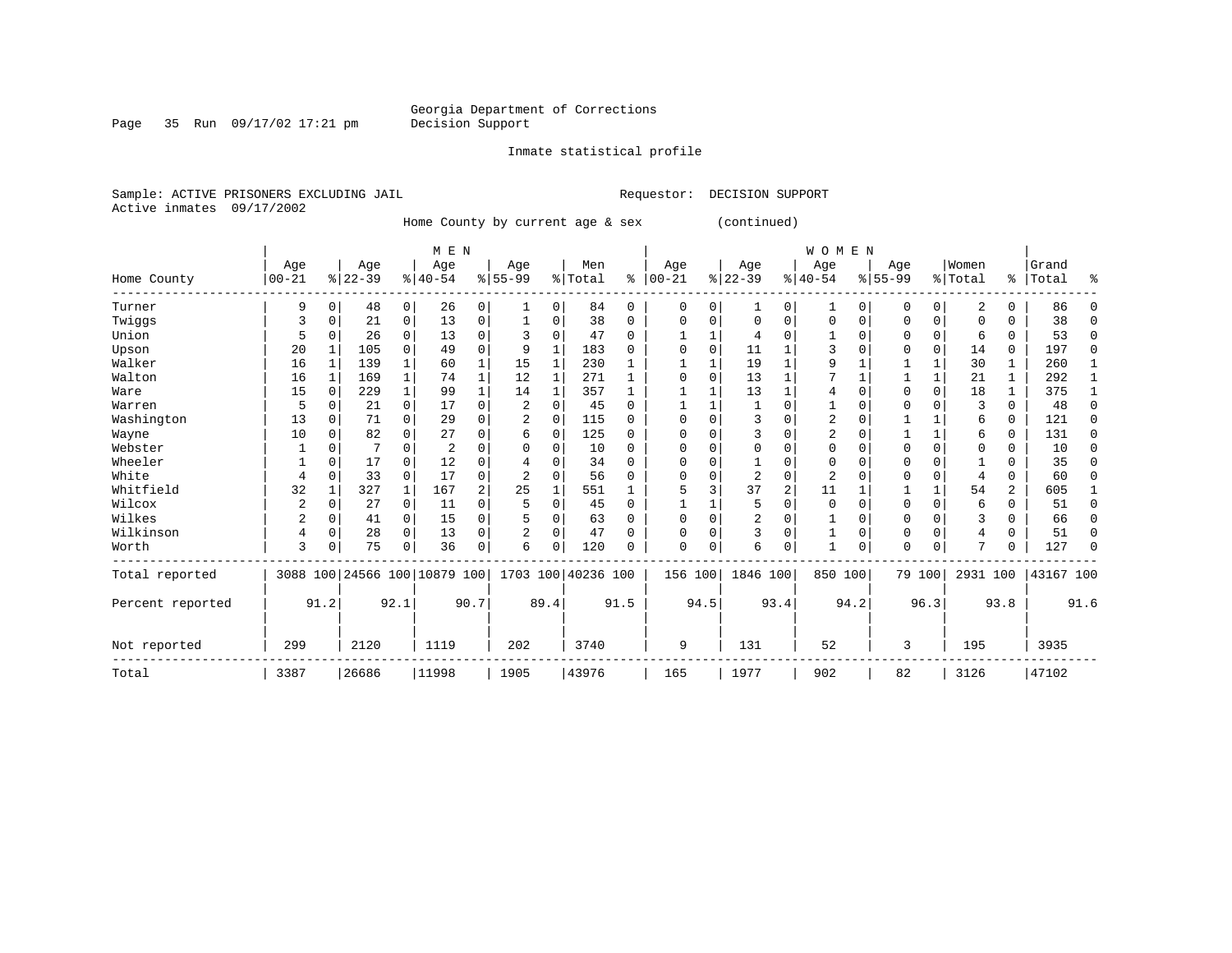Inmate statistical profile

Page 35 Run 09/17/02 17:21 pm

Sample: ACTIVE PRISONERS EXCLUDING JAIL **Requestor: DECISION SUPPORT** Active inmates 09/17/2002

Home County by current age & sex (continued)

|                  |          |             |          |              | M E N                        |      |                |          |                    |          |           |          |          |              | <b>WOMEN</b>   |          |             |             |          |          |           |          |
|------------------|----------|-------------|----------|--------------|------------------------------|------|----------------|----------|--------------------|----------|-----------|----------|----------|--------------|----------------|----------|-------------|-------------|----------|----------|-----------|----------|
|                  | Age      |             | Age      |              | Age                          |      | Age            |          | Men                |          | Age       |          | Age      |              | Age            |          | Age         |             | Women    |          | Grand     |          |
| Home County      | $ 00-21$ |             | $ 22-39$ |              | $ 40-54 $                    |      | $8 55-99$      |          | % Total            | ి        | $00 - 21$ |          | $ 22-39$ |              | $ 40-54$       |          | $8155 - 99$ |             | % Total  |          | %   Total | ႜ        |
| Turner           | 9        | $\Omega$    | 48       | 0            | 26                           | 0    |                | 0        | 84                 | 0        | 0         | 0        | 1        | 0            | 1              | $\Omega$ | $\Omega$    | $\Omega$    | 2        | 0        | 86        |          |
| Twiggs           | 3        | 0           | 21       | $\mathbf 0$  | 13                           | 0    |                | 0        | 38                 | 0        | 0         | 0        | $\Omega$ | $\Omega$     | 0              | $\Omega$ | 0           | $\Omega$    | 0        | 0        | 38        | ∩        |
| Union            | 5        | 0           | 26       | $\Omega$     | 13                           | 0    |                | $\Omega$ | 47                 | 0        |           |          | 4        | 0            |                | $\Omega$ | O           | 0           | 6        | 0        | 53        | $\Omega$ |
| Upson            | 20       |             | 105      | 0            | 49                           | 0    | 9              |          | 183                | U        |           | $\Omega$ | 11       |              | 3              | $\Omega$ | O           | $\Omega$    | 14       | 0        | 197       | $\Omega$ |
| Walker           | 16       |             | 139      |              | 60                           | 1    | 15             |          | 230                |          |           |          | 19       | $\mathbf{1}$ | 9              |          |             | 1           | 30       | 1        | 260       |          |
| Walton           | 16       | 1           | 169      | 1            | 74                           | 1    | 12             | 1        | 271                |          |           | $\Omega$ | 13       | 1            |                |          |             | 1           | 21       | 1        | 292       |          |
| Ware             | 15       | $\Omega$    | 229      | $\mathbf{1}$ | 99                           | 1    | 14             | 1        | 357                |          |           |          | 13       | 1            | 4              | $\Omega$ | $\Omega$    | $\Omega$    | 18       | 1        | 375       |          |
| Warren           | 5        | $\Omega$    | 21       | 0            | 17                           | 0    | 2              | $\Omega$ | 45                 | 0        |           |          |          | $\Omega$     |                | $\Omega$ | 0           | O           | 3        | $\Omega$ | 48        | U        |
| Washington       | 13       | $\Omega$    | 71       | 0            | 29                           | 0    | 2              | $\Omega$ | 115                | 0        |           | 0        | 3        | $\Omega$     | $\overline{2}$ | $\Omega$ |             |             | 6        | 0        | 121       | U        |
| Wayne            | 10       | $\Omega$    | 82       | 0            | 27                           | 0    | 6              | 0        | 125                | 0        | $\Omega$  | U        |          | $\Omega$     | $\overline{2}$ | $\Omega$ |             | 1           | 6        | 0        | 131       | $\Omega$ |
| Webster          |          | n           |          | 0            | 2                            | 0    |                | $\Omega$ | 10                 | U        |           | U        | $\Omega$ | $\Omega$     | $\Omega$       | $\Omega$ | 0           | $\Omega$    | 0        | 0        | 10        |          |
| Wheeler          |          | $\Omega$    | 17       | 0            | 12                           | O    |                | O        | 34                 | 0        | C         | U        |          | O            | $\Omega$       | $\Omega$ | O           | O           |          | 0        | 35        |          |
| White            | 4        | 0           | 33       | $\Omega$     | 17                           | 0    | $\overline{2}$ | $\Omega$ | 56                 | U        |           | 0        | 2        | $\Omega$     | $\overline{2}$ |          | 0           | $\Omega$    | 4        | 0        | 60        |          |
| Whitfield        | 32       |             | 327      | 1            | 167                          | 2    | 25             | 1        | 551                |          |           | 3        | 37       | 2            | 11             |          |             | 1           | 54       | 2        | 605       |          |
| Wilcox           | 2        | $\mathbf 0$ | 27       | $\mathbf 0$  | 11                           | 0    |                | $\Omega$ | 45                 | $\Omega$ |           |          | 5        | $\Omega$     | $\Omega$       | $\Omega$ | 0           | $\mathbf 0$ | 6        | 0        | 51        | $\Omega$ |
| Wilkes           | 2        | $\Omega$    | 41       | 0            | 15                           | 0    |                | $\Omega$ | 63                 | 0        | $\cap$    | $\Omega$ | 2        | 0            |                | $\Omega$ | 0           | $\Omega$    | 3        | 0        | 66        | $\Omega$ |
| Wilkinson        | 4        | $\mathbf 0$ | 28       | $\Omega$     | 13                           | 0    |                | 0        | 47                 | $\Omega$ | $\Omega$  | 0        | 3        | $\Omega$     |                | $\Omega$ | $\Omega$    | $\Omega$    | 4        | 0        | 51        | n        |
| Worth            | 3        | 0           | 75       | 0            | 36                           | 0    | 6              | $\Omega$ | 120                | 0        | $\Omega$  | 0        | 6        | $\Omega$     |                | 0        | $\Omega$    | $\Omega$    | 7        | 0        | 127       | ∩        |
| Total reported   |          |             |          |              | 3088 100 24566 100 10879 100 |      |                |          | 1703 100 40236 100 |          | 156 100   |          | 1846 100 |              | 850 100        |          |             | 79 100      | 2931 100 |          | 43167 100 |          |
| Percent reported |          | 91.2        |          | 92.1         |                              | 90.7 |                | 89.4     |                    | 91.5     |           | 94.5     |          | 93.4         |                | 94.2     |             | 96.3        |          | 93.8     |           | 91.6     |
| Not reported     | 299      |             | 2120     |              | 1119                         |      | 202            |          | 3740               |          | 9         |          | 131      |              | 52             |          | 3           |             | 195      |          | 3935      |          |
| Total            | 3387     |             | 26686    |              | 11998                        |      | 1905           |          | 43976              |          | 165       |          | 1977     |              | 902            |          | 82          |             | 3126     |          | 47102     |          |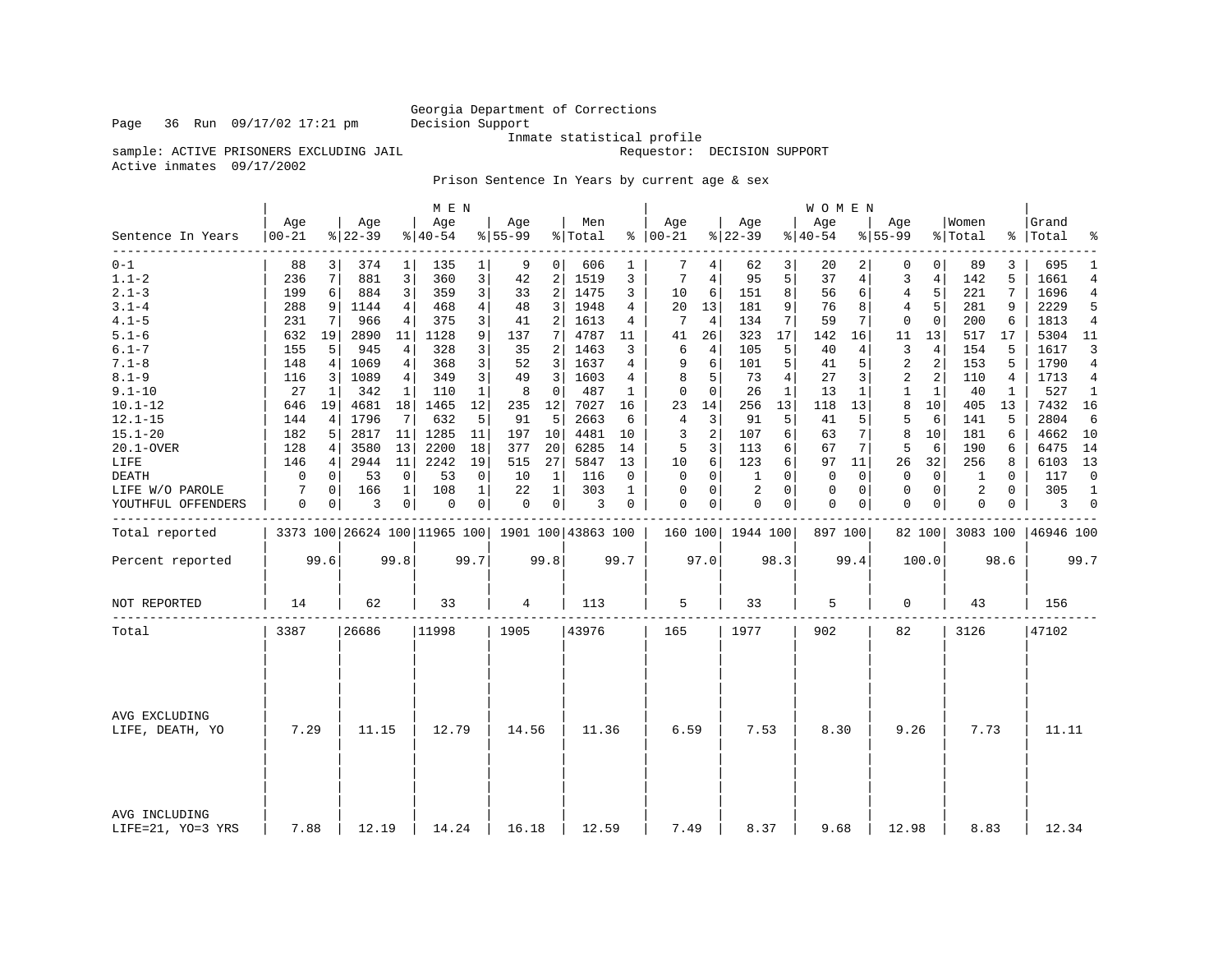### Georgia Department of Corrections<br>Decision Support

Inmate statistical profile

sample: ACTIVE PRISONERS EXCLUDING JAIL **Requestor:** DECISION SUPPORT

Active inmates 09/17/2002

Prison Sentence In Years by current age & sex

|                                    |                  |      |                  |                | M E N            |                |                  |                 |                                                 |              |                   |      |                  |              | WOMEN           |                |                  |                |                  |              |                    |                |
|------------------------------------|------------------|------|------------------|----------------|------------------|----------------|------------------|-----------------|-------------------------------------------------|--------------|-------------------|------|------------------|--------------|-----------------|----------------|------------------|----------------|------------------|--------------|--------------------|----------------|
| Sentence In Years                  | Age<br>$00 - 21$ |      | Age<br>$8 22-39$ |                | Age<br>$ 40-54 $ |                | Age<br>$8 55-99$ |                 | Men<br>% Total                                  |              | Age<br>$% 100-21$ |      | Age<br>$8 22-39$ |              | Aqe<br>$ 40-54$ |                | Aqe<br>$8 55-99$ |                | Women<br>% Total |              | Grand<br>%   Total | ႜ              |
| $0 - 1$                            | 88               | 3    | 374              | $\mathbf 1$    | 135              | 1 <sup>1</sup> | 9                | 0               | 606                                             | 1            | 7                 | 4    | 62               | 3            | 20              | $\overline{2}$ | 0                | 0 <sup>1</sup> | 89               | 3            | 695                | $\mathbf{1}$   |
| $1.1 - 2$                          | 236              | 7    | 881              | 3              | 360              | 3              | 42               | 2 <sup>1</sup>  | 1519                                            | 3            | 7                 | 4    | 95               | 5            | 37              | 4              | 3                | $\overline{4}$ | 142              | 5            | 1661               | $\overline{4}$ |
| $2.1 - 3$                          | 199              | 6    | 884              | 3              | 359              | 3              | 33               | $\overline{a}$  | 1475                                            | 3            | 10                | 6    | 151              | 8            | 56              | 6              | $\overline{4}$   | 5              | 221              | 7            | 1696               | $\overline{4}$ |
| $3.1 - 4$                          | 288              | 9    | 1144             | 4              | 468              | $\overline{4}$ | 48               | 3               | 1948                                            | 4            | 20                | 13   | 181              | 9            | 76              | 8              | 4                | 5              | 281              | 9            | 2229               | 5              |
| $4.1 - 5$                          | 231              | 7    | 966              | 4              | 375              | 3              | 41               | $\overline{2}$  | 1613                                            | 4            | 7                 | 4    | 134              | 7            | 59              | 7              | $\mathbf{0}$     | $\Omega$       | 200              | 6            | 1813               | $\overline{4}$ |
| $5.1 - 6$                          | 632              | 19   | 2890             | 11             | 1128             | 9              | 137              | 7 <sup>1</sup>  | 4787                                            | 11           | 41                | 26   | 323              | 17           | 142             | 16             | 11               | 13             | 517              | 17           | 5304               | 11             |
| $6.1 - 7$                          | 155              | 5    | 945              | 4              | 328              | 3              | 35               | 2               | 1463                                            | 3            | 6                 | 4    | 105              | 5            | 40              | 4              | 3                | 4              | 154              | 5            | 1617               | 3              |
| $7.1 - 8$                          | 148              | 4    | 1069             | $\overline{4}$ | 368              | 3              | 52               | $\overline{3}$  | 1637                                            | 4            | 9                 | 6    | 101              | 5            | 41              | 5              | $\overline{2}$   | 2              | 153              | 5            | 1790               | $\overline{4}$ |
| $8.1 - 9$                          | 116              | 3    | 1089             | 4              | 349              | 3              | 49               | 3               | 1603                                            | 4            | 8                 | 5    | 73               | 4            | 27              | 3              | 2                | 2              | 110              | 4            | 1713               | 4              |
| $9.1 - 10$                         | 27               | 1    | 342              | 1              | 110              | $\mathbf{1}$   | 8                | $\mathbf 0$     | 487                                             | $\mathbf{1}$ | $\mathbf 0$       | 0    | 26               | $\mathbf{1}$ | 13              | 1              | 1                | 1              | 40               | $\mathbf{1}$ | 527                | 1              |
| $10.1 - 12$                        | 646              | 19   | 4681             | 18             | 1465             | 12             | 235              | 12              | 7027                                            | 16           | 23                | 14   | 256              | 13           | 118             | 13             | 8                | 10             | 405              | 13           | 7432               | 16             |
| $12.1 - 15$                        | 144              | 4    | 1796             | 7              | 632              | 5              | 91               | 5               | 2663                                            | 6            | $\overline{4}$    | 3    | 91               | 5            | 41              | 5              | 5                | 6              | 141              | 5            | 2804               | 6              |
| $15.1 - 20$                        | 182              | 5    | 2817             | 11             | 1285             | 11             | 197              | 10              | 4481                                            | 10           | 3                 | 2    | 107              | 6            | 63              | 7              | 8                | 10             | 181              | 6            | 4662               | 10             |
| 20.1-OVER                          | 128              | 4    | 3580             | 13             | 2200             | 18             | 377              | 20 <sup>1</sup> | 6285                                            | 14           | 5                 | 3    | 113              | 6            | 67              | 7 <sup>1</sup> | 5                | 6              | 190              | 6            | 6475               | 14             |
| LIFE                               | 146              | 4    | 2944             | 11             | 2242             | 19             | 515              | 27              | 5847                                            | 13           | 10                | 6    | 123              | 6            | 97              | 11             | 26               | 32             | 256              | 8            | 6103               | 13             |
| DEATH                              | 0                | 0    | 53               | 0              | 53               | $\mathbf 0$    | 10               | 1               | 116                                             | 0            | 0                 | 0    | 1                | $\Omega$     | $\mathbf 0$     | 0              | $\mathbf{0}$     | $\overline{0}$ | 1                | 0            | 117                | $\mathbf 0$    |
| LIFE W/O PAROLE                    | 7                | 0    | 166              | $\mathbf{1}$   | 108              | $\mathbf{1}$   | 22               | $\mathbf{1}$    | 303                                             | $\mathbf{1}$ | $\mathbf 0$       | 0    | $\overline{2}$   | $\Omega$     | 0               | 0              | $\mathbf{0}$     | $\overline{0}$ | 2                | $\Omega$     | 305                | $\mathbf{1}$   |
| YOUTHFUL OFFENDERS                 | 0                | 0    | 3                | 0              | 0                | 0              | 0                | 0 <sup>1</sup>  | 3                                               | 0            | $\Omega$          | 0    | $\mathbf 0$      | 0            | 0               | 0              | $\mathbf 0$      | $\circ$        | 0                | 0            | 3                  | $\mathbf 0$    |
| Total reported                     |                  |      |                  |                |                  |                |                  |                 | 3373 100 26624 100 11965 100 1901 100 43863 100 |              |                   |      | 160 100 1944 100 |              | 897 100         |                |                  | 82 100         | 3083 100         |              | 46946 100          |                |
| Percent reported                   |                  | 99.6 |                  | 99.8           |                  | 99.7           |                  | 99.8            |                                                 | 99.7         |                   | 97.0 |                  | 98.3         |                 | 99.4           |                  | 100.0          |                  | 98.6         |                    | 99.7           |
| NOT REPORTED                       | 14               |      | 62               |                | 33               |                | 4                |                 | 113                                             |              | 5                 |      | 33               |              | 5               |                | 0                |                | 43               |              | 156                |                |
| Total                              | 3387             |      | 26686            |                | 11998            |                | 1905             |                 | 43976                                           |              | 165               |      | 1977             |              | 902             |                | 82               |                | 3126             |              | 47102              |                |
|                                    |                  |      |                  |                |                  |                |                  |                 |                                                 |              |                   |      |                  |              |                 |                |                  |                |                  |              |                    |                |
| AVG EXCLUDING<br>LIFE, DEATH, YO   | 7.29             |      | 11.15            |                | 12.79            |                | 14.56            |                 | 11.36                                           |              | 6.59              |      | 7.53             |              | 8.30            |                | 9.26             |                | 7.73             |              | 11.11              |                |
| AVG INCLUDING<br>LIFE=21, YO=3 YRS | 7.88             |      | 12.19            |                | 14.24            |                | 16.18            |                 | 12.59                                           |              | 7.49              |      | 8.37             |              | 9.68            |                | 12.98            |                | 8.83             |              | 12.34              |                |

Page 36 Run 09/17/02 17:21 pm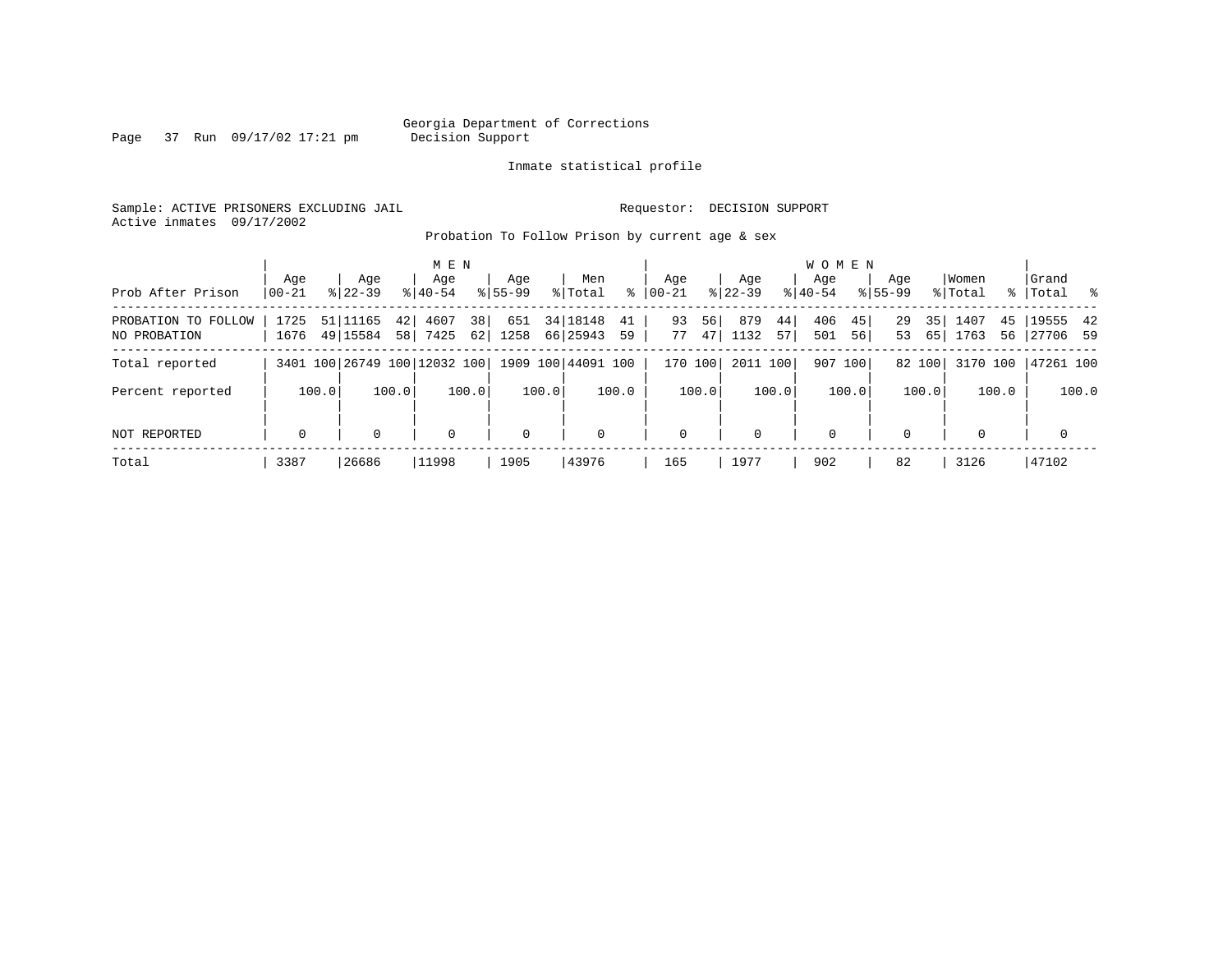# Georgia Department of Corrections<br>Decision Support

Page 37 Run 09/17/02 17:21 pm

Inmate statistical profile

Sample: ACTIVE PRISONERS EXCLUDING JAIL Requestor: DECISION SUPPORT Active inmates 09/17/2002

Probation To Follow Prison by current age & sex

| Prob After Prison                   | Aqe<br>$00 - 21$ | Age<br>$8 22-39$     | M E N<br>Age<br>$8 40-54$    | Aqe<br>$8155 - 99$      | Men<br>ႜ<br>% Total              | Aqe<br>$00 - 21$     | Aqe<br>$ 22-39 $          | <b>WOMEN</b><br>Aqe<br>$ 40-54$ | Age<br>$8155 - 99$   | Women<br>% Total         | Grand<br>%   Total<br>- 왕 |
|-------------------------------------|------------------|----------------------|------------------------------|-------------------------|----------------------------------|----------------------|---------------------------|---------------------------------|----------------------|--------------------------|---------------------------|
| PROBATION TO FOLLOW<br>NO PROBATION | 1725<br>1676     | 51 11165<br>49 15584 | 4607<br>42<br>7425<br>58     | 38<br>651<br>62<br>1258 | 34 18148<br>41<br>66 25943<br>59 | 93<br>56<br>77<br>47 | 879<br>44 i<br>1132<br>57 | 406<br>45<br>501<br>56          | 35<br>29<br>53<br>65 | 1407<br>45<br>1763<br>56 | 19555 42<br>27706 59      |
| Total reported                      |                  |                      | 3401 100 26749 100 12032 100 |                         | 1909 100 44091 100               | 170 100              | 2011 100                  | 907 100                         | 82 100               | 3170 100                 | 47261 100                 |
| Percent reported                    | 100.0            | 100.0                | 100.0                        | 100.0                   | 100.0                            | 100.0                | 100.0                     | 100.0                           | 100.0                | 100.0                    | 100.0                     |
| <b>NOT REPORTED</b>                 | $\mathbf 0$      | 0                    | $\mathbf 0$                  | $\Omega$                | $\Omega$                         | $\mathbf 0$          | $\Omega$                  | $\mathbf 0$                     |                      | $\Omega$                 | 0                         |
| Total                               | 3387             | 26686                | 11998                        | 1905                    | 43976                            | 165                  | 1977                      | 902                             | 82                   | 3126                     | 47102                     |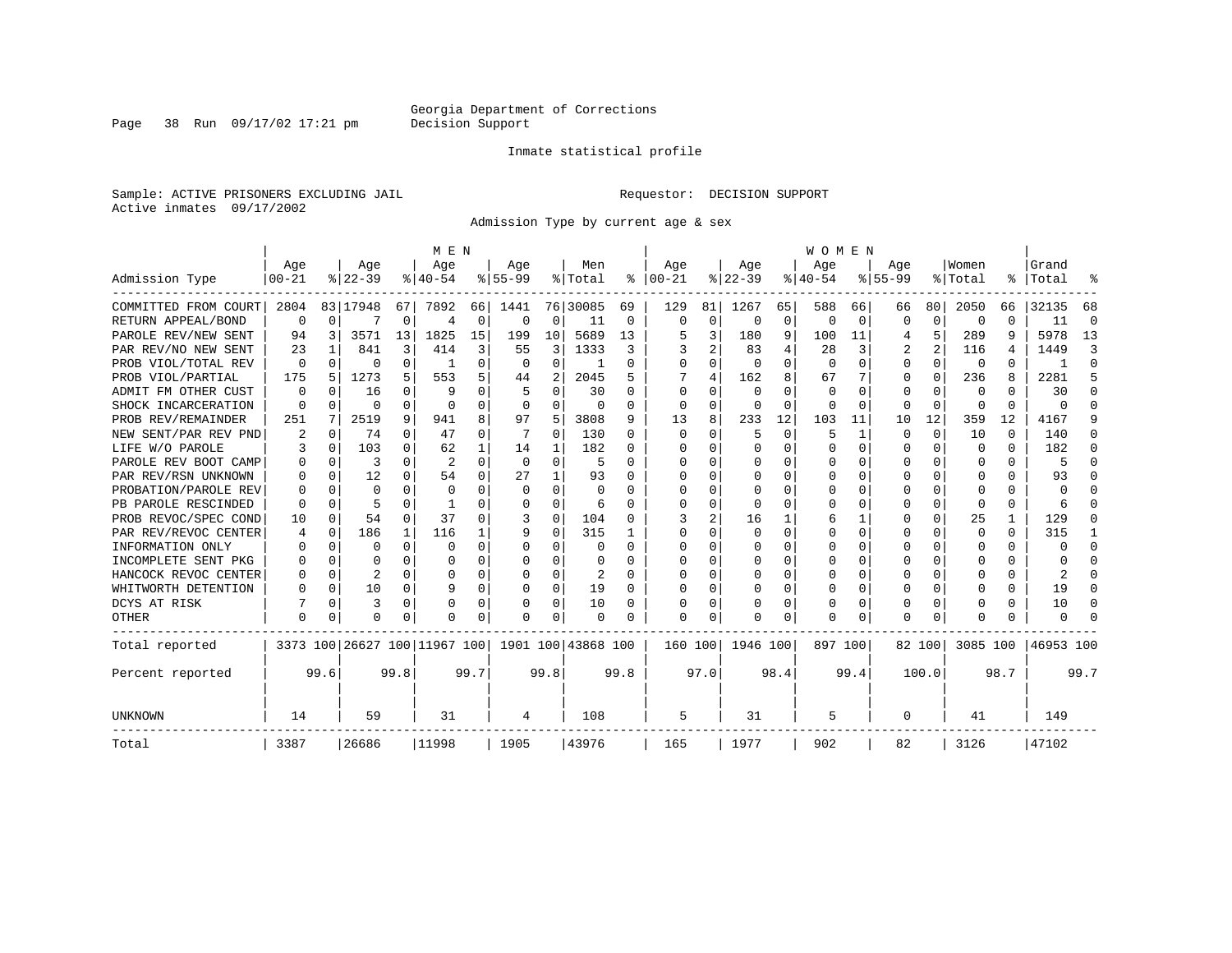Page 38 Run 09/17/02 17:21 pm

#### Inmate statistical profile

Sample: ACTIVE PRISONERS EXCLUDING JAIL **Requestor: DECISION SUPPORT** Active inmates 09/17/2002

Admission Type by current age & sex

|                      |           |          |                              |              | M E N          |              |           |             |                    |          |              |             |              |          | <b>WOMEN</b> |              |             |          |              |              |           |              |
|----------------------|-----------|----------|------------------------------|--------------|----------------|--------------|-----------|-------------|--------------------|----------|--------------|-------------|--------------|----------|--------------|--------------|-------------|----------|--------------|--------------|-----------|--------------|
|                      | Age       |          | Age                          |              | Age            |              | Aqe       |             | Men                |          | Age          |             | Age          |          | Age          |              | Age         |          | Women        |              | Grand     |              |
| Admission Type       | $00 - 21$ |          | $8 22-39$                    |              | $8 40-54$      |              | $8 55-99$ |             | % Total            | ႜ        | $ 00-21$     |             | $ 22-39$     |          | $ 40-54 $    |              | $8155 - 99$ |          | % Total      | ႜ            | Total     |              |
| COMMITTED FROM COURT | 2804      |          | 83 17948                     | 67           | 7892           | 66           | 1441      |             | 76 30085           | 69       | 129          | 81          | 1267         | 65       | 588          | 66           | 66          | 80       | 2050         | 66           | 32135     | 68           |
| RETURN APPEAL/BOND   | $\Omega$  | $\Omega$ |                              | $\Omega$     | $\overline{4}$ | 0            | 0         | 0           | 11                 | 0        | $\Omega$     | $\mathbf 0$ | $\Omega$     | $\Omega$ | $\Omega$     | $\Omega$     | $\Omega$    | $\Omega$ | $\Omega$     | $\Omega$     | 11        | $\Omega$     |
| PAROLE REV/NEW SENT  | 94        | 3        | 3571                         | 13           | 1825           | 15           | 199       | 10          | 5689               | 13       |              | 3           | 180          | 9        | 100          | 11           |             | 5        | 289          | 9            | 5978      | 13           |
| PAR REV/NO NEW SENT  | 23        |          | 841                          | 3            | 414            | 3            | 55        | 3           | 1333               | 3        |              | 2           | 83           | 4        | 28           | 3            |             | 2        | 116          | 4            | 1449      | κ            |
| PROB VIOL/TOTAL REV  | $\Omega$  | $\Omega$ | U                            | 0            |                | 0            | $\Omega$  | 0           |                    | O        | $\Omega$     | 0           | $\Omega$     | $\Omega$ | $\Omega$     | O            | $\Omega$    | 0        | $\Omega$     | U            |           | <sup>0</sup> |
| PROB VIOL/PARTIAL    | 175       | 5        | 1273                         | 5.           | 553            | 5            | 44        | 2           | 2045               | 5        |              | 4           | 162          | 8        | 67           |              | $\Omega$    | $\Omega$ | 236          | 8            | 2281      | 5            |
| ADMIT FM OTHER CUST  | 0         | 0        | 16                           | 0            | q              | 0            |           | $\Omega$    | 30                 | O        | $\Omega$     | $\Omega$    | $\Omega$     | U        | $\Omega$     | O            | $\Omega$    | $\Omega$ | $\Omega$     | U            | 30        | ∩            |
| SHOCK INCARCERATION  | ∩         | $\Omega$ | O                            | 0            | $\cap$         | 0            | $\Omega$  | 0           | 0                  | 0        | $\Omega$     | 0           | $\Omega$     | O        | $\Omega$     | $\Omega$     | $\Omega$    | $\Omega$ | <sup>0</sup> | 0            | U         | ∩            |
| PROB REV/REMAINDER   | 251       | 7        | 2519                         | 9            | 941            | 8            | 97        | 5           | 3808               | 9        | 13           | 8           | 233          | 12       | 103          | 11           | 10          | 12       | 359          | 12           | 4167      |              |
| NEW SENT/PAR REV PND | 2         | 0        | 74                           | 0            | 47             | 0            |           | 0           | 130                | 0        | 0            | $\Omega$    | 5            | $\Omega$ | 5            | $\mathbf{1}$ | $\Omega$    | $\Omega$ | 10           | $\Omega$     | 140       | n            |
| LIFE W/O PAROLE      |           | $\Omega$ | 103                          | 0            | 62             |              | 14        | 1           | 182                | U        |              | 0           | 0            | $\Omega$ | 0            | $\Omega$     | $\Omega$    | $\Omega$ | $\Omega$     | $\Omega$     | 182       | n            |
| PAROLE REV BOOT CAMP |           | $\Omega$ | 3                            | 0            | $\overline{2}$ | $\Omega$     | $\Omega$  | $\Omega$    | 5                  | O        |              | 0           | 0            | O        | 0            | 0            | O           | O        | 0            | 0            | 5         | n            |
| PAR REV/RSN UNKNOWN  |           | $\Omega$ | 12                           | 0            | 54             | 0            | 27        | 1           | 93                 | O        | O            | 0           | 0            | O        | Ω            | O            | O           | U        | O            | U            | 93        |              |
| PROBATION/PAROLE REV |           | $\Omega$ | U                            | <sup>n</sup> | $\Omega$       | <sup>0</sup> | $\Omega$  | $\Omega$    | $\Omega$           | U        | <sup>0</sup> | O           | <sup>0</sup> | O        | Ω            | O            | $\Omega$    | $\Omega$ | <sup>0</sup> | 0            | U         |              |
| PB PAROLE RESCINDED  |           | ∩        |                              | U            | -1             | <sup>0</sup> | U         | $\Omega$    | 6                  | U        | ∩            | U           | ∩            | U        | ∩            | n            | ∩           | $\Omega$ | ∩            | 0            |           |              |
| PROB REVOC/SPEC COND | 10        | $\Omega$ | 54                           | $\Omega$     | 37             | 0            |           | $\Omega$    | 104                | O        |              | 2           | 16           |          | 6            |              | $\Omega$    | $\Omega$ | 25           | $\mathbf{1}$ | 129       |              |
| PAR REV/REVOC CENTER | 4         | $\Omega$ | 186                          | 1            | 116            |              | 9         | $\Omega$    | 315                |          | <sup>0</sup> | U           |              | O        | Ω            | O            | O           |          | O            | U            | 315       |              |
| INFORMATION ONLY     |           | $\Omega$ | U                            | 0            | $\Omega$       | U            |           | $\Omega$    | O                  | O        | <sup>0</sup> | U           |              | O        | O            | O            | $\Omega$    |          |              | U            | U         | $\Omega$     |
| INCOMPLETE SENT PKG  |           | $\Omega$ | U                            | 0            | $\Omega$       | 0            | O         | 0           | 0                  | O        | <sup>0</sup> | 0           | 0            | O        | U            | $\Omega$     | $\Omega$    | $\Omega$ | O            | 0            | U         | ∩            |
| HANCOCK REVOC CENTER |           | $\Omega$ | 2                            | 0            | $\Omega$       | 0            | U         | 0           | 2                  | $\Omega$ | ∩            | 0           | 0            | O        | U            | $\Omega$     | O           | $\Omega$ |              | 0            | 2         | ∩            |
| WHITWORTH DETENTION  |           | $\Omega$ | 10                           | 0            | q              | $\Omega$     | U         | $\Omega$    | 19                 | $\Omega$ | $\cap$       | $\Omega$    | <sup>0</sup> | $\Omega$ | 0            | $\Omega$     | $\Omega$    | $\Omega$ |              | 0            | 19        | ∩            |
| DCYS AT RISK         |           | $\Omega$ | 3                            | $\Omega$     | O              | 0            | O         | $\mathbf 0$ | 10                 | O        | <sup>0</sup> | 0           | O            | $\Omega$ | Ω            | 0            | $\Omega$    | $\Omega$ |              | U            | 10        | n            |
| <b>OTHER</b>         | $\Omega$  | $\Omega$ | U                            | U            |                | 0            | O         | $\Omega$    | O                  | O        | <sup>0</sup> | 0           |              | 0        | Ω            | 0            | $\Omega$    | $\Omega$ |              | U            | U         |              |
| Total reported       |           |          | 3373 100 26627 100 11967 100 |              |                |              |           |             | 1901 100 43868 100 |          | 160 100      |             | 1946 100     |          | 897 100      |              |             | 82 100   | 3085 100     |              | 46953 100 |              |
| Percent reported     |           | 99.6     |                              | 99.8         |                | 99.7         |           | 99.8        |                    | 99.8     |              | 97.0        |              | 98.4     |              | 99.4         |             | 100.0    |              | 98.7         |           | 99.7         |
| UNKNOWN              | 14        |          | 59                           |              | 31             |              | 4         |             | 108                |          | 5            |             | 31           |          | 5            |              | 0           |          | 41           |              | 149       |              |
| Total                | 3387      |          | 26686                        |              | 11998          |              | 1905      |             | 43976              |          | 165          |             | 1977         |          | 902          |              | 82          |          | 3126         |              | 47102     |              |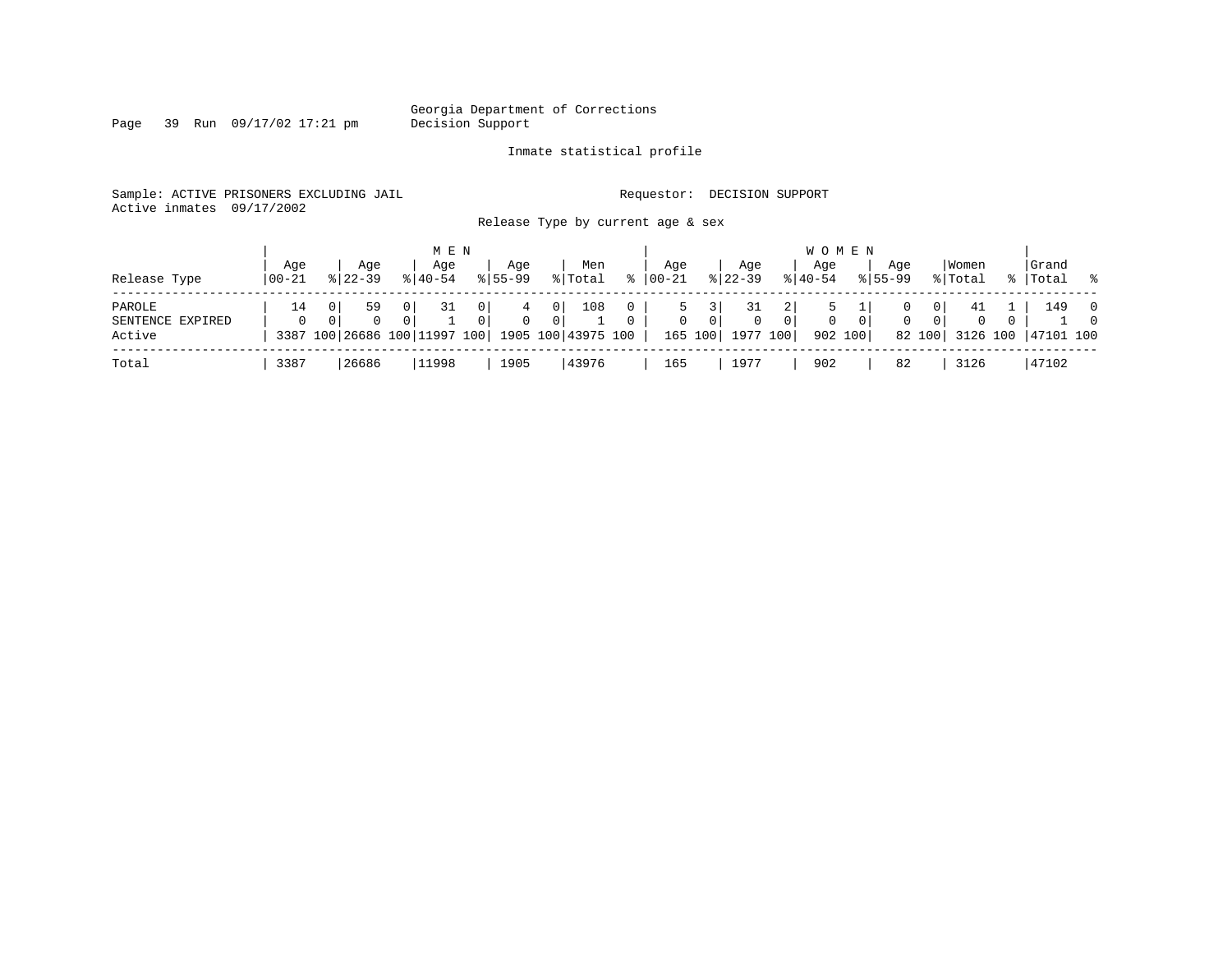Georgia Department of Corrections<br>Decision Support

Page 39 Run  $09/17/02$  17:21 pm

#### Inmate statistical profile

Sample: ACTIVE PRISONERS EXCLUDING JAIL **Requestor: DECISION SUPPORT** Active inmates 09/17/2002

Release Type by current age & sex

|  | - | .<br>$\sim$ |
|--|---|-------------|
|  |   |             |
|  |   |             |
|  |   |             |
|  |   |             |

|                                      |                |                                                 |                                              | M E N              |                     |                    |                                  |                |                      |                  |                           |                          |                | <b>WOMEN</b>       |              |                    |                   |                  |             |                             |                            |
|--------------------------------------|----------------|-------------------------------------------------|----------------------------------------------|--------------------|---------------------|--------------------|----------------------------------|----------------|----------------------|------------------|---------------------------|--------------------------|----------------|--------------------|--------------|--------------------|-------------------|------------------|-------------|-----------------------------|----------------------------|
| Release Type                         | Aqe<br>  00-21 | $8122 - 39$                                     | Aqe                                          | Aqe<br>$8140 - 54$ |                     | Aqe<br>$8155 - 99$ |                                  | Men<br>% Total | $\approx$            | Aqe<br>$ 00-21 $ |                           | Aqe<br>$ 22-39 $         |                | Aqe<br>$8140 - 54$ |              | Aqe<br>$8155 - 99$ |                   | Women<br>% Total | $\approx$ 1 | Grand<br> Total %           |                            |
| PAROLE<br>SENTENCE EXPIRED<br>Active | 14<br>$\Omega$ | 3387 100 26686 100 11997 100 1905 100 43975 100 | 0 <sup>1</sup><br>59<br>$\Omega$<br>$\Omega$ | 31                 | 0 <sup>1</sup><br>0 | $\Omega$           | 0 <sup>1</sup><br>0 <sup>1</sup> | 108            | $\Omega$<br>$\Omega$ | $\mathbf{0}$     | $\overline{0}$<br>165 100 | $\mathbf{0}$<br>1977 100 | 0 <sup>1</sup> | 0<br>902 100       | $\mathbf{0}$ |                    | 01<br>0<br>82 100 | -41<br>$\Omega$  | $\Omega$    | 149<br>3126 100   47101 100 | $\overline{0}$<br>$\Omega$ |
| Total                                | 3387           | 26686                                           |                                              | 11998              |                     | 1905               |                                  | 43976          |                      | 165              |                           | 1977                     |                | 902                |              | 82                 |                   | 3126             |             | 47102                       |                            |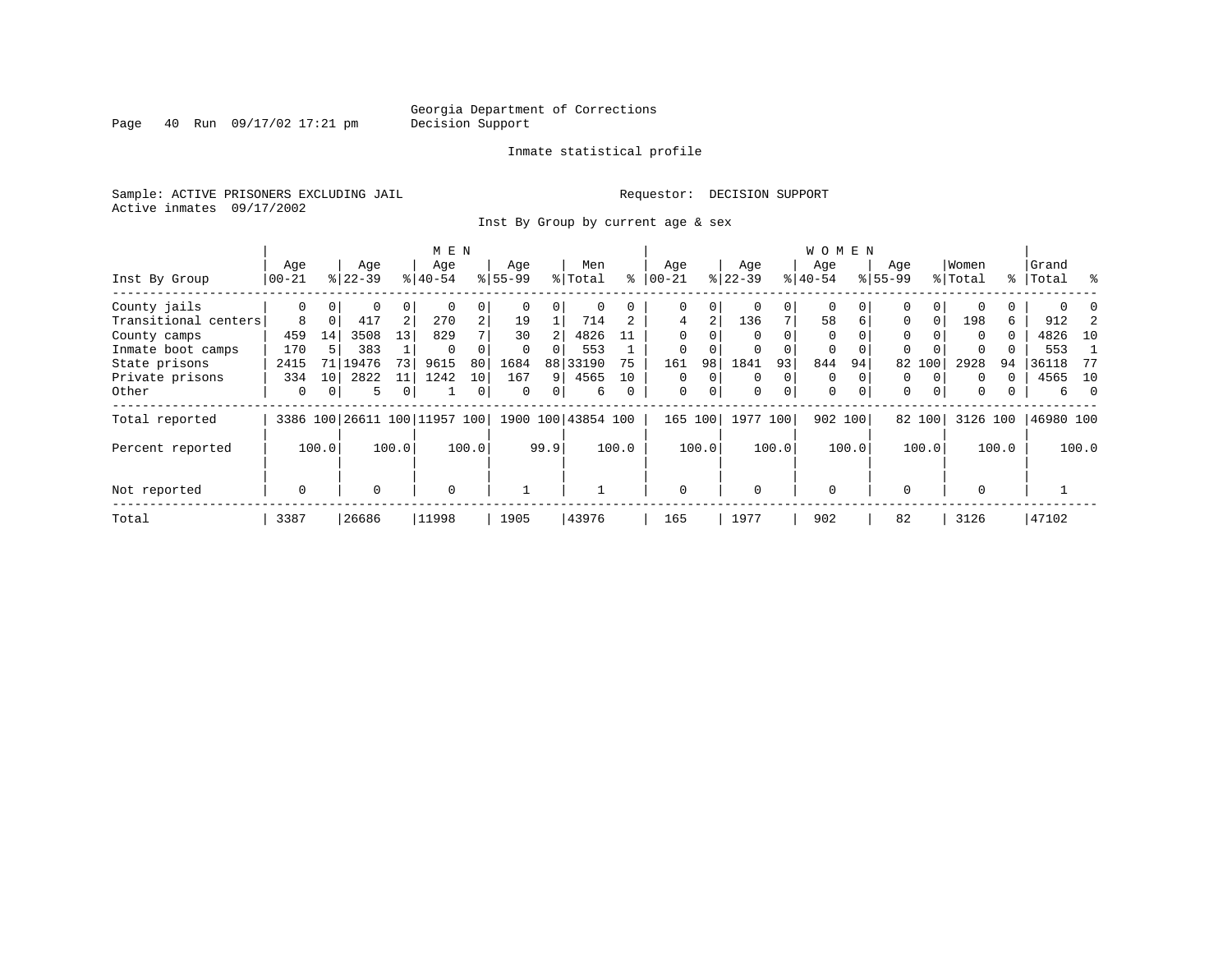Page 40 Run 09/17/02 17:21 pm

#### Inmate statistical profile

Sample: ACTIVE PRISONERS EXCLUDING JAIL **Requestor: DECISION SUPPORT** Active inmates 09/17/2002

Inst By Group by current age & sex

|                      |             |                 |           |       | M E N                        |                |           |      |                    |       |           |          |           |          | W O M E N   |          |             |          |          |          |           |       |
|----------------------|-------------|-----------------|-----------|-------|------------------------------|----------------|-----------|------|--------------------|-------|-----------|----------|-----------|----------|-------------|----------|-------------|----------|----------|----------|-----------|-------|
|                      | Age         |                 | Age       |       | Age                          |                | Age       |      | Men                |       | Age       |          | Age       |          | Age         |          | Age         |          | Women    |          | Grand     |       |
| Inst By Group        | 00-21       |                 | $8 22-39$ |       | $8 40-54$                    |                | $8 55-99$ |      | % Total            | ⊱     | $00 - 21$ |          | $ 22-39 $ |          | $8 40-54$   |          | $8155 - 99$ |          | % Total  |          | %   Total | ႜ     |
| County jails         | 0           | 01              | 0         | 0     |                              |                |           | 0    | 0                  |       | 0         | 0        | 0         | 0        | 0           |          | 0           |          |          |          |           |       |
| Transitional centers | 8           | 0 <sup>1</sup>  | 417       | 2     | 270                          | $\overline{2}$ | 19        |      | 714                |       | 4         | 2        | 136       |          | 58          | 6        | $\Omega$    | $\Omega$ | 198      | 6        | 912       |       |
| County camps         | 459         | 14              | 3508      | 13    | 829                          |                | 30        |      | 4826               | 11    | $\Omega$  |          | $\Omega$  |          | $\Omega$    |          | $\Omega$    |          | $\Omega$ | $\Omega$ | 4826      | 10    |
| Inmate boot camps    | 170         |                 | 383       |       | $\Omega$                     |                | $\Omega$  | 0    | 553                |       | 0         |          | $\Omega$  |          | $\Omega$    | $\Omega$ | $\Omega$    |          | $\Omega$ |          | 553       |       |
| State prisons        | 2415        | 71 I            | 19476     | 73    | 9615                         | 80             | 1684      |      | 88 33190           | 75    | 161       | 98       | 1841      | 93       | 844         | 94       |             | 82 100   | 2928     | 94       | 36118     | -77   |
| Private prisons      | 334         | 10 <sup>1</sup> | 2822      | 11    | 1242                         | 10             | 167       | 9    | 4565               | 10    | $\Omega$  | $\Omega$ | $\Omega$  | $\Omega$ | $\Omega$    |          | $\Omega$    | $\Omega$ | $\Omega$ | 0        | 4565      | 10    |
| Other                | 0           |                 | 5         |       |                              | 0              | 0         | 0    | 6                  | 0     | 0         | $\Omega$ | 0         | 0        | $\mathbf 0$ | $\Omega$ | $\mathbf 0$ | $\Omega$ | $\Omega$ | 0        | б.        | - 0   |
| Total reported       |             |                 |           |       | 3386 100 26611 100 11957 100 |                |           |      | 1900 100 43854 100 |       |           | 165 100  | 1977 100  |          |             | 902 100  |             | 82 100   | 3126 100 |          | 46980 100 |       |
| Percent reported     |             | 100.0           |           | 100.0 |                              | 100.0          |           | 99.9 |                    | 100.0 |           | 100.0    |           | 100.0    |             | 100.0    |             | 100.0    |          | 100.0    |           | 100.0 |
| Not reported         | $\mathbf 0$ |                 | 0         |       | $\Omega$                     |                |           |      |                    |       | $\Omega$  |          | $\Omega$  |          | $\Omega$    |          | $\Omega$    |          | $\Omega$ |          |           |       |
| Total                | 3387        |                 | 26686     |       | 11998                        |                | 1905      |      | 43976              |       | 165       |          | 1977      |          | 902         |          | 82          |          | 3126     |          | 47102     |       |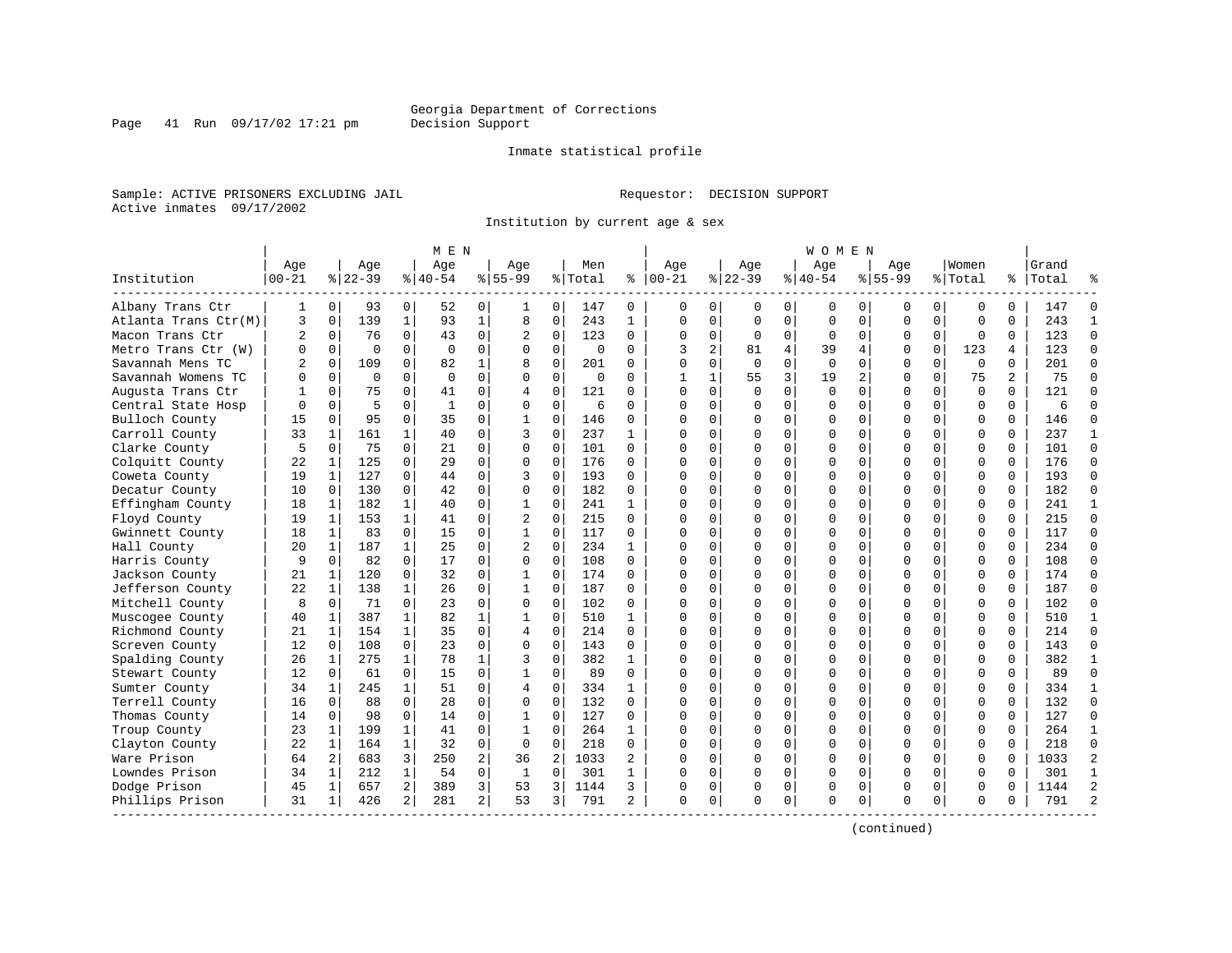Inmate statistical profile

Sample: ACTIVE PRISONERS EXCLUDING JAIL **Requestor: DECISION SUPPORT** Active inmates 09/17/2002

Page 41 Run 09/17/02 17:21 pm

Institution by current age & sex

|                      |                |              |          |                | M E N     |                |                |                |          |              |              |                |             |             | W O M E N |             |             |             |             |          |           |                |
|----------------------|----------------|--------------|----------|----------------|-----------|----------------|----------------|----------------|----------|--------------|--------------|----------------|-------------|-------------|-----------|-------------|-------------|-------------|-------------|----------|-----------|----------------|
|                      | Age            |              | Age      |                | Age       |                | Age            |                | Men      |              | Age          |                | Age         |             | Age       |             | Aqe         |             | Women       |          | Grand     |                |
| Institution          | $00 - 21$      |              | $ 22-39$ |                | $8 40-54$ |                | $8 55-99$      |                | % Total  | ႜ            | $ 00-21$     |                | $ 22-39$    |             | $ 40-54$  |             | $8155 - 99$ |             | % Total     |          | %   Total |                |
| Albany Trans Ctr     | 1              | 0            | 93       | 0              | 52        | 0              | 1              | 0              | 147      | 0            | 0            | $\mathbf{0}$   | 0           | 0           | 0         | 0           | 0           | 0           | 0           | 0        | 147       | ∩              |
| Atlanta Trans Ctr(M) | 3              | $\mathbf 0$  | 139      | $\mathbf{1}$   | 93        | $\mathbf 1$    | 8              | 0              | 243      | $\mathbf 1$  | $\mathbf{0}$ | $\Omega$       | 0           | $\mathbf 0$ | $\Omega$  | $\mathbf 0$ | $\Omega$    | $\mathbf 0$ | $\mathbf 0$ | $\Omega$ | 243       | $\mathbf{1}$   |
| Macon Trans Ctr      | $\overline{2}$ | 0            | 76       | $\mathbf 0$    | 43        | 0              | 2              | $\mathbf 0$    | 123      | 0            | $\Omega$     | $\mathbf{0}$   | $\mathbf 0$ | 0           | $\Omega$  | 0           | $\Omega$    | $\mathbf 0$ | $\mathbf 0$ | $\Omega$ | 123       | $\Omega$       |
| Metro Trans Ctr (W)  | O              | $\Omega$     | $\Omega$ | $\Omega$       | $\Omega$  | $\Omega$       | $\Omega$       | $\Omega$       | $\Omega$ | $\Omega$     | ζ            | $\overline{a}$ | 81          | 4           | 39        | 4           | $\Omega$    | $\Omega$    | 123         | 4        | 123       | $\Omega$       |
| Savannah Mens TC     |                | $\Omega$     | 109      | 0              | 82        | 1              | 8              | $\Omega$       | 201      | 0            | $\Omega$     | $\Omega$       | $\Omega$    | $\Omega$    | $\Omega$  | $\Omega$    | $\Omega$    | $\Omega$    | $\Omega$    | $\Omega$ | 201       | $\Omega$       |
| Savannah Womens TC   | U              | $\Omega$     | $\Omega$ | 0              | $\Omega$  | $\Omega$       | $\Omega$       | $\Omega$       | $\Omega$ | 0            |              | $\mathbf{1}$   | 55          | 3           | 19        | 2           | $\Omega$    | $\Omega$    | 75          | 2        | 75        | $\Omega$       |
| Augusta Trans Ctr    |                | 0            | 75       | $\Omega$       | 41        | 0              | 4              | $\mathbf 0$    | 121      | 0            | ∩            | $\Omega$       | $\Omega$    | $\mathbf 0$ | $\Omega$  | $\Omega$    | $\Omega$    | $\Omega$    | $\Omega$    | $\Omega$ | 121       | $\Omega$       |
| Central State Hosp   |                | $\mathbf 0$  | 5        | 0              | 1         | 0              | $\Omega$       | $\mathbf 0$    | 6        | $\Omega$     |              | 0              | $\Omega$    | 0           |           | 0           | $\Omega$    | 0           | $\mathbf 0$ | 0        | 6         | $\Omega$       |
| Bulloch County       | 15             | $\Omega$     | 95       | $\Omega$       | 35        | $\Omega$       | $\mathbf{1}$   | $\Omega$       | 146      | $\Omega$     | $\cap$       | $\Omega$       | 0           | 0           | $\Omega$  | $\Omega$    | $\Omega$    | $\Omega$    | $\Omega$    | $\Omega$ | 146       | $\Omega$       |
| Carroll County       | 33             | 1            | 161      | $\mathbf{1}$   | 40        | $\Omega$       | ζ              | $\Omega$       | 237      | 1            | $\cap$       | $\Omega$       | $\Omega$    | $\Omega$    | $\Omega$  | 0           | $\Omega$    | $\Omega$    | $\Omega$    | $\Omega$ | 237       | 1              |
| Clarke County        | 5              | $\mathbf 0$  | 75       | $\Omega$       | 21        | 0              | $\Omega$       | $\mathbf 0$    | 101      | $\Omega$     | ∩            | 0              | $\Omega$    | $\Omega$    | C         | $\mathbf 0$ | $\Omega$    | $\Omega$    | $\Omega$    | $\Omega$ | 101       | $\Omega$       |
| Colquitt County      | 22             | 1            | 125      | $\Omega$       | 29        | $\Omega$       | $\Omega$       | $\Omega$       | 176      | 0            | ∩            | 0              | $\Omega$    | 0           | $\Omega$  | $\Omega$    | $\Omega$    | $\Omega$    | $\Omega$    | $\Omega$ | 176       | $\Omega$       |
| Coweta County        | 19             | 1            | 127      | 0              | 44        | 0              | 3              | $\mathbf 0$    | 193      | 0            | ∩            | $\Omega$       | U           | 0           | $\Omega$  | 0           | $\Omega$    | $\Omega$    | $\mathbf 0$ | $\Omega$ | 193       | $\Omega$       |
| Decatur County       | 10             | $\mathbf 0$  | 130      | 0              | 42        | 0              | $\Omega$       | 0              | 182      | 0            | $\Omega$     | 0              | 0           | 0           |           | 0           | $\Omega$    | 0           | $\mathbf 0$ | $\Omega$ | 182       | $\Omega$       |
| Effingham County     | 18             | 1            | 182      | 1              | 40        | 0              | 1              | 0              | 241      | 1            | $\Omega$     | 0              | 0           | 0           | $\Omega$  | 0           | $\Omega$    | 0           | $\mathbf 0$ | 0        | 241       | $\mathbf{1}$   |
| Floyd County         | 19             | 1            | 153      | $\mathbf{1}$   | 41        | 0              | 2              | $\Omega$       | 215      | $\Omega$     | $\cap$       | 0              | U           | 0           | $\Omega$  | 0           | $\Omega$    | $\Omega$    | $\Omega$    | $\Omega$ | 215       | $\Omega$       |
| Gwinnett County      | 18             | 1            | 83       | $\Omega$       | 15        | 0              | $\mathbf{1}$   | $\mathbf 0$    | 117      | 0            |              | 0              | $\Omega$    | $\Omega$    | C         | $\mathbf 0$ | $\Omega$    | $\Omega$    | $\Omega$    | $\Omega$ | 117       | $\Omega$       |
| Hall County          | 20             | 1            | 187      | $\mathbf{1}$   | 25        | $\Omega$       | $\overline{a}$ | $\Omega$       | 234      | 1            | ∩            | $\Omega$       | $\Omega$    | 0           | $\Omega$  | $\Omega$    | $\Omega$    | $\Omega$    | $\Omega$    | $\Omega$ | 234       | $\Omega$       |
| Harris County        | 9              | $\mathbf 0$  | 82       | $\mathbf 0$    | 17        | 0              | 0              | $\mathbf 0$    | 108      | $\Omega$     | ∩            | $\Omega$       | O           | 0           | $\Omega$  | 0           | $\Omega$    | $\Omega$    | $\mathbf 0$ | $\Omega$ | 108       | $\Omega$       |
| Jackson County       | 21             | 1            | 120      | $\mathbf 0$    | 32        | 0              | 1              | 0              | 174      | 0            |              | $\Omega$       | 0           | 0           |           | 0           | $\Omega$    | 0           | $\mathbf 0$ | $\Omega$ | 174       | $\Omega$       |
| Jefferson County     | 22             | $\mathbf 1$  | 138      | $\mathbf{1}$   | 26        | $\mathbf 0$    | $\mathbf{1}$   | $\mathbf 0$    | 187      | $\Omega$     | $\Omega$     | $\Omega$       | $\Omega$    | $\Omega$    | $\Omega$  | 0           | $\Omega$    | $\Omega$    | $\Omega$    | $\Omega$ | 187       | $\Omega$       |
| Mitchell County      | 8              | $\mathbf 0$  | 71       | $\Omega$       | 23        | 0              | $\Omega$       | $\mathbf 0$    | 102      | 0            | ∩            | 0              | U           | $\Omega$    | $\Omega$  | 0           | $\Omega$    | $\Omega$    | $\Omega$    | $\Omega$ | 102       | $\Omega$       |
| Muscogee County      | 40             | 1            | 387      | $\mathbf{1}$   | 82        | 1              | 1              | $\mathbf 0$    | 510      | 1            |              | 0              | O           | 0           |           | $\mathbf 0$ | $\Omega$    | $\Omega$    | $\Omega$    | $\Omega$ | 510       | $\mathbf{1}$   |
| Richmond County      | 21             | 1            | 154      | $\mathbf{1}$   | 35        | $\Omega$       | 4              | $\mathbf 0$    | 214      | 0            | ∩            | 0              | $\Omega$    | $\Omega$    | $\Omega$  | 0           | $\Omega$    | $\Omega$    | $\Omega$    | $\Omega$ | 214       | $\Omega$       |
| Screven County       | 12             | 0            | 108      | $\mathbf 0$    | 23        | $\mathbf 0$    | 0              | $\mathbf 0$    | 143      | 0            | ∩            | $\Omega$       | O           | $\mathbf 0$ | $\cap$    | 0           | $\Omega$    | $\Omega$    | $\mathbf 0$ | $\Omega$ | 143       | $\Omega$       |
| Spalding County      | 26             | $\mathbf{1}$ | 275      | $\mathbf{1}$   | 78        | $\mathbf{1}$   | 3              | $\Omega$       | 382      | $\mathbf{1}$ | $\Omega$     | $\Omega$       | 0           | 0           |           | $\mathbf 0$ | $\Omega$    | $\Omega$    | $\mathbf 0$ | $\Omega$ | 382       | $\mathbf{1}$   |
| Stewart County       | 12             | 0            | 61       | $\Omega$       | 15        | $\mathbf 0$    | $\mathbf{1}$   | $\mathbf 0$    | 89       | $\Omega$     | $\Omega$     | $\Omega$       | 0           | $\Omega$    | U         | 0           | $\Omega$    | $\Omega$    | $\Omega$    | $\Omega$ | 89        | $\Omega$       |
| Sumter County        | 34             | 1            | 245      | $\mathbf{1}$   | 51        | 0              | 4              | 0              | 334      | 1            | ∩            | 0              | $\Omega$    | 0           | $\Omega$  | 0           | $\Omega$    | $\Omega$    | 0           | $\Omega$ | 334       | 1              |
| Terrell County       | 16             | 0            | 88       | 0              | 28        | 0              | $\Omega$       | $\mathbf 0$    | 132      | 0            |              | 0              | $\Omega$    | O           | C         | 0           | $\Omega$    | 0           | $\Omega$    | $\Omega$ | 132       | $\Omega$       |
| Thomas County        | 14             | $\Omega$     | 98       | 0              | 14        | 0              | 1              | 0              | 127      | $\Omega$     | ∩            | 0              | $\Omega$    | 0           | $\Omega$  | $\mathbf 0$ | $\Omega$    | $\Omega$    | $\Omega$    | $\Omega$ | 127       | $\Omega$       |
| Troup County         | 23             | $\mathbf{1}$ | 199      | $\mathbf{1}$   | 41        | $\Omega$       | $\mathbf{1}$   | $\Omega$       | 264      | $\mathbf{1}$ |              | $\Omega$       | O           | $\Omega$    | $\Omega$  | $\Omega$    | $\Omega$    | $\Omega$    | $\Omega$    | $\Omega$ | 264       | 1              |
| Clayton County       | 22             | $\mathbf{1}$ | 164      | $\mathbf{1}$   | 32        | $\mathbf 0$    | $\Omega$       | $\mathbf 0$    | 218      | $\Omega$     |              | $\Omega$       | 0           | $\Omega$    |           | $\mathbf 0$ | $\Omega$    | $\Omega$    | $\mathbf 0$ | $\Omega$ | 218       | $\Omega$       |
| Ware Prison          | 64             | 2            | 683      | 3              | 250       | 2              | 36             | $\overline{2}$ | 1033     | 2            | ∩            | $\Omega$       | 0           | 0           | U         | 0           | $\Omega$    | $\Omega$    | $\mathbf 0$ | $\Omega$ | 1033      | $\overline{2}$ |
| Lowndes Prison       | 34             | 1            | 212      | 1              | 54        | 0              | 1              | 0              | 301      | 1            | ∩            | $\Omega$       | $\Omega$    | 0           | $\Omega$  | 0           | $\Omega$    | $\Omega$    | 0           | $\Omega$ | 301       | $\mathbf{1}$   |
| Dodge Prison         | 45             | 1            | 657      | $\overline{a}$ | 389       | 3              | 53             | 3              | 1144     | 3            |              | 0              | 0           | 0           | 0         | 0           | $\Omega$    | 0           | 0           | $\Omega$ | 1144      | $\overline{2}$ |
| Phillips Prison      | 31             | 1            | 426      | $\overline{2}$ | 281       | $\overline{a}$ | 53             | 3              | 791      | 2            | $\Omega$     | 0              | $\Omega$    | 0           | $\Omega$  | 0           | $\Omega$    | 0           | $\Omega$    | $\Omega$ | 791       | $\mathcal{D}$  |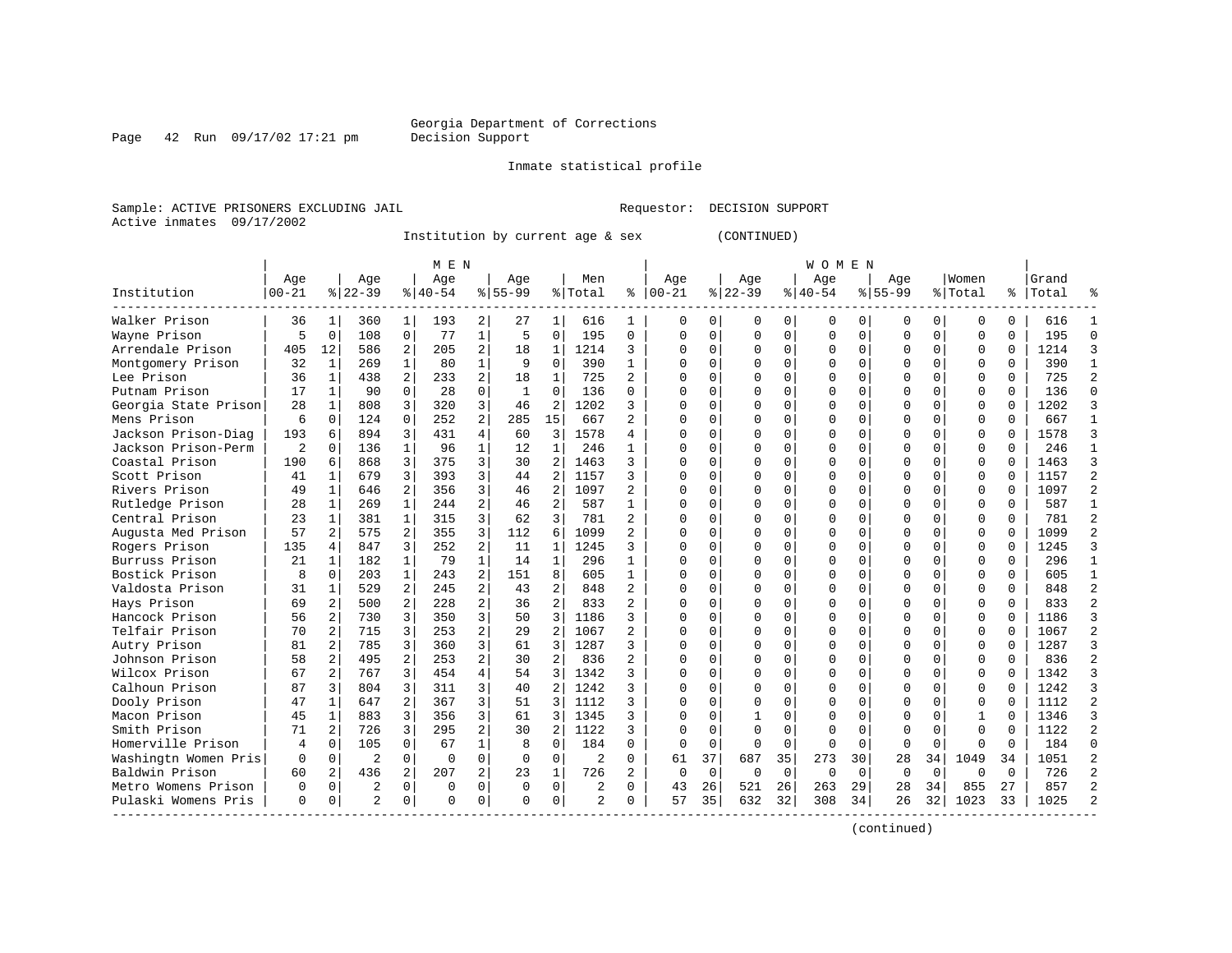Page 42 Run 09/17/02 17:21 pm

Inmate statistical profile

Sample: ACTIVE PRISONERS EXCLUDING JAIL Requestor: DECISION SUPPORT Active inmates 09/17/2002

Institution by current age & sex

| (CONTINUED) |  |
|-------------|--|
|-------------|--|

|                      |                |                |                |                | M E N     |                |              |                |                |                |           |             |          |          | W O M E N    |             |             |          |              |          |           |                |
|----------------------|----------------|----------------|----------------|----------------|-----------|----------------|--------------|----------------|----------------|----------------|-----------|-------------|----------|----------|--------------|-------------|-------------|----------|--------------|----------|-----------|----------------|
|                      | Age            |                | Age            |                | Aqe       |                | Aqe          |                | Men            |                | Aqe       |             | Aqe      |          | Aqe          |             | Aqe         |          | Women        |          | Grand     |                |
| Institution          | $00 - 21$      |                | $ 22-39$       |                | $8 40-54$ |                | $8 55-99$    |                | % Total        | ి              | $00 - 21$ |             | $ 22-39$ |          | $ 40-54$     |             | $8155 - 99$ |          | % Total      |          | %   Total | °              |
| Walker Prison        | 36             | $\mathbf{1}$   | 360            | 1              | 193       | $\overline{2}$ | 27           | 1              | 616            | $\mathbf{1}$   | $\Omega$  | $\Omega$    | $\Omega$ | $\Omega$ | $\Omega$     | $\Omega$    | 0           | 0        | $\Omega$     | $\Omega$ | 616       | 1              |
| Wayne Prison         | 5              | $\Omega$       | 108            | $\mathbf 0$    | 77        | 1              | 5            | $\Omega$       | 195            | $\Omega$       | $\Omega$  | $\Omega$    | $\Omega$ | $\Omega$ | $\Omega$     | $\Omega$    | U           | $\Omega$ | $\Omega$     | $\Omega$ | 195       | $\Omega$       |
| Arrendale Prison     | 405            | 12             | 586            | $\overline{a}$ | 205       | $\overline{a}$ | 18           | 1              | 1214           | 3              | $\Omega$  | $\Omega$    | $\Omega$ | $\Omega$ | $\Omega$     | $\Omega$    | 0           | $\Omega$ | $\Omega$     | $\Omega$ | 1214      | 3              |
| Montgomery Prison    | 32             | 1              | 269            | $\mathbf{1}$   | 80        | $\mathbf{1}$   | 9            | $\Omega$       | 390            | $\mathbf{1}$   | $\Omega$  | $\Omega$    | 0        | $\Omega$ |              | $\Omega$    | 0           | $\Omega$ | $\Omega$     | $\Omega$ | 390       | $\mathbf{1}$   |
| Lee Prison           | 36             | $\mathbf{1}$   | 438            | $\overline{a}$ | 233       | $\overline{a}$ | 18           | $\mathbf{1}$   | 725            | $\overline{2}$ | $\cap$    | $\mathbf 0$ | 0        | 0        |              | 0           | 0           | $\Omega$ | $\Omega$     | $\Omega$ | 725       | $\overline{2}$ |
| Putnam Prison        | 17             | $\mathbf{1}$   | 90             | $\Omega$       | 28        | $\Omega$       | $\mathbf{1}$ | $\Omega$       | 136            | $\Omega$       | $\Omega$  | $\Omega$    | O        | 0        |              | $\Omega$    | U           | 0        | $\Omega$     | $\Omega$ | 136       | $\Omega$       |
| Georgia State Prison | 28             | 1              | 808            | 3              | 320       | 3              | 46           | 2              | 1202           | 3              | $\Omega$  | $\Omega$    | O        | 0        | <sup>0</sup> | $\Omega$    | U           | 0        | $\Omega$     | $\Omega$ | 1202      | 3              |
| Mens Prison          | 6              | 0              | 124            | $\Omega$       | 252       | $\overline{a}$ | 285          | 15             | 667            | 2              | n         | $\mathbf 0$ | O        | 0        |              | $\Omega$    | O           | 0        | $\Omega$     |          | 667       | $\mathbf{1}$   |
| Jackson Prison-Diag  | 193            | б              | 894            | 3              | 431       | 4              | 60           | 3              | 1578           | 4              | C         | 0           | O        | 0        | <sup>0</sup> | $\Omega$    | O           | U        | $\Omega$     |          | 1578      | 3              |
| Jackson Prison-Perm  | $\overline{2}$ | <sup>0</sup>   | 136            | $\mathbf{1}$   | 96        | $\mathbf{1}$   | 12           | 1              | 246            | 1              | $\Omega$  | $\Omega$    | $\Omega$ | $\Omega$ | $\Omega$     | $\Omega$    | U           | $\Omega$ | $\Omega$     | $\cap$   | 246       | $\mathbf{1}$   |
| Coastal Prison       | 190            | 6              | 868            | 3              | 375       | 3              | 30           | $\mathfrak{D}$ | 1463           | 3              | $\Omega$  | $\Omega$    | $\Omega$ | $\Omega$ | $\Omega$     | $\Omega$    | O           | $\Omega$ | $\Omega$     | $\Omega$ | 1463      | 3              |
| Scott Prison         | 41             | $\mathbf{1}$   | 679            | 3              | 393       | 3              | 44           | $\overline{2}$ | 1157           | 3              | $\Omega$  | $\Omega$    | O        | 0        |              | $\Omega$    | O           | $\Omega$ | $\Omega$     | $\Omega$ | 1157      | $\overline{a}$ |
| Rivers Prison        | 49             | 1              | 646            | $\overline{a}$ | 356       | 3              | 46           | 2              | 1097           | 2              | $\cap$    | $\mathbf 0$ | 0        | 0        |              | $\Omega$    | 0           | $\Omega$ | $\Omega$     | $\Omega$ | 1097      | $\overline{2}$ |
| Rutledge Prison      | 28             | 1              | 269            | $\mathbf{1}$   | 244       | $\overline{2}$ | 46           | $\overline{a}$ | 587            | $\mathbf{1}$   | $\Omega$  | $\Omega$    | O        | 0        | <sup>0</sup> | $\Omega$    | U           | 0        | $\Omega$     | $\Omega$ | 587       | $\mathbf{1}$   |
| Central Prison       | 23             | 1              | 381            | $\mathbf{1}$   | 315       | 3              | 62           | 3              | 781            | $\overline{a}$ | $\Omega$  | $\Omega$    | U        | 0        | <sup>0</sup> | $\Omega$    | U           | 0        | $\Omega$     | $\Omega$ | 781       | $\overline{2}$ |
| Augusta Med Prison   | 57             | 2              | 575            | 2              | 355       | 3              | 112          | 6              | 1099           | 2              | $\Omega$  | $\Omega$    | U        | 0        | <sup>0</sup> | $\Omega$    | U           | 0        | $\Omega$     | $\Omega$ | 1099      | $\overline{a}$ |
| Rogers Prison        | 135            | 4              | 847            | 3              | 252       | 2              | 11           | 1              | 1245           | 3              | C         | 0           | $\Omega$ | 0        |              | $\mathbf 0$ | O           | U        | $\Omega$     |          | 1245      | 3              |
| Burruss Prison       | 21             | 1              | 182            | $\mathbf{1}$   | 79        | $\mathbf{1}$   | 14           | $\mathbf{1}$   | 296            | 1              | ∩         | $\Omega$    | $\Omega$ | 0        | $\Omega$     | $\Omega$    | U           | $\Omega$ | $\Omega$     | $\cap$   | 296       | $\mathbf{1}$   |
| Bostick Prison       | 8              | 0              | 203            | $\mathbf{1}$   | 243       | 2              | 151          | 8              | 605            | $\mathbf{1}$   | $\Omega$  | $\Omega$    | $\Omega$ | $\Omega$ | <sup>0</sup> | $\Omega$    | O           | $\Omega$ | $\Omega$     | $\Omega$ | 605       | 1              |
| Valdosta Prison      | 31             | $\mathbf{1}$   | 529            | $\overline{a}$ | 245       | $\overline{a}$ | 43           | $\overline{2}$ | 848            | 2              | $\Omega$  | $\Omega$    | O        | 0        |              | $\Omega$    | O           | $\Omega$ | $\Omega$     | $\Omega$ | 848       | $\overline{2}$ |
| Hays Prison          | 69             | $\overline{a}$ | 500            | $\overline{a}$ | 228       | $\overline{a}$ | 36           | $\overline{2}$ | 833            | $\overline{a}$ | $\Omega$  | $\mathbf 0$ | O        | 0        |              | $\mathbf 0$ | U           | 0        | $\Omega$     | $\Omega$ | 833       | $\overline{2}$ |
| Hancock Prison       | 56             | $\overline{a}$ | 730            | 3              | 350       | 3              | 50           | 3              | 1186           | 3              | $\cap$    | $\Omega$    | O        | 0        |              | $\Omega$    | O           | $\Omega$ | $\Omega$     | $\cap$   | 1186      | $\mathbf{3}$   |
| Telfair Prison       | 70             | $\overline{2}$ | 715            | 3              | 253       | $\overline{a}$ | 29           | $\overline{2}$ | 1067           | 2              | $\Omega$  | $\Omega$    | O        | $\Omega$ | $\Omega$     | $\Omega$    | O           | $\Omega$ | $\Omega$     | $\Omega$ | 1067      | $\overline{2}$ |
| Autry Prison         | 81             | 2              | 785            | 3              | 360       | 3              | 61           | 3              | 1287           | 3              | $\Omega$  | $\Omega$    | O        | 0        | $\Omega$     | $\Omega$    | O           | O        | $\Omega$     | $\Omega$ | 1287      | 3              |
| Johnson Prison       | 58             | 2              | 495            | 2              | 253       | $\overline{a}$ | 30           | 2              | 836            | 2              |           | $\Omega$    | U        | O        |              | $\Omega$    | 0           | U        | $\Omega$     |          | 836       | $\overline{a}$ |
| Wilcox Prison        | 67             | 2.             | 767            | 3              | 454       | $\overline{4}$ | 54           | 3              | 1342           | 3              | n         | $\Omega$    | $\Omega$ | 0        | ∩            | $\Omega$    | O           | 0        | $\Omega$     | $\cap$   | 1342      | 3              |
| Calhoun Prison       | 87             | 3              | 804            | 3              | 311       | 3              | 40           | $\overline{2}$ | 1242           | 3              | $\Omega$  | $\Omega$    | $\Omega$ | 0        | $\Omega$     | $\Omega$    | U           | 0        | $\Omega$     | $\Omega$ | 1242      | 3              |
| Dooly Prison         | 47             | 1              | 647            | $\overline{a}$ | 367       | 3              | 51           | 3              | 1112           | 3              | $\Omega$  | $\Omega$    | $\Omega$ | 0        | <sup>0</sup> | $\Omega$    | 0           | $\Omega$ | $\Omega$     | $\Omega$ | 1112      | $\overline{a}$ |
| Macon Prison         | 45             | 1              | 883            | $\overline{3}$ | 356       | 3              | 61           | 3              | 1345           | 3              | $\Omega$  | $\mathbf 0$ |          | 0        |              | $\Omega$    | U           | $\Omega$ | $\mathbf{1}$ |          | 1346      | 3              |
| Smith Prison         | 71             | $\overline{a}$ | 726            | $\overline{3}$ | 295       | $\overline{a}$ | 30           | $\overline{2}$ | 1122           | 3              | $\cap$    | $\mathbf 0$ | $\Omega$ | $\Omega$ |              | $\mathbf 0$ | O           | $\Omega$ | $\Omega$     | $\cap$   | 1122      | $\overline{2}$ |
| Homerville Prison    | 4              | $\Omega$       | 105            | $\mathbf 0$    | 67        | $\mathbf{1}$   | 8            | $\Omega$       | 184            | 0              | $\Omega$  | $\mathbf 0$ | $\Omega$ | $\Omega$ | $\Omega$     | $\Omega$    | $\cap$      | $\Omega$ | $\Omega$     | $\cap$   | 184       | $\Omega$       |
| Washingtn Women Pris | 0              | 0              | $\overline{2}$ | $\overline{0}$ | $\Omega$  | 0              | $\Omega$     | $\Omega$       | $\overline{a}$ | $\Omega$       | 61        | 37          | 687      | 35       | 273          | 30          | 28          | 34       | 1049         | 34       | 1051      | $\overline{2}$ |
| Baldwin Prison       | 60             | 2              | 436            | 2              | 207       | $\overline{a}$ | 23           | 1              | 726            | 2              | 0         | $\mathbf 0$ | 0        | 0        | $\Omega$     | $\mathbf 0$ | 0           | $\Omega$ | $\Omega$     | $\Omega$ | 726       | $\overline{2}$ |
| Metro Womens Prison  | 0              | U              | 2              | 0              | $\Omega$  | 0              | $\Omega$     | 0              | $\overline{2}$ | 0              | 43        | 26          | 521      | 26       | 263          | 29          | 28          | 34       | 855          | 27       | 857       | 2              |
| Pulaski Womens Pris  | $\Omega$       | 0              | 2              | 0              | $\Omega$  | 0              | $\Omega$     | $\Omega$       | $\mathbf{2}$   | $\Omega$       | 57        | 35          | 632      | 32       | 308          | 34          | 26          | 32       | 1023         | 33       | 1025      | $\overline{a}$ |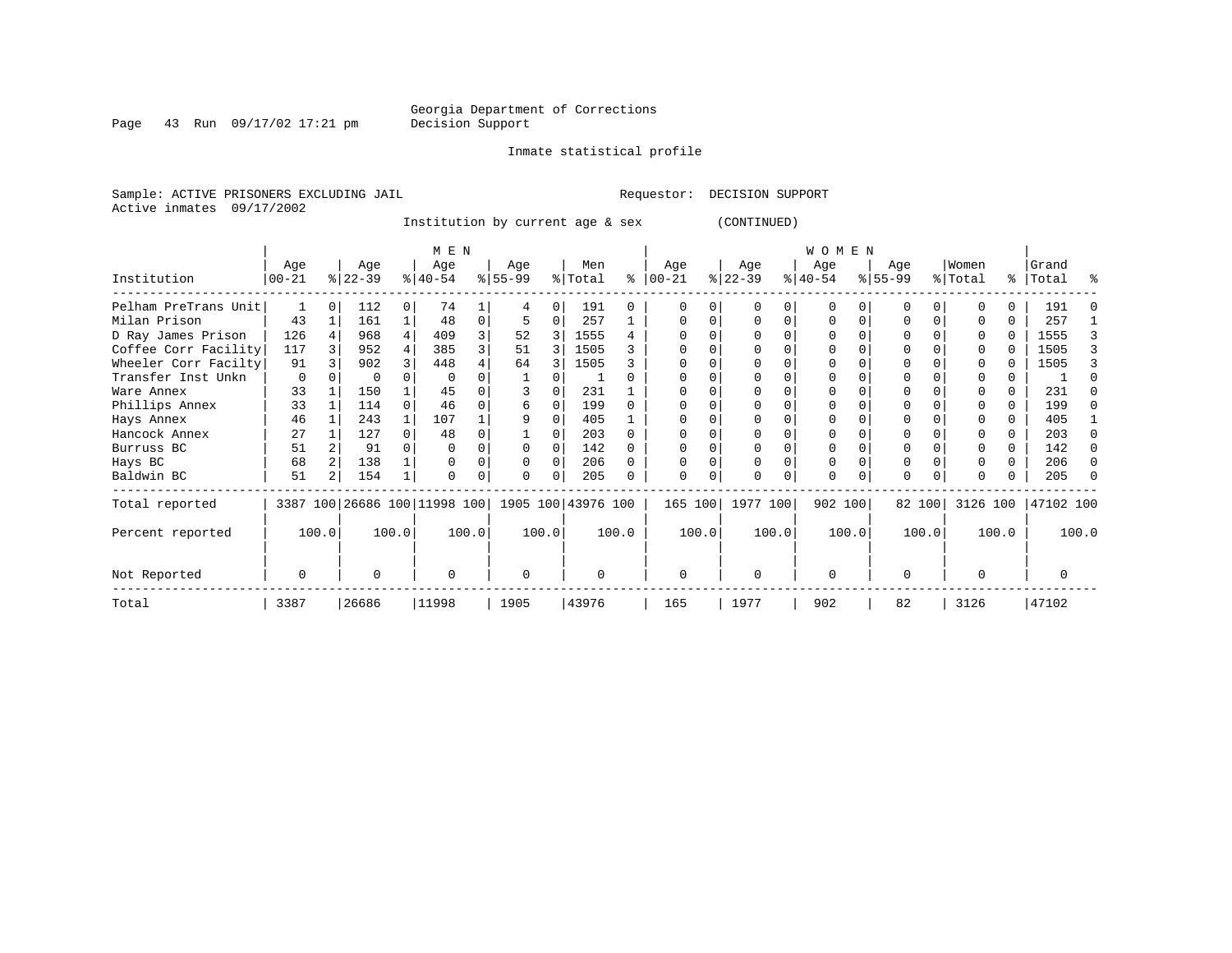Inmate statistical profile

Page 43 Run 09/17/02 17:21 pm

Sample: ACTIVE PRISONERS EXCLUDING JAIL **Requestor: DECISION SUPPORT** Active inmates 09/17/2002

Institution by current age & sex (CONTINUED)

|                      |                   |       |                  |          | M E N                                           |       |                 |       |                |       |                  |       |                  |       | <b>WOMEN</b>     |       |                  |        |                  |       |                    |       |
|----------------------|-------------------|-------|------------------|----------|-------------------------------------------------|-------|-----------------|-------|----------------|-------|------------------|-------|------------------|-------|------------------|-------|------------------|--------|------------------|-------|--------------------|-------|
| Institution          | Age<br>$ 00 - 21$ |       | Age<br>$ 22-39 $ |          | Age<br>$ 40-54 $                                |       | Age<br>$ 55-99$ |       | Men<br>% Total | ႜ     | Age<br>$00 - 21$ |       | Age<br>$ 22-39 $ |       | Age<br>$ 40-54 $ |       | Age<br>$ 55-99 $ |        | Women<br>% Total |       | Grand<br>%   Total | ႜ     |
| Pelham PreTrans Unit |                   |       | 112              | $\Omega$ | 74                                              |       |                 | 0     | 191            | U     |                  |       |                  |       | $\Omega$         |       |                  |        |                  |       | 191                |       |
| Milan Prison         | 43                |       | 161              |          | 48                                              | 0     |                 | 0     | 257            |       |                  |       |                  | 0     | 0                |       |                  |        |                  | U     | 257                |       |
| D Ray James Prison   | 126               |       | 968              | 4        | 409                                             |       | 52              | 3     | 1555           |       |                  |       |                  |       |                  |       |                  |        |                  | 0     | 1555               |       |
| Coffee Corr Facility | 117               |       | 952              |          | 385                                             |       | 51              | 3     | 1505           |       |                  |       |                  |       |                  |       |                  |        |                  |       | 1505               |       |
| Wheeler Corr Facilty | 91                |       | 902              |          | 448                                             |       | 64              |       | 1505           |       |                  |       |                  |       |                  |       |                  |        |                  |       | 1505               |       |
| Transfer Inst Unkn   | 0                 |       | $\Omega$         |          |                                                 |       |                 |       |                |       |                  |       |                  |       |                  |       |                  |        |                  |       |                    |       |
| Ware Annex           | 33                |       | 150              |          | 45                                              |       |                 |       | 231            |       |                  |       |                  |       |                  |       |                  |        |                  |       | 231                |       |
| Phillips Annex       | 33                |       | 114              |          | 46                                              |       | 6               |       | 199            |       |                  |       |                  |       |                  |       |                  |        |                  |       | 199                |       |
| Hays Annex           | 46                |       | 243              |          | 107                                             |       |                 | U     | 405            |       |                  |       |                  |       |                  |       |                  |        |                  | U     | 405                |       |
| Hancock Annex        | 27                |       | 127              |          | 48                                              |       |                 |       | 203            |       |                  |       |                  |       |                  |       |                  |        |                  |       | 203                |       |
| Burruss BC           | 51                |       | 91               |          |                                                 |       |                 |       | 142            |       |                  |       |                  |       |                  |       |                  |        |                  | 0     | 142                |       |
| Hays BC              | 68                |       | 138              |          |                                                 |       |                 |       | 206            |       |                  |       |                  |       |                  |       |                  |        |                  | 0     | 206                |       |
| Baldwin BC           | 51                |       | 154              |          |                                                 |       | $\Omega$        | 0     | 205            |       |                  |       |                  |       | 0                |       | $\Omega$         |        |                  |       | 205                |       |
| Total reported       |                   |       |                  |          | 3387 100 26686 100 11998 100 1905 100 43976 100 |       |                 |       |                |       | 165 100          |       | 1977 100         |       | 902 100          |       |                  | 82 100 | 3126 100         |       | 47102 100          |       |
| Percent reported     |                   | 100.0 |                  | 100.0    |                                                 | 100.0 |                 | 100.0 |                | 100.0 |                  | 100.0 |                  | 100.0 |                  | 100.0 |                  | 100.0  |                  | 100.0 |                    | 100.0 |
| Not Reported         | 0                 |       | U                |          | $\Omega$                                        |       | $\Omega$        |       | U              |       | 0                |       | $\Omega$         |       | $\Omega$         |       | $\Omega$         |        |                  |       |                    |       |
| Total                | 3387              |       | 26686            |          | 11998                                           |       | 1905            |       | 43976          |       | 165              |       | 1977             |       | 902              |       | 82               |        | 3126             |       | 47102              |       |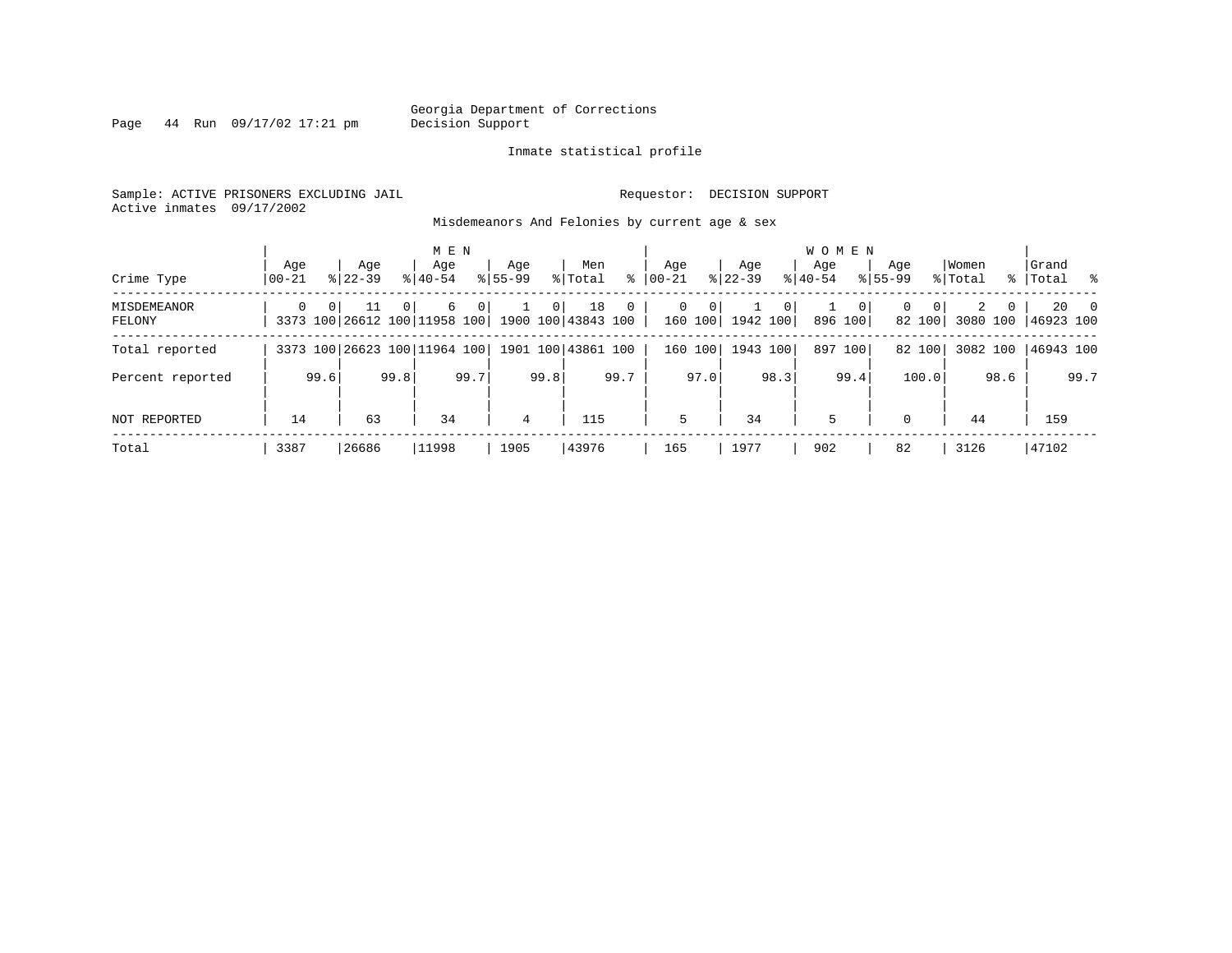Page 44 Run 09/17/02 17:21 pm

#### Inmate statistical profile

Sample: ACTIVE PRISONERS EXCLUDING JAIL **Requestor: DECISION SUPPORT** Active inmates 09/17/2002

Misdemeanors And Felonies by current age & sex

|                       |                |          |                                    |                | M E N              |      |                    |      |                          |              |                  |              |                    |                | WOMEN              |                         |                    |                       |                  |          |                           |                |
|-----------------------|----------------|----------|------------------------------------|----------------|--------------------|------|--------------------|------|--------------------------|--------------|------------------|--------------|--------------------|----------------|--------------------|-------------------------|--------------------|-----------------------|------------------|----------|---------------------------|----------------|
| Crime Type            | Age<br>  00-21 |          | Age<br>$8122 - 39$                 |                | Age<br>$8140 - 54$ |      | Age<br>$8155 - 99$ |      | Men<br>% Total           | ి            | Age<br>$ 00-21 $ |              | Age<br>$ 22 - 39 $ |                | Aqe<br>$8140 - 54$ |                         | Age<br>$8155 - 99$ |                       | Women<br>% Total |          | Grand<br>%   Total        |                |
| MISDEMEANOR<br>FELONY | $\Omega$       | $\Omega$ | 11<br>3373 100 26612 100 11958 100 | 0 <sup>1</sup> | 6                  | 0    |                    | 0    | 18<br>1900 100 43843 100 | $\mathbf{0}$ | $\Omega$         | 0<br>160 100 | 1942 100           | 0 <sup>1</sup> |                    | $\mathbf{0}$<br>896 100 | $\Omega$           | $\mathbf 0$<br>82 100 | 3080 100         | $\Omega$ | $20^{\circ}$<br>46923 100 | $\overline{0}$ |
| Total reported        |                |          | 3373 100 26623 100 11964 100       |                |                    |      |                    |      | 1901 100 43861 100       |              |                  | 160 100      | 1943 100           |                |                    | 897 100                 |                    | 82 100                | 3082 100         |          | 46943 100                 |                |
| Percent reported      |                | 99.6     |                                    | 99.8           |                    | 99.7 |                    | 99.8 |                          | 99.7         |                  | 97.0         |                    | 98.3           |                    | 99.4                    |                    | 100.0                 |                  | 98.6     |                           | 99.7           |
| NOT REPORTED          | 14             |          | 63                                 |                | 34                 |      | 4                  |      | 115                      |              | 5                |              | 34                 |                | 5                  |                         | $\mathbf{0}$       |                       | 44               |          | 159                       |                |
| Total                 | 3387           |          | 26686                              |                | 11998              |      | 1905               |      | 43976                    |              | 165              |              | 1977               |                | 902                |                         | 82                 |                       | 3126             |          | 47102                     |                |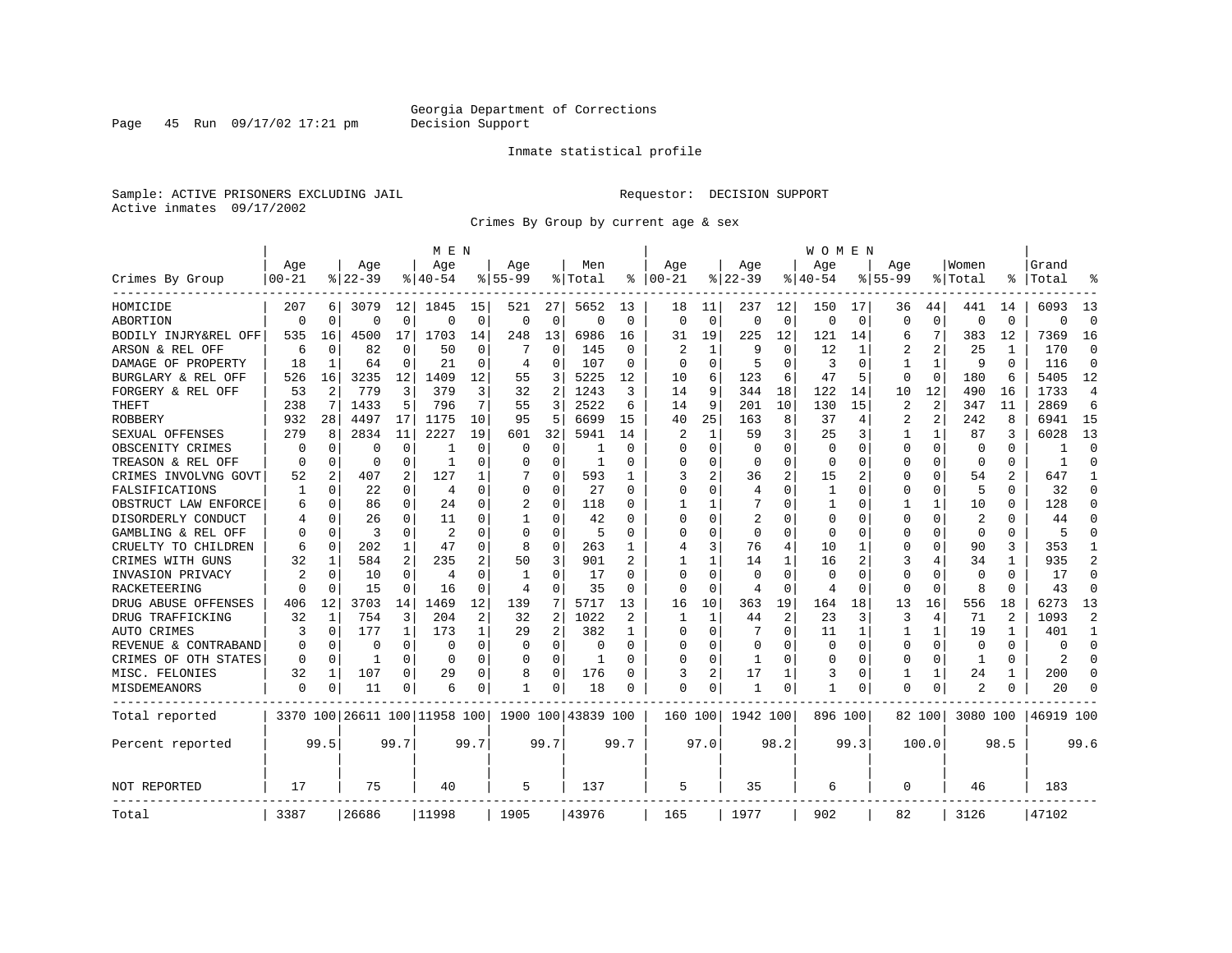Page 45 Run 09/17/02 17:21 pm

#### Inmate statistical profile

Sample: ACTIVE PRISONERS EXCLUDING JAIL **Requestor: DECISION SUPPORT** Active inmates 09/17/2002

Crimes By Group by current age & sex

|                      |           |          |           |              | M E N                        |             |              |                |                    |                |                |             |             |                | W O M E N    |             |                |              |                |                |           |                |
|----------------------|-----------|----------|-----------|--------------|------------------------------|-------------|--------------|----------------|--------------------|----------------|----------------|-------------|-------------|----------------|--------------|-------------|----------------|--------------|----------------|----------------|-----------|----------------|
|                      | Age       |          | Age       |              | Age                          |             | Age          |                | Men                |                | Age            |             | Age         |                | Age          |             | Age            |              | Women          |                | Grand     |                |
| Crimes By Group      | $00 - 21$ |          | $8 22-39$ |              | % 40-54                      |             | $8155 - 99$  |                | % Total            | ႜ              | $ 00 - 21$     |             | $8$   22-39 |                | $8140 - 54$  |             | $8155 - 99$    |              | % Total        | ⊱              | Total     |                |
| HOMICIDE             | 207       | 6        | 3079      | 12           | 1845                         | 15          | 521          | 27             | 5652               | 13             | 18             | 11          | 237         | 12             | 150          | 17          | 36             | 44           | 441            | 14             | 6093      | 13             |
| ABORTION             | $\Omega$  | $\Omega$ | $\Omega$  | 0            | $\Omega$                     | $\mathbf 0$ | $\Omega$     | $\mathbf 0$    | $\Omega$           | $\Omega$       | $\Omega$       | $\mathbf 0$ | $\Omega$    | $\Omega$       | $\Omega$     | $\mathbf 0$ | $\Omega$       | $\Omega$     | $\mathbf 0$    | $\Omega$       | $\Omega$  | $\Omega$       |
| BODILY INJRY&REL OFF | 535       | 16       | 4500      | 17           | 1703                         | 14          | 248          | 13             | 6986               | 16             | 31             | 19          | 225         | 12             | 121          | 14          | 6              | 7            | 383            | 12             | 7369      | 16             |
| ARSON & REL OFF      | 6         | $\Omega$ | 82        | 0            | 50                           | 0           |              | 0              | 145                | 0              | 2              | 1           | 9           | 0              | 12           | 1           | 2              | 2            | 25             | 1              | 170       | $\Omega$       |
| DAMAGE OF PROPERTY   | 18        | 1        | 64        | 0            | 21                           | 0           | 4            | 0              | 107                | $\Omega$       | ∩              | $\Omega$    | 5           | 0              | 3            | $\Omega$    | 1              | $\mathbf{1}$ | 9              | $\Omega$       | 116       | $\Omega$       |
| BURGLARY & REL OFF   | 526       | 16       | 3235      | 12           | 1409                         | 12          | 55           | 3              | 5225               | 12             | 10             | 6           | 123         | 6              | 47           | 5           | $\Omega$       | $\mathbf 0$  | 180            | 6              | 5405      | 12             |
| FORGERY & REL OFF    | 53        | 2        | 779       | 3            | 379                          | 3           | 32           | 2              | 1243               | 3              | 14             | 9           | 344         | 18             | 122          | 14          | 10             | 12           | 490            | 16             | 1733      | $\overline{4}$ |
| THEFT                | 238       | 7        | 1433      | 5            | 796                          | 7           | 55           | 3              | 2522               | 6              | 14             | 9           | 201         | 10             | 130          | 15          | $\overline{2}$ | 2            | 347            | 11             | 2869      | 6              |
| <b>ROBBERY</b>       | 932       | 28       | 4497      | 17           | 1175                         | 10          | 95           | 5              | 6699               | 15             | 40             | 25          | 163         | 8              | 37           | 4           | $\overline{2}$ | 2            | 242            | 8              | 6941      | 15             |
| SEXUAL OFFENSES      | 279       | 8        | 2834      | 11           | 2227                         | 19          | 601          | 32             | 5941               | 14             | 2              | 1           | 59          | 3              | 25           | 3           | 1              | $\mathbf{1}$ | 87             | 3              | 6028      | 13             |
| OBSCENITY CRIMES     | n         | $\Omega$ | U         | 0            | -1                           | 0           | O            | 0              |                    | $\Omega$       | ∩              | O           | $\Omega$    | U              | $\Omega$     | $\Omega$    | O              | $\Omega$     | $\Omega$       | $\Omega$       |           | ∩              |
| TREASON & REL OFF    | $\Omega$  | $\Omega$ | O         | 0            | -1                           | 0           | U            | 0              | 1                  | $\Omega$       | $\Omega$       | O           | $\Omega$    | U              | $\Omega$     | $\Omega$    | 0              | 0            | 0              | 0              |           | ∩              |
| CRIMES INVOLVNG GOVT | 52        | 2        | 407       | 2            | 127                          | 1           |              | 0              | 593                | 1              | 3              | 2           | 36          | 2              | 15           | 2           | 0              | 0            | 54             |                | 647       | -1             |
| FALSIFICATIONS       | 1         | 0        | 22        | 0            | 4                            | 0           | $\Omega$     | 0              | 27                 | $\Omega$       | $\Omega$       | O           | 4           | O              | $\mathbf{1}$ | 0           | $\Omega$       | 0            | 5              | 0              | 32        | $\Omega$       |
| OBSTRUCT LAW ENFORCE | 6         | $\Omega$ | 86        | 0            | 2.4                          | 0           | 2            | $\Omega$       | 118                | 0              |                |             |             | U              | -1           | $\Omega$    | 1              | $\mathbf{1}$ | 10             | O              | 128       | $\Omega$       |
| DISORDERLY CONDUCT   |           | $\Omega$ | 26        | 0            | 11                           | 0           | -1           | 0              | 42                 | O              |                | O           | 2           | U              | <sup>0</sup> | $\Omega$    | U              | O            | $\overline{2}$ |                | 44        |                |
| GAMBLING & REL OFF   |           | $\Omega$ | ζ         | 0            | 2                            | 0           | $\Omega$     | $\Omega$       | 5                  | $\Omega$       | ∩              | U           | $\Omega$    | U              | $\Omega$     | $\Omega$    | U              | U            | $\Omega$       | 0              | 5         |                |
| CRUELTY TO CHILDREN  | 6         | $\Omega$ | 202       | $\mathbf 1$  | 47                           | 0           | 8            | 0              | 263                | 1              | $\overline{4}$ | 3           | 76          | 4              | 10           | 1           | U              | 0            | 90             | 3              | 353       | -1             |
| CRIMES WITH GUNS     | 32        | 1        | 584       | 2            | 235                          | 2           | 50           | 3              | 901                |                |                | 1           | 14          | 1              | 16           | 2           | 3              | 4            | 34             | 1              | 935       | $\overline{2}$ |
| INVASION PRIVACY     | 2         | 0        | 10        | 0            | $\overline{4}$               | 0           | $\mathbf{1}$ | 0              | 17                 | $\Omega$       | $\Omega$       | $\Omega$    | $\mathbf 0$ | $\Omega$       | $\Omega$     | 0           | 0              | $\Omega$     | $\mathbf 0$    | $\Omega$       | 17        | $\Omega$       |
| RACKETEERING         |           | $\Omega$ | 15        | 0            | 16                           | 0           | 4            | 0              | 35                 | 0              | $\Omega$       | 0           | 4           | 0              | 4            | 0           | $\Omega$       | 0            | 8              | $\Omega$       | 43        | $\Omega$       |
| DRUG ABUSE OFFENSES  | 406       | 12       | 3703      | 14           | 1469                         | 12          | 139          | 7              | 5717               | 13             | 16             | 10          | 363         | 19             | 164          | 18          | 13             | 16           | 556            | 18             | 6273      | 13             |
| DRUG TRAFFICKING     | 32        | 1        | 754       | 3            | 204                          | 2           | 32           | $\overline{2}$ | 1022               | $\mathfrak{D}$ | -1             | 1           | 44          | $\overline{2}$ | 23           | 3           | 3              | 4            | 71             | $\mathfrak{D}$ | 1093      | $\mathcal{D}$  |
| AUTO CRIMES          | 3         | $\Omega$ | 177       | $\mathbf{1}$ | 173                          | 1           | 29           | $\overline{2}$ | 382                | 1              | $\Omega$       | $\Omega$    |             | 0              | 11           | 1           | 1              | $\mathbf{1}$ | 19             |                | 401       | $\mathbf{1}$   |
| REVENUE & CONTRABAND | O         | 0        | 0         | $\Omega$     | $\Omega$                     | 0           | $\Omega$     | $\mathbf 0$    | $\Omega$           | $\Omega$       |                | O           | 0           | O              | 0            | $\mathbf 0$ | $\Omega$       | 0            | $\mathbf 0$    | $\Omega$       | $\Omega$  | $\Omega$       |
| CRIMES OF OTH STATES | $\Omega$  | 0        | 1         | 0            | $\Omega$                     | 0           | $\Omega$     | 0              | 1                  | $\Omega$       | ∩              | 0           | -1          | U              | 0            | 0           | 0              | $\Omega$     | 1              | $\Omega$       | 2         | ∩              |
| MISC. FELONIES       | 32        | 1        | 107       | 0            | 29                           | 0           | 8            | 0              | 176                | $\Omega$       | 3              | 2           | 17          | 1              | 3            | 0           | 1              | 1            | 24             |                | 200       | $\Omega$       |
| MISDEMEANORS         | 0         | 0        | 11        | 0            | 6                            | 0           | $\mathbf{1}$ | 0              | 18                 | $\Omega$       | $\Omega$       | 0           | 1           | 0              | 1            | 0           | $\Omega$       | 0            |                | 0              | 20        |                |
| Total reported       |           |          |           |              | 3370 100 26611 100 11958 100 |             |              |                | 1900 100 43839 100 |                | 160 100        |             | 1942 100    |                | 896 100      |             |                | 82 100       | 3080 100       |                | 46919 100 |                |
| Percent reported     |           | 99.5     |           | 99.7         |                              | 99.7        |              | 99.7           |                    | 99.7           |                | 97.0        |             | 98.2           |              | 99.3        |                | 100.0        |                | 98.5           |           | 99.6           |
| <b>NOT REPORTED</b>  | 17        |          | 75        |              | 40                           |             | 5            |                | 137                |                | 5              |             | 35          |                | 6            |             | $\Omega$       |              | 46             |                | 183       |                |
| Total                | 3387      |          | 26686     |              | 11998                        |             | 1905         |                | 43976              |                | 165            |             | 1977        |                | 902          |             | 82             |              | 3126           |                | 47102     |                |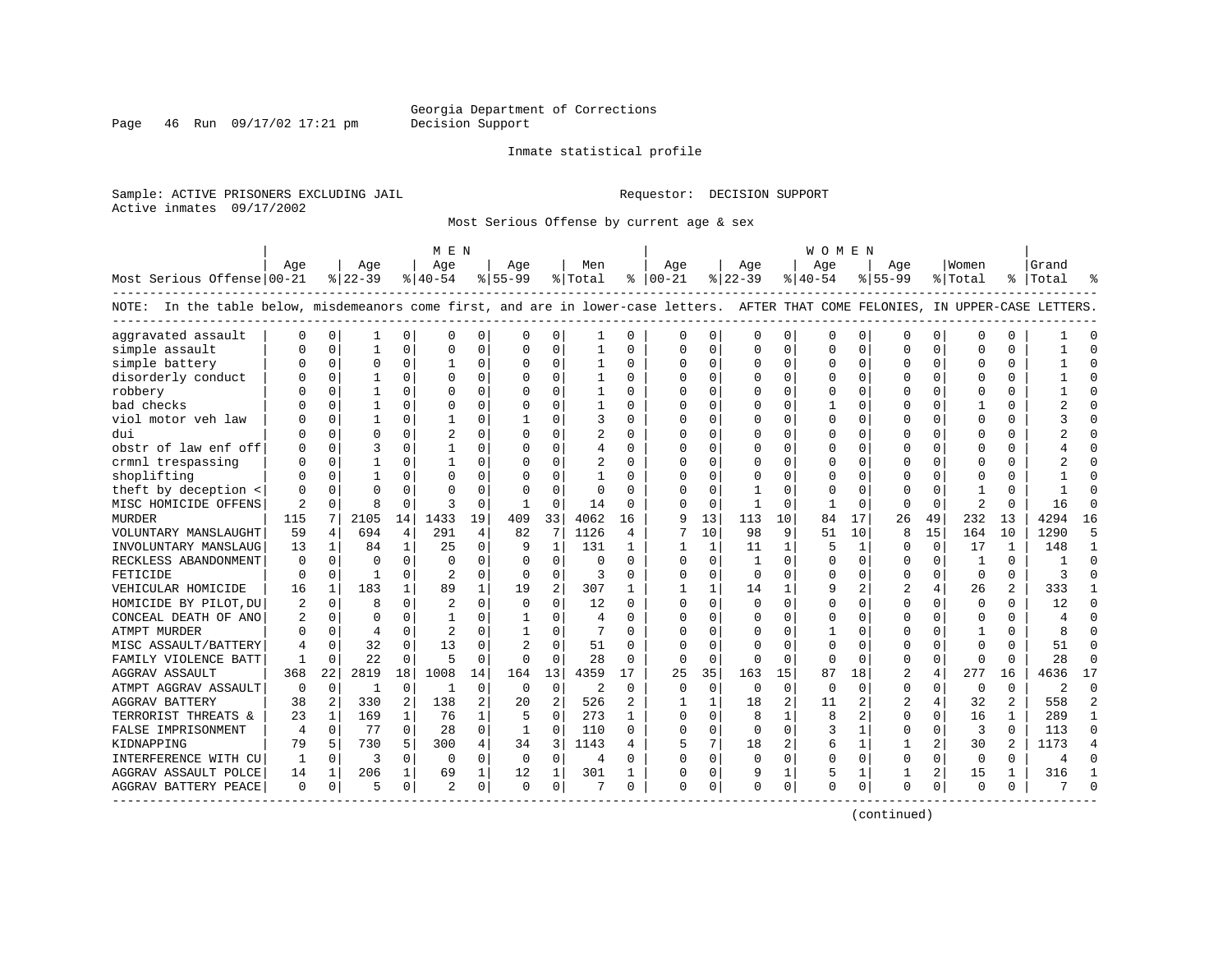Page 46 Run  $09/17/02$  17:21 pm

#### Inmate statistical profile

Sample: ACTIVE PRISONERS EXCLUDING JAIL **Requestor: DECISION SUPPORT** Active inmates 09/17/2002

Most Serious Offense by current age & sex

|                                                                                                                                    |              |              |              |              | M E N          |          |             |                |                |              |               |              |          |              | W O M E N |             |                |                |                |              |           |                |
|------------------------------------------------------------------------------------------------------------------------------------|--------------|--------------|--------------|--------------|----------------|----------|-------------|----------------|----------------|--------------|---------------|--------------|----------|--------------|-----------|-------------|----------------|----------------|----------------|--------------|-----------|----------------|
|                                                                                                                                    | Age          |              | Age          |              | Age            |          | Age         |                | Men            |              | Age           |              | Aqe      |              | Aqe       |             | Age            |                | Women          |              | Grand     |                |
| Most Serious Offense 00-21                                                                                                         |              |              | $ 22-39$     |              | $ 40-54$       |          | $8 55-99$   |                | % Total        |              | $8   00 - 21$ |              | $ 22-39$ |              | $ 40-54$  |             | $8155 - 99$    |                | % Total        |              | %   Total |                |
| NOTE: In the table below, misdemeanors come first, and are in lower-case letters. AFTER THAT COME FELONIES, IN UPPER-CASE LETTERS. |              |              |              |              |                |          |             |                |                |              |               |              |          |              |           |             |                |                |                |              |           |                |
| aggravated assault                                                                                                                 | $\Omega$     | $\mathbf 0$  | 1            | 0            | $\mathsf{C}$   | $\Omega$ | $\Omega$    | 0              |                | $\Omega$     | $\Omega$      | 0            | 0        | 0            | $\Omega$  | 0           | $\Omega$       | $\Omega$       | $\Omega$       | $\Omega$     |           |                |
| simple assault                                                                                                                     |              | $\mathbf 0$  | $\mathbf{1}$ | $\Omega$     | $\Omega$       | 0        | $\Omega$    | 0              | $\mathbf{1}$   | $\Omega$     | $\Omega$      | 0            | $\Omega$ | $\Omega$     | $\Omega$  | 0           | $\Omega$       | $\Omega$       | $\Omega$       | $\Omega$     |           | $\Omega$       |
| simple battery                                                                                                                     |              | $\mathbf 0$  | $\Omega$     | 0            |                | 0        | 0           | 0              |                | 0            | 0             | 0            | $\Omega$ | 0            | $\Omega$  | 0           | 0              | 0              | <sup>0</sup>   | O            |           |                |
| disorderly conduct                                                                                                                 |              | $\mathbf 0$  |              | O            | $\Omega$       | 0        | O           | $\Omega$       |                | O            | $\Omega$      | $\Omega$     | $\Omega$ | 0            | $\Omega$  | $\mathbf 0$ | $\Omega$       | $\Omega$       | $\Omega$       | $\Omega$     |           |                |
| robbery                                                                                                                            |              | $\Omega$     | 1            | U            | $\Omega$       | $\Omega$ | O           | $\Omega$       | $\mathbf{1}$   | 0            | $\Omega$      | $\Omega$     | $\Omega$ | 0            | $\Omega$  | 0           | U              | 0              | $\Omega$       | $\Omega$     |           | $\Omega$       |
| bad checks                                                                                                                         |              | $\Omega$     | 1            | 0            | $\Omega$       | $\Omega$ | O           | $\Omega$       | 1              | $\Omega$     | <sup>0</sup>  | $\Omega$     | $\Omega$ | 0            |           | 0           | U              | 0              | -1             | $\Omega$     |           | ∩              |
| viol motor veh law                                                                                                                 |              | 0            | 1            | 0            | 1              | $\Omega$ |             | $\Omega$       | 3              | $\Omega$     | $\Omega$      | $\Omega$     | 0        | 0            | O         | 0           | $\Omega$       | $\Omega$       | $\Omega$       | $\Omega$     |           |                |
| dui                                                                                                                                |              | $\mathbf 0$  | $\Omega$     | O            | $\overline{c}$ | 0        | $\Omega$    | 0              | $\overline{2}$ | $\Omega$     | $\Omega$      | $\Omega$     | 0        | 0            |           | 0           | $\Omega$       | 0              | $\Omega$       | 0            |           |                |
| obstr of law enf off                                                                                                               |              | 0            | ζ            | O            | 1              | $\Omega$ | U           | $\Omega$       | 4              | $\Omega$     | $\Omega$      | $\Omega$     | 0        | O            | $\Omega$  | 0           | 0              | $\Omega$       | $\Omega$       | $\Omega$     |           | ∩              |
| crmnl trespassing                                                                                                                  |              | $\mathbf 0$  | 1            | O            | 1              | $\Omega$ | $\Omega$    | $\Omega$       | 2              | $\Omega$     | $\Omega$      | $\Omega$     | $\Omega$ | O            | $\Omega$  | 0           | $\Omega$       | $\Omega$       | <sup>0</sup>   | 0            |           | ∩              |
| shoplifting                                                                                                                        |              | $\Omega$     |              | O            | $\Omega$       | $\Omega$ | $\Omega$    | $\Omega$       |                | 0            | $\Omega$      | $\Omega$     | 0        | 0            |           | $\mathbf 0$ | $\Omega$       | $\Omega$       | O              | $\Omega$     |           |                |
| theft by deception <                                                                                                               |              | $\Omega$     | $\Omega$     | U            | $\Omega$       | $\Omega$ | O           | $\Omega$       | $\Omega$       | $\Omega$     | <sup>0</sup>  | $\Omega$     | -1       | O            | $\Omega$  | 0           | $\Omega$       | U              |                | U            |           |                |
| MISC HOMICIDE OFFENS                                                                                                               | 2            | $\mathbf 0$  | 8            | $\Omega$     | ζ              | 0        | 1           | 0              | 14             | $\Omega$     | $\cap$        | $\mathbf 0$  | -1       | 0            | -1        | 0           | 0              | $\Omega$       | $\overline{c}$ | $\Omega$     | 16        | $\cap$         |
| <b>MURDER</b>                                                                                                                      | 115          | 7            | 2105         | 14           | 1433           | 19       | 409         | 33             | 4062           | 16           | 9             | 13           | 113      | 10           | 84        | 17          | 26             | 49             | 232            | 13           | 4294      | 16             |
| VOLUNTARY MANSLAUGHT                                                                                                               | 59           | 4            | 694          | 4            | 291            | 4        | 82          | 7              | 1126           | 4            | 7             | 10           | 98       | 9            | 51        | 10          | 8              | 15             | 164            | 10           | 1290      | 5              |
| INVOLUNTARY MANSLAUG                                                                                                               | 13           | $\mathbf{1}$ | 84           | $\mathbf{1}$ | 25             | $\Omega$ | 9           | $\mathbf{1}$   | 131            | $\mathbf{1}$ | $\mathbf{1}$  | $\mathbf{1}$ | 11       | $\mathbf{1}$ | 5         | 1           | $\Omega$       | $\Omega$       | 17             | $\mathbf{1}$ | 148       | $\mathbf{1}$   |
| RECKLESS ABANDONMENT                                                                                                               | 0            | 0            | $\Omega$     | $\Omega$     | $\Omega$       | 0        | O           | 0              | $\Omega$       | $\Omega$     | $\Omega$      | 0            | -1       | 0            | U         | 0           | 0              | 0              | -1             | $\Omega$     |           | $\cap$         |
| FETICIDE                                                                                                                           | n            | 0            | 1            | $\Omega$     | $\overline{2}$ | 0        | $\Omega$    | 0              | 3              | O            | <sup>0</sup>  | $\Omega$     | $\Omega$ | 0            | $\Omega$  | 0           | $\Omega$       | $\Omega$       | $\Omega$       | $\Omega$     |           |                |
| VEHICULAR HOMICIDE                                                                                                                 | 16           | 1            | 183          | $\mathbf{1}$ | 89             | 1        | 19          | $\overline{2}$ | 307            | $\mathbf{1}$ |               | 1            | 14       | 1            | 9         | 2           | $\overline{2}$ | 4              | 26             | 2            | 333       |                |
| HOMICIDE BY PILOT, DU                                                                                                              |              | $\mathbf 0$  | 8            | U            |                | $\Omega$ | $\Omega$    | $\Omega$       | 12             | $\Omega$     | $\Omega$      | $\Omega$     | $\Omega$ | O            | $\Omega$  | $\mathbf 0$ | $\Omega$       | O              | $\Omega$       | $\Omega$     | 12        | $\Omega$       |
| CONCEAL DEATH OF ANO                                                                                                               | 2            | $\Omega$     | $\Omega$     | O            | $\mathbf{1}$   | $\Omega$ | 1           | $\Omega$       | 4              | $\Omega$     | $\Omega$      | $\Omega$     | $\Omega$ | 0            | $\Omega$  | $\Omega$    | $\Omega$       | $\Omega$       | $\Omega$       | $\Omega$     |           | $\cap$         |
| ATMPT MURDER                                                                                                                       | U            | $\mathbf 0$  | 4            | 0            | $\overline{c}$ | 0        |             | 0              | 7              | $\Omega$     | <sup>0</sup>  | 0            | $\Omega$ | 0            |           | 0           | 0              | $\Omega$       | 1              | 0            | 8         |                |
| MISC ASSAULT/BATTERY                                                                                                               | 4            | $\mathbf 0$  | 32           | 0            | 13             | 0        |             | $\mathbf 0$    | 51             | O            |               | $\Omega$     |          | 0            |           | 0           | $\Omega$       | 0              | $\mathbf 0$    | $\Omega$     | 51        |                |
| FAMILY VIOLENCE BATT                                                                                                               | $\mathbf{1}$ | $\Omega$     | 22           | $\Omega$     | 5              | $\Omega$ | $\Omega$    | $\Omega$       | 28             | $\Omega$     | $\Omega$      | $\Omega$     | $\Omega$ | $\Omega$     | $\Omega$  | $\Omega$    | $\Omega$       | $\Omega$       | $\Omega$       | $\Omega$     | 28        | $\Omega$       |
| <b>AGGRAV ASSAULT</b>                                                                                                              | 368          | 22           | 2819         | 18           | 1008           | 14       | 164         | 13             | 4359           | 17           | 25            | 35           | 163      | 15           | 87        | 18          | 2              | 4              | 277            | 16           | 4636      | 17             |
| ATMPT AGGRAV ASSAULT                                                                                                               | $\mathbf 0$  | 0            | $\mathbf{1}$ | 0            | -1             | 0        | $\Omega$    | 0              | 2              | $\Omega$     | $\Omega$      | $\Omega$     | $\Omega$ | $\Omega$     | $\Omega$  | 0           | $\Omega$       | $\Omega$       | $\mathbf 0$    | 0            | 2         | $\Omega$       |
| <b>AGGRAV BATTERY</b>                                                                                                              | 38           | 2            | 330          | 2            | 138            | 2        | 20          | $\overline{2}$ | 526            | 2            |               | 1            | 18       | 2            | 11        | 2           | 2              | 4              | 32             | 2            | 558       | $\overline{c}$ |
| TERRORIST THREATS &                                                                                                                | 23           | 1            | 169          | $\mathbf 1$  | 76             | 1        | 5           | $\Omega$       | 273            | 1            | $\Omega$      | $\Omega$     | 8        | $\mathbf{1}$ | 8         | 2           | $\Omega$       | $\Omega$       | 16             | 1            | 289       | $\mathbf{1}$   |
| FALSE IMPRISONMENT                                                                                                                 | 4            | 0            | 77           | $\Omega$     | 28             | 0        | 1           | 0              | 110            | $\Omega$     | $\Omega$      | $\Omega$     | $\Omega$ | $\Omega$     | 3         | 1           | $\Omega$       | $\Omega$       | 3              | $\Omega$     | 113       | $\Omega$       |
| KIDNAPPING                                                                                                                         | 79           | 5            | 730          | 5            | 300            | 4        | 34          | 3              | 1143           | 4            | 5             | 7            | 18       | 2            | 6         | 1           | 1              | 2              | 30             | 2            | 1173      | $\overline{4}$ |
| INTERFERENCE WITH CU                                                                                                               | 1            | 0            | 3            | $\Omega$     | $\Omega$       | $\Omega$ | $\mathbf 0$ | $\mathbf 0$    | 4              | $\Omega$     | $\Omega$      | $\Omega$     | $\Omega$ | $\mathbf 0$  | $\Omega$  | $\mathbf 0$ | 0              | $\Omega$       | $\Omega$       | $\Omega$     |           |                |
| AGGRAV ASSAULT POLCE                                                                                                               | 14           | 1            | 206          | $\mathbf 1$  | 69             | 1        | 12          | 1              | 301            | 1            | $\Omega$      | 0            | 9        | 1            | 5         | 1           | $\mathbf{1}$   | $\overline{a}$ | 15             | 1            | 316       | $\mathbf{1}$   |
| AGGRAV BATTERY PEACE                                                                                                               | 0            | 0            | 5            | 0            | $\overline{2}$ | 0        | $\Omega$    | 0              | 7              | 0            | $\Omega$      | 0            | $\Omega$ | 0            | $\Omega$  | $\mathbf 0$ | $\Omega$       | 0              | $\Omega$       | 0            |           | ∩              |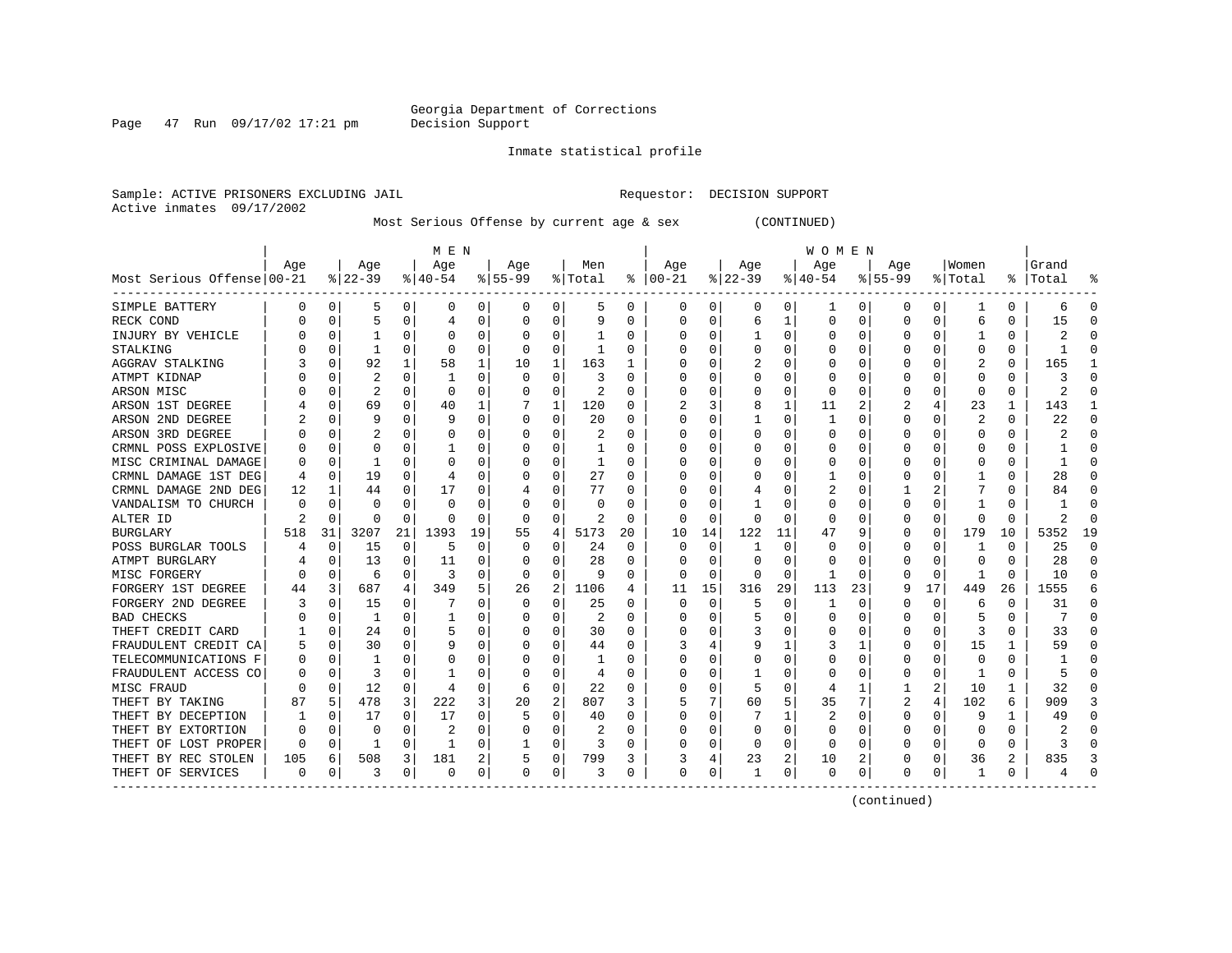Page  $47$  Run  $09/17/02$  17:21 pm

Inmate statistical profile

Sample: ACTIVE PRISONERS EXCLUDING JAIL **Requestor: DECISION SUPPORT** Active inmates 09/17/2002

Most Serious Offense by current age & sex (CONTINUED)

|                            |     |              |           |          | M E N    |          |           |          |         |    |               |          |          |          | W O M E N |    |           |          |         |    |       |    |
|----------------------------|-----|--------------|-----------|----------|----------|----------|-----------|----------|---------|----|---------------|----------|----------|----------|-----------|----|-----------|----------|---------|----|-------|----|
|                            | Age |              | Age       |          | Age      |          | Age       |          | Men     |    | Age           |          | Age      |          | Age       |    | Age       |          | Women   |    | Grand |    |
| Most Serious Offense 00-21 |     |              | $8 22-39$ |          | $ 40-54$ |          | $8 55-99$ |          | % Total |    | $8   00 - 21$ |          | $ 22-39$ |          | $ 40-54$  |    | $8 55-99$ |          | % Total | ႜၟ | Total |    |
| SIMPLE BATTERY             | 0   | 0            | .5        | 0        | 0        | 0        | 0         | 0        | 5       | 0  | 0             | 0        | 0        | 0        | 1         | 0  | 0         | 0        | -1      | 0  | 6     | C  |
| RECK COND                  |     | O            | 5         | $\Omega$ |          | 0        |           | $\Omega$ | 9       | U  | 0             | 0        | 6        |          | 0         | O  | $\Omega$  | 0        | 6       | 0  | 15    |    |
| INJURY BY VEHICLE          |     | O            |           | ∩        |          | 0        |           | $\Omega$ |         | U  | 0             | 0        |          | $\Omega$ | 0         | U  |           | O        |         | 0  |       |    |
| STALKING                   |     | O            |           | $\Omega$ | O        | 0        |           | $\Omega$ | 1       | U  |               | U        |          | $\Omega$ | O         | O  |           | O        | O       | U  |       |    |
| <b>AGGRAV STALKING</b>     |     | O            | 92        |          | 58       | 1        | 10        | 1        | 163     |    |               | 0        |          | O        | 0         | U  |           |          |         | 0  | 165   |    |
| ATMPT KIDNAP               |     | O            | 2         | 0        |          | 0        |           | $\Omega$ | 3       | U  |               | 0        |          | $\Omega$ | $\Omega$  | O  |           |          | Ω       | 0  | 3     |    |
| ARSON MISC                 |     | 0            | 2         | $\Omega$ | O        | 0        |           | 0        | 2       | U  |               | 0        |          | 0        | 0         | O  |           | O        | 0       | 0  | 2     |    |
| ARSON 1ST DEGREE           |     | 0            | 69        | $\Omega$ | 40       |          |           | 1        | 120     | 0  | 2             | 3        | 8        |          | 11        | 2  | 2         |          | 23      | 1  | 143   |    |
| ARSON 2ND DEGREE           |     | 0            | 9         |          | ç        | $\Omega$ |           | 0        | 20      | O  |               | 0        |          | $\Omega$ |           | O  |           | $\Omega$ | 2       | 0  | 22    |    |
| ARSON 3RD DEGREE           |     | O            |           |          |          | 0        |           | $\Omega$ | 2       | U  | ſ             | 0        |          | $\Omega$ | 0         | C  |           |          | 0       | 0  |       | ſ  |
| CRMNL POSS EXPLOSIVE       |     | O            | O         |          |          | O        |           | 0        |         | U  | ſ             | U        |          | O        | ი         |    |           |          |         | 0  |       | ſ  |
| MISC CRIMINAL DAMAGE       | 0   | 0            |           | O        | C        | 0        |           | 0        | 1       | 0  | Ω             | 0        |          | 0        | Ω         | C  |           |          | Ω       | 0  |       | n  |
| CRMNL DAMAGE 1ST DEG       | 4   | O            | 19        | 0        |          | 0        |           | 0        | 27      | U  | O             | 0        |          | O        |           | C  |           |          |         | 0  | 28    | n  |
| CRMNL DAMAGE 2ND DEG       | 12  |              | 44        | 0        | 17       | 0        |           | 0        | 77      |    | Ω             | 0        |          | O        | 2         |    |           | 2        |         | 0  | 84    | O  |
| VANDALISM TO CHURCH        | U   | O            | $\Omega$  |          | O        | 0        |           | $\Omega$ | U       |    |               | 0        |          |          | 0         |    |           |          |         | U  |       | C  |
| ALTER ID                   | 2   | <sup>0</sup> | $\Omega$  | $\Omega$ | C        | 0        |           | $\Omega$ | 2       | U  | O             | 0        |          | $\Omega$ | 0         |    |           | O        |         | U  | 2     | ſ  |
| <b>BURGLARY</b>            | 518 | 31           | 3207      | 21       | 1393     | 19       | 55        | 4        | 5173    | 20 | 10            | 14       | 122      | 11       | 47        | q  |           | 0        | 179     | 10 | 5352  | 19 |
| POSS BURGLAR TOOLS         |     | $\Omega$     | 15        | $\Omega$ | 5        | 0        |           | $\Omega$ | 24      | 0  | 0             | $\Omega$ |          | O        | 0         |    |           | O        |         | 0  | 25    | ſ  |
| ATMPT BURGLARY             |     | O            | 13        | O        | 11       | 0        |           | ∩        | 28      | U  | C             | 0        | O        | $\Omega$ | 0         |    |           | O        | O       | U  | 28    | ∩  |
| MISC FORGERY               | 0   | O            | 6         | 0        | 3        | 0        |           | $\Omega$ | 9       | U  | O             | 0        | O        | $\Omega$ |           | C  |           | 0        |         | 0  | 10    |    |
| FORGERY 1ST DEGREE         | 44  | 3            | 687       | 4        | 349      | 5        | 26        | 2        | 1106    | 4  | 11            | 15       | 316      | 29       | 113       | 23 |           | 17       | 449     | 26 | 1555  |    |
| FORGERY 2ND DEGREE         |     | O            | 15        | $\Omega$ |          | $\Omega$ |           | $\Omega$ | 25      | U  | 0             | $\Omega$ | 5        | $\Omega$ | 1         | O  |           | $\Omega$ | 6       | 0  | 31    | ſ  |
| <b>BAD CHECKS</b>          |     | O            | -1        | $\Omega$ |          | O        |           | $\Omega$ | 2       | U  |               | U        |          | $\Omega$ | O         | O  |           | 0        | 5       | U  |       |    |
| THEFT CREDIT CARD          |     | 0            | 24        | $\Omega$ | 5        | O        |           | $\Omega$ | 30      | U  |               | U        |          | O        | ი         | O  |           | $\Omega$ |         | U  | 33    |    |
| FRAUDULENT CREDIT CA       | 5   | 0            | 30        | $\Omega$ |          | 0        |           | $\Omega$ | 44      | U  |               | 4        |          |          | 3         |    |           | $\Omega$ | 15      | 1  | 59    |    |
| TELECOMMUNICATIONS F       | 0   | 0            |           | $\Omega$ |          | 0        |           | $\Omega$ | 1       | U  |               | 0        |          | $\Omega$ | Ω         | C  |           | O        |         | 0  |       | r  |
| FRAUDULENT ACCESS CO       | O   | $\Omega$     | 3         | $\Omega$ |          | 0        |           | $\Omega$ | 4       | U  | <sup>0</sup>  | 0        |          | $\Omega$ | O         | O  |           | $\Omega$ | -1      | 0  | 5     | ſ  |
| MISC FRAUD                 | U   | $\Omega$     | 12        | 0        |          | 0        |           | 0        | 22      | U  | ſ             | 0        |          | $\Omega$ | 4         | -1 |           | 2        | 10      | 1  | 32    | ∩  |
| THEFT BY TAKING            | 87  | 5            | 478       | 3        | 222      | 3        | 20        | 2        | 807     | 3  | 5             | 7        | 60       | 5        | 35        | 7  | 2         | 4        | 102     | 6  | 909   |    |
| THEFT BY DECEPTION         |     | O            | 17        | $\Omega$ | 17       | 0        |           | $\Omega$ | 40      | U  | <sup>0</sup>  | 0        |          |          | 2         | O  | $\Omega$  | O        | 9       | 1  | 49    | n  |
| THEFT BY EXTORTION         | 0   | 0            | 0         | 0        | 2        | 0        |           | 0        | 2       |    | 0             | 0        | 0        | $\Omega$ | 0         | C  |           | 0        |         | 0  |       |    |
| THEFT OF LOST PROPER       | 0   | 0            | 1         | $\Omega$ | -1       | 0        |           | 0        | 3       | 0  | C             | 0        | O        | $\Omega$ | 0         |    |           | 0        | C       | 0  | ζ     |    |
| THEFT BY REC STOLEN        | 105 | 6            | 508       | 3        | 181      | 2        |           | 0        | 799     | 3  | 3             | 4        | 23       | 2        | 10        | 2  |           | 0        | 36      | 2  | 835   |    |
| THEFT OF SERVICES          | 0   | 0            | 3         | 0        | $\Omega$ | 0        | $\Omega$  | 0        | 3       | 0  | $\Omega$      | 0        |          | 0        | 0         | 0  | $\Omega$  | 0        | -1      | 0  |       |    |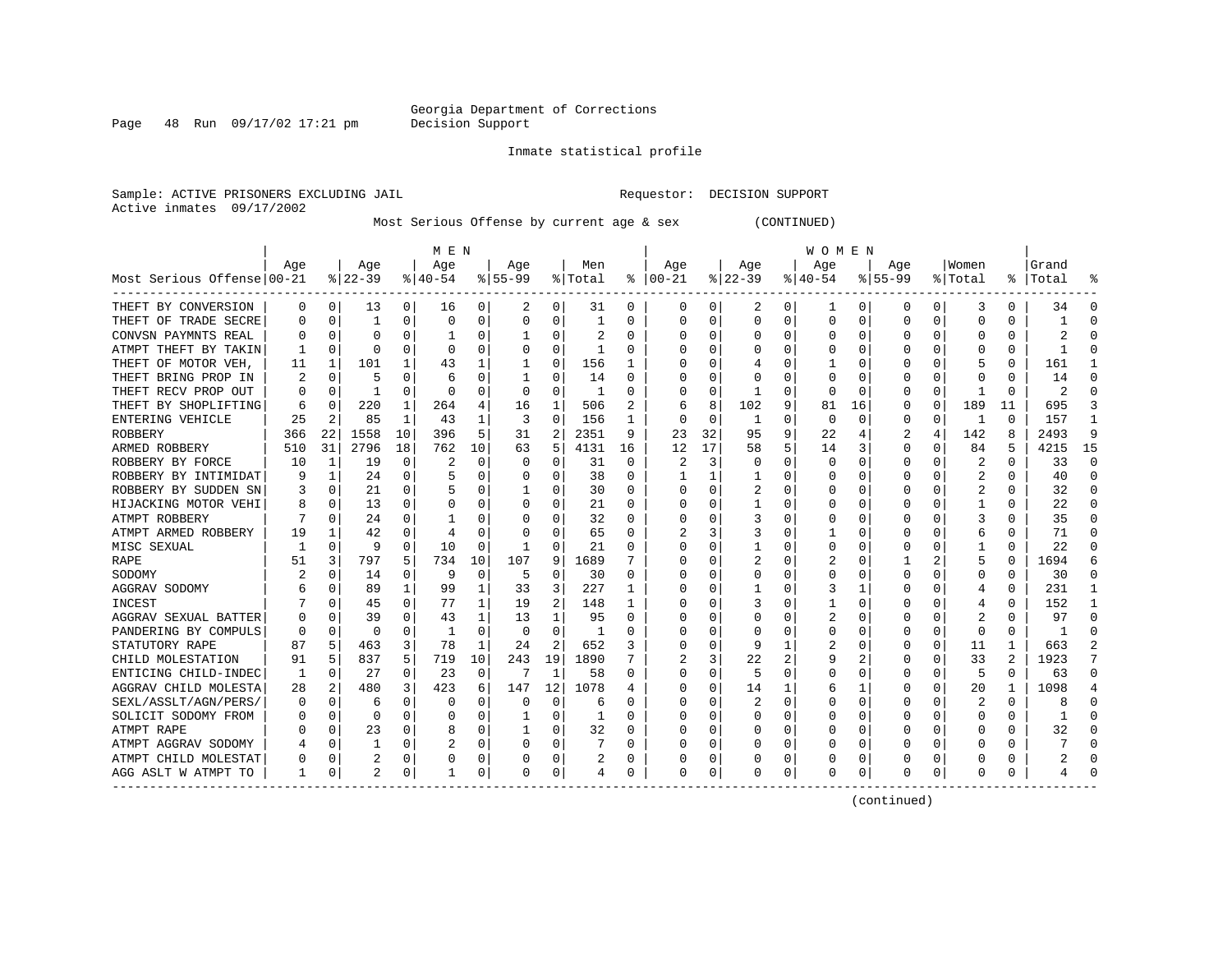Page  $48$  Run  $09/17/02$  17:21 pm

Inmate statistical profile

Sample: ACTIVE PRISONERS EXCLUDING JAIL **Requestor: DECISION SUPPORT** Active inmates 09/17/2002

Most Serious Offense by current age & sex (CONTINUED)

|                            | M E N |             |           |          |              |    |           |          |         |          | <b>WOMEN</b> |    |          |          |          |          |              |          |         |    |           |              |  |
|----------------------------|-------|-------------|-----------|----------|--------------|----|-----------|----------|---------|----------|--------------|----|----------|----------|----------|----------|--------------|----------|---------|----|-----------|--------------|--|
|                            | Age   |             | Age       |          | Age          |    | Aqe       |          | Men     |          | Age          |    | Age      |          | Age      |          | Aqe          |          | Women   |    | Grand     |              |  |
| Most Serious Offense 00-21 |       |             | $ 22-39 $ |          | $8 40-54$    |    | $8 55-99$ |          | % Total | ႜ        | $ 00-21$     |    | $ 22-39$ |          | $ 40-54$ |          | $8155 - 99$  |          | % Total |    | %   Total |              |  |
| THEFT BY CONVERSION        | 0     | 0           | 13        | 0        | 16           | 0  | 2         | 0        | 31      | 0        | 0            | 0  | 2        | 0        | ı        | 0        | 0            | 0        | 3       | 0  | 34        | O            |  |
| THEFT OF TRADE SECRE       | O     | $\mathbf 0$ | 1         | 0        | 0            | 0  |           | 0        | 1       | N        | 0            | 0  | $\Omega$ | $\Omega$ | 0        | C        | <sup>0</sup> | 0        | C       | 0  |           |              |  |
| CONVSN PAYMNTS REAL        |       | $\mathbf 0$ | O         |          |              | 0  |           | $\Omega$ |         | U        |              | U  | 0        | 0        | 0        | C        |              | O        |         | 0  |           |              |  |
| ATMPT THEFT BY TAKIN       |       | $\Omega$    | O         | O        | $\Omega$     | U  |           | $\Omega$ |         | O        |              | U  | $\Omega$ | $\Omega$ | C        | C        |              |          |         | U  |           |              |  |
| THEFT OF MOTOR VEH,        | 11    | 1           | 101       |          | 43           |    |           | $\Omega$ | 156     |          |              | U  |          | O        |          | C        |              |          |         | 0  | 161       |              |  |
| THEFT BRING PROP IN        |       | $\Omega$    |           | O        | 6            | 0  |           | $\Omega$ | 14      | 0        | C            | U  |          | O        | 0        | C        |              |          |         | 0  | 14        |              |  |
| THEFT RECV PROP OUT        |       | 0           | 1         | $\Omega$ | <sup>0</sup> | 0  | $\Omega$  | $\Omega$ | -1      | 0        |              | 0  |          | $\Omega$ | 0        | C        |              | $\Omega$ |         | 0  | 2         |              |  |
| THEFT BY SHOPLIFTING       | 6     | 0           | 220       | 1        | 264          | 4  | 16        | 1        | 506     |          | 6            | 8  | 102      | 9        | 81       | 16       |              | 0        | 189     | 11 | 695       |              |  |
| ENTERING VEHICLE           | 25    | 2           | 85        | 1        | 43           | 1  | 3         | 0        | 156     |          | 0            | 0  |          | $\Omega$ | 0        | $\Omega$ |              | $\Omega$ | -1      | 0  | 157       |              |  |
| ROBBERY                    | 366   | 22          | 1558      | 10       | 396          | 5  | 31        | 2        | 2351    | 9        | 23           | 32 | 95       | 9        | 22       |          |              | 4        | 142     | 8  | 2493      | 9            |  |
| ARMED ROBBERY              | 510   | 31          | 2796      | 18       | 762          | 10 | 63        | 5        | 4131    | 16       | 12           | 17 | 58       | 5        | 14       | 3        | 0            | O        | 84      | 5  | 4215      | 15           |  |
| ROBBERY BY FORCE           | 10    | 1           | 19        | 0        | 2            | 0  |           | 0        | 31      | $\Omega$ |              | 3  | $\Omega$ | $\Omega$ | 0        | C        | <sup>0</sup> | O        | 2       | 0  | 33        | $\Omega$     |  |
| ROBBERY BY INTIMIDAT       |       | 1           | 24        | 0        |              | 0  |           | $\Omega$ | 38      | $\Omega$ |              | 1  |          | $\Omega$ | O        | C        |              | O        | 2       | 0  | 40        | $\Omega$     |  |
| ROBBERY BY SUDDEN SN       |       | 0           | 21        | 0        |              | 0  |           | $\Omega$ | 30      | 0        | O            | 0  |          | 0        | 0        | C        |              | O        | 2       | 0  | 32        | n            |  |
| HIJACKING MOTOR VEHI       | 8     | 0           | 13        | 0        | 0            | 0  | O         | 0        | 21      | 0        | 0            | 0  |          | 0        | $\Omega$ | C        | O            |          |         | 0  | 22        | n            |  |
| ATMPT ROBBERY              |       | 0           | 24        | 0        |              | 0  |           | 0        | 32      | 0        | 0            | 0  | 3        | 0        | $\Omega$ | C        |              |          | 3       | 0  | 35        | n            |  |
| ATMPT ARMED ROBBERY        | 19    | 1           | 42        | 0        |              | 0  |           | $\Omega$ | 65      | 0        |              | 3  | 3        | $\Omega$ |          | C        |              |          | 6       | 0  | 71        | <sup>0</sup> |  |
| MISC SEXUAL                |       | 0           | 9         | 0        | 10           | U  |           | $\Omega$ | 21      | 0        |              | U  |          | O        | C        | C        |              |          |         | U  | 22        | C            |  |
| RAPE                       | 51    | 3           | 797       | 5        | 734          | 10 | 107       | 9        | 1689    |          |              | U  |          | 0        |          | C        |              |          | 5       | O  | 1694      |              |  |
| SODOMY                     |       | $\Omega$    | 14        | 0        | q            | 0  | 5         | $\Omega$ | 30      | U        |              | U  | O        | $\Omega$ | 0        | C        |              |          | O       | U  | 30        |              |  |
| AGGRAV SODOMY              |       | 0           | 89        | 1        | 99           |    | 33        | 3        | 227     | 1        |              | U  |          | O        |          |          |              |          | 4       | 0  | 231       |              |  |
| <b>INCEST</b>              |       | $\Omega$    | 45        | O        | 77           | 1  | 19        | 2        | 148     | 1        |              | U  |          | $\Omega$ |          | C        |              |          |         | 0  | 152       |              |  |
| AGGRAV SEXUAL BATTER       |       | $\Omega$    | 39        | 0        | 43           | 1  | 13        | 1        | 95      | O        |              | U  | O        | O        | 2        | C        |              | 0        |         | U  | 97        | n            |  |
| PANDERING BY COMPULS       | 0     | $\Omega$    | $\Omega$  | 0        | -1           | 0  | $\Omega$  | $\Omega$ |         | N        |              | 0  | 0        | $\Omega$ | 0        | C        |              | $\Omega$ | O       | 0  |           |              |  |
| STATUTORY RAPE             | 87    | 5           | 463       | 3        | 78           | 1  | 24        | 2        | 652     | 3        |              | 0  | 9        |          | 2        | C        |              | 0        | 11      | 1  | 663       |              |  |
| CHILD MOLESTATION          | 91    | 5           | 837       | 5        | 719          | 10 | 243       | 19       | 1890    |          |              | 3  | 22       |          | 9        |          |              | O        | 33      | 2  | 1923      |              |  |
| ENTICING CHILD-INDEC       | 1     | 0           | 27        | 0        | 23           | 0  | 7         | 1        | 58      | 0        | C            | 0  | 5        | $\Omega$ | 0        | C        |              | 0        | 5       | 0  | 63        | ∩            |  |
| AGGRAV CHILD MOLESTA       | 28    | 2           | 480       | 3        | 423          | 6  | 147       | 12       | 1078    | 4        | C            | U  | 14       |          | 6        | -1       |              | O        | 20      | 1  | 1098      |              |  |
| SEXL/ASSLT/AGN/PERS/       | 0     | $\Omega$    | 6         | 0        | 0            | 0  | O         | $\Omega$ | 6       | O        | C            | 0  |          | $\Omega$ | 0        | C        |              | O        | 2       | 0  | 8         | n            |  |
| SOLICIT SODOMY FROM        |       | 0           | 0         | 0        | 0            | 0  |           | $\Omega$ | 1       | O        | O            | 0  | O        | O        | 0        | C        |              | 0        | O       | 0  |           | ∩            |  |
| ATMPT RAPE                 |       | 0           | 23        | 0        | 8            | 0  |           | 0        | 32      | O        | O            | 0  | O        | $\Omega$ | 0        | C        |              | O        |         | 0  | 32        | <sup>0</sup> |  |
| ATMPT AGGRAV SODOMY        |       | 0           |           | 0        | 2            | 0  |           | $\Omega$ |         | 0        |              | 0  |          | 0        | 0        | C        |              | 0        |         | 0  |           |              |  |
| ATMPT CHILD MOLESTAT       |       | 0           |           | 0        | 0            | 0  |           | 0        | 2       | 0        |              | 0  |          | 0        | C        | C        |              | 0        |         | 0  |           |              |  |
| AGG ASLT W ATMPT TO        |       | 0           |           | 0        |              | 0  | $\Omega$  | 0        | 4       | 0        | $\Omega$     | 0  | 0        | 0        | 0        | 0        | <sup>0</sup> | 0        | O       | 0  |           |              |  |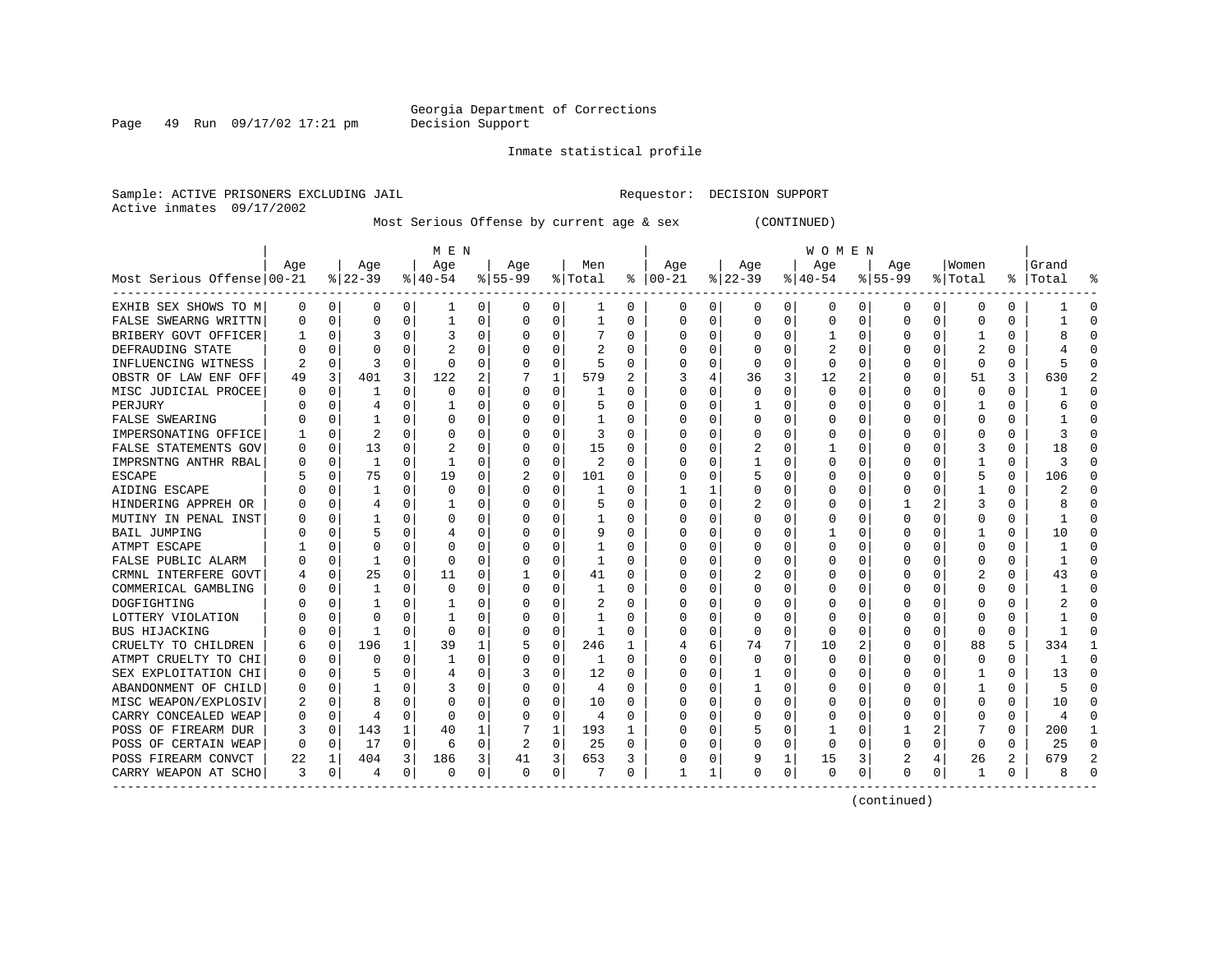Page 49 Run 09/17/02 17:21 pm

#### Inmate statistical profile

Sample: ACTIVE PRISONERS EXCLUDING JAIL **Requestor: DECISION SUPPORT** Active inmates 09/17/2002

Most Serious Offense by current age & sex (CONTINUED)

|                            | M E N |             |                |          |              |          |                |          |         |   | <b>WOMEN</b> |          |              |             |           |              |              |              |              |               |       |           |
|----------------------------|-------|-------------|----------------|----------|--------------|----------|----------------|----------|---------|---|--------------|----------|--------------|-------------|-----------|--------------|--------------|--------------|--------------|---------------|-------|-----------|
|                            | Age   |             | Age            |          | Age          |          | Age            |          | Men     |   | Age          |          | Age          |             | Age       |              | Aqe          |              | Women        |               | Grand |           |
| Most Serious Offense 00-21 |       |             | $8 22-39$      |          | $8 40-54$    |          | $8 55-99$      |          | % Total | ႜ | $ 00-21$     |          | $ 22-39 $    |             | $ 40-54 $ |              | $8155 - 99$  |              | % Total      | $\frac{1}{6}$ | Total |           |
| EXHIB SEX SHOWS TO M       | 0     | 0           | 0              | 0        | ı            | 0        | 0              | 0        | ı       | 0 | 0            | 0        | 0            | 0           | 0         | 0            | 0            | 0            | 0            | 0             |       | 0         |
| FALSE SWEARNG WRITTN       |       | $\mathbf 0$ | $\Omega$       | 0        |              | 0        | O              | 0        | 1       | 0 | O            | 0        | 0            | $\Omega$    | 0         | 0            | $\Omega$     | 0            | 0            | 0             |       | $\cap$    |
| BRIBERY GOVT OFFICER       |       | $\mathbf 0$ |                | O        |              | $\Omega$ |                | $\Omega$ |         | 0 |              | 0        | 0            | 0           |           | $\Omega$     | $\Omega$     | 0            |              | 0             |       |           |
| DEFRAUDING STATE           |       | $\Omega$    | O              |          |              | O        |                | O        |         | U |              | O        | <sup>0</sup> | O           |           | $\Omega$     | $\Omega$     | U            |              | U             |       |           |
| INFLUENCING WITNESS        |       | $\Omega$    | 3              | U        | $\Omega$     | 0        |                | 0        | 5       | 0 |              | 0        | <sup>0</sup> | 0           | $\Omega$  | 0            | O            | 0            | $\Omega$     | 0             |       |           |
| OBSTR OF LAW ENF OFF       | 49    | 3           | 401            | 3        | 122          | 2        |                | 1        | 579     | 2 |              | 4        | 36           | 3           | 12        | 2            |              | 0            | 51           | 3             | 630   |           |
| MISC JUDICIAL PROCEE       |       | 0           |                | O        | n            | O        | O              | 0        |         | U | O            | $\Omega$ | <sup>0</sup> | $\Omega$    | $\Omega$  | $\Omega$     | O            | 0            | $\Omega$     | 0             |       |           |
| PERJURY                    |       | $\Omega$    | 4              | U        |              | U        |                | $\Omega$ | 5       | U | O            | $\Omega$ |              | O           |           | $\Omega$     |              | <sup>0</sup> |              | 0             |       |           |
| FALSE SWEARING             |       | $\Omega$    |                | 0        | 0            | U        |                | $\Omega$ |         | U |              | $\Omega$ | O            | $\Omega$    |           | $\Omega$     | <sup>0</sup> | <sup>0</sup> | <sup>0</sup> | U             |       |           |
| IMPERSONATING OFFICE       |       | $\mathbf 0$ | $\overline{c}$ | O        | C            | 0        |                | 0        | 3       | 0 |              | 0        |              | 0           |           | $\Omega$     |              | 0            | 0            | 0             |       |           |
| FALSE STATEMENTS GOV       |       | $\mathbf 0$ | 13             | O        | 2            | 0        |                | 0        | 15      | 0 |              | 0        | 2            | $\Omega$    |           | $\Omega$     | <sup>0</sup> | 0            | 3            | O             | 18    | C         |
| IMPRSNTNG ANTHR RBAL       |       | 0           | 1              | $\Omega$ | $\mathbf{1}$ | $\Omega$ |                | 0        | 2       | O | C            | $\Omega$ |              | O           | Ω         | $\Omega$     | $\Omega$     | 0            |              | 0             | 3     | $\cap$    |
| ESCAPE                     |       | 0           | 75             | $\Omega$ | 19           | 0        |                | 0        | 101     | U | C            | $\Omega$ |              | O           | Ω         | $\Omega$     | $\Omega$     | 0            | 5            | 0             | 106   | $\cap$    |
| AIDING ESCAPE              |       | 0           | 1              | 0        | 0            | 0        | O              | 0        | 1       | 0 |              | 1        | 0            | 0           | 0         | 0            | 0            | 0            |              | 0             |       | $\Omega$  |
| HINDERING APPREH OR        |       | 0           | 4              | 0        |              | 0        | O              | 0        | 5       | 0 | $\Omega$     | 0        |              | 0           | 0         | 0            |              |              | 3            | 0             | 8     | $\Omega$  |
| MUTINY IN PENAL INST       |       | 0           |                | O        | 0            | 0        | O              | 0        |         | 0 | O            | 0        | 0            | 0           | 0         | 0            | $\Omega$     | 0            | 0            | 0             |       | $\cap$    |
| <b>BAIL JUMPING</b>        |       | 0           | 5              |          |              | 0        |                | O        | 9       | U |              | 0        |              | 0           |           | $\Omega$     | <sup>0</sup> |              |              | U             | 10    | $\cap$    |
| ATMPT ESCAPE               |       | $\Omega$    | O              | O        | C            | U        |                | O        |         | U |              | 0        | O            | 0           | O         | C            | O            |              | O            | U             |       |           |
| FALSE PUBLIC ALARM         |       | $\Omega$    | 1              | O        | $\Omega$     | U        |                | $\Omega$ | 1       | U | C            | O        | O            | 0           | O         | <sup>0</sup> | O            |              | <sup>0</sup> | U             |       | $\cap$    |
| CRMNL INTERFERE GOVT       |       | 0           | 25             | O        | 11           | 0        |                | O        | 41      | U | O            | 0        |              | 0           | Ω         | $\Omega$     |              | <sup>0</sup> | 2            | 0             | 43    | n         |
| COMMERICAL GAMBLING        |       | 0           | 1              | O        | $\Omega$     | 0        |                | O        |         | U | O            | 0        | O            | 0           | Ω         | <sup>0</sup> |              |              | <sup>0</sup> | 0             |       |           |
| DOGFIGHTING                |       | $\Omega$    |                | U        |              | U        |                | 0        | 2       | U |              | 0        | O            | O           | Ω         | n            |              | 0            | O            | 0             |       |           |
| LOTTERY VIOLATION          |       | $\Omega$    | $\Omega$       | O        |              | U        |                | $\Omega$ | -1      | U |              | $\Omega$ | 0            | 0           | O         | <sup>0</sup> |              | <sup>0</sup> | O            | 0             |       | n         |
| BUS HIJACKING              |       | $\Omega$    | 1              | 0        | 0            | 0        |                | $\Omega$ |         | 0 |              | $\Omega$ | $\Omega$     | $\Omega$    | 0         | $\Omega$     |              | $\Omega$     | 0            | 0             |       |           |
| CRUELTY TO CHILDREN        |       | $\mathbf 0$ | 196            | 1        | 39           | 1        |                | 0        | 246     | 1 |              | 6        | 74           | 7           | 10        | 2            | 0            | 0            | 88           | 5             | 334   |           |
| ATMPT CRUELTY TO CHI       |       | 0           | $\Omega$       | O        |              | 0        |                | 0        | 1       | U |              | 0        | $\Omega$     | $\Omega$    | O         | $\Omega$     | $\Omega$     | 0            | 0            | 0             |       | $\cap$    |
| SEX EXPLOITATION CHI       |       | 0           |                | 0        |              | 0        |                | 0        | 12      | 0 | O            | $\Omega$ | 1            | 0           | 0         | $\Omega$     | $\Omega$     | 0            | 1            | 0             | 13    | $\bigcap$ |
| ABANDONMENT OF CHILD       |       | $\Omega$    |                | O        | З            | 0        |                | 0        | 4       | U | C            | $\Omega$ | 1            | O           | O         | <sup>0</sup> | O            | 0            |              | 0             |       | $\cap$    |
| MISC WEAPON/EXPLOSIV       |       | $\Omega$    | 8              | 0        | 0            | 0        | O              | 0        | 10      | U | O            | $\Omega$ | 0            | 0           | 0         | 0            | O            | 0            | Ω            | 0             | 10    | $\Omega$  |
| CARRY CONCEALED WEAP       |       | $\mathbf 0$ | 4              | $\Omega$ | n            | 0        | n              | 0        | 4       | 0 | O            | $\Omega$ | 0            | 0           | 0         | 0            | O            | 0            | O            | 0             | 4     | $\cap$    |
| POSS OF FIREARM DUR        | 3     | 0           | 143            | 1        | 40           | 1        |                | 1        | 193     | 1 | C            | 0        |              | 0           | 1         | $\Omega$     |              | 2            |              | 0             | 200   | -1        |
| POSS OF CERTAIN WEAP       | 0     | 0           | 17             | 0        | 6            | 0        | $\overline{c}$ | 0        | 25      | 0 |              | 0        |              | 0           | $\Omega$  | 0            | 0            | 0            | 0            | 0             | 25    | C         |
| POSS FIREARM CONVCT        | 22    | 1           | 404            | 3        | 186          | 3        | 41             | 3        | 653     | 3 |              | 0        | 9            | 1           | 15        | 3            | 2            |              | 26           | 2             | 679   |           |
| CARRY WEAPON AT SCHO       | 3     | 0           | 4              | 0        | 0            | 0        | 0              | 0        |         | 0 |              | 1        | 0            | $\mathbf 0$ | $\Omega$  | 0            | $\Omega$     | 0            |              | 0             | 8     |           |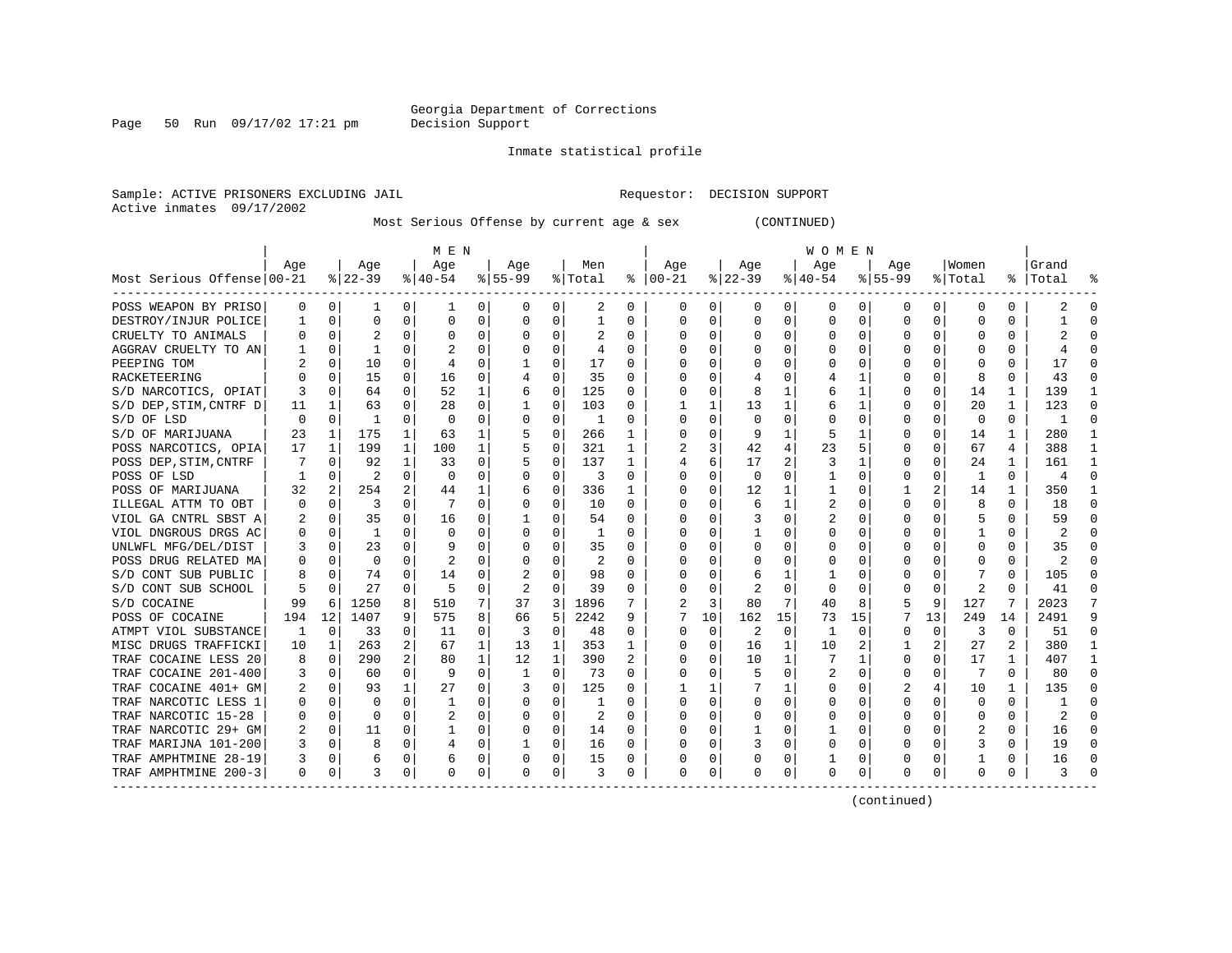Page 50 Run 09/17/02 17:21 pm

#### Inmate statistical profile

Sample: ACTIVE PRISONERS EXCLUDING JAIL **Requestor: DECISION SUPPORT** Active inmates 09/17/2002

Most Serious Offense by current age & sex (CONTINUED)

|                            | M E N    |              |              |              |             |          |           |          |         |          | W O M E N      |             |          |          |          |          |           |          |          |              |           |          |  |  |
|----------------------------|----------|--------------|--------------|--------------|-------------|----------|-----------|----------|---------|----------|----------------|-------------|----------|----------|----------|----------|-----------|----------|----------|--------------|-----------|----------|--|--|
|                            | Age      |              | Age          |              | Age         |          | Age       |          | Men     |          | Aqe            |             | Age      |          | Age      |          | Aqe       |          | Women    |              | Grand     |          |  |  |
| Most Serious Offense 00-21 |          |              | $8 22-39$    |              | $ 40-54 $   |          | $8 55-99$ |          | % Total |          | $8   00 - 21$  |             | $ 22-39$ |          | $ 40-54$ |          | $8 55-99$ |          | % Total  |              | %   Total |          |  |  |
| POSS WEAPON BY PRISO       | 0        | 0            | 1            | $\Omega$     | 1           | 0        | 0         | 0        | 2       | 0        | 0              | 0           | 0        | 0        | 0        | 0        | 0         | 0        | 0        | 0            | 2         | O        |  |  |
| DESTROY/INJUR POLICE       |          | 0            | 0            | 0            | $\mathbf 0$ | 0        | O         | 0        | 1       | U        | 0              | 0           | $\Omega$ | $\Omega$ | U        | $\Omega$ | $\Omega$  | $\Omega$ | C        | O            |           | ſ        |  |  |
| CRUELTY TO ANIMALS         |          | 0            |              | U            | $\Omega$    | 0        | O         | O        | 2       | U        | O              | 0           | $\Omega$ | O        | U        | $\Omega$ | $\Omega$  | $\Omega$ |          | 0            |           |          |  |  |
| AGGRAV CRUELTY TO AN       |          | $\Omega$     | $\mathbf{1}$ | U            |             | $\Omega$ | O         | O        | 4       | U        | C              | 0           | ∩        | O        | U        | $\Omega$ | ∩         |          |          | U            |           |          |  |  |
| PEEPING TOM                |          | $\Omega$     | 10           | U            |             | O        |           | 0        | 17      | U        | O              | 0           |          | O        | U        | $\Omega$ |           |          |          | U            | 17        |          |  |  |
| RACKETEERING               |          | $\Omega$     | 15           | $\Omega$     | 16          | 0        |           | $\Omega$ | 35      | U        | O              | 0           |          | O        |          |          |           | $\Omega$ | 8        | 0            | 43        |          |  |  |
| S/D NARCOTICS, OPIAT       | 3        | $\Omega$     | 64           | 0            | 52          | 1        | 6         | 0        | 125     | 0        | O              | $\Omega$    | 8        |          | 6        |          |           | $\Omega$ | 14       | 1            | 139       |          |  |  |
| S/D DEP, STIM, CNTRF D     | 11       | $\mathbf{1}$ | 63           | 0            | 28          | $\Omega$ |           | 0        | 103     | U        |                | 1           | 13       | 1        | 6        |          |           | $\Omega$ | 20       | 1            | 123       | ſ        |  |  |
| S/D OF LSD                 | O        | 0            | $\mathbf{1}$ | 0            | $\mathbf 0$ | $\Omega$ | O         | 0        | 1       | U        | 0              | $\Omega$    | 0        | $\Omega$ |          | 0        |           | $\Omega$ | $\Omega$ | 0            | 1         | ſ        |  |  |
| S/D OF MARIJUANA           | 23       | $\mathbf{1}$ | 175          | 1            | 63          | 1        |           | $\Omega$ | 266     | 1        | <sup>0</sup>   | 0           | 9        | 1        | 5        |          |           | $\Omega$ | 14       | $\mathbf{1}$ | 280       |          |  |  |
| POSS NARCOTICS, OPIA       | 17       | 1            | 199          | $\mathbf{1}$ | 100         | 1        |           | 0        | 321     | 1        | $\mathfrak{D}$ | 3           | 42       | 4        | 23       | 5        | O         | $\Omega$ | 67       | 4            | 388       | -1       |  |  |
| POSS DEP, STIM, CNTRF      | 7        | $\Omega$     | 92           | $\mathbf{1}$ | 33          | 0        |           | $\Omega$ | 137     | 1        | 4              | 6           | 17       | 2        | 3        |          | O         | O        | 24       | 1            | 161       |          |  |  |
| POSS OF LSD                |          | $\Omega$     | 2            | $\Omega$     | 0           | 0        | O         | 0        | 3       | $\Omega$ | 0              | 0           | $\Omega$ | $\Omega$ |          | 0        | O         | $\Omega$ | 1        | 0            | 4         | $\Omega$ |  |  |
| POSS OF MARIJUANA          | 32       | 2            | 254          |              | 44          | 1        | 6         | O        | 336     |          | <sup>0</sup>   | O           | 12       |          |          | n        |           | 2        | 14       |              | 350       |          |  |  |
| ILLEGAL ATTM TO OBT        | $\Omega$ | $\mathbf 0$  | 3            | U            |             | O        | O         | $\Omega$ | 10      | U        | 0              | O           | 6        |          |          | n        | ∩         |          | 8        | 0            | 18        | ſ        |  |  |
| VIOL GA CNTRL SBST A       |          | $\mathbf 0$  | 35           | U            | 16          | O        |           | U        | 54      | U        | O              | 0           |          | U        |          | n        |           |          | 5        | U            | 59        |          |  |  |
| VIOL DNGROUS DRGS AC       |          | $\Omega$     | -1           | U            | $\Omega$    | 0        | O         | O        | -1      | U        | O              | 0           |          | O        | U        | n        |           |          |          | U            | 2         |          |  |  |
| UNLWFL MFG/DEL/DIST        |          | $\Omega$     | 23           | U            | q           | $\Omega$ |           | $\Omega$ | 35      | U        | O              | 0           | U        | U        | Ω        | n        |           |          | n        | U            | 35        |          |  |  |
| POSS DRUG RELATED MA       |          | $\Omega$     | $\Omega$     | 0            | 2           | O        |           | $\Omega$ | 2       | U        | O              | $\Omega$    | O        | 0        | 0        | n        |           | 0        | O        | U            | 2         |          |  |  |
| S/D CONT SUB PUBLIC        |          | 0            | 74           | 0            | 14          | 0        | 2         | 0        | 98      | U        |                | 0           | 6        | 1        |          | 0        |           | $\Omega$ |          | O            | 105       |          |  |  |
| S/D CONT SUB SCHOOL        |          | $\Omega$     | 27           | $\Omega$     | 5           | $\Omega$ |           | $\Omega$ | 39      | U        |                | $\Omega$    |          | $\Omega$ | $\Omega$ | 0        |           | $\Omega$ | 2        | $\Omega$     | 41        |          |  |  |
| S/D COCAINE                | 99       | 6            | 1250         | 8            | 510         | 7        | 37        | 3        | 1896    |          |                | 3           | 80       | 7        | 40       | 8        |           | 9        | 127      | 7            | 2023      |          |  |  |
| POSS OF COCAINE            | 194      | 12           | 1407         | 9            | 575         | 8        | 66        | 5        | 2242    | 9        | 7              | 10          | 162      | 15       | 73       | 15       |           | 13       | 249      | 14           | 2491      |          |  |  |
| ATMPT VIOL SUBSTANCE       | -1       | 0            | 33           | $\Omega$     | 11          | 0        | 3         | 0        | 48      | $\Omega$ | O              | $\mathbf 0$ | 2        | 0        | 1        | 0        | O         | 0        | 3        | 0            | 51        | ∩        |  |  |
| MISC DRUGS TRAFFICKI       | 10       | 1            | 263          | 2            | 67          | 1        | 13        | 1        | 353     | 1        | O              | $\Omega$    | 16       | 1        | 10       | 2        |           | 2        | 27       | 2            | 380       |          |  |  |
| TRAF COCAINE LESS 20       | 8        | 0            | 290          |              | 80          | 1        | 12        | 1        | 390     | 2        | 0              | 0           | 10       | 1        | 7        |          | O         | 0        | 17       | 1            | 407       |          |  |  |
| TRAF COCAINE 201-400       |          | 0            | 60           | 0            | -9          | 0        | 1         | 0        | 73      | U        |                | O           |          | O        |          | O        | $\Omega$  |          | 7        | 0            | 80        |          |  |  |
| TRAF COCAINE 401+ GM       |          | 0            | 93           | $\mathbf{1}$ | 27          | 0        |           | $\Omega$ | 125     | U        |                |             |          |          | 0        | $\Omega$ |           |          | 10       | 1            | 135       |          |  |  |
| TRAF NARCOTIC LESS 1       |          | $\Omega$     | U            | U            |             | 0        | O         | $\Omega$ |         | U        | <sup>0</sup>   | $\Omega$    | U        | O        | U        | n        | ∩         |          | $\Omega$ | 0            |           |          |  |  |
| TRAF NARCOTIC 15-28        |          | $\Omega$     | $\Omega$     | U            |             | $\Omega$ | O         | 0        | 2       | U        | <sup>0</sup>   | 0           | U        | O        | U        | $\Omega$ | O         | O        | O        | 0            | 2         |          |  |  |
| TRAF NARCOTIC 29+ GM       | 2        | 0            | 11           | $\Omega$     |             | 0        | 0         | 0        | 14      | 0        | 0              | $\Omega$    |          | O        |          | 0        |           | 0        |          | 0            | 16        |          |  |  |
| TRAF MARIJNA 101-200       | 3        | $\Omega$     | 8            | 0            | 4           | 0        |           | 0        | 16      | $\Omega$ | <sup>0</sup>   | $\Omega$    |          | 0        | Ω        | 0        |           | 0        | 3        | U            | 19        | C        |  |  |
| TRAF AMPHTMINE 28-19       | 3        | $\Omega$     | 6            | 0            | 6           | 0        |           | $\Omega$ | 15      | 0        | 0              | $\Omega$    |          | 0        |          | 0        |           | 0        |          | 0            | 16        |          |  |  |
| TRAF AMPHTMINE 200-3       | $\Omega$ | 0            | 3            | 0            | $\mathbf 0$ | 0        | 0         | 0        | 3       | 0        | 0              | 0           | 0        | 0        | 0        | 0        | $\Omega$  | 0        | 0        | 0            | 3         |          |  |  |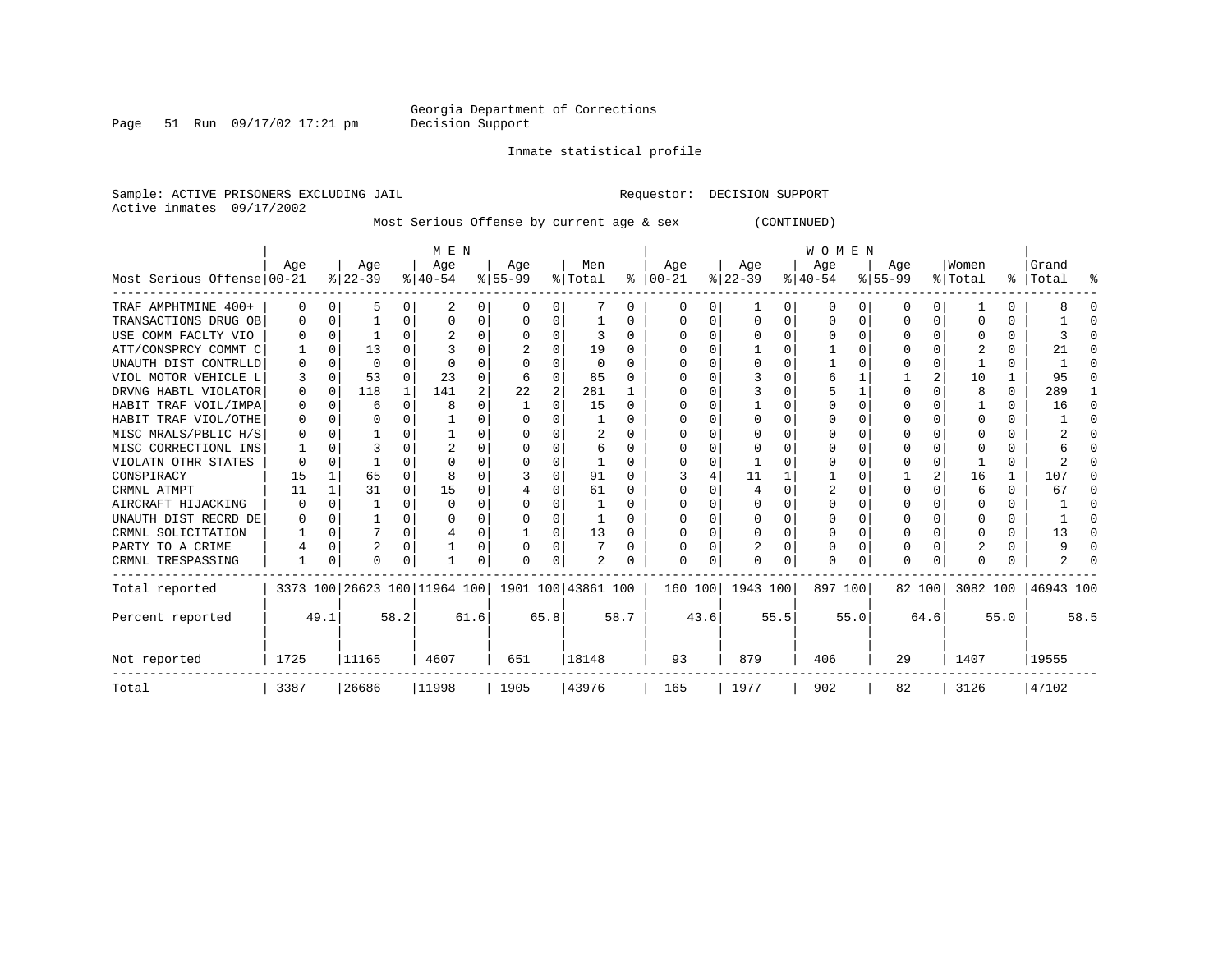Page 51 Run 09/17/02 17:21 pm

Inmate statistical profile

Sample: ACTIVE PRISONERS EXCLUDING JAIL **Requestor: DECISION SUPPORT** Active inmates 09/17/2002

Most Serious Offense by current age & sex (CONTINUED)

|                            |          |          |          |          | M E N                                               |      |          |                |          |          | <b>WOMEN</b> |         |          |      |           |          |           |          |              |          |                    |      |  |  |
|----------------------------|----------|----------|----------|----------|-----------------------------------------------------|------|----------|----------------|----------|----------|--------------|---------|----------|------|-----------|----------|-----------|----------|--------------|----------|--------------------|------|--|--|
|                            | Age      |          | Age      |          | Age                                                 |      | Age      |                | Men      |          | Age          |         | Age      |      | Age       |          | Age       |          | Women        |          | Grand              |      |  |  |
| Most Serious Offense 00-21 |          |          | $ 22-39$ |          | $ 40-54 $                                           |      | $ 55-99$ |                | % Total  | ႜ        | $ 00-21$     |         | $ 22-39$ |      | $ 40-54 $ |          | $8 55-99$ |          | % Total      |          | %   Total          | ႜ    |  |  |
| TRAF AMPHTMINE 400+        | $\Omega$ | $\Omega$ | 5        | 0        |                                                     | 0    | O        | 0              |          | 0        | $\left($     | 0       |          | 0    | $\Omega$  | 0        | 0         | 0        |              | 0        |                    |      |  |  |
| TRANSACTIONS DRUG OB       | O        | $\Omega$ |          | 0        | $\Omega$                                            | 0    | O        | 0              |          | O        | $\Omega$     | 0       | $\Omega$ | 0    | $\Omega$  | $\Omega$ | O         | 0        | O            | U        |                    |      |  |  |
| USE COMM FACLTY VIO        |          | $\Omega$ |          |          |                                                     |      |          | O              | ٦        | 0        |              |         |          | U    | $\Omega$  | $\Omega$ |           |          |              | 0        |                    |      |  |  |
| ATT/CONSPRCY COMMT C       |          | $\Omega$ | 13       | U        |                                                     |      |          | O              | 19       | O        |              |         |          | U    |           | $\Omega$ | O         |          |              | 0        | 21                 |      |  |  |
| UNAUTH DIST CONTRLLD       |          | $\Omega$ | 0        | U        | $\Omega$                                            | O    |          | O              | $\Omega$ | U        |              |         | $\Omega$ | U    |           | $\Omega$ |           | 0        |              | 0        |                    |      |  |  |
| VIOL MOTOR VEHICLE L       | 3        | $\Omega$ | 53       | $\Omega$ | 23                                                  | O    | 6        | $\Omega$       | 85       | U        |              |         |          | U    |           |          |           | 2        | 10           |          | 95                 |      |  |  |
| DRVNG HABTL VIOLATOR       | $\Omega$ | $\Omega$ | 118      | -1       | 141                                                 | 2    | 22       | $\overline{c}$ | 281      |          |              |         |          | U    |           |          | O         | O        | 8            | $\Omega$ | 289                |      |  |  |
| HABIT TRAF VOIL/IMPA       | 0        | $\Omega$ | 6        | 0        | 8                                                   | U    |          | O              | 15       | $\Omega$ |              |         |          | 0    |           | $\Omega$ |           |          |              | U        | 16                 | ∩    |  |  |
| HABIT TRAF VIOL/OTHE       | $\Omega$ |          | O        |          |                                                     |      |          |                |          | U        |              |         |          | U    |           | $\Omega$ | U         |          | <sup>0</sup> | 0        |                    |      |  |  |
| MISC MRALS/PBLIC H/S       |          |          |          |          |                                                     | 0    |          | O              | 2        | O        |              |         | $\Omega$ | U    |           | $\Omega$ | O         |          |              | U        |                    |      |  |  |
| MISC CORRECTIONL INS       |          | $\Omega$ |          |          | $\overline{c}$                                      | O    |          | O              | 6        | 0        |              |         |          | U    |           | O        |           |          | C            | 0        |                    |      |  |  |
| VIOLATN OTHR STATES        |          | $\Omega$ |          |          | ∩                                                   |      |          | $\Omega$       |          | U        |              |         |          | U    |           | $\Omega$ | O         | $\Omega$ |              | 0        |                    |      |  |  |
| CONSPIRACY                 | 15       |          | 65       | U        |                                                     |      |          | $\Omega$       | 91       | U        |              |         | 11       |      |           | $\Omega$ |           |          | 16           | 1        | 107                |      |  |  |
| CRMNL ATMPT                | 11       |          | 31       | $\Omega$ | 15                                                  | 0    |          | $\Omega$       | 61       | O        |              |         |          | O    |           | O        | U         |          | 6            | 0        | 67                 |      |  |  |
| AIRCRAFT HIJACKING         | 0        |          |          | U        | $\Omega$                                            | 0    |          | O              |          | O        |              |         |          | U    |           | $\Omega$ | O         |          | O            | 0        |                    |      |  |  |
| UNAUTH DIST RECRD DE       |          |          |          |          |                                                     | 0    |          | $\Omega$       |          | 0        |              |         | $\Omega$ | U    |           | $\Omega$ | O         |          |              | 0        |                    |      |  |  |
| CRMNL SOLICITATION         |          | $\Omega$ |          | $\Omega$ |                                                     | 0    |          | $\Omega$       | 13       | 0        |              | 0       | $\Omega$ | 0    |           | $\Omega$ | 0         | $\Omega$ | <sup>0</sup> | 0        | 13                 |      |  |  |
| PARTY TO A CRIME           |          | $\Omega$ | 2        | U        |                                                     | 0    | U        | $\Omega$       |          | O        |              | 0       |          | U    |           | $\Omega$ | 0         | U        |              | 0        |                    |      |  |  |
| CRMNL TRESPASSING          |          | 0        | $\Omega$ | 0        |                                                     | 0    | O        | 0              | 2        |          | ∩            | 0       | $\Omega$ | 0    | $\Omega$  | 0        | $\Omega$  | 0        | <sup>0</sup> |          |                    |      |  |  |
| Total reported             |          |          |          |          | 3373 100 26623 100 11964 100   1901 100   43861 100 |      |          |                |          |          |              | 160 100 | 1943 100 |      | 897 100   |          |           | 82 100   |              |          | 3082 100 46943 100 |      |  |  |
| Percent reported           |          | 49.1     |          | 58.2     |                                                     | 61.6 |          | 65.8           |          | 58.7     |              | 43.6    |          | 55.5 |           | 55.0     |           | 64.6     |              | 55.0     |                    | 58.5 |  |  |
| Not reported               | 1725     |          | 11165    |          | 4607                                                |      | 651      |                | 18148    |          | 93           |         | 879      |      | 406       |          | 29        |          | 1407         |          | 19555              |      |  |  |
| Total                      | 3387     |          | 26686    |          | 11998                                               |      | 1905     |                | 43976    |          | 165          |         | 1977     |      | 902       |          | 82        |          | 3126         |          | 47102              |      |  |  |